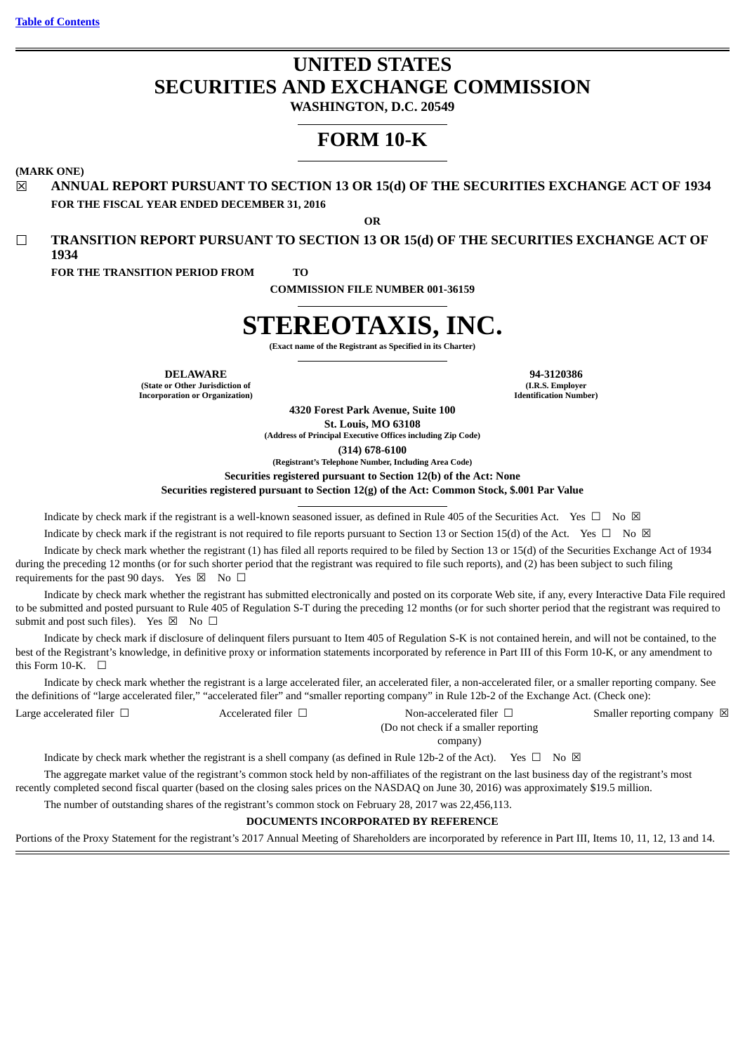# **UNITED STATES SECURITIES AND EXCHANGE COMMISSION**

**WASHINGTON, D.C. 20549**

## **FORM 10-K**

**(MARK ONE)**

☒ **ANNUAL REPORT PURSUANT TO SECTION 13 OR 15(d) OF THE SECURITIES EXCHANGE ACT OF 1934 FOR THE FISCAL YEAR ENDED DECEMBER 31, 2016**

**OR**

☐ **TRANSITION REPORT PURSUANT TO SECTION 13 OR 15(d) OF THE SECURITIES EXCHANGE ACT OF 1934**

**FOR THE TRANSITION PERIOD FROM TO** 

**COMMISSION FILE NUMBER 001-36159**

# **STEREOTAXIS, INC.**

(Exact name of the Registrant as Specified in its Charte

**DELAWARE 94-3120386 (State or Other Jurisdiction of**

**Incorporation or Organization)**

**(I.R.S. Employer Identification Number)**

**4320 Forest Park Avenue, Suite 100 St. Louis, MO 63108**

**(Address of Principal Executive Offices including Zip Code)**

**(314) 678-6100**

**(Registrant's Telephone Number, Including Area Code)**

**Securities registered pursuant to Section 12(b) of the Act: None**

**Securities registered pursuant to Section 12(g) of the Act: Common Stock, \$.001 Par Value**

Indicate by check mark if the registrant is a well-known seasoned issuer, as defined in Rule 405 of the Securities Act. Yes  $\Box$  No  $\boxtimes$ 

Indicate by check mark if the registrant is not required to file reports pursuant to Section 13 or Section 15(d) of the Act. Yes  $\square$  No  $\boxtimes$ 

Indicate by check mark whether the registrant (1) has filed all reports required to be filed by Section 13 or 15(d) of the Securities Exchange Act of 1934 during the preceding 12 months (or for such shorter period that the registrant was required to file such reports), and (2) has been subject to such filing requirements for the past 90 days. Yes  $\boxtimes$  No  $\Box$ 

Indicate by check mark whether the registrant has submitted electronically and posted on its corporate Web site, if any, every Interactive Data File required to be submitted and posted pursuant to Rule 405 of Regulation S-T during the preceding 12 months (or for such shorter period that the registrant was required to submit and post such files). Yes  $\boxtimes$  No  $\Box$ 

Indicate by check mark if disclosure of delinquent filers pursuant to Item 405 of Regulation S-K is not contained herein, and will not be contained, to the best of the Registrant's knowledge, in definitive proxy or information statements incorporated by reference in Part III of this Form 10-K, or any amendment to this Form 10-K.  $\Box$ 

Indicate by check mark whether the registrant is a large accelerated filer, an accelerated filer, a non-accelerated filer, or a smaller reporting company. See the definitions of "large accelerated filer," "accelerated filer" and "smaller reporting company" in Rule 12b-2 of the Exchange Act. (Check one):

| Large accelerated filer $\Box$ | Accelerated filer [                                                                                     | Non-accelerated filer $\Box$          |            |      | Smaller reporting company $\boxtimes$ |
|--------------------------------|---------------------------------------------------------------------------------------------------------|---------------------------------------|------------|------|---------------------------------------|
|                                |                                                                                                         | (Do not check if a smaller reporting) |            |      |                                       |
|                                |                                                                                                         | company)                              |            |      |                                       |
|                                | Indicate by check mark whether the registrant is a shell company (as defined in Rule 12b-2 of the Act). |                                       | Yes $\Box$ | No ⊠ |                                       |

The aggregate market value of the registrant's common stock held by non-affiliates of the registrant on the last business day of the registrant's most recently completed second fiscal quarter (based on the closing sales prices on the NASDAQ on June 30, 2016) was approximately \$19.5 million.

The number of outstanding shares of the registrant's common stock on February 28, 2017 was 22,456,113.

#### **DOCUMENTS INCORPORATED BY REFERENCE**

Portions of the Proxy Statement for the registrant's 2017 Annual Meeting of Shareholders are incorporated by reference in Part III, Items 10, 11, 12, 13 and 14.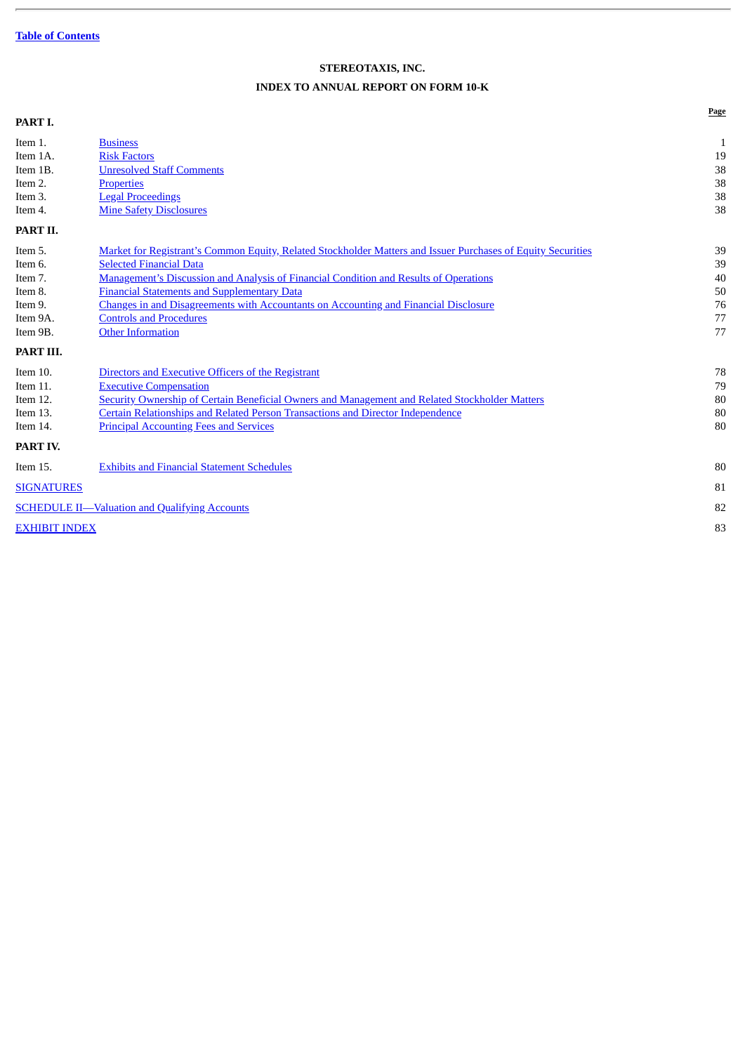## **STEREOTAXIS, INC.**

### **INDEX TO ANNUAL REPORT ON FORM 10-K**

**Page**

<span id="page-1-0"></span>

| PART I.                                                                                  |                                                                                                                                                                                                                                                                                                                                                                                                                                                                   | rage                                       |
|------------------------------------------------------------------------------------------|-------------------------------------------------------------------------------------------------------------------------------------------------------------------------------------------------------------------------------------------------------------------------------------------------------------------------------------------------------------------------------------------------------------------------------------------------------------------|--------------------------------------------|
| Item 1.<br>Item 1A.<br>Item 1B.<br>Item 2.<br>Item 3.<br>Item 4.                         | <b>Business</b><br><b>Risk Factors</b><br><b>Unresolved Staff Comments</b><br><b>Properties</b><br><b>Legal Proceedings</b><br><b>Mine Safety Disclosures</b>                                                                                                                                                                                                                                                                                                     | $\mathbf{1}$<br>19<br>38<br>38<br>38<br>38 |
| PART II.                                                                                 |                                                                                                                                                                                                                                                                                                                                                                                                                                                                   |                                            |
| Item 5.<br>Item 6.<br>Item 7.<br>Item 8.<br>Item 9.<br>Item 9A.<br>Item 9B.<br>PART III. | Market for Registrant's Common Equity, Related Stockholder Matters and Issuer Purchases of Equity Securities<br><b>Selected Financial Data</b><br><b>Management's Discussion and Analysis of Financial Condition and Results of Operations</b><br><b>Financial Statements and Supplementary Data</b><br><b>Changes in and Disagreements with Accountants on Accounting and Financial Disclosure</b><br><b>Controls and Procedures</b><br><b>Other Information</b> | 39<br>39<br>40<br>50<br>76<br>77<br>77     |
| Item 10.<br>Item 11.<br>Item 12.<br>Item 13.<br>Item 14.                                 | Directors and Executive Officers of the Registrant<br><b>Executive Compensation</b><br>Security Ownership of Certain Beneficial Owners and Management and Related Stockholder Matters<br><b>Certain Relationships and Related Person Transactions and Director Independence</b><br><b>Principal Accounting Fees and Services</b>                                                                                                                                  | 78<br>79<br>80<br>80<br>80                 |
| PART IV.                                                                                 |                                                                                                                                                                                                                                                                                                                                                                                                                                                                   |                                            |
| Item 15.                                                                                 | <b>Exhibits and Financial Statement Schedules</b>                                                                                                                                                                                                                                                                                                                                                                                                                 | 80                                         |
| <b>SIGNATURES</b>                                                                        |                                                                                                                                                                                                                                                                                                                                                                                                                                                                   | 81                                         |
|                                                                                          | <b>SCHEDULE II-Valuation and Qualifying Accounts</b>                                                                                                                                                                                                                                                                                                                                                                                                              | 82                                         |
| <b>EXHIBIT INDEX</b>                                                                     |                                                                                                                                                                                                                                                                                                                                                                                                                                                                   | 83                                         |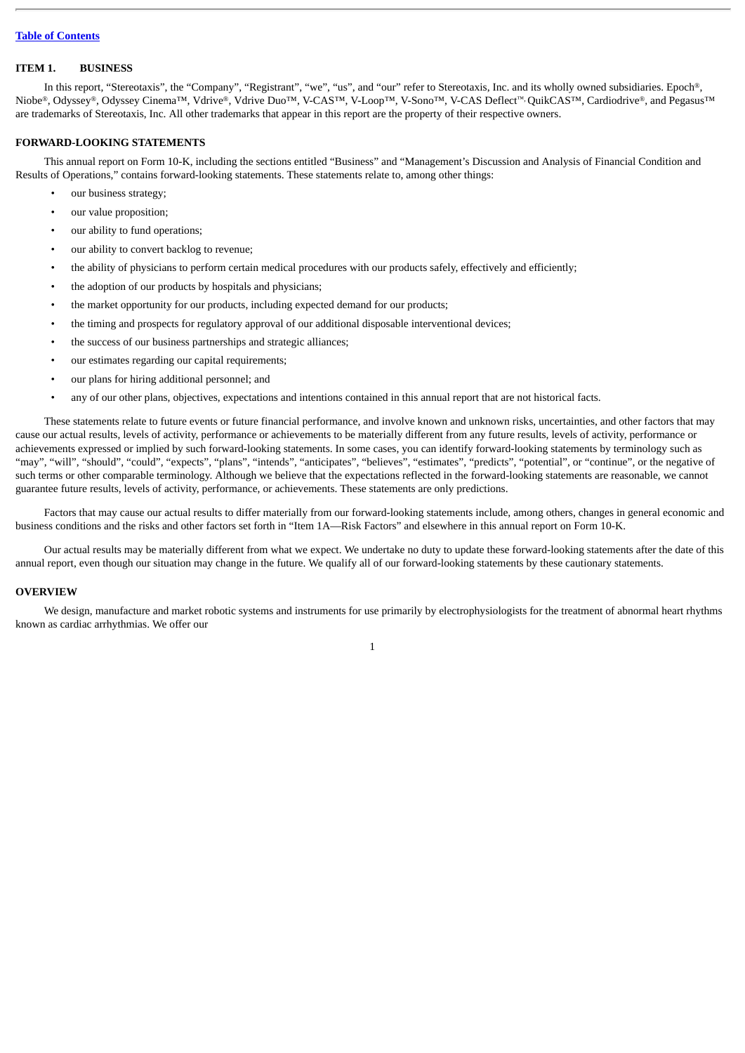#### <span id="page-2-0"></span>**ITEM 1. BUSINESS**

In this report, "Stereotaxis", the "Company", "Registrant", "we", "us", and "our" refer to Stereotaxis, Inc. and its wholly owned subsidiaries. Epoch ®, Niobe®, Odyssey®, Odyssey Cinema™, Vdrive®, Vdrive Duo™, V-CAS™, V-Loop™, V-Sono™, V-CAS Deflect™ QuikCAS™, Cardiodrive®, and Pegasus™ are trademarks of Stereotaxis, Inc. All other trademarks that appear in this report are the property of their respective owners.

#### **FORWARD-LOOKING STATEMENTS**

This annual report on Form 10-K, including the sections entitled "Business" and "Management's Discussion and Analysis of Financial Condition and Results of Operations," contains forward-looking statements. These statements relate to, among other things:

- our business strategy;
	- our value proposition;
	- our ability to fund operations;
	- our ability to convert backlog to revenue;
	- the ability of physicians to perform certain medical procedures with our products safely, effectively and efficiently;
	- the adoption of our products by hospitals and physicians;
	- the market opportunity for our products, including expected demand for our products;
	- the timing and prospects for regulatory approval of our additional disposable interventional devices;
	- the success of our business partnerships and strategic alliances;
	- our estimates regarding our capital requirements;
	- our plans for hiring additional personnel; and
	- any of our other plans, objectives, expectations and intentions contained in this annual report that are not historical facts.

These statements relate to future events or future financial performance, and involve known and unknown risks, uncertainties, and other factors that may cause our actual results, levels of activity, performance or achievements to be materially different from any future results, levels of activity, performance or achievements expressed or implied by such forward-looking statements. In some cases, you can identify forward-looking statements by terminology such as "may", "will", "should", "could", "expects", "plans", "intends", "anticipates", "believes", "estimates", "predicts", "potential", or "continue", or the negative of such terms or other comparable terminology. Although we believe that the expectations reflected in the forward-looking statements are reasonable, we cannot guarantee future results, levels of activity, performance, or achievements. These statements are only predictions.

Factors that may cause our actual results to differ materially from our forward-looking statements include, among others, changes in general economic and business conditions and the risks and other factors set forth in "Item 1A—Risk Factors" and elsewhere in this annual report on Form 10-K.

Our actual results may be materially different from what we expect. We undertake no duty to update these forward-looking statements after the date of this annual report, even though our situation may change in the future. We qualify all of our forward-looking statements by these cautionary statements.

#### **OVERVIEW**

We design, manufacture and market robotic systems and instruments for use primarily by electrophysiologists for the treatment of abnormal heart rhythms known as cardiac arrhythmias. We offer our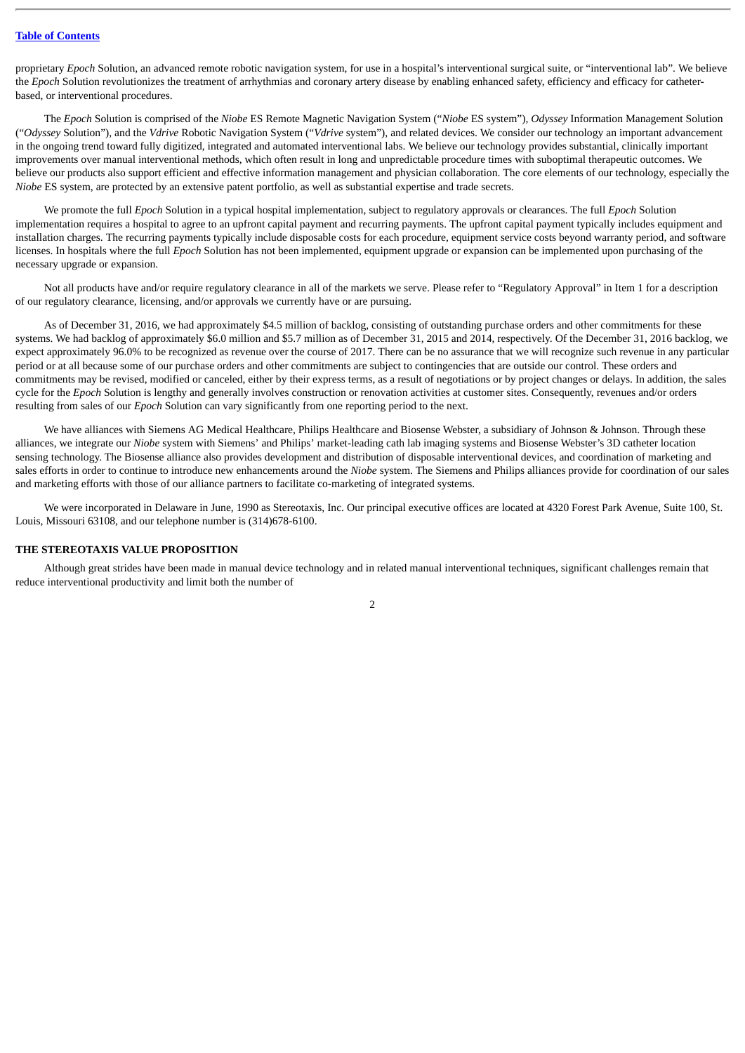proprietary *Epoch* Solution, an advanced remote robotic navigation system, for use in a hospital's interventional surgical suite, or "interventional lab". We believe the *Epoch* Solution revolutionizes the treatment of arrhythmias and coronary artery disease by enabling enhanced safety, efficiency and efficacy for catheterbased, or interventional procedures.

The *Epoch* Solution is comprised of the *Niobe* ES Remote Magnetic Navigation System ("*Niobe* ES system"), *Odyssey* Information Management Solution ("*Odyssey* Solution"), and the *Vdrive* Robotic Navigation System ("*Vdrive* system"), and related devices. We consider our technology an important advancement in the ongoing trend toward fully digitized, integrated and automated interventional labs. We believe our technology provides substantial, clinically important improvements over manual interventional methods, which often result in long and unpredictable procedure times with suboptimal therapeutic outcomes. We believe our products also support efficient and effective information management and physician collaboration. The core elements of our technology, especially the *Niobe* ES system, are protected by an extensive patent portfolio, as well as substantial expertise and trade secrets.

We promote the full *Epoch* Solution in a typical hospital implementation, subject to regulatory approvals or clearances. The full *Epoch* Solution implementation requires a hospital to agree to an upfront capital payment and recurring payments. The upfront capital payment typically includes equipment and installation charges. The recurring payments typically include disposable costs for each procedure, equipment service costs beyond warranty period, and software licenses. In hospitals where the full *Epoch* Solution has not been implemented, equipment upgrade or expansion can be implemented upon purchasing of the necessary upgrade or expansion.

Not all products have and/or require regulatory clearance in all of the markets we serve. Please refer to "Regulatory Approval" in Item 1 for a description of our regulatory clearance, licensing, and/or approvals we currently have or are pursuing.

As of December 31, 2016, we had approximately \$4.5 million of backlog, consisting of outstanding purchase orders and other commitments for these systems. We had backlog of approximately \$6.0 million and \$5.7 million as of December 31, 2015 and 2014, respectively. Of the December 31, 2016 backlog, we expect approximately 96.0% to be recognized as revenue over the course of 2017. There can be no assurance that we will recognize such revenue in any particular period or at all because some of our purchase orders and other commitments are subject to contingencies that are outside our control. These orders and commitments may be revised, modified or canceled, either by their express terms, as a result of negotiations or by project changes or delays. In addition, the sales cycle for the *Epoch* Solution is lengthy and generally involves construction or renovation activities at customer sites. Consequently, revenues and/or orders resulting from sales of our *Epoch* Solution can vary significantly from one reporting period to the next.

We have alliances with Siemens AG Medical Healthcare, Philips Healthcare and Biosense Webster, a subsidiary of Johnson & Johnson. Through these alliances, we integrate our *Niobe* system with Siemens' and Philips' market-leading cath lab imaging systems and Biosense Webster's 3D catheter location sensing technology. The Biosense alliance also provides development and distribution of disposable interventional devices, and coordination of marketing and sales efforts in order to continue to introduce new enhancements around the *Niobe* system. The Siemens and Philips alliances provide for coordination of our sales and marketing efforts with those of our alliance partners to facilitate co-marketing of integrated systems.

We were incorporated in Delaware in June, 1990 as Stereotaxis, Inc. Our principal executive offices are located at 4320 Forest Park Avenue, Suite 100, St. Louis, Missouri 63108, and our telephone number is (314)678-6100.

#### **THE STEREOTAXIS VALUE PROPOSITION**

Although great strides have been made in manual device technology and in related manual interventional techniques, significant challenges remain that reduce interventional productivity and limit both the number of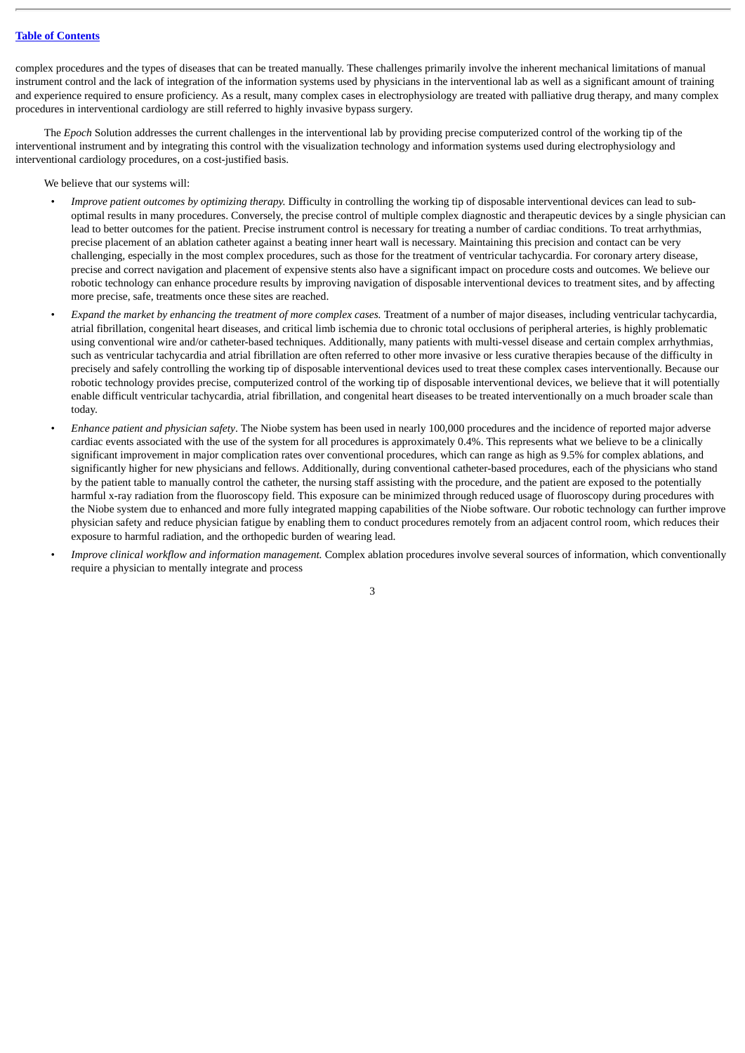complex procedures and the types of diseases that can be treated manually. These challenges primarily involve the inherent mechanical limitations of manual instrument control and the lack of integration of the information systems used by physicians in the interventional lab as well as a significant amount of training and experience required to ensure proficiency. As a result, many complex cases in electrophysiology are treated with palliative drug therapy, and many complex procedures in interventional cardiology are still referred to highly invasive bypass surgery.

The *Epoch* Solution addresses the current challenges in the interventional lab by providing precise computerized control of the working tip of the interventional instrument and by integrating this control with the visualization technology and information systems used during electrophysiology and interventional cardiology procedures, on a cost-justified basis.

We believe that our systems will:

- *Improve patient outcomes by optimizing therapy.* Difficulty in controlling the working tip of disposable interventional devices can lead to suboptimal results in many procedures. Conversely, the precise control of multiple complex diagnostic and therapeutic devices by a single physician can lead to better outcomes for the patient. Precise instrument control is necessary for treating a number of cardiac conditions. To treat arrhythmias, precise placement of an ablation catheter against a beating inner heart wall is necessary. Maintaining this precision and contact can be very challenging, especially in the most complex procedures, such as those for the treatment of ventricular tachycardia. For coronary artery disease, precise and correct navigation and placement of expensive stents also have a significant impact on procedure costs and outcomes. We believe our robotic technology can enhance procedure results by improving navigation of disposable interventional devices to treatment sites, and by affecting more precise, safe, treatments once these sites are reached.
- *Expand the market by enhancing the treatment of more complex cases.* Treatment of a number of major diseases, including ventricular tachycardia, atrial fibrillation, congenital heart diseases, and critical limb ischemia due to chronic total occlusions of peripheral arteries, is highly problematic using conventional wire and/or catheter-based techniques. Additionally, many patients with multi-vessel disease and certain complex arrhythmias, such as ventricular tachycardia and atrial fibrillation are often referred to other more invasive or less curative therapies because of the difficulty in precisely and safely controlling the working tip of disposable interventional devices used to treat these complex cases interventionally. Because our robotic technology provides precise, computerized control of the working tip of disposable interventional devices, we believe that it will potentially enable difficult ventricular tachycardia, atrial fibrillation, and congenital heart diseases to be treated interventionally on a much broader scale than today.
- *Enhance patient and physician safety*. The Niobe system has been used in nearly 100,000 procedures and the incidence of reported major adverse cardiac events associated with the use of the system for all procedures is approximately 0.4%. This represents what we believe to be a clinically significant improvement in major complication rates over conventional procedures, which can range as high as 9.5% for complex ablations, and significantly higher for new physicians and fellows. Additionally, during conventional catheter-based procedures, each of the physicians who stand by the patient table to manually control the catheter, the nursing staff assisting with the procedure, and the patient are exposed to the potentially harmful x-ray radiation from the fluoroscopy field. This exposure can be minimized through reduced usage of fluoroscopy during procedures with the Niobe system due to enhanced and more fully integrated mapping capabilities of the Niobe software. Our robotic technology can further improve physician safety and reduce physician fatigue by enabling them to conduct procedures remotely from an adjacent control room, which reduces their exposure to harmful radiation, and the orthopedic burden of wearing lead.
- *Improve clinical workflow and information management.* Complex ablation procedures involve several sources of information, which conventionally require a physician to mentally integrate and process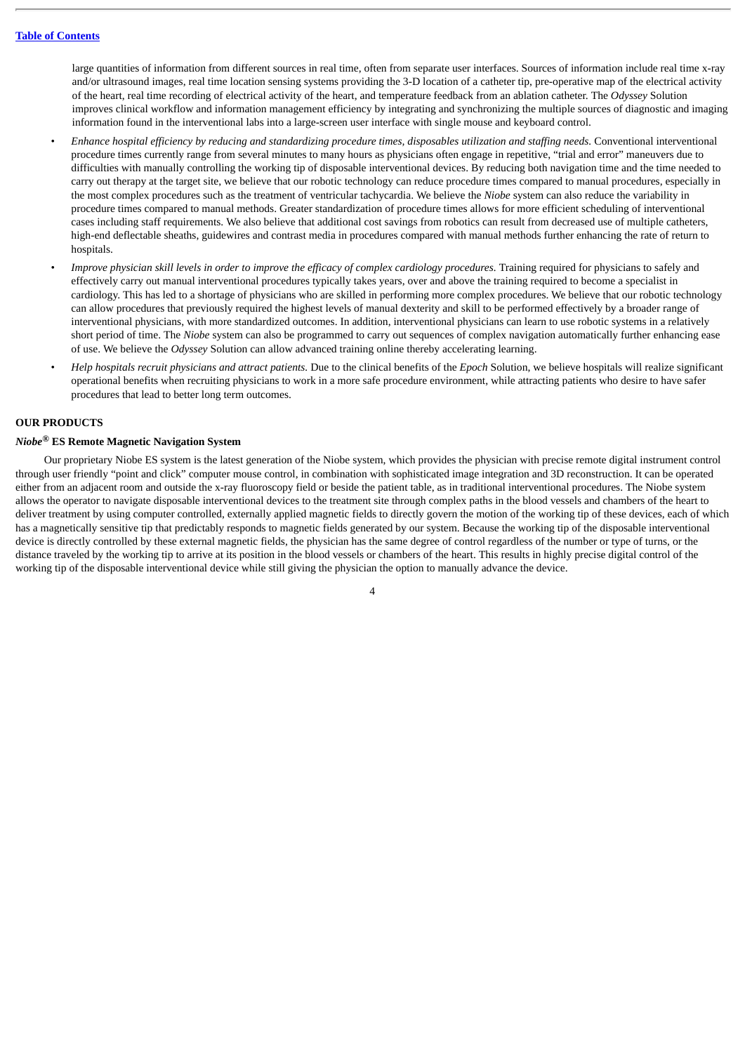large quantities of information from different sources in real time, often from separate user interfaces. Sources of information include real time x-ray and/or ultrasound images, real time location sensing systems providing the 3-D location of a catheter tip, pre-operative map of the electrical activity of the heart, real time recording of electrical activity of the heart, and temperature feedback from an ablation catheter. The *Odyssey* Solution improves clinical workflow and information management efficiency by integrating and synchronizing the multiple sources of diagnostic and imaging information found in the interventional labs into a large-screen user interface with single mouse and keyboard control.

- *Enhance hospital efficiency by reducing and standardizing procedure times, disposables utilization and staffing needs.* Conventional interventional procedure times currently range from several minutes to many hours as physicians often engage in repetitive, "trial and error" maneuvers due to difficulties with manually controlling the working tip of disposable interventional devices. By reducing both navigation time and the time needed to carry out therapy at the target site, we believe that our robotic technology can reduce procedure times compared to manual procedures, especially in the most complex procedures such as the treatment of ventricular tachycardia. We believe the *Niobe* system can also reduce the variability in procedure times compared to manual methods. Greater standardization of procedure times allows for more efficient scheduling of interventional cases including staff requirements. We also believe that additional cost savings from robotics can result from decreased use of multiple catheters, high-end deflectable sheaths, guidewires and contrast media in procedures compared with manual methods further enhancing the rate of return to hospitals.
- *Improve physician skill levels in order to improve the efficacy of complex cardiology procedures.* Training required for physicians to safely and effectively carry out manual interventional procedures typically takes years, over and above the training required to become a specialist in cardiology. This has led to a shortage of physicians who are skilled in performing more complex procedures. We believe that our robotic technology can allow procedures that previously required the highest levels of manual dexterity and skill to be performed effectively by a broader range of interventional physicians, with more standardized outcomes. In addition, interventional physicians can learn to use robotic systems in a relatively short period of time. The *Niobe* system can also be programmed to carry out sequences of complex navigation automatically further enhancing ease of use. We believe the *Odyssey* Solution can allow advanced training online thereby accelerating learning.
- *Help hospitals recruit physicians and attract patients.* Due to the clinical benefits of the *Epoch* Solution, we believe hospitals will realize significant operational benefits when recruiting physicians to work in a more safe procedure environment, while attracting patients who desire to have safer procedures that lead to better long term outcomes.

#### **OUR PRODUCTS**

#### *Niobe* **ES Remote Magnetic Navigation System ®**

Our proprietary Niobe ES system is the latest generation of the Niobe system, which provides the physician with precise remote digital instrument control through user friendly "point and click" computer mouse control, in combination with sophisticated image integration and 3D reconstruction. It can be operated either from an adjacent room and outside the x-ray fluoroscopy field or beside the patient table, as in traditional interventional procedures. The Niobe system allows the operator to navigate disposable interventional devices to the treatment site through complex paths in the blood vessels and chambers of the heart to deliver treatment by using computer controlled, externally applied magnetic fields to directly govern the motion of the working tip of these devices, each of which has a magnetically sensitive tip that predictably responds to magnetic fields generated by our system. Because the working tip of the disposable interventional device is directly controlled by these external magnetic fields, the physician has the same degree of control regardless of the number or type of turns, or the distance traveled by the working tip to arrive at its position in the blood vessels or chambers of the heart. This results in highly precise digital control of the working tip of the disposable interventional device while still giving the physician the option to manually advance the device.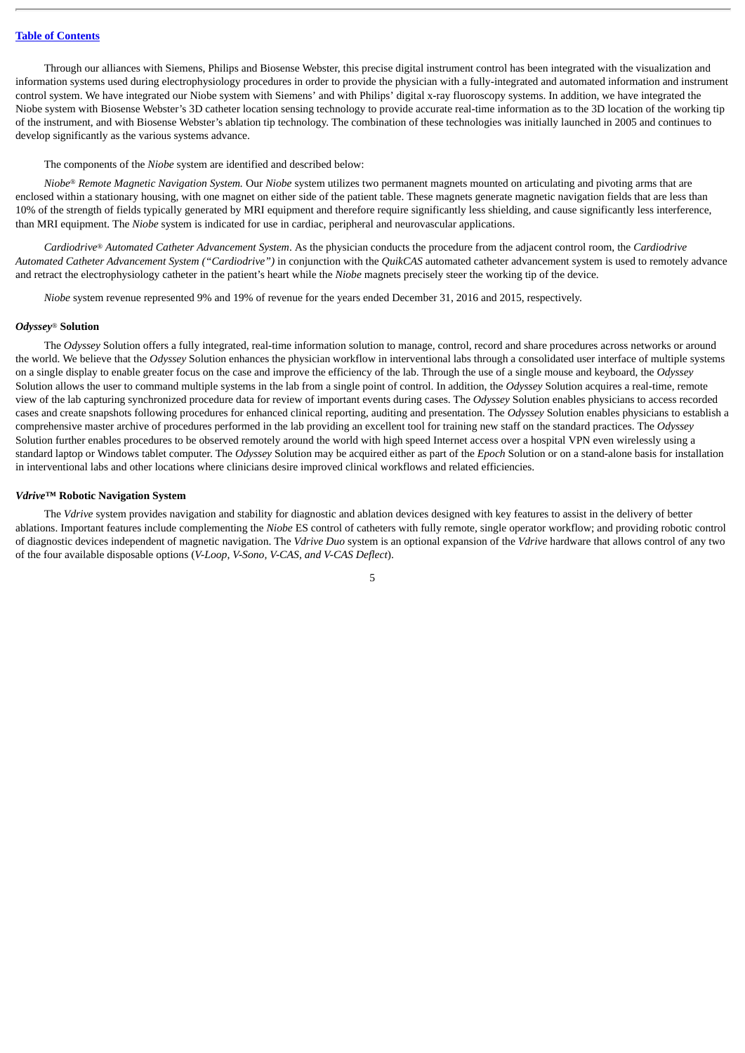Through our alliances with Siemens, Philips and Biosense Webster, this precise digital instrument control has been integrated with the visualization and information systems used during electrophysiology procedures in order to provide the physician with a fully-integrated and automated information and instrument control system. We have integrated our Niobe system with Siemens' and with Philips' digital x-ray fluoroscopy systems. In addition, we have integrated the Niobe system with Biosense Webster's 3D catheter location sensing technology to provide accurate real-time information as to the 3D location of the working tip of the instrument, and with Biosense Webster's ablation tip technology. The combination of these technologies was initially launched in 2005 and continues to develop significantly as the various systems advance.

The components of the *Niobe* system are identified and described below:

Niobe® Remote Magnetic Navigation System. Our Niobe system utilizes two permanent magnets mounted on articulating and pivoting arms that are enclosed within a stationary housing, with one magnet on either side of the patient table. These magnets generate magnetic navigation fields that are less than 10% of the strength of fields typically generated by MRI equipment and therefore require significantly less shielding, and cause significantly less interference, than MRI equipment. The *Niobe* system is indicated for use in cardiac, peripheral and neurovascular applications.

*Cardiodrive Automated Catheter Advancement System*. As the physician conducts the procedure from the adjacent control room, the *Cardiodrive* ® *Automated Catheter Advancement System ("Cardiodrive")* in conjunction with the *QuikCAS* automated catheter advancement system is used to remotely advance and retract the electrophysiology catheter in the patient's heart while the *Niobe* magnets precisely steer the working tip of the device.

*Niobe* system revenue represented 9% and 19% of revenue for the years ended December 31, 2016 and 2015, respectively.

#### *Odyssey* **Solution** ®

The *Odyssey* Solution offers a fully integrated, real-time information solution to manage, control, record and share procedures across networks or around the world. We believe that the *Odyssey* Solution enhances the physician workflow in interventional labs through a consolidated user interface of multiple systems on a single display to enable greater focus on the case and improve the efficiency of the lab. Through the use of a single mouse and keyboard, the *Odyssey* Solution allows the user to command multiple systems in the lab from a single point of control. In addition, the *Odyssey* Solution acquires a real-time, remote view of the lab capturing synchronized procedure data for review of important events during cases. The *Odyssey* Solution enables physicians to access recorded cases and create snapshots following procedures for enhanced clinical reporting, auditing and presentation. The *Odyssey* Solution enables physicians to establish a comprehensive master archive of procedures performed in the lab providing an excellent tool for training new staff on the standard practices. The *Odyssey* Solution further enables procedures to be observed remotely around the world with high speed Internet access over a hospital VPN even wirelessly using a standard laptop or Windows tablet computer. The *Odyssey* Solution may be acquired either as part of the *Epoch* Solution or on a stand-alone basis for installation in interventional labs and other locations where clinicians desire improved clinical workflows and related efficiencies.

#### *Vdrive***™ Robotic Navigation System**

The *Vdrive* system provides navigation and stability for diagnostic and ablation devices designed with key features to assist in the delivery of better ablations. Important features include complementing the *Niobe* ES control of catheters with fully remote, single operator workflow; and providing robotic control of diagnostic devices independent of magnetic navigation. The *Vdrive Duo* system is an optional expansion of the *Vdrive* hardware that allows control of any two of the four available disposable options (*V-Loop*, *V-Sono, V-CAS, and V-CAS Deflect*).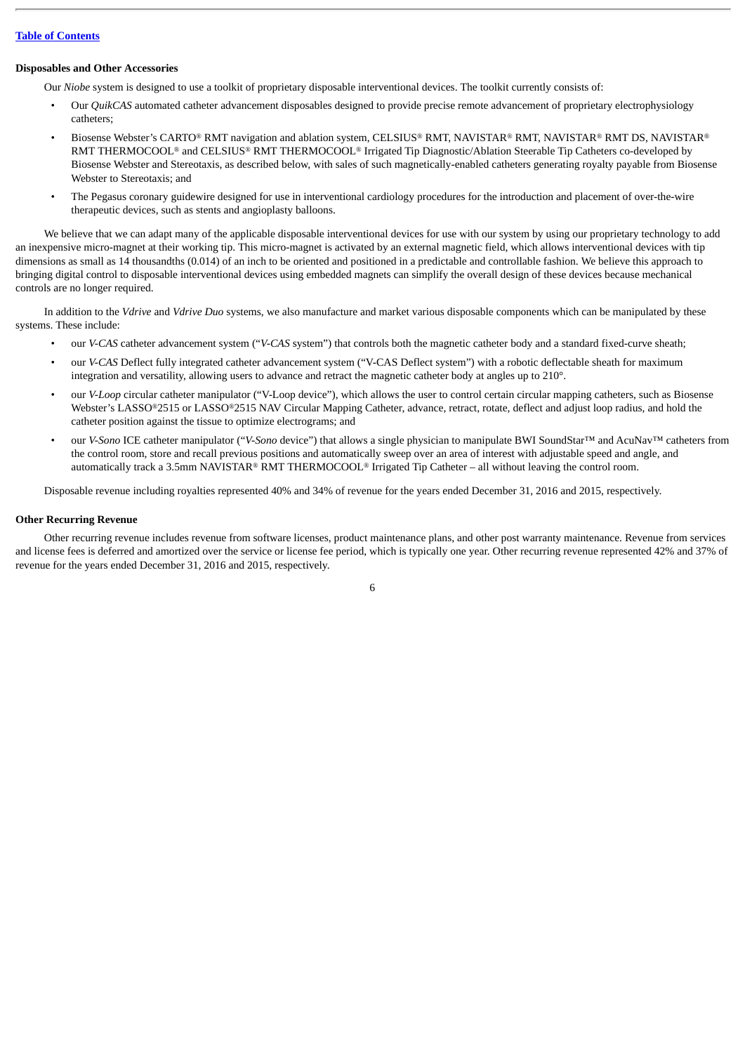#### **Disposables and Other Accessories**

Our *Niobe* system is designed to use a toolkit of proprietary disposable interventional devices. The toolkit currently consists of:

- Our *QuikCAS* automated catheter advancement disposables designed to provide precise remote advancement of proprietary electrophysiology catheters;
- Biosense Webster's CARTO® RMT navigation and ablation system, CELSIUS® RMT, NAVISTAR® RMT, NAVISTAR® RMT DS, NAVISTAR® RMT THERMOCOOL® and CELSIUS® RMT THERMOCOOL® Irrigated Tip Diagnostic/Ablation Steerable Tip Catheters co-developed by Biosense Webster and Stereotaxis, as described below, with sales of such magnetically-enabled catheters generating royalty payable from Biosense Webster to Stereotaxis; and
- The Pegasus coronary guidewire designed for use in interventional cardiology procedures for the introduction and placement of over-the-wire therapeutic devices, such as stents and angioplasty balloons.

We believe that we can adapt many of the applicable disposable interventional devices for use with our system by using our proprietary technology to add an inexpensive micro-magnet at their working tip. This micro-magnet is activated by an external magnetic field, which allows interventional devices with tip dimensions as small as 14 thousandths (0.014) of an inch to be oriented and positioned in a predictable and controllable fashion. We believe this approach to bringing digital control to disposable interventional devices using embedded magnets can simplify the overall design of these devices because mechanical controls are no longer required.

In addition to the *Vdrive* and *Vdrive Duo* systems, we also manufacture and market various disposable components which can be manipulated by these systems. These include:

- our *V-CAS* catheter advancement system ("*V-CAS* system") that controls both the magnetic catheter body and a standard fixed-curve sheath;
- our *V-CAS* Deflect fully integrated catheter advancement system ("V-CAS Deflect system") with a robotic deflectable sheath for maximum integration and versatility, allowing users to advance and retract the magnetic catheter body at angles up to 210°.
- our *V-Loop* circular catheter manipulator ("V-Loop device"), which allows the user to control certain circular mapping catheters, such as Biosense Webster's LASSO®2515 or LASSO®2515 NAV Circular Mapping Catheter, advance, retract, rotate, deflect and adjust loop radius, and hold the catheter position against the tissue to optimize electrograms; and
- our *V-Sono* ICE catheter manipulator ("*V-Sono* device") that allows a single physician to manipulate BWI SoundStar™ and AcuNav™ catheters from the control room, store and recall previous positions and automatically sweep over an area of interest with adjustable speed and angle, and automatically track a 3.5mm NAVISTAR® RMT THERMOCOOL® Irrigated Tip Catheter – all without leaving the control room.

Disposable revenue including royalties represented 40% and 34% of revenue for the years ended December 31, 2016 and 2015, respectively.

#### **Other Recurring Revenue**

Other recurring revenue includes revenue from software licenses, product maintenance plans, and other post warranty maintenance. Revenue from services and license fees is deferred and amortized over the service or license fee period, which is typically one year. Other recurring revenue represented 42% and 37% of revenue for the years ended December 31, 2016 and 2015, respectively.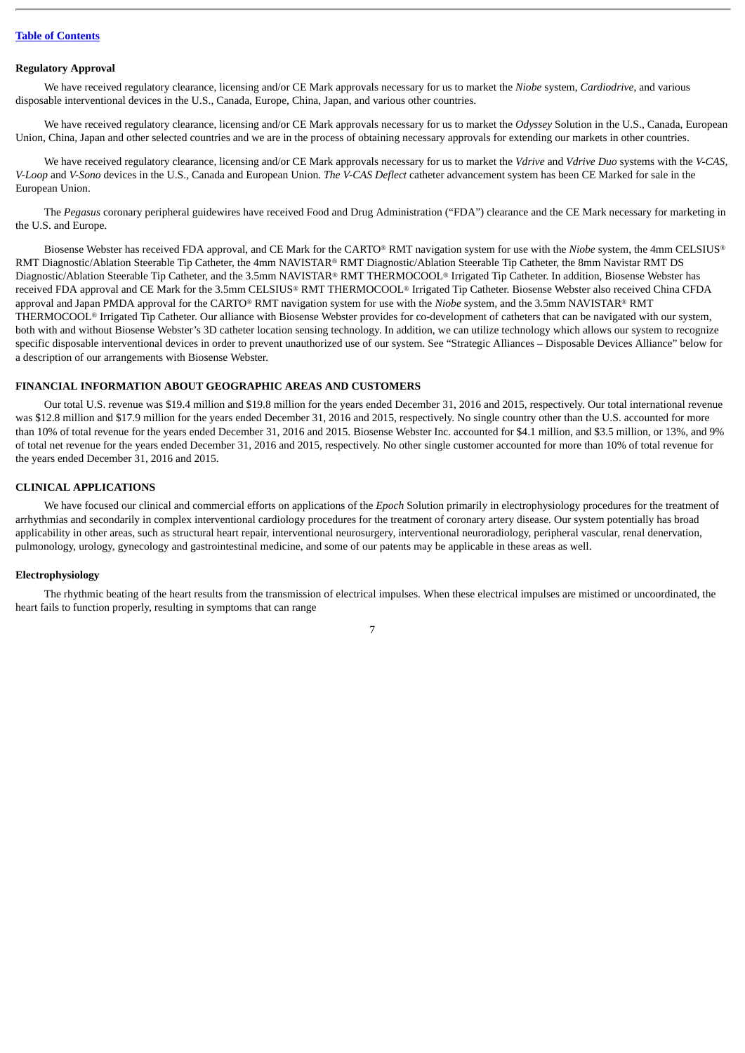#### **Regulatory Approval**

We have received regulatory clearance, licensing and/or CE Mark approvals necessary for us to market the *Niobe* system, *Cardiodrive*, and various disposable interventional devices in the U.S., Canada, Europe, China, Japan, and various other countries.

We have received regulatory clearance, licensing and/or CE Mark approvals necessary for us to market the *Odyssey* Solution in the U.S., Canada, European Union, China, Japan and other selected countries and we are in the process of obtaining necessary approvals for extending our markets in other countries.

We have received regulatory clearance, licensing and/or CE Mark approvals necessary for us to market the *Vdrive* and *Vdrive Duo* systems with the *V-CAS, V-Loop* and *V-Sono* devices in the U.S., Canada and European Union. *The V-CAS Deflect* catheter advancement system has been CE Marked for sale in the European Union.

The *Pegasus* coronary peripheral guidewires have received Food and Drug Administration ("FDA") clearance and the CE Mark necessary for marketing in the U.S. and Europe.

Biosense Webster has received FDA approval, and CE Mark for the CARTO® RMT navigation system for use with the *Niobe* system, the 4mm CELSIUS® RMT Diagnostic/Ablation Steerable Tip Catheter, the 4mm NAVISTAR® RMT Diagnostic/Ablation Steerable Tip Catheter, the 8mm Navistar RMT DS Diagnostic/Ablation Steerable Tip Catheter, and the 3.5mm NAVISTAR® RMT THERMOCOOL® Irrigated Tip Catheter. In addition, Biosense Webster has received FDA approval and CE Mark for the 3.5mm CELSIUS® RMT THERMOCOOL® Irrigated Tip Catheter. Biosense Webster also received China CFDA approval and Japan PMDA approval for the CARTO® RMT navigation system for use with the *Niobe* system, and the 3.5mm NAVISTAR® RMT THERMOCOOL® Irrigated Tip Catheter. Our alliance with Biosense Webster provides for co-development of catheters that can be navigated with our system, both with and without Biosense Webster's 3D catheter location sensing technology. In addition, we can utilize technology which allows our system to recognize specific disposable interventional devices in order to prevent unauthorized use of our system. See "Strategic Alliances – Disposable Devices Alliance" below for a description of our arrangements with Biosense Webster.

#### **FINANCIAL INFORMATION ABOUT GEOGRAPHIC AREAS AND CUSTOMERS**

Our total U.S. revenue was \$19.4 million and \$19.8 million for the years ended December 31, 2016 and 2015, respectively. Our total international revenue was \$12.8 million and \$17.9 million for the years ended December 31, 2016 and 2015, respectively. No single country other than the U.S. accounted for more than 10% of total revenue for the years ended December 31, 2016 and 2015. Biosense Webster Inc. accounted for \$4.1 million, and \$3.5 million, or 13%, and 9% of total net revenue for the years ended December 31, 2016 and 2015, respectively. No other single customer accounted for more than 10% of total revenue for the years ended December 31, 2016 and 2015.

#### **CLINICAL APPLICATIONS**

We have focused our clinical and commercial efforts on applications of the *Epoch* Solution primarily in electrophysiology procedures for the treatment of arrhythmias and secondarily in complex interventional cardiology procedures for the treatment of coronary artery disease. Our system potentially has broad applicability in other areas, such as structural heart repair, interventional neurosurgery, interventional neuroradiology, peripheral vascular, renal denervation, pulmonology, urology, gynecology and gastrointestinal medicine, and some of our patents may be applicable in these areas as well.

#### **Electrophysiology**

The rhythmic beating of the heart results from the transmission of electrical impulses. When these electrical impulses are mistimed or uncoordinated, the heart fails to function properly, resulting in symptoms that can range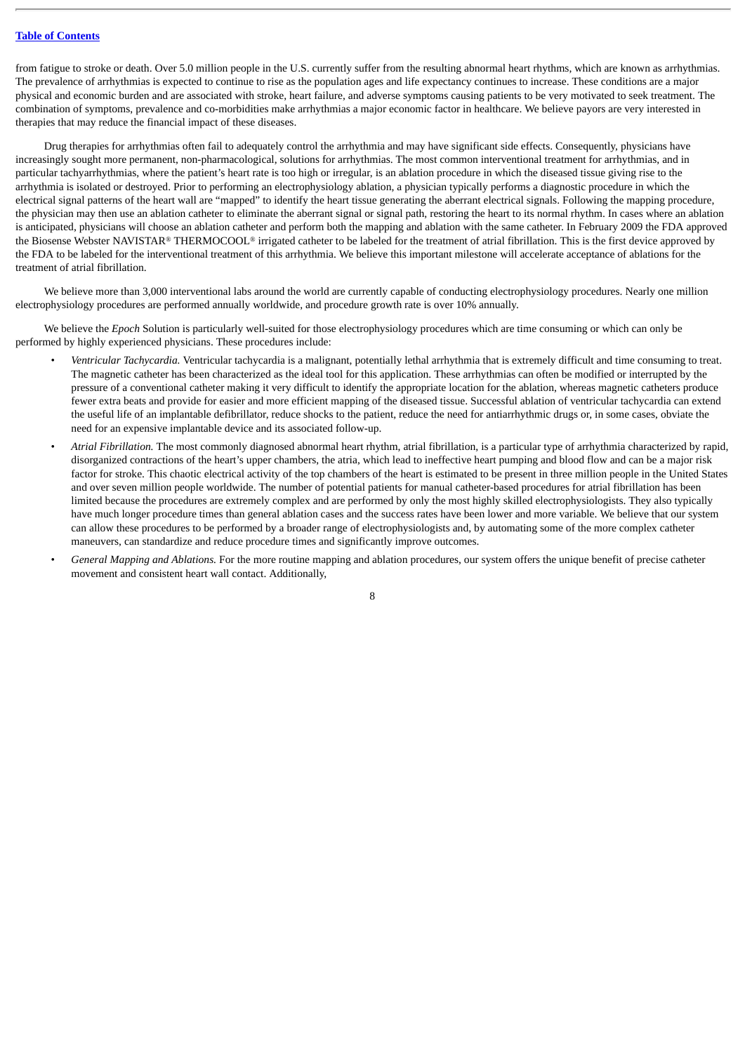from fatigue to stroke or death. Over 5.0 million people in the U.S. currently suffer from the resulting abnormal heart rhythms, which are known as arrhythmias. The prevalence of arrhythmias is expected to continue to rise as the population ages and life expectancy continues to increase. These conditions are a major physical and economic burden and are associated with stroke, heart failure, and adverse symptoms causing patients to be very motivated to seek treatment. The combination of symptoms, prevalence and co-morbidities make arrhythmias a major economic factor in healthcare. We believe payors are very interested in therapies that may reduce the financial impact of these diseases.

Drug therapies for arrhythmias often fail to adequately control the arrhythmia and may have significant side effects. Consequently, physicians have increasingly sought more permanent, non-pharmacological, solutions for arrhythmias. The most common interventional treatment for arrhythmias, and in particular tachyarrhythmias, where the patient's heart rate is too high or irregular, is an ablation procedure in which the diseased tissue giving rise to the arrhythmia is isolated or destroyed. Prior to performing an electrophysiology ablation, a physician typically performs a diagnostic procedure in which the electrical signal patterns of the heart wall are "mapped" to identify the heart tissue generating the aberrant electrical signals. Following the mapping procedure, the physician may then use an ablation catheter to eliminate the aberrant signal or signal path, restoring the heart to its normal rhythm. In cases where an ablation is anticipated, physicians will choose an ablation catheter and perform both the mapping and ablation with the same catheter. In February 2009 the FDA approved the Biosense Webster NAVISTAR® THERMOCOOL® irrigated catheter to be labeled for the treatment of atrial fibrillation. This is the first device approved by the FDA to be labeled for the interventional treatment of this arrhythmia. We believe this important milestone will accelerate acceptance of ablations for the treatment of atrial fibrillation.

We believe more than 3,000 interventional labs around the world are currently capable of conducting electrophysiology procedures. Nearly one million electrophysiology procedures are performed annually worldwide, and procedure growth rate is over 10% annually.

We believe the *Epoch* Solution is particularly well-suited for those electrophysiology procedures which are time consuming or which can only be performed by highly experienced physicians. These procedures include:

- *Ventricular Tachycardia.* Ventricular tachycardia is a malignant, potentially lethal arrhythmia that is extremely difficult and time consuming to treat. The magnetic catheter has been characterized as the ideal tool for this application. These arrhythmias can often be modified or interrupted by the pressure of a conventional catheter making it very difficult to identify the appropriate location for the ablation, whereas magnetic catheters produce fewer extra beats and provide for easier and more efficient mapping of the diseased tissue. Successful ablation of ventricular tachycardia can extend the useful life of an implantable defibrillator, reduce shocks to the patient, reduce the need for antiarrhythmic drugs or, in some cases, obviate the need for an expensive implantable device and its associated follow-up.
- *Atrial Fibrillation.* The most commonly diagnosed abnormal heart rhythm, atrial fibrillation, is a particular type of arrhythmia characterized by rapid, disorganized contractions of the heart's upper chambers, the atria, which lead to ineffective heart pumping and blood flow and can be a major risk factor for stroke. This chaotic electrical activity of the top chambers of the heart is estimated to be present in three million people in the United States and over seven million people worldwide. The number of potential patients for manual catheter-based procedures for atrial fibrillation has been limited because the procedures are extremely complex and are performed by only the most highly skilled electrophysiologists. They also typically have much longer procedure times than general ablation cases and the success rates have been lower and more variable. We believe that our system can allow these procedures to be performed by a broader range of electrophysiologists and, by automating some of the more complex catheter maneuvers, can standardize and reduce procedure times and significantly improve outcomes.
- *General Mapping and Ablations.* For the more routine mapping and ablation procedures, our system offers the unique benefit of precise catheter movement and consistent heart wall contact. Additionally,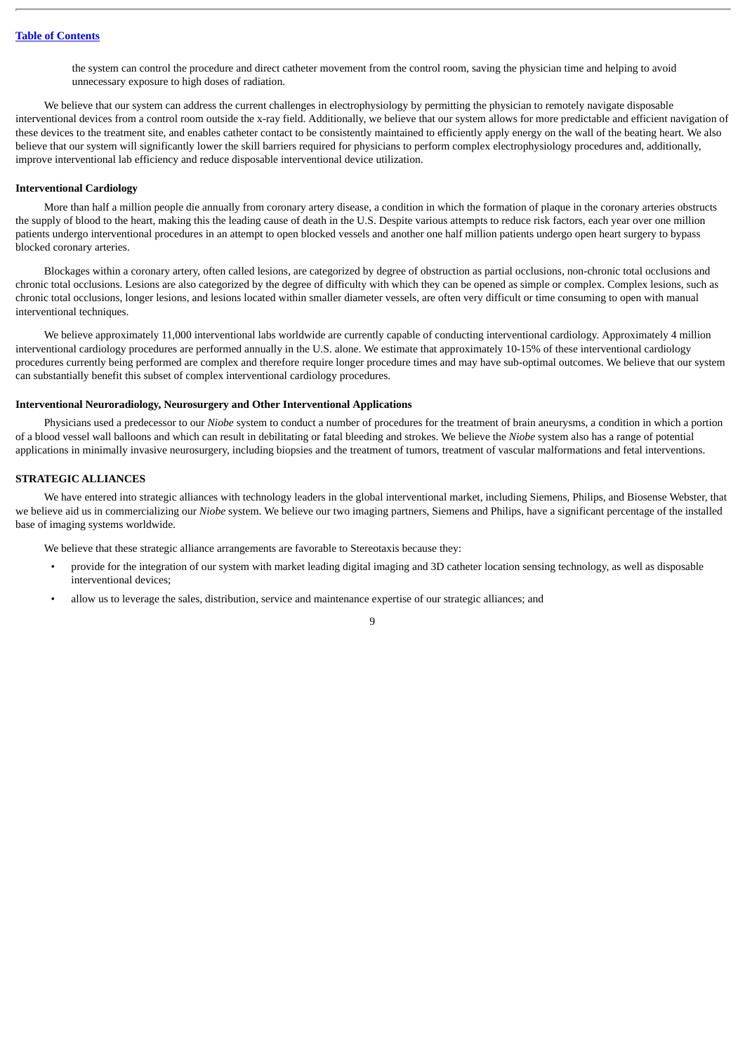the system can control the procedure and direct catheter movement from the control room, saving the physician time and helping to avoid unnecessary exposure to high doses of radiation.

We believe that our system can address the current challenges in electrophysiology by permitting the physician to remotely navigate disposable interventional devices from a control room outside the x-ray field. Additionally, we believe that our system allows for more predictable and efficient navigation of these devices to the treatment site, and enables catheter contact to be consistently maintained to efficiently apply energy on the wall of the beating heart. We also believe that our system will significantly lower the skill barriers required for physicians to perform complex electrophysiology procedures and, additionally, improve interventional lab efficiency and reduce disposable interventional device utilization.

#### **Interventional Cardiology**

More than half a million people die annually from coronary artery disease, a condition in which the formation of plaque in the coronary arteries obstructs the supply of blood to the heart, making this the leading cause of death in the U.S. Despite various attempts to reduce risk factors, each year over one million patients undergo interventional procedures in an attempt to open blocked vessels and another one half million patients undergo open heart surgery to bypass blocked coronary arteries.

Blockages within a coronary artery, often called lesions, are categorized by degree of obstruction as partial occlusions, non-chronic total occlusions and chronic total occlusions. Lesions are also categorized by the degree of difficulty with which they can be opened as simple or complex. Complex lesions, such as chronic total occlusions, longer lesions, and lesions located within smaller diameter vessels, are often very difficult or time consuming to open with manual interventional techniques.

We believe approximately 11,000 interventional labs worldwide are currently capable of conducting interventional cardiology. Approximately 4 million interventional cardiology procedures are performed annually in the U.S. alone. We estimate that approximately 10-15% of these interventional cardiology procedures currently being performed are complex and therefore require longer procedure times and may have sub-optimal outcomes. We believe that our system can substantially benefit this subset of complex interventional cardiology procedures.

#### **Interventional Neuroradiology, Neurosurgery and Other Interventional Applications**

Physicians used a predecessor to our *Niobe* system to conduct a number of procedures for the treatment of brain aneurysms, a condition in which a portion of a blood vessel wall balloons and which can result in debilitating or fatal bleeding and strokes. We believe the *Niobe* system also has a range of potential applications in minimally invasive neurosurgery, including biopsies and the treatment of tumors, treatment of vascular malformations and fetal interventions.

#### **STRATEGIC ALLIANCES**

We have entered into strategic alliances with technology leaders in the global interventional market, including Siemens, Philips, and Biosense Webster, that we believe aid us in commercializing our *Niobe* system. We believe our two imaging partners, Siemens and Philips, have a significant percentage of the installed base of imaging systems worldwide.

We believe that these strategic alliance arrangements are favorable to Stereotaxis because they:

- provide for the integration of our system with market leading digital imaging and 3D catheter location sensing technology, as well as disposable interventional devices;
- allow us to leverage the sales, distribution, service and maintenance expertise of our strategic alliances; and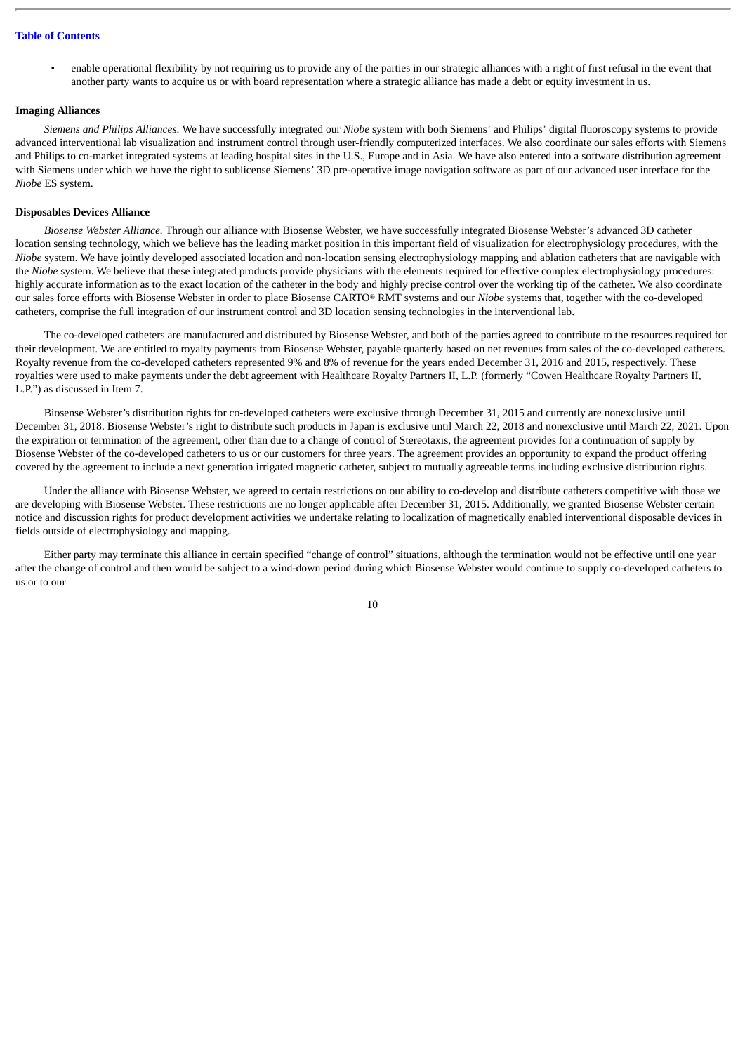• enable operational flexibility by not requiring us to provide any of the parties in our strategic alliances with a right of first refusal in the event that another party wants to acquire us or with board representation where a strategic alliance has made a debt or equity investment in us.

#### **Imaging Alliances**

*Siemens and Philips Alliances*. We have successfully integrated our *Niobe* system with both Siemens' and Philips' digital fluoroscopy systems to provide advanced interventional lab visualization and instrument control through user-friendly computerized interfaces. We also coordinate our sales efforts with Siemens and Philips to co-market integrated systems at leading hospital sites in the U.S., Europe and in Asia. We have also entered into a software distribution agreement with Siemens under which we have the right to sublicense Siemens' 3D pre-operative image navigation software as part of our advanced user interface for the *Niobe* ES system.

#### **Disposables Devices Alliance**

*Biosense Webster Alliance.* Through our alliance with Biosense Webster, we have successfully integrated Biosense Webster's advanced 3D catheter location sensing technology, which we believe has the leading market position in this important field of visualization for electrophysiology procedures, with the *Niobe* system. We have jointly developed associated location and non-location sensing electrophysiology mapping and ablation catheters that are navigable with the *Niobe* system. We believe that these integrated products provide physicians with the elements required for effective complex electrophysiology procedures: highly accurate information as to the exact location of the catheter in the body and highly precise control over the working tip of the catheter. We also coordinate our sales force efforts with Biosense Webster in order to place Biosense CARTO® RMT systems and our *Niobe* systems that, together with the co-developed catheters, comprise the full integration of our instrument control and 3D location sensing technologies in the interventional lab.

The co-developed catheters are manufactured and distributed by Biosense Webster, and both of the parties agreed to contribute to the resources required for their development. We are entitled to royalty payments from Biosense Webster, payable quarterly based on net revenues from sales of the co-developed catheters. Royalty revenue from the co-developed catheters represented 9% and 8% of revenue for the years ended December 31, 2016 and 2015, respectively. These royalties were used to make payments under the debt agreement with Healthcare Royalty Partners II, L.P. (formerly "Cowen Healthcare Royalty Partners II, L.P.") as discussed in Item 7.

Biosense Webster's distribution rights for co-developed catheters were exclusive through December 31, 2015 and currently are nonexclusive until December 31, 2018. Biosense Webster's right to distribute such products in Japan is exclusive until March 22, 2018 and nonexclusive until March 22, 2021. Upon the expiration or termination of the agreement, other than due to a change of control of Stereotaxis, the agreement provides for a continuation of supply by Biosense Webster of the co-developed catheters to us or our customers for three years. The agreement provides an opportunity to expand the product offering covered by the agreement to include a next generation irrigated magnetic catheter, subject to mutually agreeable terms including exclusive distribution rights.

Under the alliance with Biosense Webster, we agreed to certain restrictions on our ability to co-develop and distribute catheters competitive with those we are developing with Biosense Webster. These restrictions are no longer applicable after December 31, 2015. Additionally, we granted Biosense Webster certain notice and discussion rights for product development activities we undertake relating to localization of magnetically enabled interventional disposable devices in fields outside of electrophysiology and mapping.

Either party may terminate this alliance in certain specified "change of control" situations, although the termination would not be effective until one year after the change of control and then would be subject to a wind-down period during which Biosense Webster would continue to supply co-developed catheters to us or to our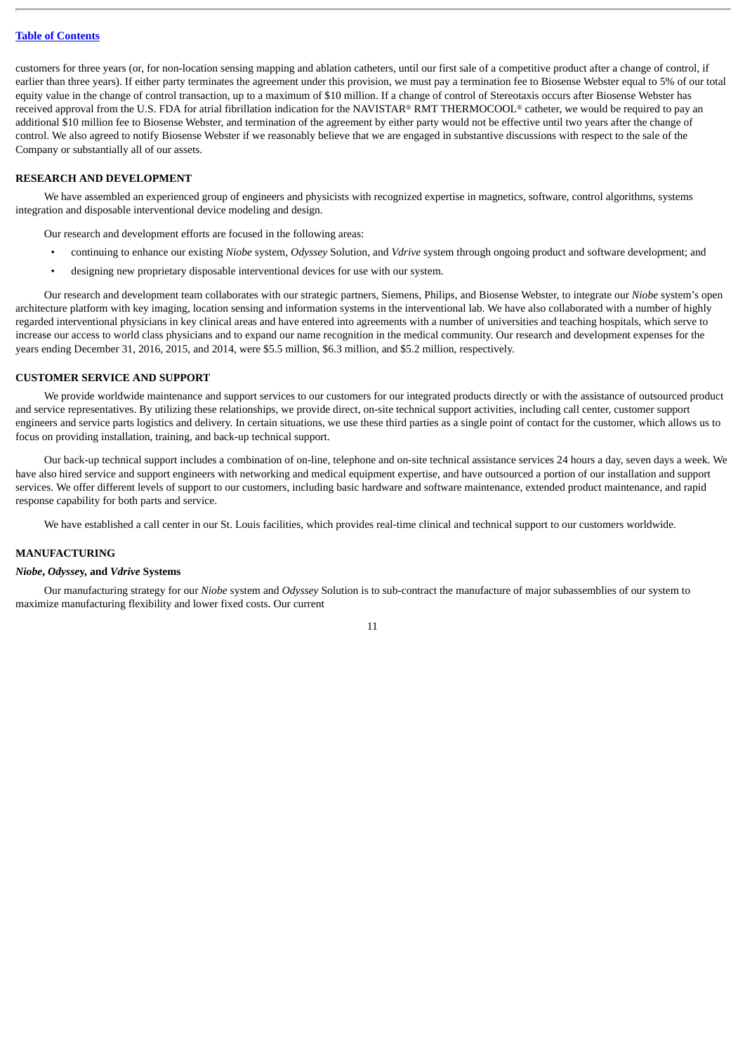customers for three years (or, for non-location sensing mapping and ablation catheters, until our first sale of a competitive product after a change of control, if earlier than three years). If either party terminates the agreement under this provision, we must pay a termination fee to Biosense Webster equal to 5% of our total equity value in the change of control transaction, up to a maximum of \$10 million. If a change of control of Stereotaxis occurs after Biosense Webster has received approval from the U.S. FDA for atrial fibrillation indication for the NAVISTAR® RMT THERMOCOOL® catheter, we would be required to pay an additional \$10 million fee to Biosense Webster, and termination of the agreement by either party would not be effective until two years after the change of control. We also agreed to notify Biosense Webster if we reasonably believe that we are engaged in substantive discussions with respect to the sale of the Company or substantially all of our assets.

#### **RESEARCH AND DEVELOPMENT**

We have assembled an experienced group of engineers and physicists with recognized expertise in magnetics, software, control algorithms, systems integration and disposable interventional device modeling and design.

Our research and development efforts are focused in the following areas:

- continuing to enhance our existing *Niobe* system, *Odyssey* Solution, and *Vdrive* system through ongoing product and software development; and
- designing new proprietary disposable interventional devices for use with our system.

Our research and development team collaborates with our strategic partners, Siemens, Philips, and Biosense Webster, to integrate our *Niobe* system's open architecture platform with key imaging, location sensing and information systems in the interventional lab. We have also collaborated with a number of highly regarded interventional physicians in key clinical areas and have entered into agreements with a number of universities and teaching hospitals, which serve to increase our access to world class physicians and to expand our name recognition in the medical community. Our research and development expenses for the years ending December 31, 2016, 2015, and 2014, were \$5.5 million, \$6.3 million, and \$5.2 million, respectively.

#### **CUSTOMER SERVICE AND SUPPORT**

We provide worldwide maintenance and support services to our customers for our integrated products directly or with the assistance of outsourced product and service representatives. By utilizing these relationships, we provide direct, on-site technical support activities, including call center, customer support engineers and service parts logistics and delivery. In certain situations, we use these third parties as a single point of contact for the customer, which allows us to focus on providing installation, training, and back-up technical support.

Our back-up technical support includes a combination of on-line, telephone and on-site technical assistance services 24 hours a day, seven days a week. We have also hired service and support engineers with networking and medical equipment expertise, and have outsourced a portion of our installation and support services. We offer different levels of support to our customers, including basic hardware and software maintenance, extended product maintenance, and rapid response capability for both parts and service.

We have established a call center in our St. Louis facilities, which provides real-time clinical and technical support to our customers worldwide.

#### **MANUFACTURING**

#### *Niobe***,** *Odysse***y, and** *Vdrive* **Systems**

Our manufacturing strategy for our *Niobe* system and *Odyssey* Solution is to sub-contract the manufacture of major subassemblies of our system to maximize manufacturing flexibility and lower fixed costs. Our current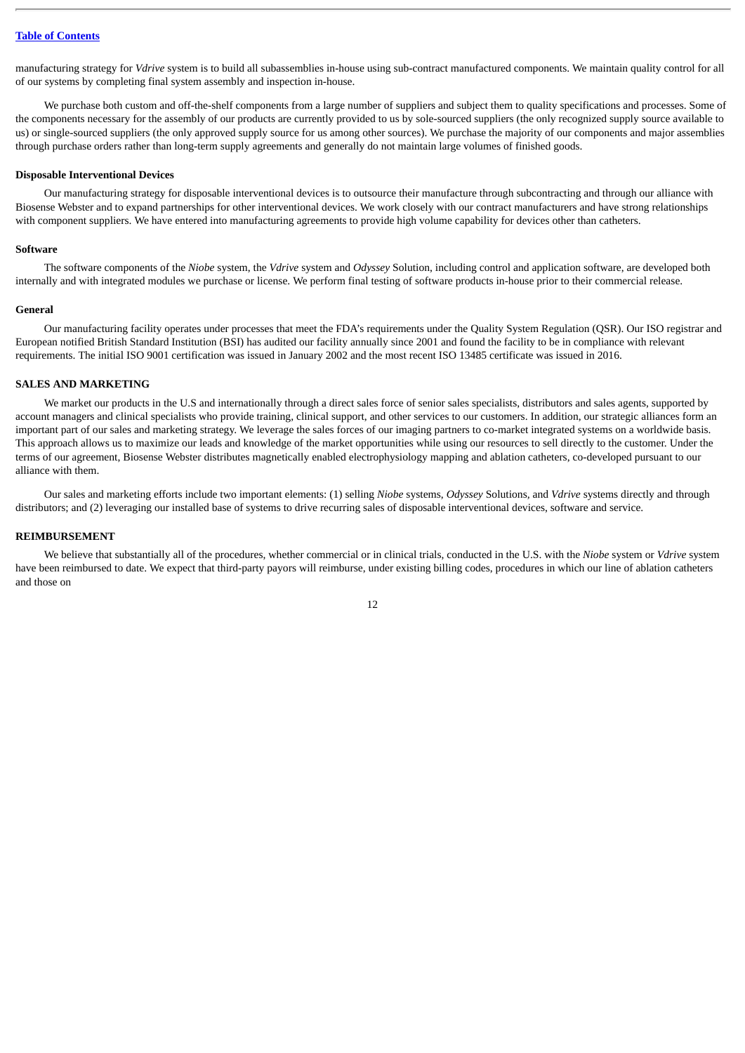manufacturing strategy for *Vdrive* system is to build all subassemblies in-house using sub-contract manufactured components. We maintain quality control for all of our systems by completing final system assembly and inspection in-house.

We purchase both custom and off-the-shelf components from a large number of suppliers and subject them to quality specifications and processes. Some of the components necessary for the assembly of our products are currently provided to us by sole-sourced suppliers (the only recognized supply source available to us) or single-sourced suppliers (the only approved supply source for us among other sources). We purchase the majority of our components and major assemblies through purchase orders rather than long-term supply agreements and generally do not maintain large volumes of finished goods.

#### **Disposable Interventional Devices**

Our manufacturing strategy for disposable interventional devices is to outsource their manufacture through subcontracting and through our alliance with Biosense Webster and to expand partnerships for other interventional devices. We work closely with our contract manufacturers and have strong relationships with component suppliers. We have entered into manufacturing agreements to provide high volume capability for devices other than catheters.

#### **Software**

The software components of the *Niobe* system, the *Vdrive* system and *Odyssey* Solution, including control and application software, are developed both internally and with integrated modules we purchase or license. We perform final testing of software products in-house prior to their commercial release.

#### **General**

Our manufacturing facility operates under processes that meet the FDA's requirements under the Quality System Regulation (QSR). Our ISO registrar and European notified British Standard Institution (BSI) has audited our facility annually since 2001 and found the facility to be in compliance with relevant requirements. The initial ISO 9001 certification was issued in January 2002 and the most recent ISO 13485 certificate was issued in 2016.

#### **SALES AND MARKETING**

We market our products in the U.S and internationally through a direct sales force of senior sales specialists, distributors and sales agents, supported by account managers and clinical specialists who provide training, clinical support, and other services to our customers. In addition, our strategic alliances form an important part of our sales and marketing strategy. We leverage the sales forces of our imaging partners to co-market integrated systems on a worldwide basis. This approach allows us to maximize our leads and knowledge of the market opportunities while using our resources to sell directly to the customer. Under the terms of our agreement, Biosense Webster distributes magnetically enabled electrophysiology mapping and ablation catheters, co-developed pursuant to our alliance with them.

Our sales and marketing efforts include two important elements: (1) selling *Niobe* systems, *Odyssey* Solutions*,* and *Vdrive* systems directly and through distributors; and (2) leveraging our installed base of systems to drive recurring sales of disposable interventional devices, software and service.

#### **REIMBURSEMENT**

We believe that substantially all of the procedures, whether commercial or in clinical trials, conducted in the U.S. with the *Niobe* system or *Vdrive* system have been reimbursed to date. We expect that third-party payors will reimburse, under existing billing codes, procedures in which our line of ablation catheters and those on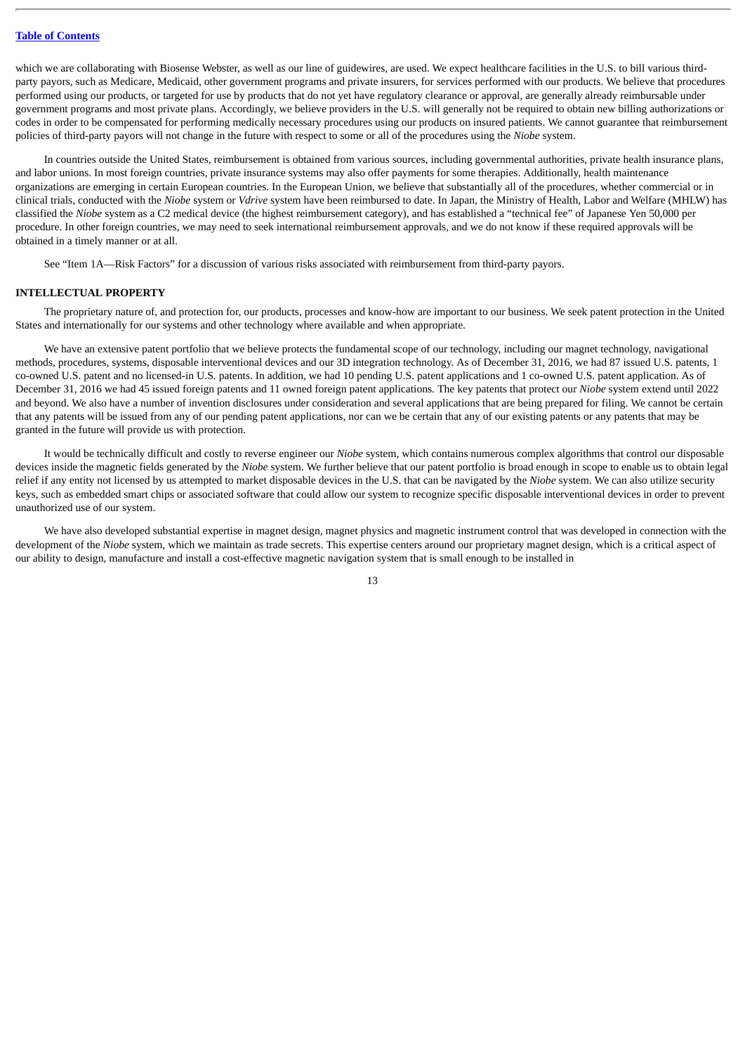which we are collaborating with Biosense Webster, as well as our line of guidewires, are used. We expect healthcare facilities in the U.S. to bill various thirdparty payors, such as Medicare, Medicaid, other government programs and private insurers, for services performed with our products. We believe that procedures performed using our products, or targeted for use by products that do not yet have regulatory clearance or approval, are generally already reimbursable under government programs and most private plans. Accordingly, we believe providers in the U.S. will generally not be required to obtain new billing authorizations or codes in order to be compensated for performing medically necessary procedures using our products on insured patients. We cannot guarantee that reimbursement policies of third-party payors will not change in the future with respect to some or all of the procedures using the *Niobe* system.

In countries outside the United States, reimbursement is obtained from various sources, including governmental authorities, private health insurance plans, and labor unions. In most foreign countries, private insurance systems may also offer payments for some therapies. Additionally, health maintenance organizations are emerging in certain European countries. In the European Union, we believe that substantially all of the procedures, whether commercial or in clinical trials, conducted with the *Niobe* system or *Vdrive* system have been reimbursed to date. In Japan, the Ministry of Health, Labor and Welfare (MHLW) has classified the *Niobe* system as a C2 medical device (the highest reimbursement category), and has established a "technical fee" of Japanese Yen 50,000 per procedure. In other foreign countries, we may need to seek international reimbursement approvals, and we do not know if these required approvals will be obtained in a timely manner or at all.

See "Item 1A—Risk Factors" for a discussion of various risks associated with reimbursement from third-party payors.

#### **INTELLECTUAL PROPERTY**

The proprietary nature of, and protection for, our products, processes and know-how are important to our business. We seek patent protection in the United States and internationally for our systems and other technology where available and when appropriate.

We have an extensive patent portfolio that we believe protects the fundamental scope of our technology, including our magnet technology, navigational methods, procedures, systems, disposable interventional devices and our 3D integration technology. As of December 31, 2016, we had 87 issued U.S. patents, 1 co-owned U.S. patent and no licensed-in U.S. patents. In addition, we had 10 pending U.S. patent applications and 1 co-owned U.S. patent application. As of December 31, 2016 we had 45 issued foreign patents and 11 owned foreign patent applications. The key patents that protect our *Niobe* system extend until 2022 and beyond. We also have a number of invention disclosures under consideration and several applications that are being prepared for filing. We cannot be certain that any patents will be issued from any of our pending patent applications, nor can we be certain that any of our existing patents or any patents that may be granted in the future will provide us with protection.

It would be technically difficult and costly to reverse engineer our *Niobe* system, which contains numerous complex algorithms that control our disposable devices inside the magnetic fields generated by the *Niobe* system. We further believe that our patent portfolio is broad enough in scope to enable us to obtain legal relief if any entity not licensed by us attempted to market disposable devices in the U.S. that can be navigated by the *Niobe* system. We can also utilize security keys, such as embedded smart chips or associated software that could allow our system to recognize specific disposable interventional devices in order to prevent unauthorized use of our system.

We have also developed substantial expertise in magnet design, magnet physics and magnetic instrument control that was developed in connection with the development of the *Niobe* system, which we maintain as trade secrets. This expertise centers around our proprietary magnet design, which is a critical aspect of our ability to design, manufacture and install a cost-effective magnetic navigation system that is small enough to be installed in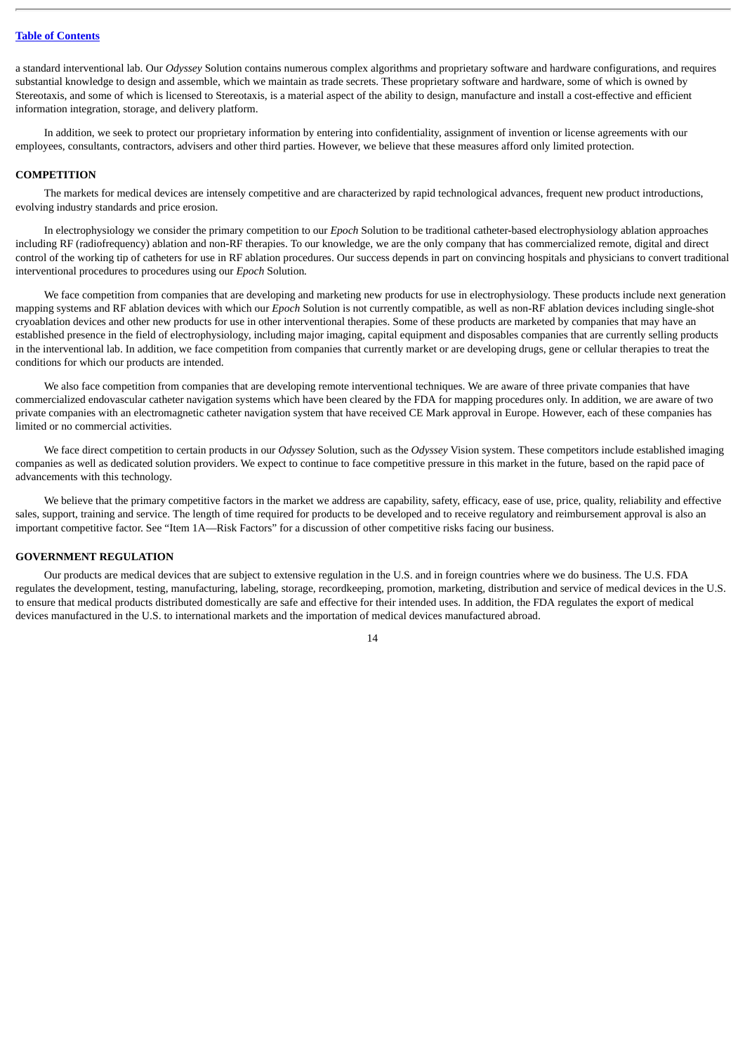a standard interventional lab. Our *Odyssey* Solution contains numerous complex algorithms and proprietary software and hardware configurations, and requires substantial knowledge to design and assemble, which we maintain as trade secrets. These proprietary software and hardware, some of which is owned by Stereotaxis, and some of which is licensed to Stereotaxis, is a material aspect of the ability to design, manufacture and install a cost-effective and efficient information integration, storage, and delivery platform.

In addition, we seek to protect our proprietary information by entering into confidentiality, assignment of invention or license agreements with our employees, consultants, contractors, advisers and other third parties. However, we believe that these measures afford only limited protection.

#### **COMPETITION**

The markets for medical devices are intensely competitive and are characterized by rapid technological advances, frequent new product introductions, evolving industry standards and price erosion.

In electrophysiology we consider the primary competition to our *Epoch* Solution to be traditional catheter-based electrophysiology ablation approaches including RF (radiofrequency) ablation and non-RF therapies. To our knowledge, we are the only company that has commercialized remote, digital and direct control of the working tip of catheters for use in RF ablation procedures. Our success depends in part on convincing hospitals and physicians to convert traditional interventional procedures to procedures using our *Epoch* Solution*.*

We face competition from companies that are developing and marketing new products for use in electrophysiology. These products include next generation mapping systems and RF ablation devices with which our *Epoch* Solution is not currently compatible, as well as non-RF ablation devices including single-shot cryoablation devices and other new products for use in other interventional therapies. Some of these products are marketed by companies that may have an established presence in the field of electrophysiology, including major imaging, capital equipment and disposables companies that are currently selling products in the interventional lab. In addition, we face competition from companies that currently market or are developing drugs, gene or cellular therapies to treat the conditions for which our products are intended.

We also face competition from companies that are developing remote interventional techniques. We are aware of three private companies that have commercialized endovascular catheter navigation systems which have been cleared by the FDA for mapping procedures only. In addition, we are aware of two private companies with an electromagnetic catheter navigation system that have received CE Mark approval in Europe. However, each of these companies has limited or no commercial activities.

We face direct competition to certain products in our *Odyssey* Solution, such as the *Odyssey* Vision system. These competitors include established imaging companies as well as dedicated solution providers. We expect to continue to face competitive pressure in this market in the future, based on the rapid pace of advancements with this technology.

We believe that the primary competitive factors in the market we address are capability, safety, efficacy, ease of use, price, quality, reliability and effective sales, support, training and service. The length of time required for products to be developed and to receive regulatory and reimbursement approval is also an important competitive factor. See "Item 1A—Risk Factors" for a discussion of other competitive risks facing our business.

#### **GOVERNMENT REGULATION**

Our products are medical devices that are subject to extensive regulation in the U.S. and in foreign countries where we do business. The U.S. FDA regulates the development, testing, manufacturing, labeling, storage, recordkeeping, promotion, marketing, distribution and service of medical devices in the U.S. to ensure that medical products distributed domestically are safe and effective for their intended uses. In addition, the FDA regulates the export of medical devices manufactured in the U.S. to international markets and the importation of medical devices manufactured abroad.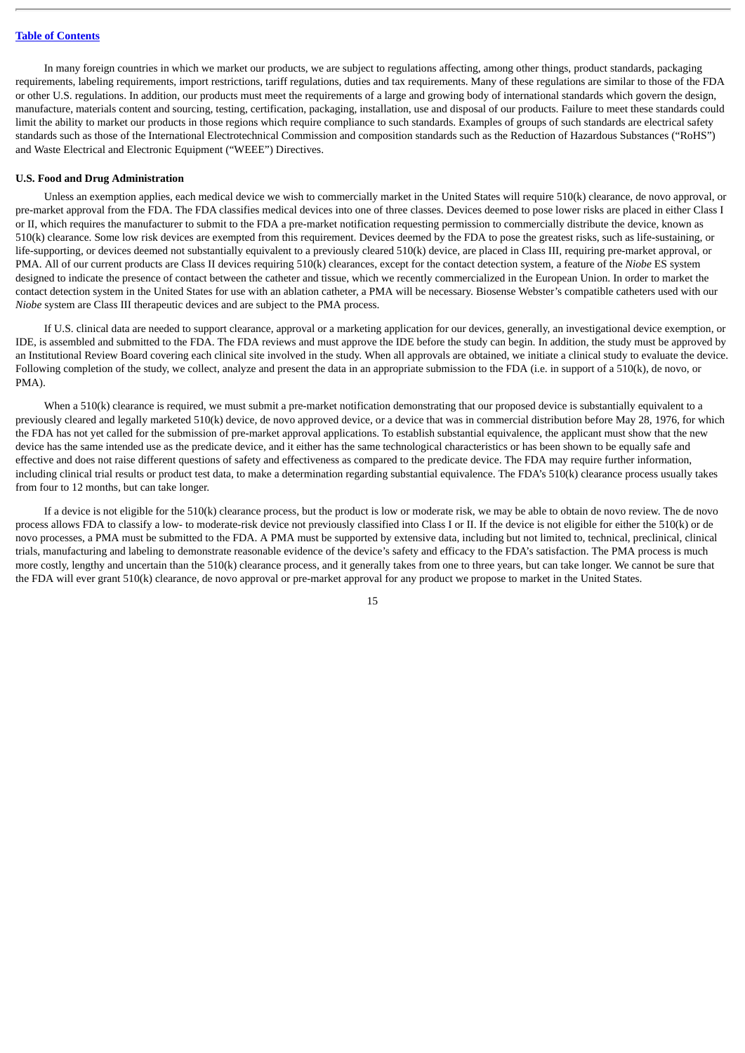In many foreign countries in which we market our products, we are subject to regulations affecting, among other things, product standards, packaging requirements, labeling requirements, import restrictions, tariff regulations, duties and tax requirements. Many of these regulations are similar to those of the FDA or other U.S. regulations. In addition, our products must meet the requirements of a large and growing body of international standards which govern the design, manufacture, materials content and sourcing, testing, certification, packaging, installation, use and disposal of our products. Failure to meet these standards could limit the ability to market our products in those regions which require compliance to such standards. Examples of groups of such standards are electrical safety standards such as those of the International Electrotechnical Commission and composition standards such as the Reduction of Hazardous Substances ("RoHS") and Waste Electrical and Electronic Equipment ("WEEE") Directives.

#### **U.S. Food and Drug Administration**

Unless an exemption applies, each medical device we wish to commercially market in the United States will require 510(k) clearance, de novo approval, or pre-market approval from the FDA. The FDA classifies medical devices into one of three classes. Devices deemed to pose lower risks are placed in either Class I or II, which requires the manufacturer to submit to the FDA a pre-market notification requesting permission to commercially distribute the device, known as 510(k) clearance. Some low risk devices are exempted from this requirement. Devices deemed by the FDA to pose the greatest risks, such as life-sustaining, or life-supporting, or devices deemed not substantially equivalent to a previously cleared 510(k) device, are placed in Class III, requiring pre-market approval, or PMA. All of our current products are Class II devices requiring 510(k) clearances, except for the contact detection system, a feature of the *Niobe* ES system designed to indicate the presence of contact between the catheter and tissue, which we recently commercialized in the European Union. In order to market the contact detection system in the United States for use with an ablation catheter, a PMA will be necessary. Biosense Webster's compatible catheters used with our *Niobe* system are Class III therapeutic devices and are subject to the PMA process.

If U.S. clinical data are needed to support clearance, approval or a marketing application for our devices, generally, an investigational device exemption, or IDE, is assembled and submitted to the FDA. The FDA reviews and must approve the IDE before the study can begin. In addition, the study must be approved by an Institutional Review Board covering each clinical site involved in the study. When all approvals are obtained, we initiate a clinical study to evaluate the device. Following completion of the study, we collect, analyze and present the data in an appropriate submission to the FDA (i.e. in support of a 510(k), de novo, or PMA).

When a 510(k) clearance is required, we must submit a pre-market notification demonstrating that our proposed device is substantially equivalent to a previously cleared and legally marketed 510(k) device, de novo approved device, or a device that was in commercial distribution before May 28, 1976, for which the FDA has not yet called for the submission of pre-market approval applications. To establish substantial equivalence, the applicant must show that the new device has the same intended use as the predicate device, and it either has the same technological characteristics or has been shown to be equally safe and effective and does not raise different questions of safety and effectiveness as compared to the predicate device. The FDA may require further information, including clinical trial results or product test data, to make a determination regarding substantial equivalence. The FDA's 510(k) clearance process usually takes from four to 12 months, but can take longer.

If a device is not eligible for the 510(k) clearance process, but the product is low or moderate risk, we may be able to obtain de novo review. The de novo process allows FDA to classify a low- to moderate-risk device not previously classified into Class I or II. If the device is not eligible for either the 510(k) or de novo processes, a PMA must be submitted to the FDA. A PMA must be supported by extensive data, including but not limited to, technical, preclinical, clinical trials, manufacturing and labeling to demonstrate reasonable evidence of the device's safety and efficacy to the FDA's satisfaction. The PMA process is much more costly, lengthy and uncertain than the 510(k) clearance process, and it generally takes from one to three years, but can take longer. We cannot be sure that the FDA will ever grant 510(k) clearance, de novo approval or pre-market approval for any product we propose to market in the United States.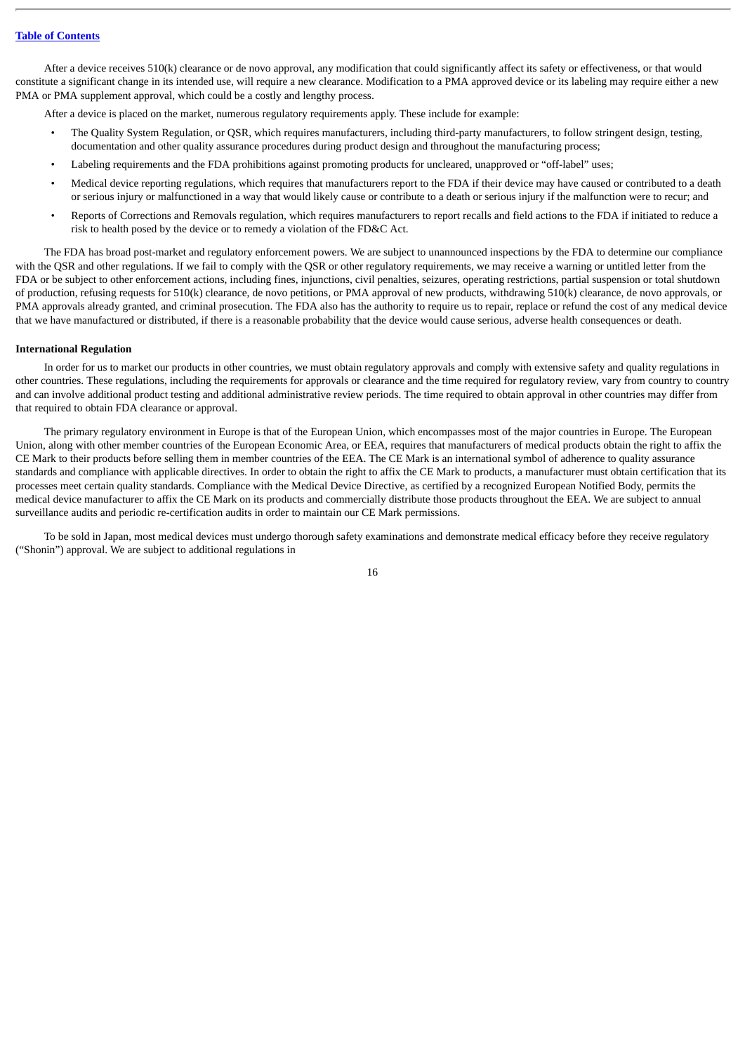After a device receives 510(k) clearance or de novo approval, any modification that could significantly affect its safety or effectiveness, or that would constitute a significant change in its intended use, will require a new clearance. Modification to a PMA approved device or its labeling may require either a new PMA or PMA supplement approval, which could be a costly and lengthy process.

After a device is placed on the market, numerous regulatory requirements apply. These include for example:

- The Quality System Regulation, or QSR, which requires manufacturers, including third-party manufacturers, to follow stringent design, testing, documentation and other quality assurance procedures during product design and throughout the manufacturing process;
- Labeling requirements and the FDA prohibitions against promoting products for uncleared, unapproved or "off-label" uses;
- Medical device reporting regulations, which requires that manufacturers report to the FDA if their device may have caused or contributed to a death or serious injury or malfunctioned in a way that would likely cause or contribute to a death or serious injury if the malfunction were to recur; and
- Reports of Corrections and Removals regulation, which requires manufacturers to report recalls and field actions to the FDA if initiated to reduce a risk to health posed by the device or to remedy a violation of the FD&C Act.

The FDA has broad post-market and regulatory enforcement powers. We are subject to unannounced inspections by the FDA to determine our compliance with the QSR and other regulations. If we fail to comply with the QSR or other regulatory requirements, we may receive a warning or untitled letter from the FDA or be subject to other enforcement actions, including fines, injunctions, civil penalties, seizures, operating restrictions, partial suspension or total shutdown of production, refusing requests for 510(k) clearance, de novo petitions, or PMA approval of new products, withdrawing 510(k) clearance, de novo approvals, or PMA approvals already granted, and criminal prosecution. The FDA also has the authority to require us to repair, replace or refund the cost of any medical device that we have manufactured or distributed, if there is a reasonable probability that the device would cause serious, adverse health consequences or death.

#### **International Regulation**

In order for us to market our products in other countries, we must obtain regulatory approvals and comply with extensive safety and quality regulations in other countries. These regulations, including the requirements for approvals or clearance and the time required for regulatory review, vary from country to country and can involve additional product testing and additional administrative review periods. The time required to obtain approval in other countries may differ from that required to obtain FDA clearance or approval.

The primary regulatory environment in Europe is that of the European Union, which encompasses most of the major countries in Europe. The European Union, along with other member countries of the European Economic Area, or EEA, requires that manufacturers of medical products obtain the right to affix the CE Mark to their products before selling them in member countries of the EEA. The CE Mark is an international symbol of adherence to quality assurance standards and compliance with applicable directives. In order to obtain the right to affix the CE Mark to products, a manufacturer must obtain certification that its processes meet certain quality standards. Compliance with the Medical Device Directive, as certified by a recognized European Notified Body, permits the medical device manufacturer to affix the CE Mark on its products and commercially distribute those products throughout the EEA. We are subject to annual surveillance audits and periodic re-certification audits in order to maintain our CE Mark permissions.

To be sold in Japan, most medical devices must undergo thorough safety examinations and demonstrate medical efficacy before they receive regulatory ("Shonin") approval. We are subject to additional regulations in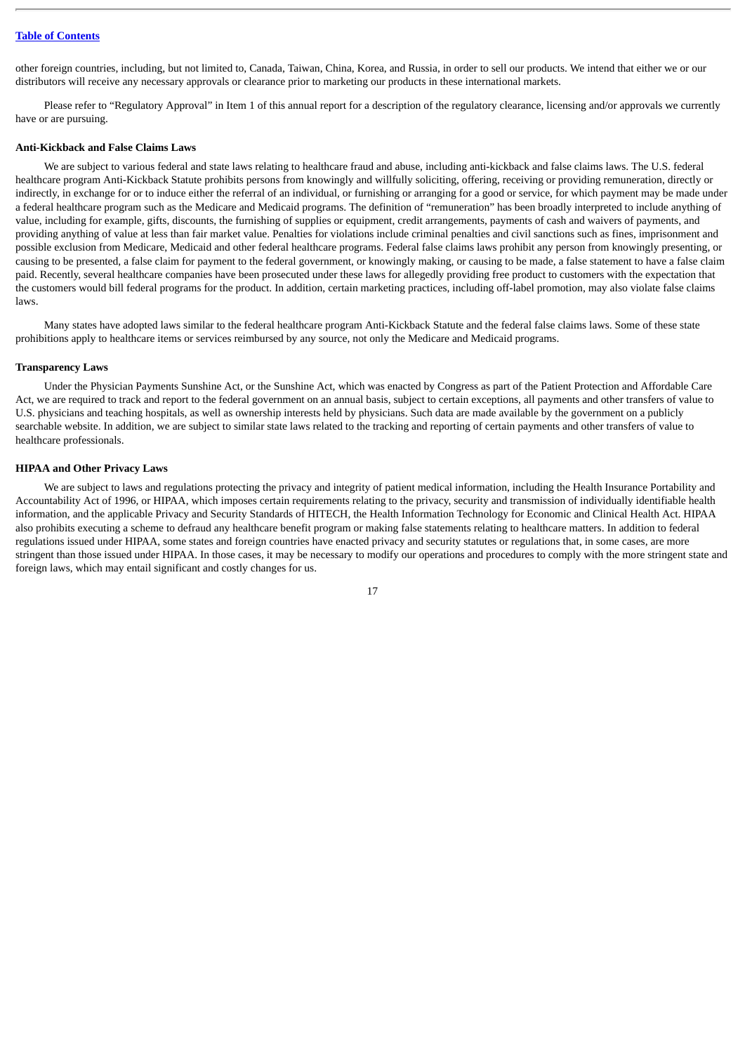other foreign countries, including, but not limited to, Canada, Taiwan, China, Korea, and Russia, in order to sell our products. We intend that either we or our distributors will receive any necessary approvals or clearance prior to marketing our products in these international markets.

Please refer to "Regulatory Approval" in Item 1 of this annual report for a description of the regulatory clearance, licensing and/or approvals we currently have or are pursuing.

#### **Anti-Kickback and False Claims Laws**

We are subject to various federal and state laws relating to healthcare fraud and abuse, including anti-kickback and false claims laws. The U.S. federal healthcare program Anti-Kickback Statute prohibits persons from knowingly and willfully soliciting, offering, receiving or providing remuneration, directly or indirectly, in exchange for or to induce either the referral of an individual, or furnishing or arranging for a good or service, for which payment may be made under a federal healthcare program such as the Medicare and Medicaid programs. The definition of "remuneration" has been broadly interpreted to include anything of value, including for example, gifts, discounts, the furnishing of supplies or equipment, credit arrangements, payments of cash and waivers of payments, and providing anything of value at less than fair market value. Penalties for violations include criminal penalties and civil sanctions such as fines, imprisonment and possible exclusion from Medicare, Medicaid and other federal healthcare programs. Federal false claims laws prohibit any person from knowingly presenting, or causing to be presented, a false claim for payment to the federal government, or knowingly making, or causing to be made, a false statement to have a false claim paid. Recently, several healthcare companies have been prosecuted under these laws for allegedly providing free product to customers with the expectation that the customers would bill federal programs for the product. In addition, certain marketing practices, including off-label promotion, may also violate false claims laws.

Many states have adopted laws similar to the federal healthcare program Anti-Kickback Statute and the federal false claims laws. Some of these state prohibitions apply to healthcare items or services reimbursed by any source, not only the Medicare and Medicaid programs.

#### **Transparency Laws**

Under the Physician Payments Sunshine Act, or the Sunshine Act, which was enacted by Congress as part of the Patient Protection and Affordable Care Act, we are required to track and report to the federal government on an annual basis, subject to certain exceptions, all payments and other transfers of value to U.S. physicians and teaching hospitals, as well as ownership interests held by physicians. Such data are made available by the government on a publicly searchable website. In addition, we are subject to similar state laws related to the tracking and reporting of certain payments and other transfers of value to healthcare professionals.

#### **HIPAA and Other Privacy Laws**

We are subject to laws and regulations protecting the privacy and integrity of patient medical information, including the Health Insurance Portability and Accountability Act of 1996, or HIPAA, which imposes certain requirements relating to the privacy, security and transmission of individually identifiable health information, and the applicable Privacy and Security Standards of HITECH, the Health Information Technology for Economic and Clinical Health Act. HIPAA also prohibits executing a scheme to defraud any healthcare benefit program or making false statements relating to healthcare matters. In addition to federal regulations issued under HIPAA, some states and foreign countries have enacted privacy and security statutes or regulations that, in some cases, are more stringent than those issued under HIPAA. In those cases, it may be necessary to modify our operations and procedures to comply with the more stringent state and foreign laws, which may entail significant and costly changes for us.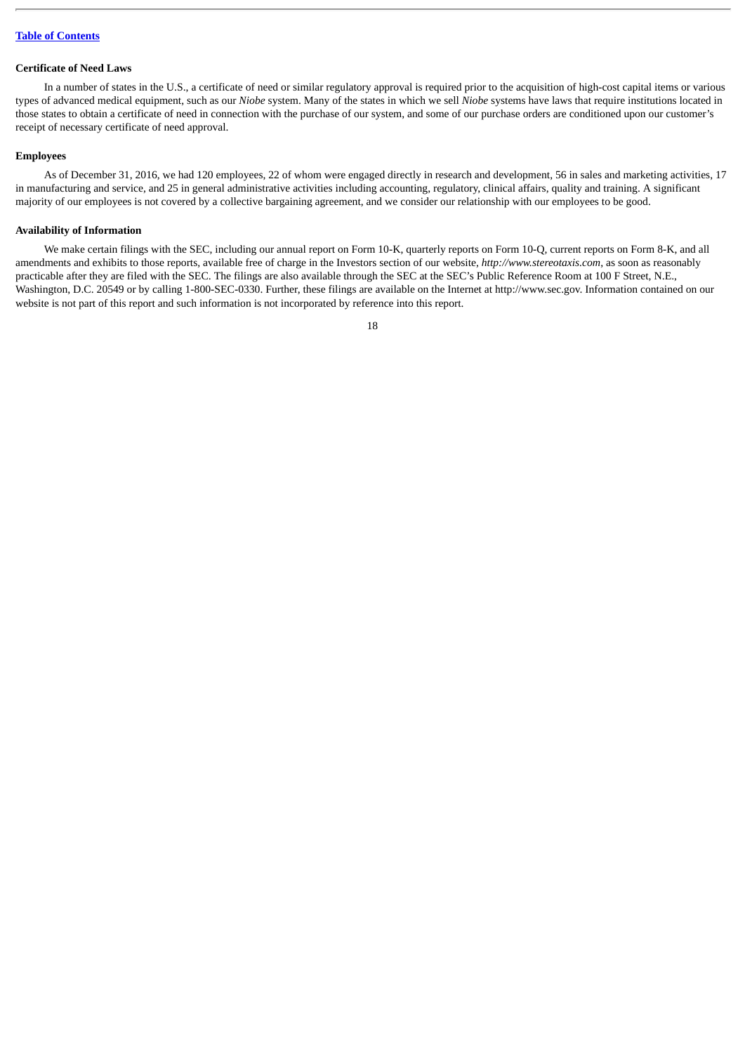#### **Certificate of Need Laws**

In a number of states in the U.S., a certificate of need or similar regulatory approval is required prior to the acquisition of high-cost capital items or various types of advanced medical equipment, such as our *Niobe* system. Many of the states in which we sell *Niobe* systems have laws that require institutions located in those states to obtain a certificate of need in connection with the purchase of our system, and some of our purchase orders are conditioned upon our customer's receipt of necessary certificate of need approval.

#### **Employees**

As of December 31, 2016, we had 120 employees, 22 of whom were engaged directly in research and development, 56 in sales and marketing activities, 17 in manufacturing and service, and 25 in general administrative activities including accounting, regulatory, clinical affairs, quality and training. A significant majority of our employees is not covered by a collective bargaining agreement, and we consider our relationship with our employees to be good.

#### **Availability of Information**

We make certain filings with the SEC, including our annual report on Form 10-K, quarterly reports on Form 10-Q, current reports on Form 8-K, and all amendments and exhibits to those reports, available free of charge in the Investors section of our website, *http://www.stereotaxis.com*, as soon as reasonably practicable after they are filed with the SEC. The filings are also available through the SEC at the SEC's Public Reference Room at 100 F Street, N.E., Washington, D.C. 20549 or by calling 1-800-SEC-0330. Further, these filings are available on the Internet at http://www.sec.gov. Information contained on our website is not part of this report and such information is not incorporated by reference into this report.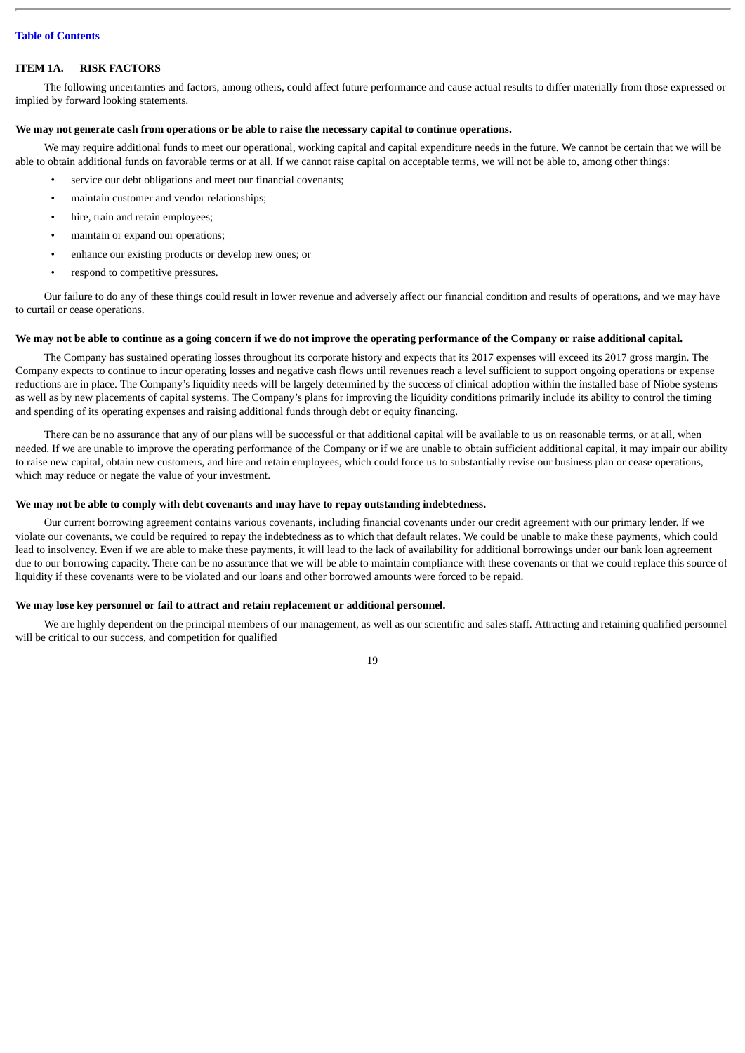#### <span id="page-20-0"></span>**ITEM 1A. RISK FACTORS**

The following uncertainties and factors, among others, could affect future performance and cause actual results to differ materially from those expressed or implied by forward looking statements.

#### **We may not generate cash from operations or be able to raise the necessary capital to continue operations.**

We may require additional funds to meet our operational, working capital and capital expenditure needs in the future. We cannot be certain that we will be able to obtain additional funds on favorable terms or at all. If we cannot raise capital on acceptable terms, we will not be able to, among other things:

- service our debt obligations and meet our financial covenants;
- maintain customer and vendor relationships;
- hire, train and retain employees:
- maintain or expand our operations;
- enhance our existing products or develop new ones; or
- respond to competitive pressures.

Our failure to do any of these things could result in lower revenue and adversely affect our financial condition and results of operations, and we may have to curtail or cease operations.

#### **We may not be able to continue as a going concern if we do not improve the operating performance of the Company or raise additional capital.**

The Company has sustained operating losses throughout its corporate history and expects that its 2017 expenses will exceed its 2017 gross margin. The Company expects to continue to incur operating losses and negative cash flows until revenues reach a level sufficient to support ongoing operations or expense reductions are in place. The Company's liquidity needs will be largely determined by the success of clinical adoption within the installed base of Niobe systems as well as by new placements of capital systems. The Company's plans for improving the liquidity conditions primarily include its ability to control the timing and spending of its operating expenses and raising additional funds through debt or equity financing.

There can be no assurance that any of our plans will be successful or that additional capital will be available to us on reasonable terms, or at all, when needed. If we are unable to improve the operating performance of the Company or if we are unable to obtain sufficient additional capital, it may impair our ability to raise new capital, obtain new customers, and hire and retain employees, which could force us to substantially revise our business plan or cease operations, which may reduce or negate the value of your investment.

#### **We may not be able to comply with debt covenants and may have to repay outstanding indebtedness.**

Our current borrowing agreement contains various covenants, including financial covenants under our credit agreement with our primary lender. If we violate our covenants, we could be required to repay the indebtedness as to which that default relates. We could be unable to make these payments, which could lead to insolvency. Even if we are able to make these payments, it will lead to the lack of availability for additional borrowings under our bank loan agreement due to our borrowing capacity. There can be no assurance that we will be able to maintain compliance with these covenants or that we could replace this source of liquidity if these covenants were to be violated and our loans and other borrowed amounts were forced to be repaid.

#### **We may lose key personnel or fail to attract and retain replacement or additional personnel.**

We are highly dependent on the principal members of our management, as well as our scientific and sales staff. Attracting and retaining qualified personnel will be critical to our success, and competition for qualified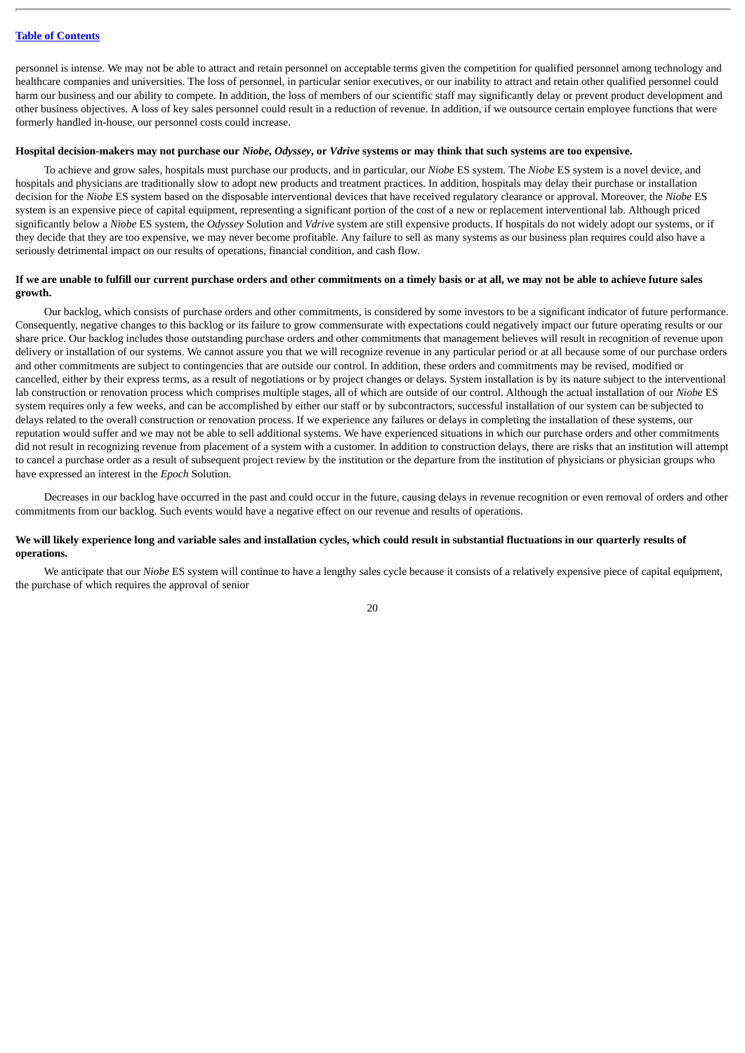personnel is intense. We may not be able to attract and retain personnel on acceptable terms given the competition for qualified personnel among technology and healthcare companies and universities. The loss of personnel, in particular senior executives, or our inability to attract and retain other qualified personnel could harm our business and our ability to compete. In addition, the loss of members of our scientific staff may significantly delay or prevent product development and other business objectives. A loss of key sales personnel could result in a reduction of revenue. In addition, if we outsource certain employee functions that were formerly handled in-house, our personnel costs could increase.

#### **Hospital decision-makers may not purchase our** *Niobe***,** *Odyssey***, or** *Vdrive* **systems or may think that such systems are too expensive.**

To achieve and grow sales, hospitals must purchase our products, and in particular, our *Niobe* ES system. The *Niobe* ES system is a novel device, and hospitals and physicians are traditionally slow to adopt new products and treatment practices. In addition, hospitals may delay their purchase or installation decision for the *Niobe* ES system based on the disposable interventional devices that have received regulatory clearance or approval. Moreover, the *Niobe* ES system is an expensive piece of capital equipment, representing a significant portion of the cost of a new or replacement interventional lab. Although priced significantly below a *Niobe* ES system, the *Odyssey* Solution and *Vdrive* system are still expensive products. If hospitals do not widely adopt our systems, or if they decide that they are too expensive, we may never become profitable. Any failure to sell as many systems as our business plan requires could also have a seriously detrimental impact on our results of operations, financial condition, and cash flow.

#### **If we are unable to fulfill our current purchase orders and other commitments on a timely basis or at all, we may not be able to achieve future sales growth.**

Our backlog, which consists of purchase orders and other commitments, is considered by some investors to be a significant indicator of future performance. Consequently, negative changes to this backlog or its failure to grow commensurate with expectations could negatively impact our future operating results or our share price. Our backlog includes those outstanding purchase orders and other commitments that management believes will result in recognition of revenue upon delivery or installation of our systems. We cannot assure you that we will recognize revenue in any particular period or at all because some of our purchase orders and other commitments are subject to contingencies that are outside our control. In addition, these orders and commitments may be revised, modified or cancelled, either by their express terms, as a result of negotiations or by project changes or delays. System installation is by its nature subject to the interventional lab construction or renovation process which comprises multiple stages, all of which are outside of our control. Although the actual installation of our *Niobe* ES system requires only a few weeks, and can be accomplished by either our staff or by subcontractors, successful installation of our system can be subjected to delays related to the overall construction or renovation process. If we experience any failures or delays in completing the installation of these systems, our reputation would suffer and we may not be able to sell additional systems. We have experienced situations in which our purchase orders and other commitments did not result in recognizing revenue from placement of a system with a customer. In addition to construction delays, there are risks that an institution will attempt to cancel a purchase order as a result of subsequent project review by the institution or the departure from the institution of physicians or physician groups who have expressed an interest in the *Epoch* Solution.

Decreases in our backlog have occurred in the past and could occur in the future, causing delays in revenue recognition or even removal of orders and other commitments from our backlog. Such events would have a negative effect on our revenue and results of operations.

#### **We will likely experience long and variable sales and installation cycles, which could result in substantial fluctuations in our quarterly results of operations.**

We anticipate that our *Niobe* ES system will continue to have a lengthy sales cycle because it consists of a relatively expensive piece of capital equipment, the purchase of which requires the approval of senior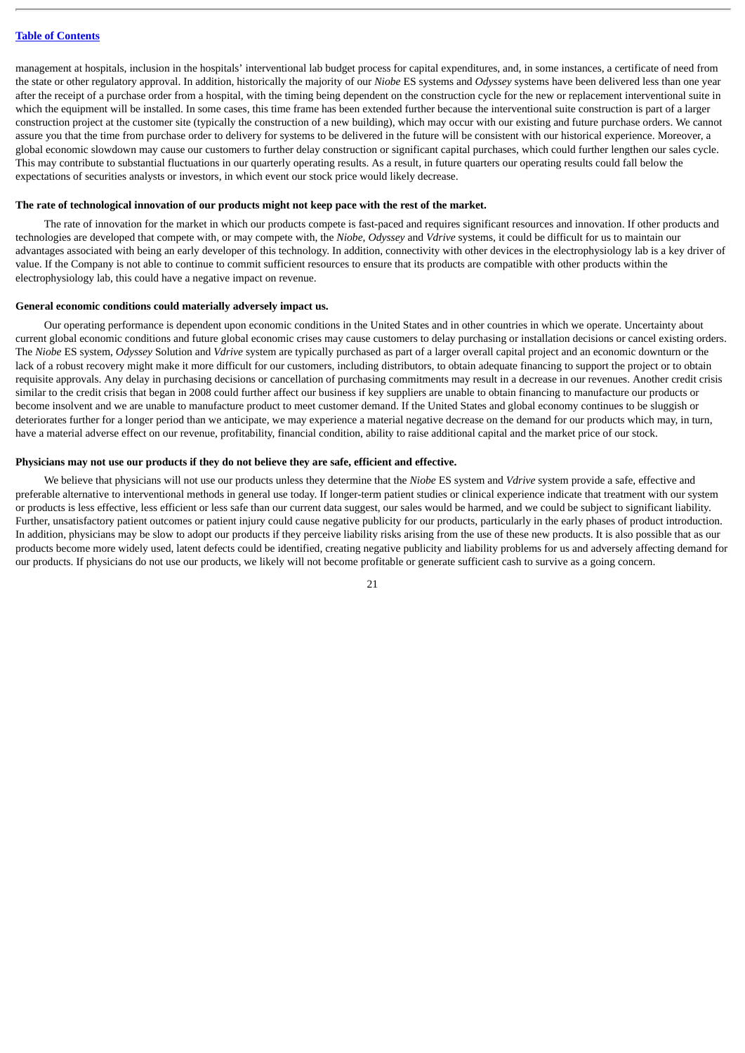management at hospitals, inclusion in the hospitals' interventional lab budget process for capital expenditures, and, in some instances, a certificate of need from the state or other regulatory approval. In addition, historically the majority of our *Niobe* ES systems and *Odyssey* systems have been delivered less than one year after the receipt of a purchase order from a hospital, with the timing being dependent on the construction cycle for the new or replacement interventional suite in which the equipment will be installed. In some cases, this time frame has been extended further because the interventional suite construction is part of a larger construction project at the customer site (typically the construction of a new building), which may occur with our existing and future purchase orders. We cannot assure you that the time from purchase order to delivery for systems to be delivered in the future will be consistent with our historical experience. Moreover, a global economic slowdown may cause our customers to further delay construction or significant capital purchases, which could further lengthen our sales cycle. This may contribute to substantial fluctuations in our quarterly operating results. As a result, in future quarters our operating results could fall below the expectations of securities analysts or investors, in which event our stock price would likely decrease.

#### **The rate of technological innovation of our products might not keep pace with the rest of the market.**

The rate of innovation for the market in which our products compete is fast-paced and requires significant resources and innovation. If other products and technologies are developed that compete with, or may compete with, the *Niobe*, *Odyssey* and *Vdrive* systems, it could be difficult for us to maintain our advantages associated with being an early developer of this technology. In addition, connectivity with other devices in the electrophysiology lab is a key driver of value. If the Company is not able to continue to commit sufficient resources to ensure that its products are compatible with other products within the electrophysiology lab, this could have a negative impact on revenue.

#### **General economic conditions could materially adversely impact us.**

Our operating performance is dependent upon economic conditions in the United States and in other countries in which we operate. Uncertainty about current global economic conditions and future global economic crises may cause customers to delay purchasing or installation decisions or cancel existing orders. The *Niobe* ES system, *Odyssey* Solution and *Vdrive* system are typically purchased as part of a larger overall capital project and an economic downturn or the lack of a robust recovery might make it more difficult for our customers, including distributors, to obtain adequate financing to support the project or to obtain requisite approvals. Any delay in purchasing decisions or cancellation of purchasing commitments may result in a decrease in our revenues. Another credit crisis similar to the credit crisis that began in 2008 could further affect our business if key suppliers are unable to obtain financing to manufacture our products or become insolvent and we are unable to manufacture product to meet customer demand. If the United States and global economy continues to be sluggish or deteriorates further for a longer period than we anticipate, we may experience a material negative decrease on the demand for our products which may, in turn, have a material adverse effect on our revenue, profitability, financial condition, ability to raise additional capital and the market price of our stock.

#### **Physicians may not use our products if they do not believe they are safe, efficient and effective.**

We believe that physicians will not use our products unless they determine that the *Niobe* ES system and *Vdrive* system provide a safe, effective and preferable alternative to interventional methods in general use today. If longer-term patient studies or clinical experience indicate that treatment with our system or products is less effective, less efficient or less safe than our current data suggest, our sales would be harmed, and we could be subject to significant liability. Further, unsatisfactory patient outcomes or patient injury could cause negative publicity for our products, particularly in the early phases of product introduction. In addition, physicians may be slow to adopt our products if they perceive liability risks arising from the use of these new products. It is also possible that as our products become more widely used, latent defects could be identified, creating negative publicity and liability problems for us and adversely affecting demand for our products. If physicians do not use our products, we likely will not become profitable or generate sufficient cash to survive as a going concern.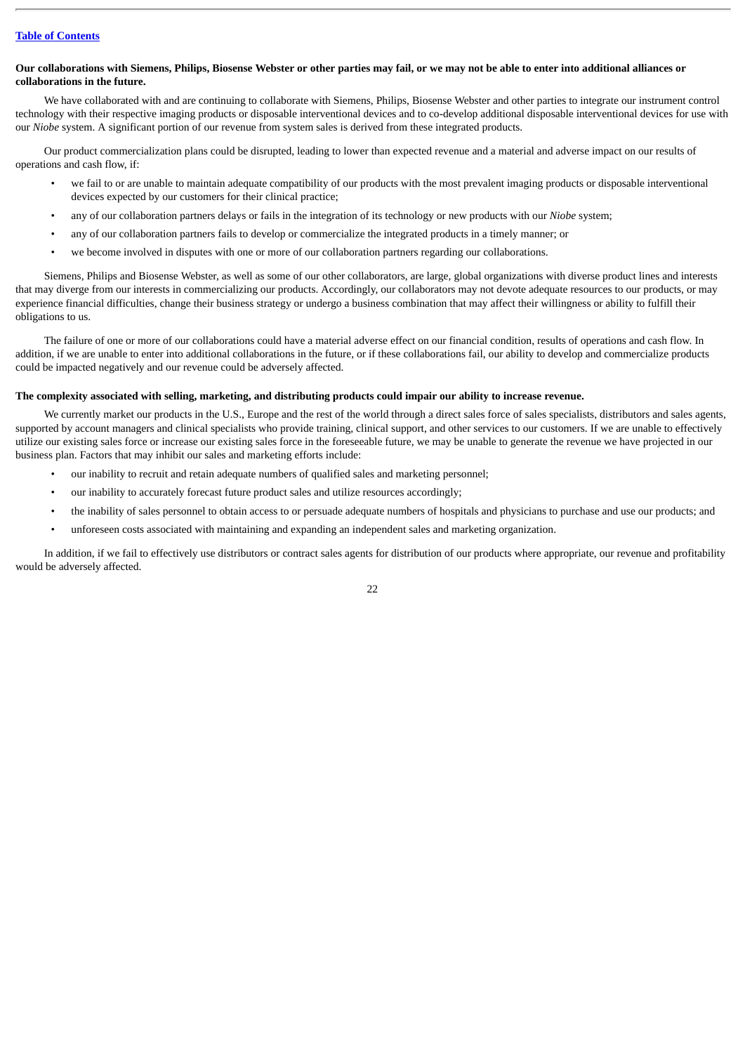#### **Our collaborations with Siemens, Philips, Biosense Webster or other parties may fail, or we may not be able to enter into additional alliances or collaborations in the future.**

We have collaborated with and are continuing to collaborate with Siemens, Philips, Biosense Webster and other parties to integrate our instrument control technology with their respective imaging products or disposable interventional devices and to co-develop additional disposable interventional devices for use with our *Niobe* system. A significant portion of our revenue from system sales is derived from these integrated products.

Our product commercialization plans could be disrupted, leading to lower than expected revenue and a material and adverse impact on our results of operations and cash flow, if:

- we fail to or are unable to maintain adequate compatibility of our products with the most prevalent imaging products or disposable interventional devices expected by our customers for their clinical practice;
- any of our collaboration partners delays or fails in the integration of its technology or new products with our *Niobe* system;
- any of our collaboration partners fails to develop or commercialize the integrated products in a timely manner; or
- we become involved in disputes with one or more of our collaboration partners regarding our collaborations.

Siemens, Philips and Biosense Webster, as well as some of our other collaborators, are large, global organizations with diverse product lines and interests that may diverge from our interests in commercializing our products. Accordingly, our collaborators may not devote adequate resources to our products, or may experience financial difficulties, change their business strategy or undergo a business combination that may affect their willingness or ability to fulfill their obligations to us.

The failure of one or more of our collaborations could have a material adverse effect on our financial condition, results of operations and cash flow. In addition, if we are unable to enter into additional collaborations in the future, or if these collaborations fail, our ability to develop and commercialize products could be impacted negatively and our revenue could be adversely affected.

#### **The complexity associated with selling, marketing, and distributing products could impair our ability to increase revenue.**

We currently market our products in the U.S., Europe and the rest of the world through a direct sales force of sales specialists, distributors and sales agents, supported by account managers and clinical specialists who provide training, clinical support, and other services to our customers. If we are unable to effectively utilize our existing sales force or increase our existing sales force in the foreseeable future, we may be unable to generate the revenue we have projected in our business plan. Factors that may inhibit our sales and marketing efforts include:

- our inability to recruit and retain adequate numbers of qualified sales and marketing personnel;
- our inability to accurately forecast future product sales and utilize resources accordingly;
- the inability of sales personnel to obtain access to or persuade adequate numbers of hospitals and physicians to purchase and use our products; and
- unforeseen costs associated with maintaining and expanding an independent sales and marketing organization.

In addition, if we fail to effectively use distributors or contract sales agents for distribution of our products where appropriate, our revenue and profitability would be adversely affected.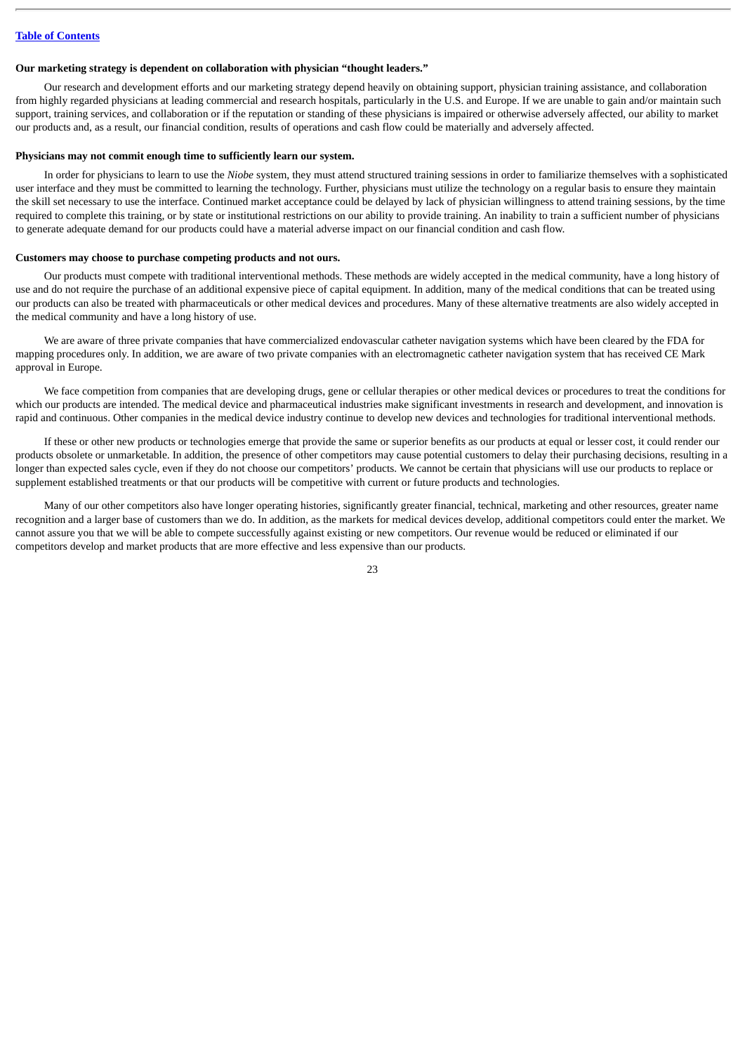#### **Our marketing strategy is dependent on collaboration with physician "thought leaders."**

Our research and development efforts and our marketing strategy depend heavily on obtaining support, physician training assistance, and collaboration from highly regarded physicians at leading commercial and research hospitals, particularly in the U.S. and Europe. If we are unable to gain and/or maintain such support, training services, and collaboration or if the reputation or standing of these physicians is impaired or otherwise adversely affected, our ability to market our products and, as a result, our financial condition, results of operations and cash flow could be materially and adversely affected.

#### **Physicians may not commit enough time to sufficiently learn our system.**

In order for physicians to learn to use the *Niobe* system, they must attend structured training sessions in order to familiarize themselves with a sophisticated user interface and they must be committed to learning the technology. Further, physicians must utilize the technology on a regular basis to ensure they maintain the skill set necessary to use the interface. Continued market acceptance could be delayed by lack of physician willingness to attend training sessions, by the time required to complete this training, or by state or institutional restrictions on our ability to provide training. An inability to train a sufficient number of physicians to generate adequate demand for our products could have a material adverse impact on our financial condition and cash flow.

#### **Customers may choose to purchase competing products and not ours.**

Our products must compete with traditional interventional methods. These methods are widely accepted in the medical community, have a long history of use and do not require the purchase of an additional expensive piece of capital equipment. In addition, many of the medical conditions that can be treated using our products can also be treated with pharmaceuticals or other medical devices and procedures. Many of these alternative treatments are also widely accepted in the medical community and have a long history of use.

We are aware of three private companies that have commercialized endovascular catheter navigation systems which have been cleared by the FDA for mapping procedures only. In addition, we are aware of two private companies with an electromagnetic catheter navigation system that has received CE Mark approval in Europe.

We face competition from companies that are developing drugs, gene or cellular therapies or other medical devices or procedures to treat the conditions for which our products are intended. The medical device and pharmaceutical industries make significant investments in research and development, and innovation is rapid and continuous. Other companies in the medical device industry continue to develop new devices and technologies for traditional interventional methods.

If these or other new products or technologies emerge that provide the same or superior benefits as our products at equal or lesser cost, it could render our products obsolete or unmarketable. In addition, the presence of other competitors may cause potential customers to delay their purchasing decisions, resulting in a longer than expected sales cycle, even if they do not choose our competitors' products. We cannot be certain that physicians will use our products to replace or supplement established treatments or that our products will be competitive with current or future products and technologies.

Many of our other competitors also have longer operating histories, significantly greater financial, technical, marketing and other resources, greater name recognition and a larger base of customers than we do. In addition, as the markets for medical devices develop, additional competitors could enter the market. We cannot assure you that we will be able to compete successfully against existing or new competitors. Our revenue would be reduced or eliminated if our competitors develop and market products that are more effective and less expensive than our products.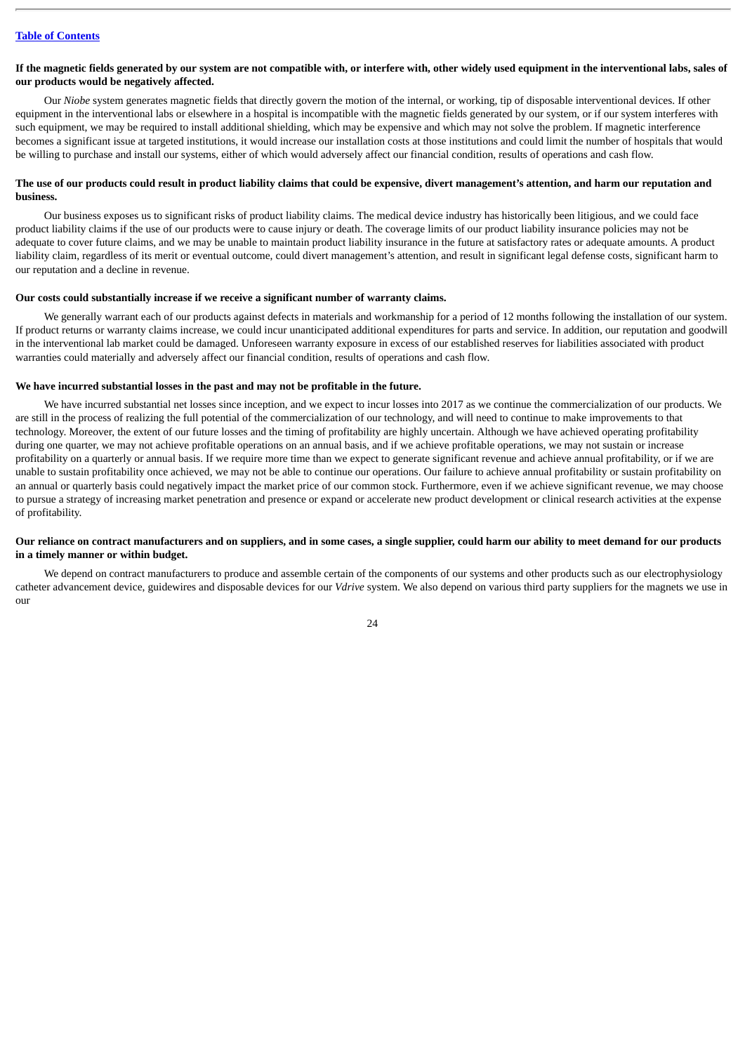#### **If the magnetic fields generated by our system are not compatible with, or interfere with, other widely used equipment in the interventional labs, sales of our products would be negatively affected.**

Our *Niobe* system generates magnetic fields that directly govern the motion of the internal, or working, tip of disposable interventional devices. If other equipment in the interventional labs or elsewhere in a hospital is incompatible with the magnetic fields generated by our system, or if our system interferes with such equipment, we may be required to install additional shielding, which may be expensive and which may not solve the problem. If magnetic interference becomes a significant issue at targeted institutions, it would increase our installation costs at those institutions and could limit the number of hospitals that would be willing to purchase and install our systems, either of which would adversely affect our financial condition, results of operations and cash flow.

#### **The use of our products could result in product liability claims that could be expensive, divert management's attention, and harm our reputation and business.**

Our business exposes us to significant risks of product liability claims. The medical device industry has historically been litigious, and we could face product liability claims if the use of our products were to cause injury or death. The coverage limits of our product liability insurance policies may not be adequate to cover future claims, and we may be unable to maintain product liability insurance in the future at satisfactory rates or adequate amounts. A product liability claim, regardless of its merit or eventual outcome, could divert management's attention, and result in significant legal defense costs, significant harm to our reputation and a decline in revenue.

#### **Our costs could substantially increase if we receive a significant number of warranty claims.**

We generally warrant each of our products against defects in materials and workmanship for a period of 12 months following the installation of our system. If product returns or warranty claims increase, we could incur unanticipated additional expenditures for parts and service. In addition, our reputation and goodwill in the interventional lab market could be damaged. Unforeseen warranty exposure in excess of our established reserves for liabilities associated with product warranties could materially and adversely affect our financial condition, results of operations and cash flow.

#### **We have incurred substantial losses in the past and may not be profitable in the future.**

We have incurred substantial net losses since inception, and we expect to incur losses into 2017 as we continue the commercialization of our products. We are still in the process of realizing the full potential of the commercialization of our technology, and will need to continue to make improvements to that technology. Moreover, the extent of our future losses and the timing of profitability are highly uncertain. Although we have achieved operating profitability during one quarter, we may not achieve profitable operations on an annual basis, and if we achieve profitable operations, we may not sustain or increase profitability on a quarterly or annual basis. If we require more time than we expect to generate significant revenue and achieve annual profitability, or if we are unable to sustain profitability once achieved, we may not be able to continue our operations. Our failure to achieve annual profitability or sustain profitability on an annual or quarterly basis could negatively impact the market price of our common stock. Furthermore, even if we achieve significant revenue, we may choose to pursue a strategy of increasing market penetration and presence or expand or accelerate new product development or clinical research activities at the expense of profitability.

#### **Our reliance on contract manufacturers and on suppliers, and in some cases, a single supplier, could harm our ability to meet demand for our products in a timely manner or within budget.**

We depend on contract manufacturers to produce and assemble certain of the components of our systems and other products such as our electrophysiology catheter advancement device, guidewires and disposable devices for our *Vdrive* system. We also depend on various third party suppliers for the magnets we use in our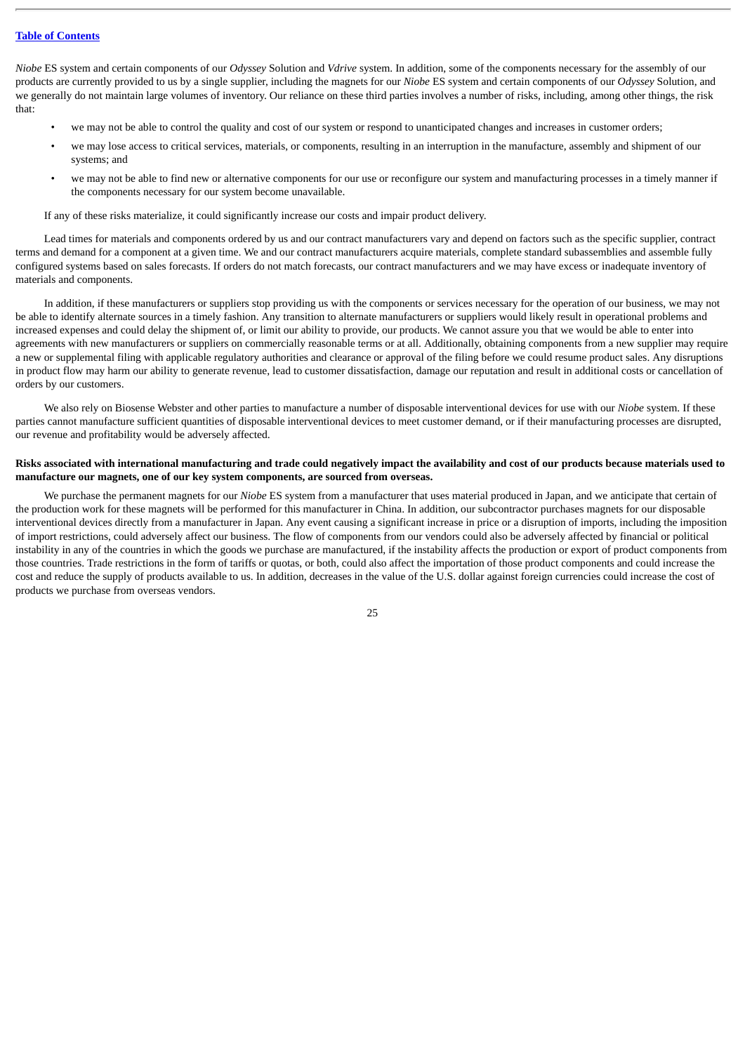*Niobe* ES system and certain components of our *Odyssey* Solution and *Vdrive* system. In addition, some of the components necessary for the assembly of our products are currently provided to us by a single supplier, including the magnets for our *Niobe* ES system and certain components of our *Odyssey* Solution, and we generally do not maintain large volumes of inventory. Our reliance on these third parties involves a number of risks, including, among other things, the risk that:

- we may not be able to control the quality and cost of our system or respond to unanticipated changes and increases in customer orders;
- we may lose access to critical services, materials, or components, resulting in an interruption in the manufacture, assembly and shipment of our systems; and
- we may not be able to find new or alternative components for our use or reconfigure our system and manufacturing processes in a timely manner if the components necessary for our system become unavailable.

If any of these risks materialize, it could significantly increase our costs and impair product delivery.

Lead times for materials and components ordered by us and our contract manufacturers vary and depend on factors such as the specific supplier, contract terms and demand for a component at a given time. We and our contract manufacturers acquire materials, complete standard subassemblies and assemble fully configured systems based on sales forecasts. If orders do not match forecasts, our contract manufacturers and we may have excess or inadequate inventory of materials and components.

In addition, if these manufacturers or suppliers stop providing us with the components or services necessary for the operation of our business, we may not be able to identify alternate sources in a timely fashion. Any transition to alternate manufacturers or suppliers would likely result in operational problems and increased expenses and could delay the shipment of, or limit our ability to provide, our products. We cannot assure you that we would be able to enter into agreements with new manufacturers or suppliers on commercially reasonable terms or at all. Additionally, obtaining components from a new supplier may require a new or supplemental filing with applicable regulatory authorities and clearance or approval of the filing before we could resume product sales. Any disruptions in product flow may harm our ability to generate revenue, lead to customer dissatisfaction, damage our reputation and result in additional costs or cancellation of orders by our customers.

We also rely on Biosense Webster and other parties to manufacture a number of disposable interventional devices for use with our *Niobe* system. If these parties cannot manufacture sufficient quantities of disposable interventional devices to meet customer demand, or if their manufacturing processes are disrupted, our revenue and profitability would be adversely affected.

#### **Risks associated with international manufacturing and trade could negatively impact the availability and cost of our products because materials used to manufacture our magnets, one of our key system components, are sourced from overseas.**

We purchase the permanent magnets for our *Niobe* ES system from a manufacturer that uses material produced in Japan, and we anticipate that certain of the production work for these magnets will be performed for this manufacturer in China. In addition, our subcontractor purchases magnets for our disposable interventional devices directly from a manufacturer in Japan. Any event causing a significant increase in price or a disruption of imports, including the imposition of import restrictions, could adversely affect our business. The flow of components from our vendors could also be adversely affected by financial or political instability in any of the countries in which the goods we purchase are manufactured, if the instability affects the production or export of product components from those countries. Trade restrictions in the form of tariffs or quotas, or both, could also affect the importation of those product components and could increase the cost and reduce the supply of products available to us. In addition, decreases in the value of the U.S. dollar against foreign currencies could increase the cost of products we purchase from overseas vendors.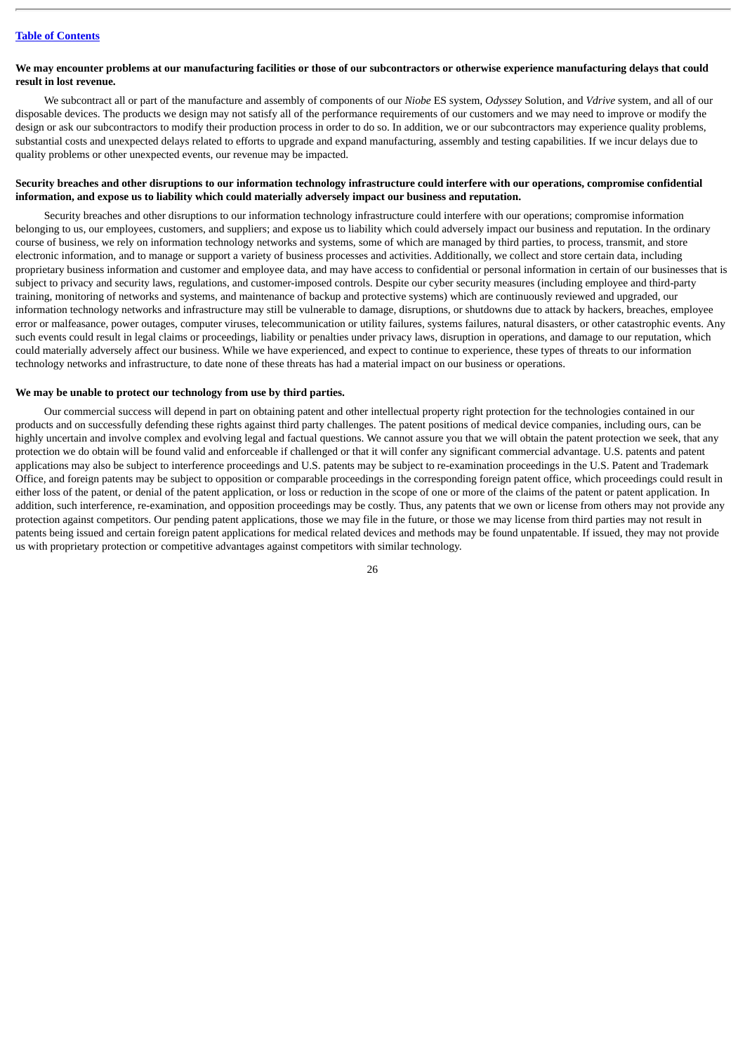#### **We may encounter problems at our manufacturing facilities or those of our subcontractors or otherwise experience manufacturing delays that could result in lost revenue.**

We subcontract all or part of the manufacture and assembly of components of our *Niobe* ES system*, Odyssey* Solution, and *Vdrive* system, and all of our disposable devices. The products we design may not satisfy all of the performance requirements of our customers and we may need to improve or modify the design or ask our subcontractors to modify their production process in order to do so. In addition, we or our subcontractors may experience quality problems, substantial costs and unexpected delays related to efforts to upgrade and expand manufacturing, assembly and testing capabilities. If we incur delays due to quality problems or other unexpected events, our revenue may be impacted.

#### **Security breaches and other disruptions to our information technology infrastructure could interfere with our operations, compromise confidential information, and expose us to liability which could materially adversely impact our business and reputation.**

Security breaches and other disruptions to our information technology infrastructure could interfere with our operations; compromise information belonging to us, our employees, customers, and suppliers; and expose us to liability which could adversely impact our business and reputation. In the ordinary course of business, we rely on information technology networks and systems, some of which are managed by third parties, to process, transmit, and store electronic information, and to manage or support a variety of business processes and activities. Additionally, we collect and store certain data, including proprietary business information and customer and employee data, and may have access to confidential or personal information in certain of our businesses that is subject to privacy and security laws, regulations, and customer-imposed controls. Despite our cyber security measures (including employee and third-party training, monitoring of networks and systems, and maintenance of backup and protective systems) which are continuously reviewed and upgraded, our information technology networks and infrastructure may still be vulnerable to damage, disruptions, or shutdowns due to attack by hackers, breaches, employee error or malfeasance, power outages, computer viruses, telecommunication or utility failures, systems failures, natural disasters, or other catastrophic events. Any such events could result in legal claims or proceedings, liability or penalties under privacy laws, disruption in operations, and damage to our reputation, which could materially adversely affect our business. While we have experienced, and expect to continue to experience, these types of threats to our information technology networks and infrastructure, to date none of these threats has had a material impact on our business or operations.

#### **We may be unable to protect our technology from use by third parties.**

Our commercial success will depend in part on obtaining patent and other intellectual property right protection for the technologies contained in our products and on successfully defending these rights against third party challenges. The patent positions of medical device companies, including ours, can be highly uncertain and involve complex and evolving legal and factual questions. We cannot assure you that we will obtain the patent protection we seek, that any protection we do obtain will be found valid and enforceable if challenged or that it will confer any significant commercial advantage. U.S. patents and patent applications may also be subject to interference proceedings and U.S. patents may be subject to re-examination proceedings in the U.S. Patent and Trademark Office, and foreign patents may be subject to opposition or comparable proceedings in the corresponding foreign patent office, which proceedings could result in either loss of the patent, or denial of the patent application, or loss or reduction in the scope of one or more of the claims of the patent or patent application. In addition, such interference, re-examination, and opposition proceedings may be costly. Thus, any patents that we own or license from others may not provide any protection against competitors. Our pending patent applications, those we may file in the future, or those we may license from third parties may not result in patents being issued and certain foreign patent applications for medical related devices and methods may be found unpatentable. If issued, they may not provide us with proprietary protection or competitive advantages against competitors with similar technology.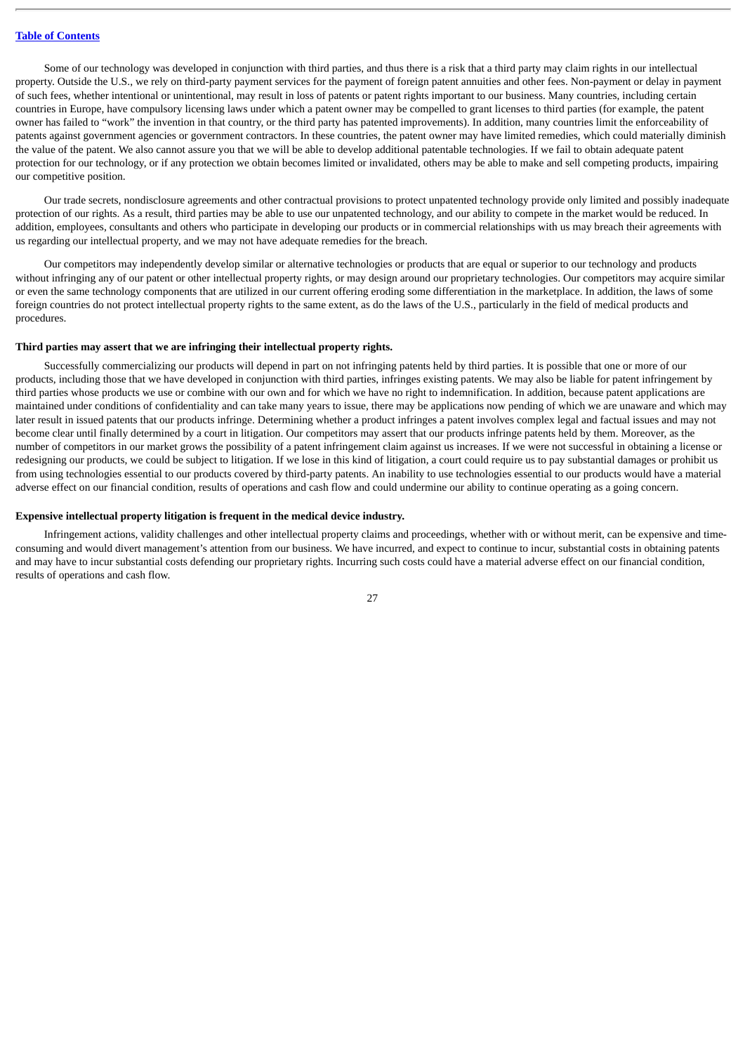Some of our technology was developed in conjunction with third parties, and thus there is a risk that a third party may claim rights in our intellectual property. Outside the U.S., we rely on third-party payment services for the payment of foreign patent annuities and other fees. Non-payment or delay in payment of such fees, whether intentional or unintentional, may result in loss of patents or patent rights important to our business. Many countries, including certain countries in Europe, have compulsory licensing laws under which a patent owner may be compelled to grant licenses to third parties (for example, the patent owner has failed to "work" the invention in that country, or the third party has patented improvements). In addition, many countries limit the enforceability of patents against government agencies or government contractors. In these countries, the patent owner may have limited remedies, which could materially diminish the value of the patent. We also cannot assure you that we will be able to develop additional patentable technologies. If we fail to obtain adequate patent protection for our technology, or if any protection we obtain becomes limited or invalidated, others may be able to make and sell competing products, impairing our competitive position.

Our trade secrets, nondisclosure agreements and other contractual provisions to protect unpatented technology provide only limited and possibly inadequate protection of our rights. As a result, third parties may be able to use our unpatented technology, and our ability to compete in the market would be reduced. In addition, employees, consultants and others who participate in developing our products or in commercial relationships with us may breach their agreements with us regarding our intellectual property, and we may not have adequate remedies for the breach.

Our competitors may independently develop similar or alternative technologies or products that are equal or superior to our technology and products without infringing any of our patent or other intellectual property rights, or may design around our proprietary technologies. Our competitors may acquire similar or even the same technology components that are utilized in our current offering eroding some differentiation in the marketplace. In addition, the laws of some foreign countries do not protect intellectual property rights to the same extent, as do the laws of the U.S., particularly in the field of medical products and procedures.

#### **Third parties may assert that we are infringing their intellectual property rights.**

Successfully commercializing our products will depend in part on not infringing patents held by third parties. It is possible that one or more of our products, including those that we have developed in conjunction with third parties, infringes existing patents. We may also be liable for patent infringement by third parties whose products we use or combine with our own and for which we have no right to indemnification. In addition, because patent applications are maintained under conditions of confidentiality and can take many years to issue, there may be applications now pending of which we are unaware and which may later result in issued patents that our products infringe. Determining whether a product infringes a patent involves complex legal and factual issues and may not become clear until finally determined by a court in litigation. Our competitors may assert that our products infringe patents held by them. Moreover, as the number of competitors in our market grows the possibility of a patent infringement claim against us increases. If we were not successful in obtaining a license or redesigning our products, we could be subject to litigation. If we lose in this kind of litigation, a court could require us to pay substantial damages or prohibit us from using technologies essential to our products covered by third-party patents. An inability to use technologies essential to our products would have a material adverse effect on our financial condition, results of operations and cash flow and could undermine our ability to continue operating as a going concern.

#### **Expensive intellectual property litigation is frequent in the medical device industry.**

Infringement actions, validity challenges and other intellectual property claims and proceedings, whether with or without merit, can be expensive and timeconsuming and would divert management's attention from our business. We have incurred, and expect to continue to incur, substantial costs in obtaining patents and may have to incur substantial costs defending our proprietary rights. Incurring such costs could have a material adverse effect on our financial condition, results of operations and cash flow.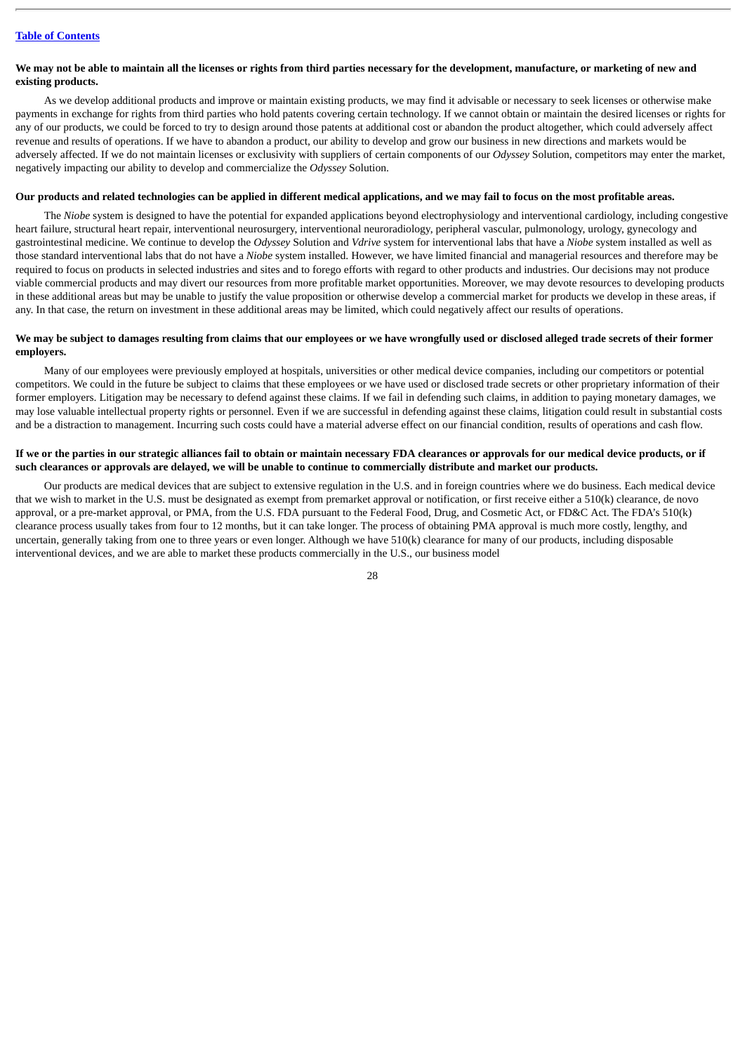#### **We may not be able to maintain all the licenses or rights from third parties necessary for the development, manufacture, or marketing of new and existing products.**

As we develop additional products and improve or maintain existing products, we may find it advisable or necessary to seek licenses or otherwise make payments in exchange for rights from third parties who hold patents covering certain technology. If we cannot obtain or maintain the desired licenses or rights for any of our products, we could be forced to try to design around those patents at additional cost or abandon the product altogether, which could adversely affect revenue and results of operations. If we have to abandon a product, our ability to develop and grow our business in new directions and markets would be adversely affected. If we do not maintain licenses or exclusivity with suppliers of certain components of our *Odyssey* Solution, competitors may enter the market, negatively impacting our ability to develop and commercialize the *Odyssey* Solution.

#### **Our products and related technologies can be applied in different medical applications, and we may fail to focus on the most profitable areas.**

The *Niobe* system is designed to have the potential for expanded applications beyond electrophysiology and interventional cardiology, including congestive heart failure, structural heart repair, interventional neurosurgery, interventional neuroradiology, peripheral vascular, pulmonology, urology, gynecology and gastrointestinal medicine. We continue to develop the *Odyssey* Solution and *Vdrive* system for interventional labs that have a *Niobe* system installed as well as those standard interventional labs that do not have a *Niobe* system installed. However, we have limited financial and managerial resources and therefore may be required to focus on products in selected industries and sites and to forego efforts with regard to other products and industries. Our decisions may not produce viable commercial products and may divert our resources from more profitable market opportunities. Moreover, we may devote resources to developing products in these additional areas but may be unable to justify the value proposition or otherwise develop a commercial market for products we develop in these areas, if any. In that case, the return on investment in these additional areas may be limited, which could negatively affect our results of operations.

#### **We may be subject to damages resulting from claims that our employees or we have wrongfully used or disclosed alleged trade secrets of their former employers.**

Many of our employees were previously employed at hospitals, universities or other medical device companies, including our competitors or potential competitors. We could in the future be subject to claims that these employees or we have used or disclosed trade secrets or other proprietary information of their former employers. Litigation may be necessary to defend against these claims. If we fail in defending such claims, in addition to paying monetary damages, we may lose valuable intellectual property rights or personnel. Even if we are successful in defending against these claims, litigation could result in substantial costs and be a distraction to management. Incurring such costs could have a material adverse effect on our financial condition, results of operations and cash flow.

#### **If we or the parties in our strategic alliances fail to obtain or maintain necessary FDA clearances or approvals for our medical device products, or if such clearances or approvals are delayed, we will be unable to continue to commercially distribute and market our products.**

Our products are medical devices that are subject to extensive regulation in the U.S. and in foreign countries where we do business. Each medical device that we wish to market in the U.S. must be designated as exempt from premarket approval or notification, or first receive either a 510(k) clearance, de novo approval, or a pre-market approval, or PMA, from the U.S. FDA pursuant to the Federal Food, Drug, and Cosmetic Act, or FD&C Act. The FDA's 510(k) clearance process usually takes from four to 12 months, but it can take longer. The process of obtaining PMA approval is much more costly, lengthy, and uncertain, generally taking from one to three years or even longer. Although we have 510(k) clearance for many of our products, including disposable interventional devices, and we are able to market these products commercially in the U.S., our business model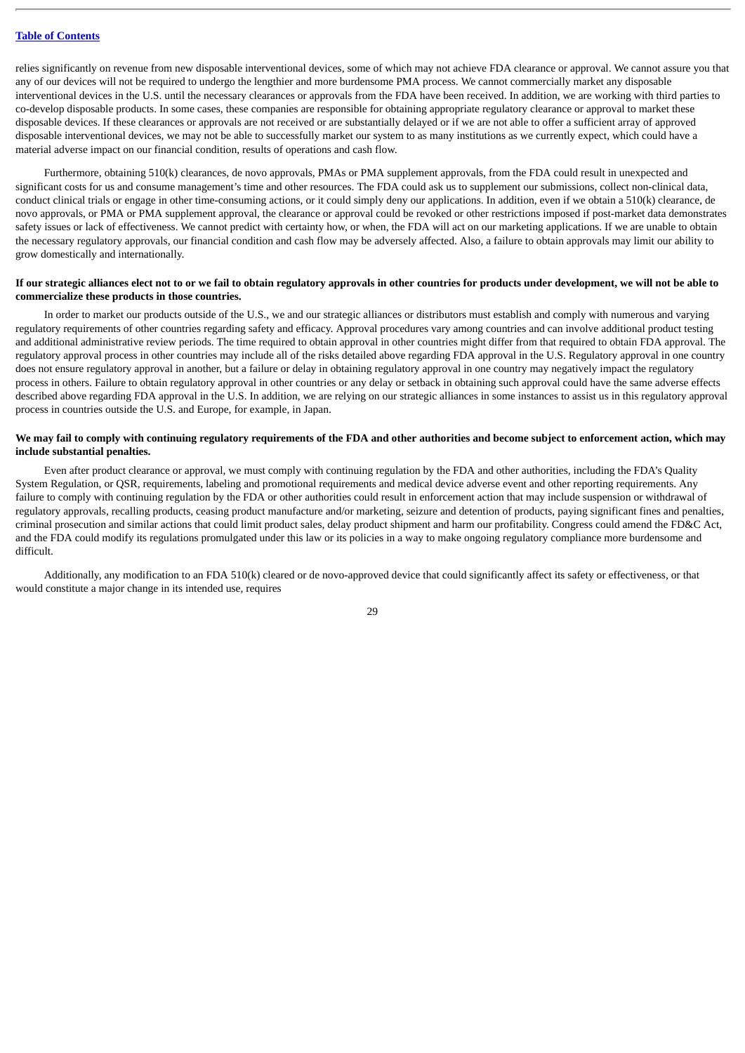relies significantly on revenue from new disposable interventional devices, some of which may not achieve FDA clearance or approval. We cannot assure you that any of our devices will not be required to undergo the lengthier and more burdensome PMA process. We cannot commercially market any disposable interventional devices in the U.S. until the necessary clearances or approvals from the FDA have been received. In addition, we are working with third parties to co-develop disposable products. In some cases, these companies are responsible for obtaining appropriate regulatory clearance or approval to market these disposable devices. If these clearances or approvals are not received or are substantially delayed or if we are not able to offer a sufficient array of approved disposable interventional devices, we may not be able to successfully market our system to as many institutions as we currently expect, which could have a material adverse impact on our financial condition, results of operations and cash flow.

Furthermore, obtaining 510(k) clearances, de novo approvals, PMAs or PMA supplement approvals, from the FDA could result in unexpected and significant costs for us and consume management's time and other resources. The FDA could ask us to supplement our submissions, collect non-clinical data, conduct clinical trials or engage in other time-consuming actions, or it could simply deny our applications. In addition, even if we obtain a 510(k) clearance, de novo approvals, or PMA or PMA supplement approval, the clearance or approval could be revoked or other restrictions imposed if post-market data demonstrates safety issues or lack of effectiveness. We cannot predict with certainty how, or when, the FDA will act on our marketing applications. If we are unable to obtain the necessary regulatory approvals, our financial condition and cash flow may be adversely affected. Also, a failure to obtain approvals may limit our ability to grow domestically and internationally.

#### **If our strategic alliances elect not to or we fail to obtain regulatory approvals in other countries for products under development, we will not be able to commercialize these products in those countries.**

In order to market our products outside of the U.S., we and our strategic alliances or distributors must establish and comply with numerous and varying regulatory requirements of other countries regarding safety and efficacy. Approval procedures vary among countries and can involve additional product testing and additional administrative review periods. The time required to obtain approval in other countries might differ from that required to obtain FDA approval. The regulatory approval process in other countries may include all of the risks detailed above regarding FDA approval in the U.S. Regulatory approval in one country does not ensure regulatory approval in another, but a failure or delay in obtaining regulatory approval in one country may negatively impact the regulatory process in others. Failure to obtain regulatory approval in other countries or any delay or setback in obtaining such approval could have the same adverse effects described above regarding FDA approval in the U.S. In addition, we are relying on our strategic alliances in some instances to assist us in this regulatory approval process in countries outside the U.S. and Europe, for example, in Japan.

#### **We may fail to comply with continuing regulatory requirements of the FDA and other authorities and become subject to enforcement action, which may include substantial penalties.**

Even after product clearance or approval, we must comply with continuing regulation by the FDA and other authorities, including the FDA's Quality System Regulation, or QSR, requirements, labeling and promotional requirements and medical device adverse event and other reporting requirements. Any failure to comply with continuing regulation by the FDA or other authorities could result in enforcement action that may include suspension or withdrawal of regulatory approvals, recalling products, ceasing product manufacture and/or marketing, seizure and detention of products, paying significant fines and penalties, criminal prosecution and similar actions that could limit product sales, delay product shipment and harm our profitability. Congress could amend the FD&C Act, and the FDA could modify its regulations promulgated under this law or its policies in a way to make ongoing regulatory compliance more burdensome and difficult.

Additionally, any modification to an FDA 510(k) cleared or de novo-approved device that could significantly affect its safety or effectiveness, or that would constitute a major change in its intended use, requires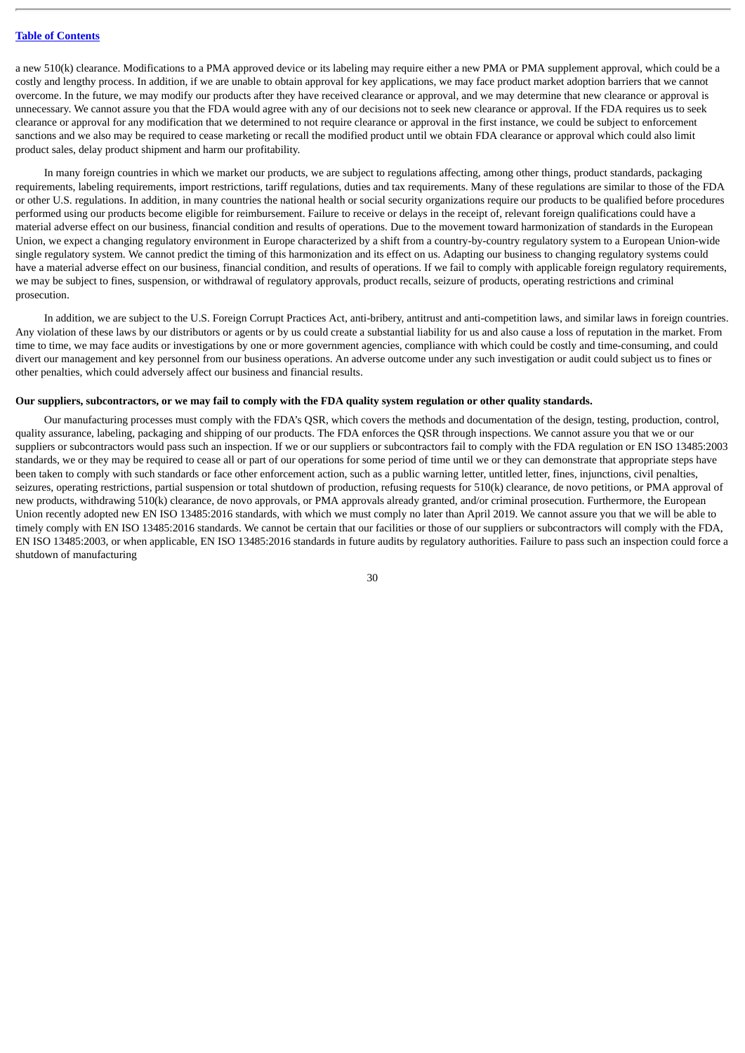a new 510(k) clearance. Modifications to a PMA approved device or its labeling may require either a new PMA or PMA supplement approval, which could be a costly and lengthy process. In addition, if we are unable to obtain approval for key applications, we may face product market adoption barriers that we cannot overcome. In the future, we may modify our products after they have received clearance or approval, and we may determine that new clearance or approval is unnecessary. We cannot assure you that the FDA would agree with any of our decisions not to seek new clearance or approval. If the FDA requires us to seek clearance or approval for any modification that we determined to not require clearance or approval in the first instance, we could be subject to enforcement sanctions and we also may be required to cease marketing or recall the modified product until we obtain FDA clearance or approval which could also limit product sales, delay product shipment and harm our profitability.

In many foreign countries in which we market our products, we are subject to regulations affecting, among other things, product standards, packaging requirements, labeling requirements, import restrictions, tariff regulations, duties and tax requirements. Many of these regulations are similar to those of the FDA or other U.S. regulations. In addition, in many countries the national health or social security organizations require our products to be qualified before procedures performed using our products become eligible for reimbursement. Failure to receive or delays in the receipt of, relevant foreign qualifications could have a material adverse effect on our business, financial condition and results of operations. Due to the movement toward harmonization of standards in the European Union, we expect a changing regulatory environment in Europe characterized by a shift from a country-by-country regulatory system to a European Union-wide single regulatory system. We cannot predict the timing of this harmonization and its effect on us. Adapting our business to changing regulatory systems could have a material adverse effect on our business, financial condition, and results of operations. If we fail to comply with applicable foreign regulatory requirements, we may be subject to fines, suspension, or withdrawal of regulatory approvals, product recalls, seizure of products, operating restrictions and criminal prosecution.

In addition, we are subject to the U.S. Foreign Corrupt Practices Act, anti-bribery, antitrust and anti-competition laws, and similar laws in foreign countries. Any violation of these laws by our distributors or agents or by us could create a substantial liability for us and also cause a loss of reputation in the market. From time to time, we may face audits or investigations by one or more government agencies, compliance with which could be costly and time-consuming, and could divert our management and key personnel from our business operations. An adverse outcome under any such investigation or audit could subject us to fines or other penalties, which could adversely affect our business and financial results.

#### **Our suppliers, subcontractors, or we may fail to comply with the FDA quality system regulation or other quality standards.**

Our manufacturing processes must comply with the FDA's QSR, which covers the methods and documentation of the design, testing, production, control, quality assurance, labeling, packaging and shipping of our products. The FDA enforces the QSR through inspections. We cannot assure you that we or our suppliers or subcontractors would pass such an inspection. If we or our suppliers or subcontractors fail to comply with the FDA regulation or EN ISO 13485:2003 standards, we or they may be required to cease all or part of our operations for some period of time until we or they can demonstrate that appropriate steps have been taken to comply with such standards or face other enforcement action, such as a public warning letter, untitled letter, fines, injunctions, civil penalties, seizures, operating restrictions, partial suspension or total shutdown of production, refusing requests for 510(k) clearance, de novo petitions, or PMA approval of new products, withdrawing 510(k) clearance, de novo approvals, or PMA approvals already granted, and/or criminal prosecution. Furthermore, the European Union recently adopted new EN ISO 13485:2016 standards, with which we must comply no later than April 2019. We cannot assure you that we will be able to timely comply with EN ISO 13485:2016 standards. We cannot be certain that our facilities or those of our suppliers or subcontractors will comply with the FDA, EN ISO 13485:2003, or when applicable, EN ISO 13485:2016 standards in future audits by regulatory authorities. Failure to pass such an inspection could force a shutdown of manufacturing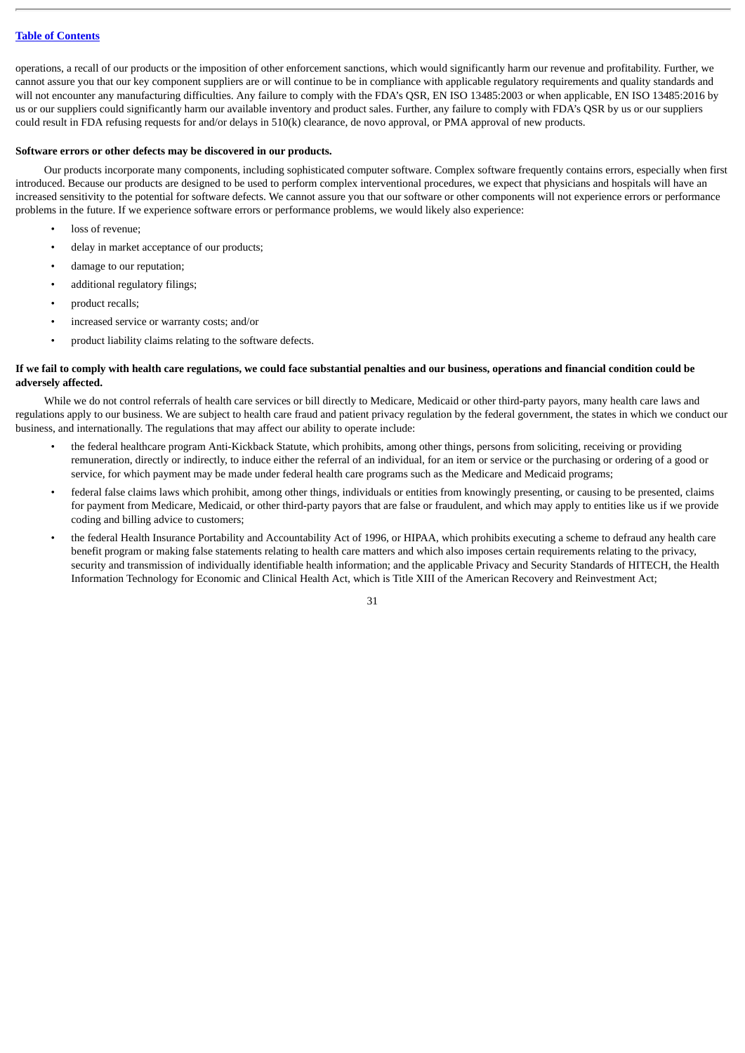operations, a recall of our products or the imposition of other enforcement sanctions, which would significantly harm our revenue and profitability. Further, we cannot assure you that our key component suppliers are or will continue to be in compliance with applicable regulatory requirements and quality standards and will not encounter any manufacturing difficulties. Any failure to comply with the FDA's QSR, EN ISO 13485:2003 or when applicable, EN ISO 13485:2016 by us or our suppliers could significantly harm our available inventory and product sales. Further, any failure to comply with FDA's QSR by us or our suppliers could result in FDA refusing requests for and/or delays in 510(k) clearance, de novo approval, or PMA approval of new products.

#### **Software errors or other defects may be discovered in our products.**

Our products incorporate many components, including sophisticated computer software. Complex software frequently contains errors, especially when first introduced. Because our products are designed to be used to perform complex interventional procedures, we expect that physicians and hospitals will have an increased sensitivity to the potential for software defects. We cannot assure you that our software or other components will not experience errors or performance problems in the future. If we experience software errors or performance problems, we would likely also experience:

- loss of revenue:
- delay in market acceptance of our products;
- damage to our reputation;
- additional regulatory filings;
- product recalls;
- increased service or warranty costs; and/or
- product liability claims relating to the software defects.

#### **If we fail to comply with health care regulations, we could face substantial penalties and our business, operations and financial condition could be adversely affected.**

While we do not control referrals of health care services or bill directly to Medicare, Medicaid or other third-party payors, many health care laws and regulations apply to our business. We are subject to health care fraud and patient privacy regulation by the federal government, the states in which we conduct our business, and internationally. The regulations that may affect our ability to operate include:

- the federal healthcare program Anti-Kickback Statute, which prohibits, among other things, persons from soliciting, receiving or providing remuneration, directly or indirectly, to induce either the referral of an individual, for an item or service or the purchasing or ordering of a good or service, for which payment may be made under federal health care programs such as the Medicare and Medicaid programs;
- federal false claims laws which prohibit, among other things, individuals or entities from knowingly presenting, or causing to be presented, claims for payment from Medicare, Medicaid, or other third-party payors that are false or fraudulent, and which may apply to entities like us if we provide coding and billing advice to customers;
- the federal Health Insurance Portability and Accountability Act of 1996, or HIPAA, which prohibits executing a scheme to defraud any health care benefit program or making false statements relating to health care matters and which also imposes certain requirements relating to the privacy, security and transmission of individually identifiable health information; and the applicable Privacy and Security Standards of HITECH, the Health Information Technology for Economic and Clinical Health Act, which is Title XIII of the American Recovery and Reinvestment Act;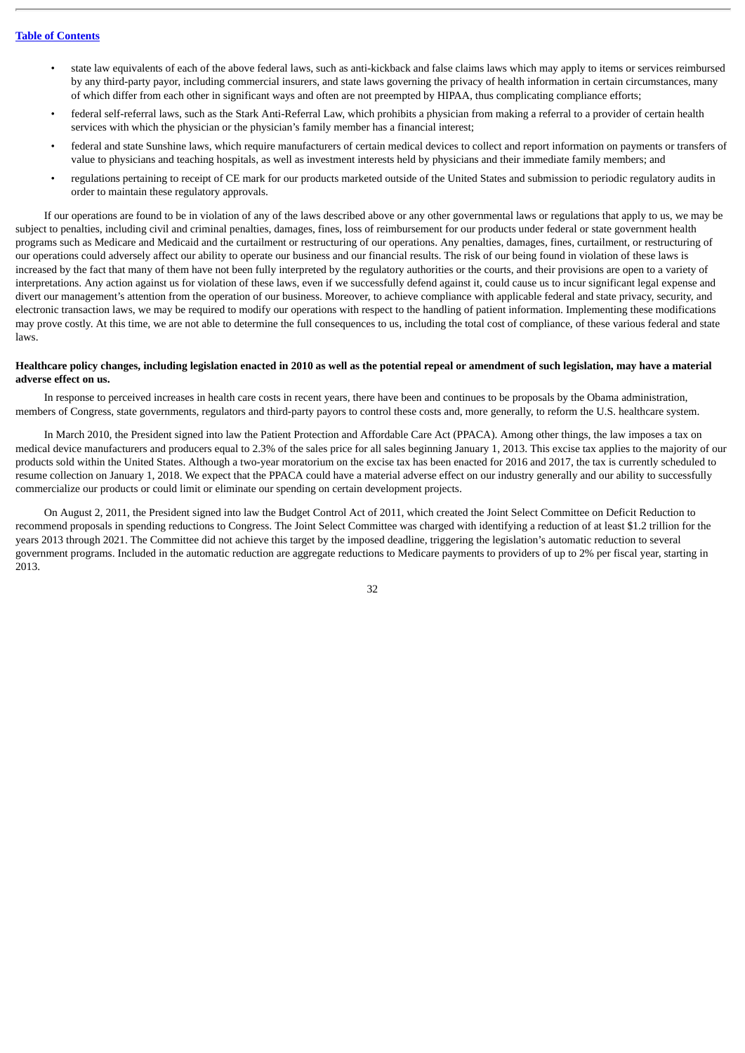- state law equivalents of each of the above federal laws, such as anti-kickback and false claims laws which may apply to items or services reimbursed by any third-party payor, including commercial insurers, and state laws governing the privacy of health information in certain circumstances, many of which differ from each other in significant ways and often are not preempted by HIPAA, thus complicating compliance efforts;
- federal self-referral laws, such as the Stark Anti-Referral Law, which prohibits a physician from making a referral to a provider of certain health services with which the physician or the physician's family member has a financial interest;
- federal and state Sunshine laws, which require manufacturers of certain medical devices to collect and report information on payments or transfers of value to physicians and teaching hospitals, as well as investment interests held by physicians and their immediate family members; and
- regulations pertaining to receipt of CE mark for our products marketed outside of the United States and submission to periodic regulatory audits in order to maintain these regulatory approvals.

If our operations are found to be in violation of any of the laws described above or any other governmental laws or regulations that apply to us, we may be subject to penalties, including civil and criminal penalties, damages, fines, loss of reimbursement for our products under federal or state government health programs such as Medicare and Medicaid and the curtailment or restructuring of our operations. Any penalties, damages, fines, curtailment, or restructuring of our operations could adversely affect our ability to operate our business and our financial results. The risk of our being found in violation of these laws is increased by the fact that many of them have not been fully interpreted by the regulatory authorities or the courts, and their provisions are open to a variety of interpretations. Any action against us for violation of these laws, even if we successfully defend against it, could cause us to incur significant legal expense and divert our management's attention from the operation of our business. Moreover, to achieve compliance with applicable federal and state privacy, security, and electronic transaction laws, we may be required to modify our operations with respect to the handling of patient information. Implementing these modifications may prove costly. At this time, we are not able to determine the full consequences to us, including the total cost of compliance, of these various federal and state laws.

#### **Healthcare policy changes, including legislation enacted in 2010 as well as the potential repeal or amendment of such legislation, may have a material adverse effect on us.**

In response to perceived increases in health care costs in recent years, there have been and continues to be proposals by the Obama administration, members of Congress, state governments, regulators and third-party payors to control these costs and, more generally, to reform the U.S. healthcare system.

In March 2010, the President signed into law the Patient Protection and Affordable Care Act (PPACA). Among other things, the law imposes a tax on medical device manufacturers and producers equal to 2.3% of the sales price for all sales beginning January 1, 2013. This excise tax applies to the majority of our products sold within the United States. Although a two-year moratorium on the excise tax has been enacted for 2016 and 2017, the tax is currently scheduled to resume collection on January 1, 2018. We expect that the PPACA could have a material adverse effect on our industry generally and our ability to successfully commercialize our products or could limit or eliminate our spending on certain development projects.

On August 2, 2011, the President signed into law the Budget Control Act of 2011, which created the Joint Select Committee on Deficit Reduction to recommend proposals in spending reductions to Congress. The Joint Select Committee was charged with identifying a reduction of at least \$1.2 trillion for the years 2013 through 2021. The Committee did not achieve this target by the imposed deadline, triggering the legislation's automatic reduction to several government programs. Included in the automatic reduction are aggregate reductions to Medicare payments to providers of up to 2% per fiscal year, starting in 2013.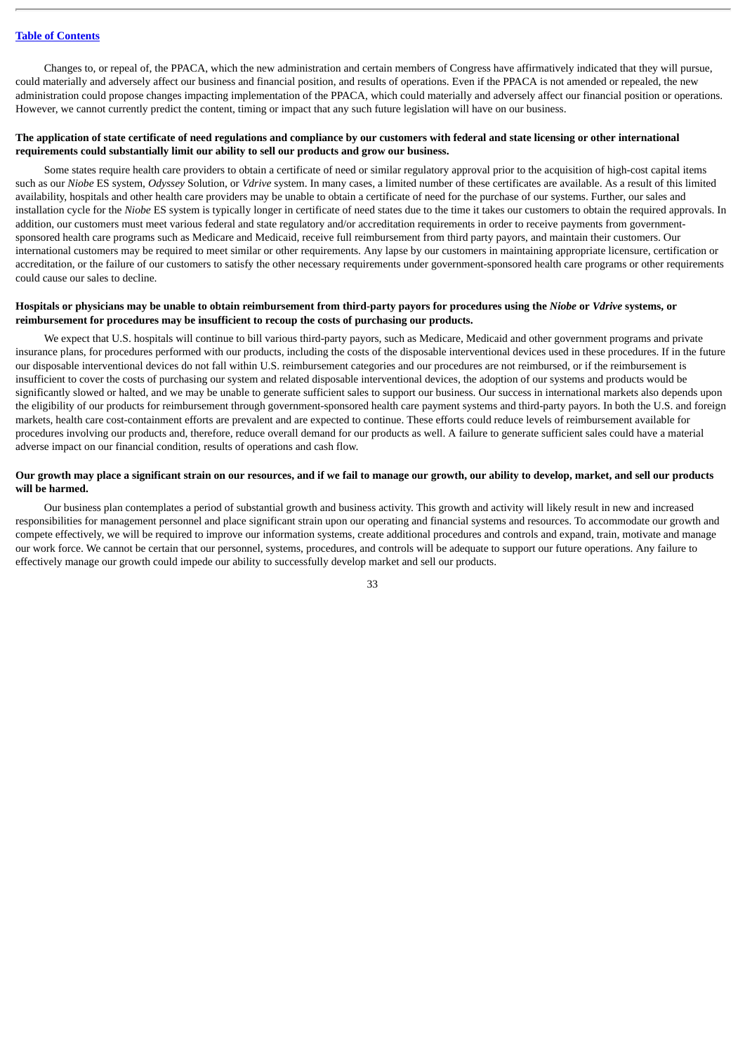Changes to, or repeal of, the PPACA, which the new administration and certain members of Congress have affirmatively indicated that they will pursue, could materially and adversely affect our business and financial position, and results of operations. Even if the PPACA is not amended or repealed, the new administration could propose changes impacting implementation of the PPACA, which could materially and adversely affect our financial position or operations. However, we cannot currently predict the content, timing or impact that any such future legislation will have on our business.

#### **The application of state certificate of need regulations and compliance by our customers with federal and state licensing or other international requirements could substantially limit our ability to sell our products and grow our business.**

Some states require health care providers to obtain a certificate of need or similar regulatory approval prior to the acquisition of high-cost capital items such as our *Niobe* ES system, *Odyssey* Solution, or *Vdrive* system. In many cases, a limited number of these certificates are available. As a result of this limited availability, hospitals and other health care providers may be unable to obtain a certificate of need for the purchase of our systems. Further, our sales and installation cycle for the *Niobe* ES system is typically longer in certificate of need states due to the time it takes our customers to obtain the required approvals. In addition, our customers must meet various federal and state regulatory and/or accreditation requirements in order to receive payments from governmentsponsored health care programs such as Medicare and Medicaid, receive full reimbursement from third party payors, and maintain their customers. Our international customers may be required to meet similar or other requirements. Any lapse by our customers in maintaining appropriate licensure, certification or accreditation, or the failure of our customers to satisfy the other necessary requirements under government-sponsored health care programs or other requirements could cause our sales to decline.

#### **Hospitals or physicians may be unable to obtain reimbursement from third-party payors for procedures using the** *Niobe* **or** *Vdrive* **systems, or reimbursement for procedures may be insufficient to recoup the costs of purchasing our products.**

We expect that U.S. hospitals will continue to bill various third-party payors, such as Medicare, Medicaid and other government programs and private insurance plans, for procedures performed with our products, including the costs of the disposable interventional devices used in these procedures. If in the future our disposable interventional devices do not fall within U.S. reimbursement categories and our procedures are not reimbursed, or if the reimbursement is insufficient to cover the costs of purchasing our system and related disposable interventional devices, the adoption of our systems and products would be significantly slowed or halted, and we may be unable to generate sufficient sales to support our business. Our success in international markets also depends upon the eligibility of our products for reimbursement through government-sponsored health care payment systems and third-party payors. In both the U.S. and foreign markets, health care cost-containment efforts are prevalent and are expected to continue. These efforts could reduce levels of reimbursement available for procedures involving our products and, therefore, reduce overall demand for our products as well. A failure to generate sufficient sales could have a material adverse impact on our financial condition, results of operations and cash flow.

#### **Our growth may place a significant strain on our resources, and if we fail to manage our growth, our ability to develop, market, and sell our products will be harmed.**

Our business plan contemplates a period of substantial growth and business activity. This growth and activity will likely result in new and increased responsibilities for management personnel and place significant strain upon our operating and financial systems and resources. To accommodate our growth and compete effectively, we will be required to improve our information systems, create additional procedures and controls and expand, train, motivate and manage our work force. We cannot be certain that our personnel, systems, procedures, and controls will be adequate to support our future operations. Any failure to effectively manage our growth could impede our ability to successfully develop market and sell our products.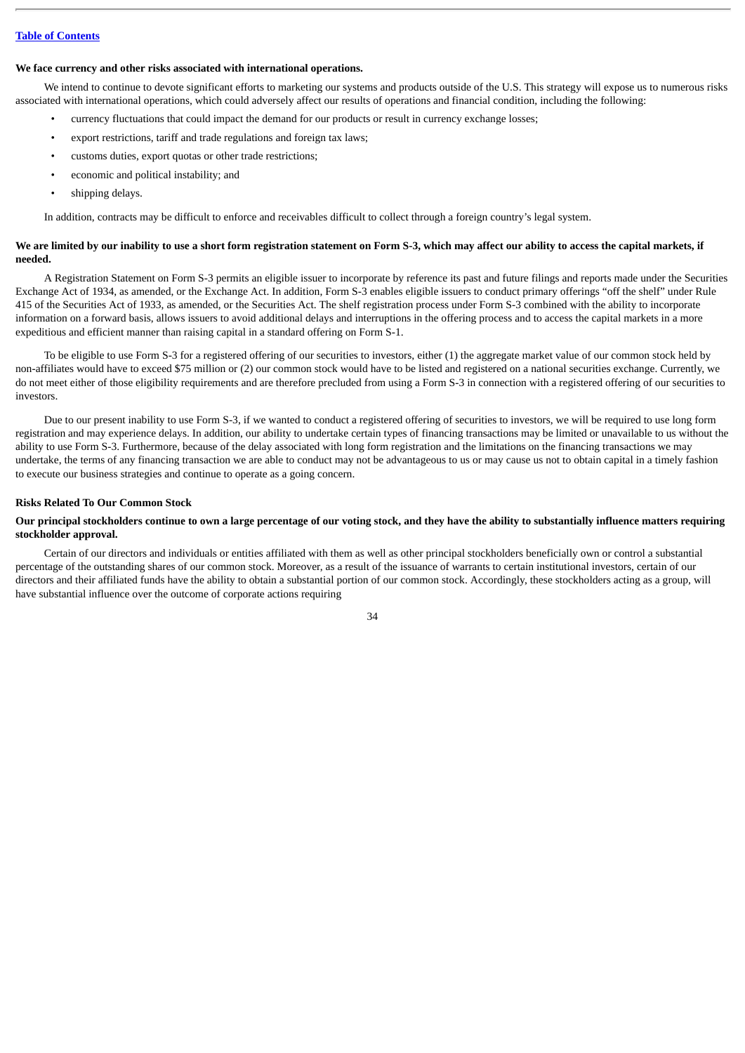#### **We face currency and other risks associated with international operations.**

We intend to continue to devote significant efforts to marketing our systems and products outside of the U.S. This strategy will expose us to numerous risks associated with international operations, which could adversely affect our results of operations and financial condition, including the following:

- currency fluctuations that could impact the demand for our products or result in currency exchange losses;
- export restrictions, tariff and trade regulations and foreign tax laws;
- customs duties, export quotas or other trade restrictions;
- economic and political instability; and
- shipping delays.

In addition, contracts may be difficult to enforce and receivables difficult to collect through a foreign country's legal system.

#### **We are limited by our inability to use a short form registration statement on Form S-3, which may affect our ability to access the capital markets, if needed.**

A Registration Statement on Form S-3 permits an eligible issuer to incorporate by reference its past and future filings and reports made under the Securities Exchange Act of 1934, as amended, or the Exchange Act. In addition, Form S-3 enables eligible issuers to conduct primary offerings "off the shelf" under Rule 415 of the Securities Act of 1933, as amended, or the Securities Act. The shelf registration process under Form S-3 combined with the ability to incorporate information on a forward basis, allows issuers to avoid additional delays and interruptions in the offering process and to access the capital markets in a more expeditious and efficient manner than raising capital in a standard offering on Form S-1.

To be eligible to use Form S-3 for a registered offering of our securities to investors, either (1) the aggregate market value of our common stock held by non-affiliates would have to exceed \$75 million or (2) our common stock would have to be listed and registered on a national securities exchange. Currently, we do not meet either of those eligibility requirements and are therefore precluded from using a Form S-3 in connection with a registered offering of our securities to investors.

Due to our present inability to use Form S-3, if we wanted to conduct a registered offering of securities to investors, we will be required to use long form registration and may experience delays. In addition, our ability to undertake certain types of financing transactions may be limited or unavailable to us without the ability to use Form S-3. Furthermore, because of the delay associated with long form registration and the limitations on the financing transactions we may undertake, the terms of any financing transaction we are able to conduct may not be advantageous to us or may cause us not to obtain capital in a timely fashion to execute our business strategies and continue to operate as a going concern.

#### **Risks Related To Our Common Stock**

#### **Our principal stockholders continue to own a large percentage of our voting stock, and they have the ability to substantially influence matters requiring stockholder approval.**

Certain of our directors and individuals or entities affiliated with them as well as other principal stockholders beneficially own or control a substantial percentage of the outstanding shares of our common stock. Moreover, as a result of the issuance of warrants to certain institutional investors, certain of our directors and their affiliated funds have the ability to obtain a substantial portion of our common stock. Accordingly, these stockholders acting as a group, will have substantial influence over the outcome of corporate actions requiring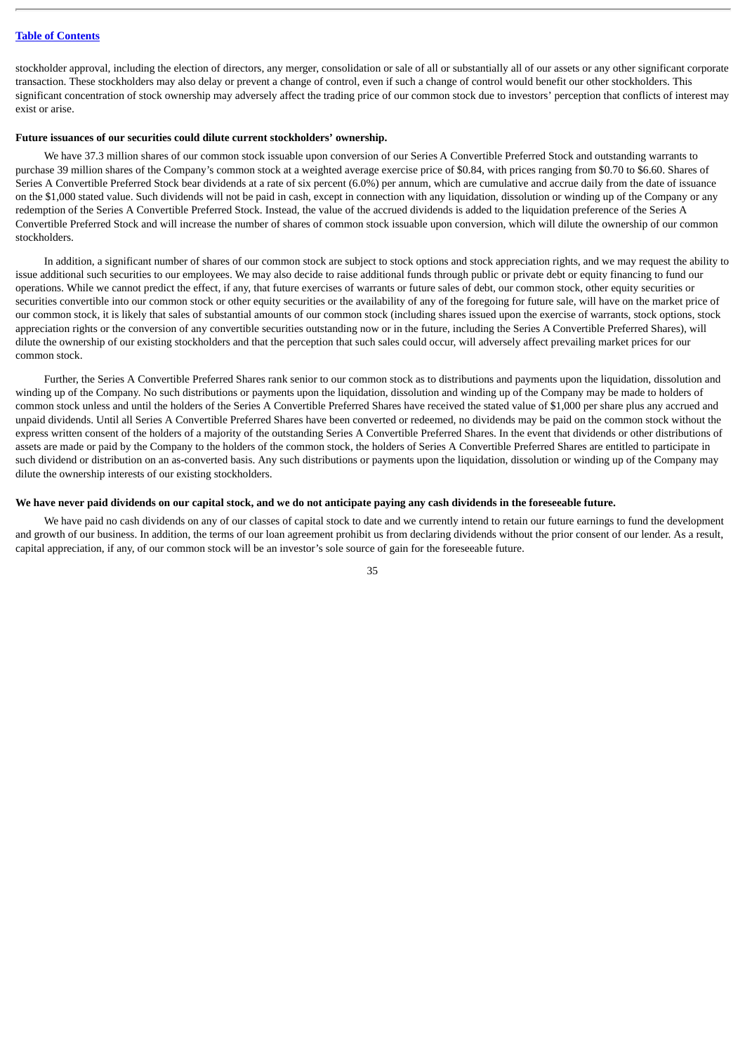stockholder approval, including the election of directors, any merger, consolidation or sale of all or substantially all of our assets or any other significant corporate transaction. These stockholders may also delay or prevent a change of control, even if such a change of control would benefit our other stockholders. This significant concentration of stock ownership may adversely affect the trading price of our common stock due to investors' perception that conflicts of interest may exist or arise.

### **Future issuances of our securities could dilute current stockholders' ownership.**

We have 37.3 million shares of our common stock issuable upon conversion of our Series A Convertible Preferred Stock and outstanding warrants to purchase 39 million shares of the Company's common stock at a weighted average exercise price of \$0.84, with prices ranging from \$0.70 to \$6.60. Shares of Series A Convertible Preferred Stock bear dividends at a rate of six percent (6.0%) per annum, which are cumulative and accrue daily from the date of issuance on the \$1,000 stated value. Such dividends will not be paid in cash, except in connection with any liquidation, dissolution or winding up of the Company or any redemption of the Series A Convertible Preferred Stock. Instead, the value of the accrued dividends is added to the liquidation preference of the Series A Convertible Preferred Stock and will increase the number of shares of common stock issuable upon conversion, which will dilute the ownership of our common stockholders.

In addition, a significant number of shares of our common stock are subject to stock options and stock appreciation rights, and we may request the ability to issue additional such securities to our employees. We may also decide to raise additional funds through public or private debt or equity financing to fund our operations. While we cannot predict the effect, if any, that future exercises of warrants or future sales of debt, our common stock, other equity securities or securities convertible into our common stock or other equity securities or the availability of any of the foregoing for future sale, will have on the market price of our common stock, it is likely that sales of substantial amounts of our common stock (including shares issued upon the exercise of warrants, stock options, stock appreciation rights or the conversion of any convertible securities outstanding now or in the future, including the Series A Convertible Preferred Shares), will dilute the ownership of our existing stockholders and that the perception that such sales could occur, will adversely affect prevailing market prices for our common stock.

Further, the Series A Convertible Preferred Shares rank senior to our common stock as to distributions and payments upon the liquidation, dissolution and winding up of the Company. No such distributions or payments upon the liquidation, dissolution and winding up of the Company may be made to holders of common stock unless and until the holders of the Series A Convertible Preferred Shares have received the stated value of \$1,000 per share plus any accrued and unpaid dividends. Until all Series A Convertible Preferred Shares have been converted or redeemed, no dividends may be paid on the common stock without the express written consent of the holders of a majority of the outstanding Series A Convertible Preferred Shares. In the event that dividends or other distributions of assets are made or paid by the Company to the holders of the common stock, the holders of Series A Convertible Preferred Shares are entitled to participate in such dividend or distribution on an as-converted basis. Any such distributions or payments upon the liquidation, dissolution or winding up of the Company may dilute the ownership interests of our existing stockholders.

### **We have never paid dividends on our capital stock, and we do not anticipate paying any cash dividends in the foreseeable future.**

We have paid no cash dividends on any of our classes of capital stock to date and we currently intend to retain our future earnings to fund the development and growth of our business. In addition, the terms of our loan agreement prohibit us from declaring dividends without the prior consent of our lender. As a result, capital appreciation, if any, of our common stock will be an investor's sole source of gain for the foreseeable future.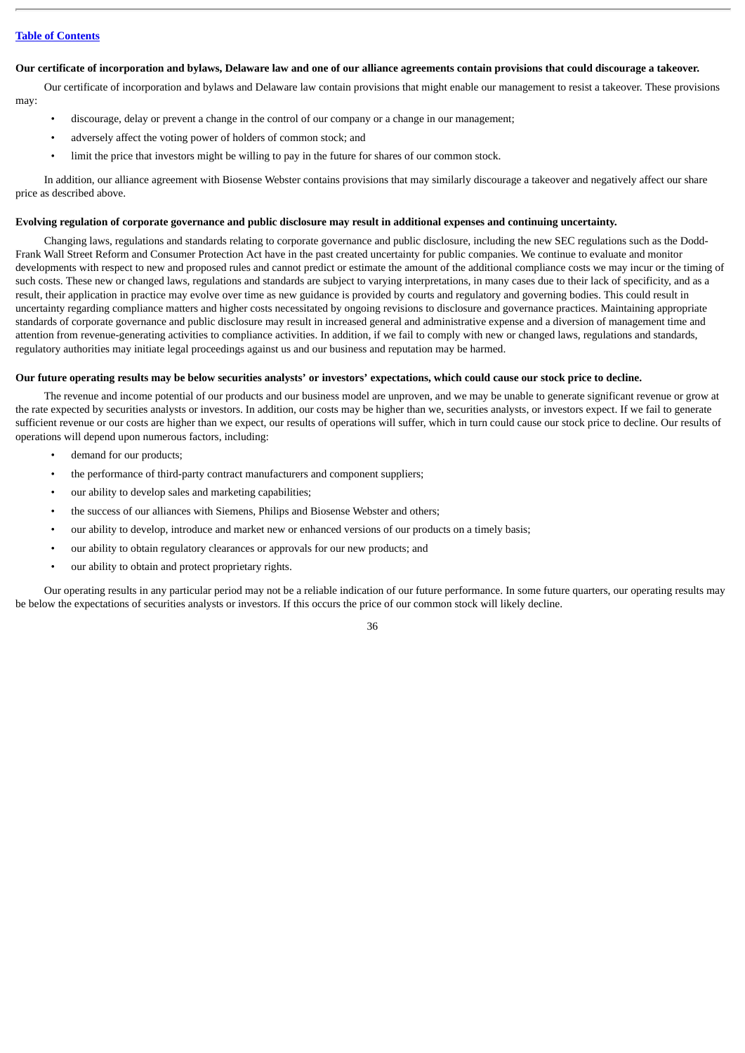### **Our certificate of incorporation and bylaws, Delaware law and one of our alliance agreements contain provisions that could discourage a takeover.**

Our certificate of incorporation and bylaws and Delaware law contain provisions that might enable our management to resist a takeover. These provisions may:

- discourage, delay or prevent a change in the control of our company or a change in our management;
- adversely affect the voting power of holders of common stock; and
- limit the price that investors might be willing to pay in the future for shares of our common stock.

In addition, our alliance agreement with Biosense Webster contains provisions that may similarly discourage a takeover and negatively affect our share price as described above.

#### **Evolving regulation of corporate governance and public disclosure may result in additional expenses and continuing uncertainty.**

Changing laws, regulations and standards relating to corporate governance and public disclosure, including the new SEC regulations such as the Dodd-Frank Wall Street Reform and Consumer Protection Act have in the past created uncertainty for public companies. We continue to evaluate and monitor developments with respect to new and proposed rules and cannot predict or estimate the amount of the additional compliance costs we may incur or the timing of such costs. These new or changed laws, regulations and standards are subject to varying interpretations, in many cases due to their lack of specificity, and as a result, their application in practice may evolve over time as new guidance is provided by courts and regulatory and governing bodies. This could result in uncertainty regarding compliance matters and higher costs necessitated by ongoing revisions to disclosure and governance practices. Maintaining appropriate standards of corporate governance and public disclosure may result in increased general and administrative expense and a diversion of management time and attention from revenue-generating activities to compliance activities. In addition, if we fail to comply with new or changed laws, regulations and standards, regulatory authorities may initiate legal proceedings against us and our business and reputation may be harmed.

### **Our future operating results may be below securities analysts' or investors' expectations, which could cause our stock price to decline.**

The revenue and income potential of our products and our business model are unproven, and we may be unable to generate significant revenue or grow at the rate expected by securities analysts or investors. In addition, our costs may be higher than we, securities analysts, or investors expect. If we fail to generate sufficient revenue or our costs are higher than we expect, our results of operations will suffer, which in turn could cause our stock price to decline. Our results of operations will depend upon numerous factors, including:

- demand for our products;
- the performance of third-party contract manufacturers and component suppliers;
- our ability to develop sales and marketing capabilities;
- the success of our alliances with Siemens, Philips and Biosense Webster and others;
- our ability to develop, introduce and market new or enhanced versions of our products on a timely basis;
- our ability to obtain regulatory clearances or approvals for our new products; and
- our ability to obtain and protect proprietary rights.

Our operating results in any particular period may not be a reliable indication of our future performance. In some future quarters, our operating results may be below the expectations of securities analysts or investors. If this occurs the price of our common stock will likely decline.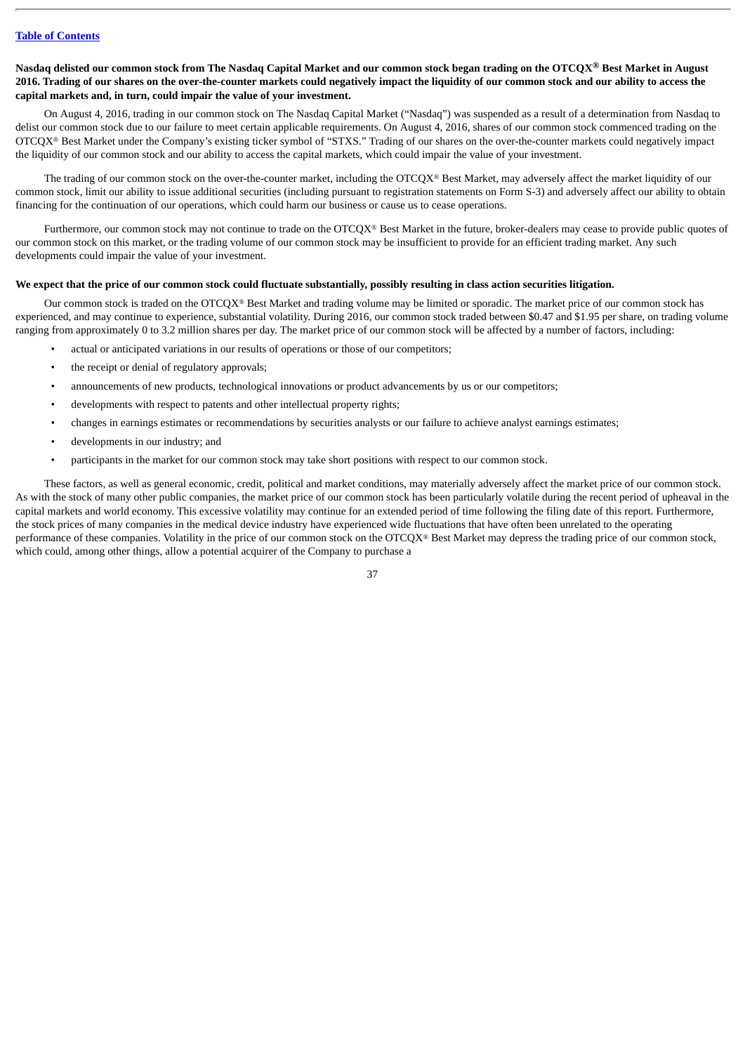Nasdaq delisted our common stock from The Nasdaq Capital Market and our common stock began trading on the OTCQX® Best Market in August **2016. Trading of our shares on the over-the-counter markets could negatively impact the liquidity of our common stock and our ability to access the capital markets and, in turn, could impair the value of your investment.**

On August 4, 2016, trading in our common stock on The Nasdaq Capital Market ("Nasdaq") was suspended as a result of a determination from Nasdaq to delist our common stock due to our failure to meet certain applicable requirements. On August 4, 2016, shares of our common stock commenced trading on the  $\mathrm{OTCQX}^{\otimes}$  Best Market under the Company's existing ticker symbol of "STXS." Trading of our shares on the over-the-counter markets could negatively impact the liquidity of our common stock and our ability to access the capital markets, which could impair the value of your investment.

The trading of our common stock on the over-the-counter market, including the  $\text{OTCQX}^{\otimes}$  Best Market, may adversely affect the market liquidity of our common stock, limit our ability to issue additional securities (including pursuant to registration statements on Form S-3) and adversely affect our ability to obtain financing for the continuation of our operations, which could harm our business or cause us to cease operations.

Furthermore, our common stock may not continue to trade on the OTCQX® Best Market in the future, broker-dealers may cease to provide public quotes of our common stock on this market, or the trading volume of our common stock may be insufficient to provide for an efficient trading market. Any such developments could impair the value of your investment.

# **We expect that the price of our common stock could fluctuate substantially, possibly resulting in class action securities litigation.**

Our common stock is traded on the OTCQX® Best Market and trading volume may be limited or sporadic. The market price of our common stock has experienced, and may continue to experience, substantial volatility. During 2016, our common stock traded between \$0.47 and \$1.95 per share, on trading volume ranging from approximately 0 to 3.2 million shares per day. The market price of our common stock will be affected by a number of factors, including:

- actual or anticipated variations in our results of operations or those of our competitors;
- the receipt or denial of regulatory approvals;
- announcements of new products, technological innovations or product advancements by us or our competitors;
- developments with respect to patents and other intellectual property rights;
- changes in earnings estimates or recommendations by securities analysts or our failure to achieve analyst earnings estimates;
- developments in our industry; and
- participants in the market for our common stock may take short positions with respect to our common stock.

These factors, as well as general economic, credit, political and market conditions, may materially adversely affect the market price of our common stock. As with the stock of many other public companies, the market price of our common stock has been particularly volatile during the recent period of upheaval in the capital markets and world economy. This excessive volatility may continue for an extended period of time following the filing date of this report. Furthermore, the stock prices of many companies in the medical device industry have experienced wide fluctuations that have often been unrelated to the operating performance of these companies. Volatility in the price of our common stock on the OTCQX® Best Market may depress the trading price of our common stock, which could, among other things, allow a potential acquirer of the Company to purchase a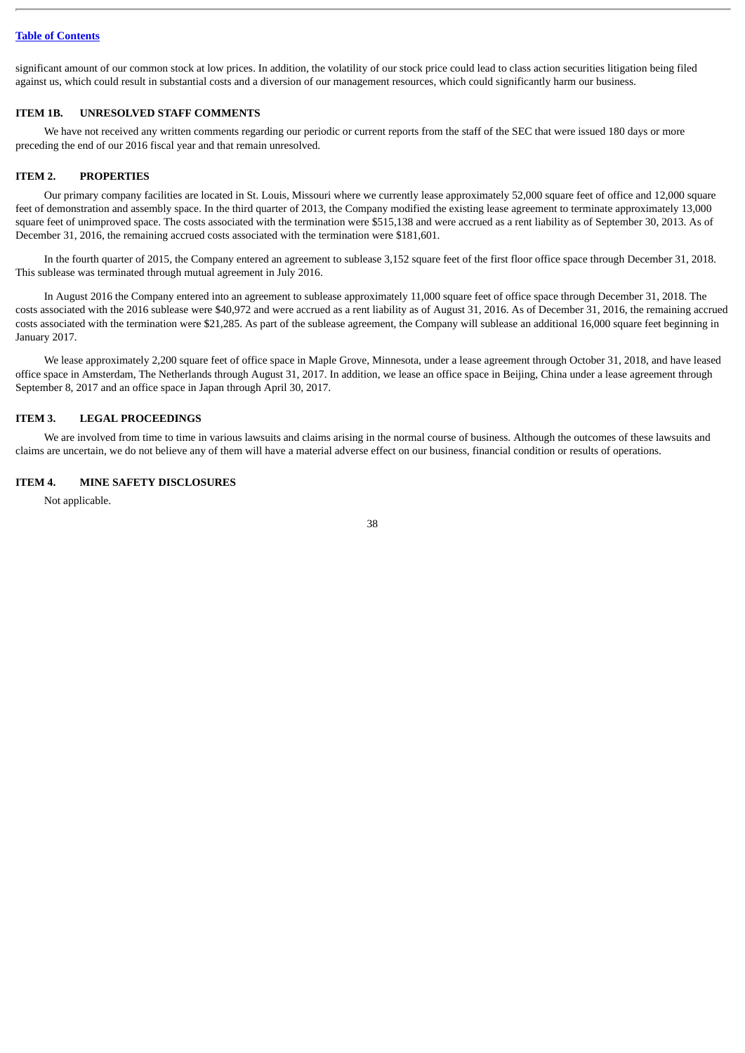significant amount of our common stock at low prices. In addition, the volatility of our stock price could lead to class action securities litigation being filed against us, which could result in substantial costs and a diversion of our management resources, which could significantly harm our business.

# **ITEM 1B. UNRESOLVED STAFF COMMENTS**

We have not received any written comments regarding our periodic or current reports from the staff of the SEC that were issued 180 days or more preceding the end of our 2016 fiscal year and that remain unresolved.

### **ITEM 2. PROPERTIES**

Our primary company facilities are located in St. Louis, Missouri where we currently lease approximately 52,000 square feet of office and 12,000 square feet of demonstration and assembly space. In the third quarter of 2013, the Company modified the existing lease agreement to terminate approximately 13,000 square feet of unimproved space. The costs associated with the termination were \$515,138 and were accrued as a rent liability as of September 30, 2013. As of December 31, 2016, the remaining accrued costs associated with the termination were \$181,601.

In the fourth quarter of 2015, the Company entered an agreement to sublease 3,152 square feet of the first floor office space through December 31, 2018. This sublease was terminated through mutual agreement in July 2016.

In August 2016 the Company entered into an agreement to sublease approximately 11,000 square feet of office space through December 31, 2018. The costs associated with the 2016 sublease were \$40,972 and were accrued as a rent liability as of August 31, 2016. As of December 31, 2016, the remaining accrued costs associated with the termination were \$21,285. As part of the sublease agreement, the Company will sublease an additional 16,000 square feet beginning in January 2017.

We lease approximately 2,200 square feet of office space in Maple Grove, Minnesota, under a lease agreement through October 31, 2018, and have leased office space in Amsterdam, The Netherlands through August 31, 2017. In addition, we lease an office space in Beijing, China under a lease agreement through September 8, 2017 and an office space in Japan through April 30, 2017.

# **ITEM 3. LEGAL PROCEEDINGS**

We are involved from time to time in various lawsuits and claims arising in the normal course of business. Although the outcomes of these lawsuits and claims are uncertain, we do not believe any of them will have a material adverse effect on our business, financial condition or results of operations.

# **ITEM 4. MINE SAFETY DISCLOSURES**

Not applicable.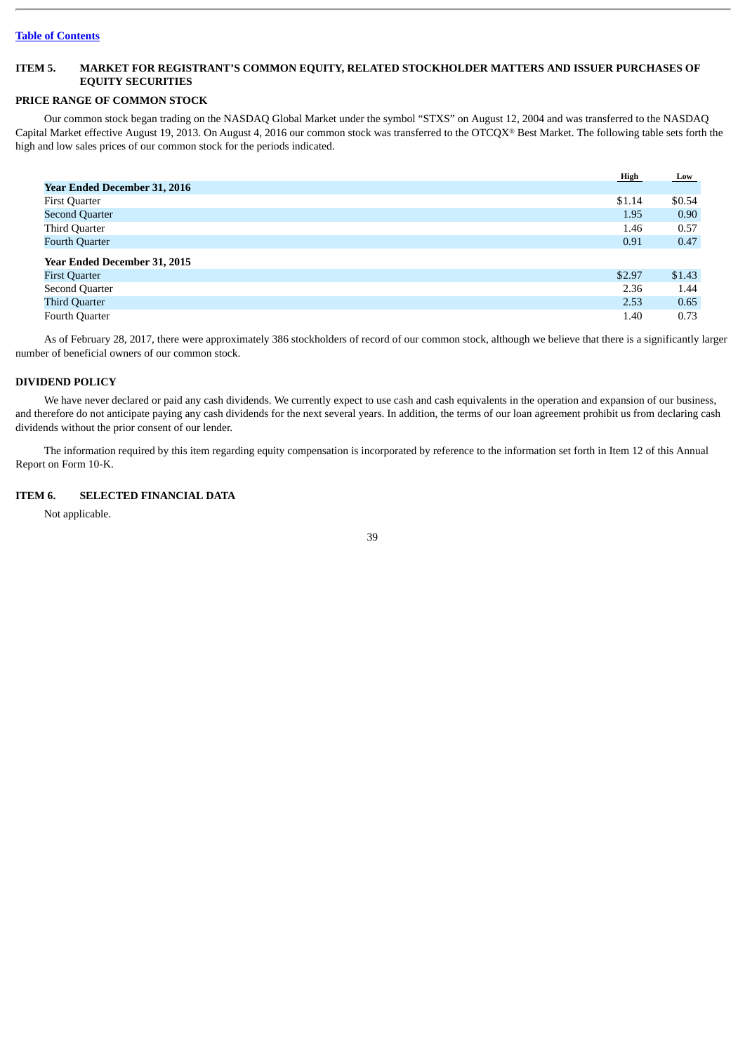# **ITEM 5. MARKET FOR REGISTRANT'S COMMON EQUITY, RELATED STOCKHOLDER MATTERS AND ISSUER PURCHASES OF EQUITY SECURITIES**

# **PRICE RANGE OF COMMON STOCK**

Our common stock began trading on the NASDAQ Global Market under the symbol "STXS" on August 12, 2004 and was transferred to the NASDAQ Capital Market effective August 19, 2013. On August 4, 2016 our common stock was transferred to the OTCQX® Best Market. The following table sets forth the high and low sales prices of our common stock for the periods indicated.

|                                     | High   | Low    |
|-------------------------------------|--------|--------|
| <b>Year Ended December 31, 2016</b> |        |        |
| First Quarter                       | \$1.14 | \$0.54 |
| <b>Second Quarter</b>               | 1.95   | 0.90   |
| Third Quarter                       | 1.46   | 0.57   |
| <b>Fourth Quarter</b>               | 0.91   | 0.47   |
| <b>Year Ended December 31, 2015</b> |        |        |
| <b>First Quarter</b>                | \$2.97 | \$1.43 |
| Second Quarter                      | 2.36   | 1.44   |
| <b>Third Quarter</b>                | 2.53   | 0.65   |
| Fourth Quarter                      | 1.40   | 0.73   |

As of February 28, 2017, there were approximately 386 stockholders of record of our common stock, although we believe that there is a significantly larger number of beneficial owners of our common stock.

# **DIVIDEND POLICY**

We have never declared or paid any cash dividends. We currently expect to use cash and cash equivalents in the operation and expansion of our business, and therefore do not anticipate paying any cash dividends for the next several years. In addition, the terms of our loan agreement prohibit us from declaring cash dividends without the prior consent of our lender.

The information required by this item regarding equity compensation is incorporated by reference to the information set forth in Item 12 of this Annual Report on Form 10-K.

# **ITEM 6. SELECTED FINANCIAL DATA**

Not applicable.

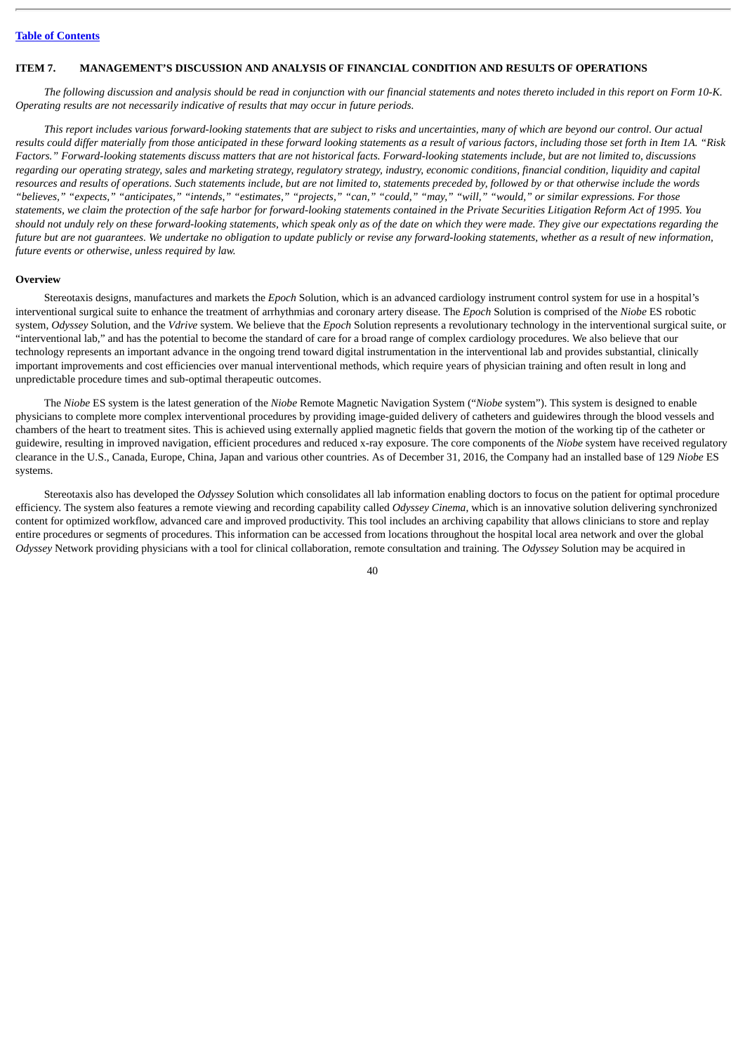# **ITEM 7. MANAGEMENT'S DISCUSSION AND ANALYSIS OF FINANCIAL CONDITION AND RESULTS OF OPERATIONS**

*The following discussion and analysis should be read in conjunction with our financial statements and notes thereto included in this report on Form 10-K. Operating results are not necessarily indicative of results that may occur in future periods.*

*This report includes various forward-looking statements that are subject to risks and uncertainties, many of which are beyond our control. Our actual results could differ materially from those anticipated in these forward looking statements as a result of various factors, including those set forth in Item 1A. "Risk Factors." Forward-looking statements discuss matters that are not historical facts. Forward-looking statements include, but are not limited to, discussions regarding our operating strategy, sales and marketing strategy, regulatory strategy, industry, economic conditions, financial condition, liquidity and capital resources and results of operations. Such statements include, but are not limited to, statements preceded by, followed by or that otherwise include the words "believes," "expects," "anticipates," "intends," "estimates," "projects," "can," "could," "may," "will," "would," or similar expressions. For those statements, we claim the protection of the safe harbor for forward-looking statements contained in the Private Securities Litigation Reform Act of 1995. You should not unduly rely on these forward-looking statements, which speak only as of the date on which they were made. They give our expectations regarding the future but are not guarantees. We undertake no obligation to update publicly or revise any forward-looking statements, whether as a result of new information, future events or otherwise, unless required by law.*

#### **Overview**

Stereotaxis designs, manufactures and markets the *Epoch* Solution, which is an advanced cardiology instrument control system for use in a hospital's interventional surgical suite to enhance the treatment of arrhythmias and coronary artery disease. The *Epoch* Solution is comprised of the *Niobe* ES robotic system, *Odyssey* Solution, and the *Vdrive* system. We believe that the *Epoch* Solution represents a revolutionary technology in the interventional surgical suite, or "interventional lab," and has the potential to become the standard of care for a broad range of complex cardiology procedures. We also believe that our technology represents an important advance in the ongoing trend toward digital instrumentation in the interventional lab and provides substantial, clinically important improvements and cost efficiencies over manual interventional methods, which require years of physician training and often result in long and unpredictable procedure times and sub-optimal therapeutic outcomes.

The *Niobe* ES system is the latest generation of the *Niobe* Remote Magnetic Navigation System ("*Niobe* system"). This system is designed to enable physicians to complete more complex interventional procedures by providing image-guided delivery of catheters and guidewires through the blood vessels and chambers of the heart to treatment sites. This is achieved using externally applied magnetic fields that govern the motion of the working tip of the catheter or guidewire, resulting in improved navigation, efficient procedures and reduced x-ray exposure. The core components of the *Niobe* system have received regulatory clearance in the U.S., Canada, Europe, China, Japan and various other countries. As of December 31, 2016, the Company had an installed base of 129 *Niobe* ES systems.

Stereotaxis also has developed the *Odyssey* Solution which consolidates all lab information enabling doctors to focus on the patient for optimal procedure efficiency. The system also features a remote viewing and recording capability called *Odyssey Cinema*, which is an innovative solution delivering synchronized content for optimized workflow, advanced care and improved productivity. This tool includes an archiving capability that allows clinicians to store and replay entire procedures or segments of procedures. This information can be accessed from locations throughout the hospital local area network and over the global *Odyssey* Network providing physicians with a tool for clinical collaboration, remote consultation and training. The *Odyssey* Solution may be acquired in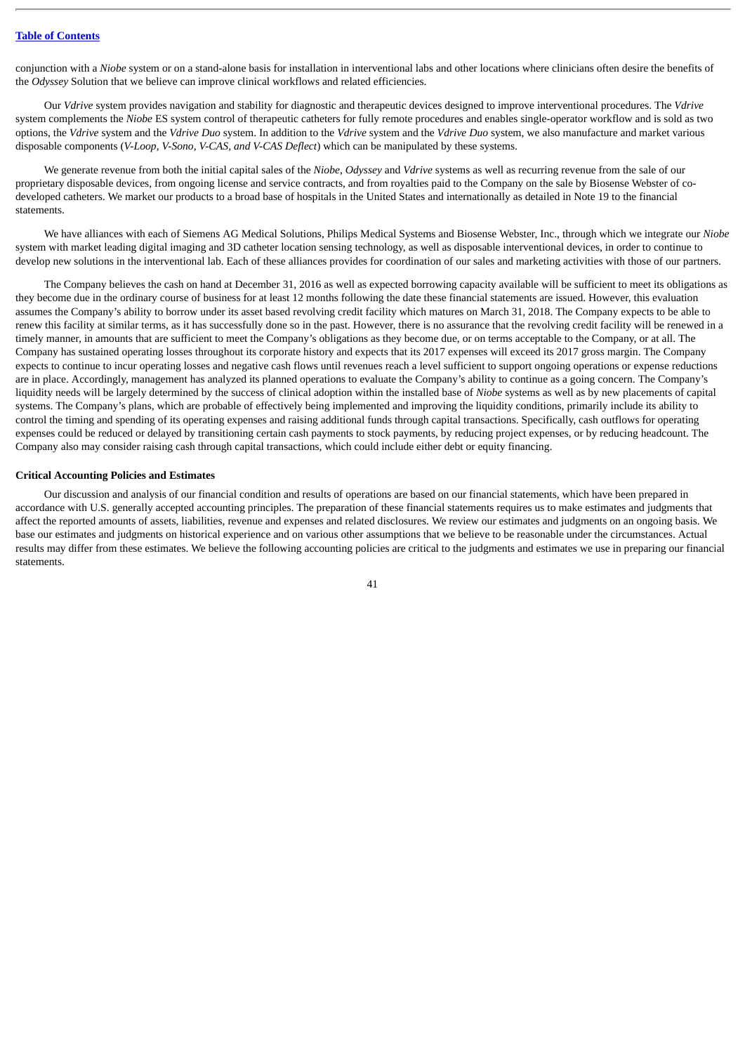conjunction with a *Niobe* system or on a stand-alone basis for installation in interventional labs and other locations where clinicians often desire the benefits of the *Odyssey* Solution that we believe can improve clinical workflows and related efficiencies.

Our *Vdrive* system provides navigation and stability for diagnostic and therapeutic devices designed to improve interventional procedures. The *Vdrive* system complements the *Niobe* ES system control of therapeutic catheters for fully remote procedures and enables single-operator workflow and is sold as two options, the *Vdrive* system and the *Vdrive Duo* system. In addition to the *Vdrive* system and the *Vdrive Duo* system, we also manufacture and market various disposable components (*V-Loop*, *V-Sono*, *V-CAS, and V-CAS Deflect*) which can be manipulated by these systems.

We generate revenue from both the initial capital sales of the *Niobe*, *Odyssey* and *Vdrive* systems as well as recurring revenue from the sale of our proprietary disposable devices, from ongoing license and service contracts, and from royalties paid to the Company on the sale by Biosense Webster of codeveloped catheters. We market our products to a broad base of hospitals in the United States and internationally as detailed in Note 19 to the financial statements.

We have alliances with each of Siemens AG Medical Solutions, Philips Medical Systems and Biosense Webster, Inc., through which we integrate our *Niobe* system with market leading digital imaging and 3D catheter location sensing technology, as well as disposable interventional devices, in order to continue to develop new solutions in the interventional lab. Each of these alliances provides for coordination of our sales and marketing activities with those of our partners.

The Company believes the cash on hand at December 31, 2016 as well as expected borrowing capacity available will be sufficient to meet its obligations as they become due in the ordinary course of business for at least 12 months following the date these financial statements are issued. However, this evaluation assumes the Company's ability to borrow under its asset based revolving credit facility which matures on March 31, 2018. The Company expects to be able to renew this facility at similar terms, as it has successfully done so in the past. However, there is no assurance that the revolving credit facility will be renewed in a timely manner, in amounts that are sufficient to meet the Company's obligations as they become due, or on terms acceptable to the Company, or at all. The Company has sustained operating losses throughout its corporate history and expects that its 2017 expenses will exceed its 2017 gross margin. The Company expects to continue to incur operating losses and negative cash flows until revenues reach a level sufficient to support ongoing operations or expense reductions are in place. Accordingly, management has analyzed its planned operations to evaluate the Company's ability to continue as a going concern. The Company's liquidity needs will be largely determined by the success of clinical adoption within the installed base of *Niobe* systems as well as by new placements of capital systems. The Company's plans, which are probable of effectively being implemented and improving the liquidity conditions, primarily include its ability to control the timing and spending of its operating expenses and raising additional funds through capital transactions. Specifically, cash outflows for operating expenses could be reduced or delayed by transitioning certain cash payments to stock payments, by reducing project expenses, or by reducing headcount. The Company also may consider raising cash through capital transactions, which could include either debt or equity financing.

# **Critical Accounting Policies and Estimates**

Our discussion and analysis of our financial condition and results of operations are based on our financial statements, which have been prepared in accordance with U.S. generally accepted accounting principles. The preparation of these financial statements requires us to make estimates and judgments that affect the reported amounts of assets, liabilities, revenue and expenses and related disclosures. We review our estimates and judgments on an ongoing basis. We base our estimates and judgments on historical experience and on various other assumptions that we believe to be reasonable under the circumstances. Actual results may differ from these estimates. We believe the following accounting policies are critical to the judgments and estimates we use in preparing our financial statements.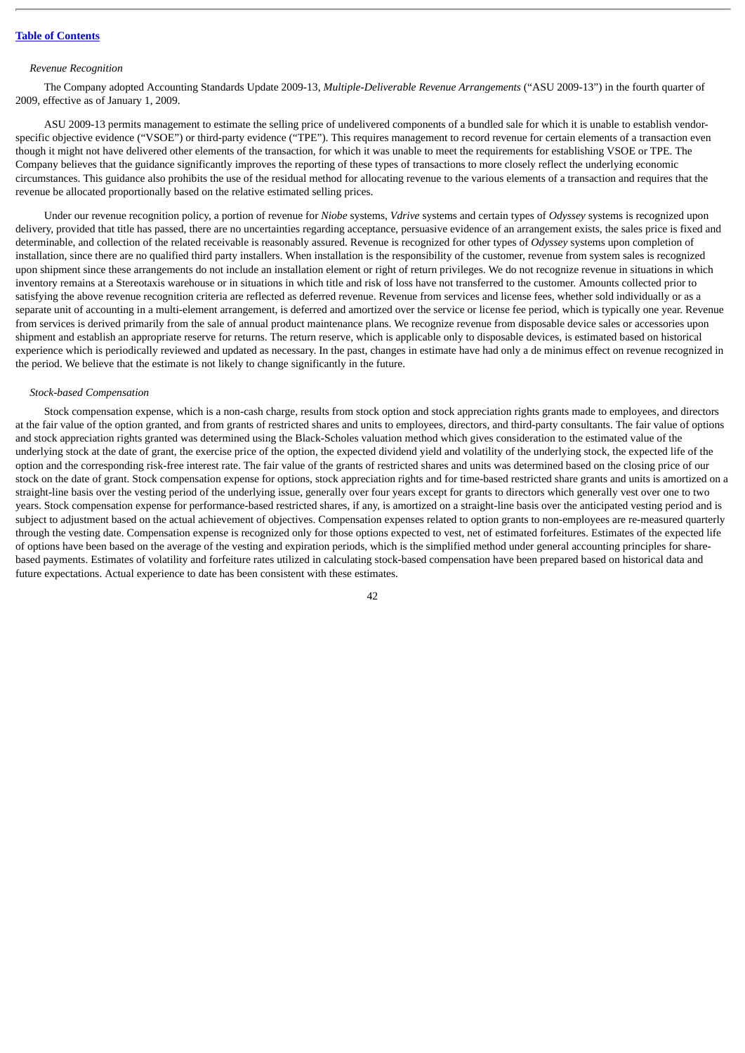#### *Revenue Recognition*

The Company adopted Accounting Standards Update 2009-13, *Multiple-Deliverable Revenue Arrangements* ("ASU 2009-13") in the fourth quarter of 2009, effective as of January 1, 2009.

ASU 2009-13 permits management to estimate the selling price of undelivered components of a bundled sale for which it is unable to establish vendorspecific objective evidence ("VSOE") or third-party evidence ("TPE"). This requires management to record revenue for certain elements of a transaction even though it might not have delivered other elements of the transaction, for which it was unable to meet the requirements for establishing VSOE or TPE. The Company believes that the guidance significantly improves the reporting of these types of transactions to more closely reflect the underlying economic circumstances. This guidance also prohibits the use of the residual method for allocating revenue to the various elements of a transaction and requires that the revenue be allocated proportionally based on the relative estimated selling prices.

Under our revenue recognition policy, a portion of revenue for *Niobe* systems, *Vdrive* systems and certain types of *Odyssey* systems is recognized upon delivery, provided that title has passed, there are no uncertainties regarding acceptance, persuasive evidence of an arrangement exists, the sales price is fixed and determinable, and collection of the related receivable is reasonably assured. Revenue is recognized for other types of *Odyssey* systems upon completion of installation, since there are no qualified third party installers. When installation is the responsibility of the customer, revenue from system sales is recognized upon shipment since these arrangements do not include an installation element or right of return privileges. We do not recognize revenue in situations in which inventory remains at a Stereotaxis warehouse or in situations in which title and risk of loss have not transferred to the customer. Amounts collected prior to satisfying the above revenue recognition criteria are reflected as deferred revenue. Revenue from services and license fees, whether sold individually or as a separate unit of accounting in a multi-element arrangement, is deferred and amortized over the service or license fee period, which is typically one year. Revenue from services is derived primarily from the sale of annual product maintenance plans. We recognize revenue from disposable device sales or accessories upon shipment and establish an appropriate reserve for returns. The return reserve, which is applicable only to disposable devices, is estimated based on historical experience which is periodically reviewed and updated as necessary. In the past, changes in estimate have had only a de minimus effect on revenue recognized in the period. We believe that the estimate is not likely to change significantly in the future.

### *Stock-based Compensation*

Stock compensation expense, which is a non-cash charge, results from stock option and stock appreciation rights grants made to employees, and directors at the fair value of the option granted, and from grants of restricted shares and units to employees, directors, and third-party consultants. The fair value of options and stock appreciation rights granted was determined using the Black-Scholes valuation method which gives consideration to the estimated value of the underlying stock at the date of grant, the exercise price of the option, the expected dividend yield and volatility of the underlying stock, the expected life of the option and the corresponding risk-free interest rate. The fair value of the grants of restricted shares and units was determined based on the closing price of our stock on the date of grant. Stock compensation expense for options, stock appreciation rights and for time-based restricted share grants and units is amortized on a straight-line basis over the vesting period of the underlying issue, generally over four years except for grants to directors which generally vest over one to two years. Stock compensation expense for performance-based restricted shares, if any, is amortized on a straight-line basis over the anticipated vesting period and is subject to adjustment based on the actual achievement of objectives. Compensation expenses related to option grants to non-employees are re-measured quarterly through the vesting date. Compensation expense is recognized only for those options expected to vest, net of estimated forfeitures. Estimates of the expected life of options have been based on the average of the vesting and expiration periods, which is the simplified method under general accounting principles for sharebased payments. Estimates of volatility and forfeiture rates utilized in calculating stock-based compensation have been prepared based on historical data and future expectations. Actual experience to date has been consistent with these estimates.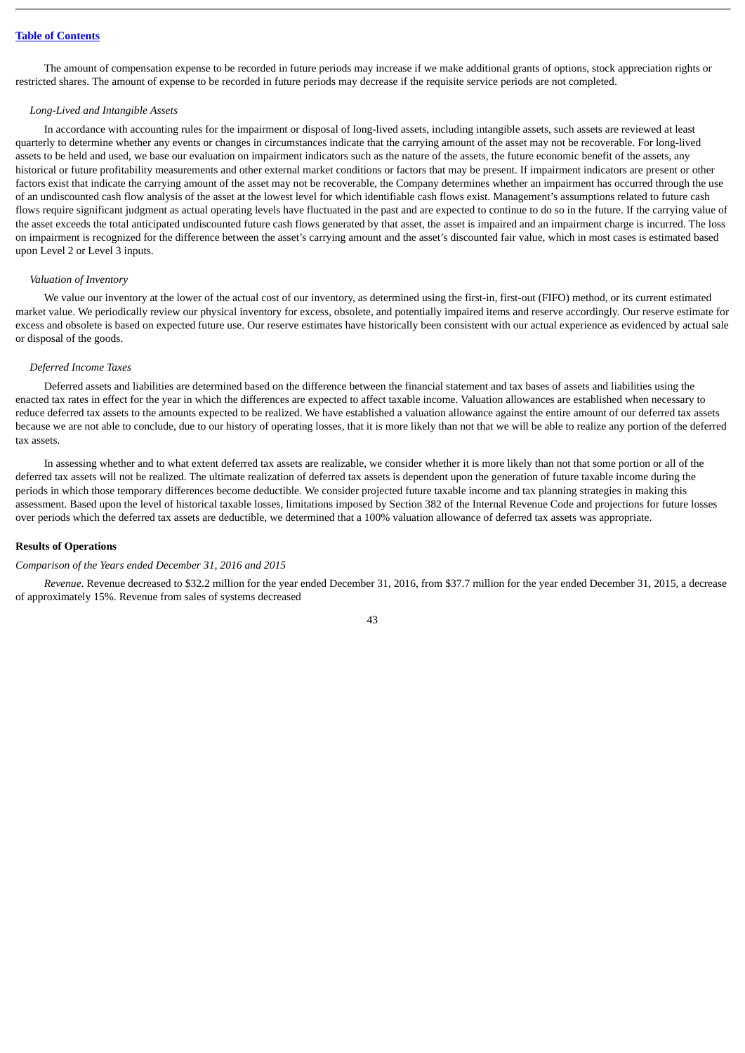The amount of compensation expense to be recorded in future periods may increase if we make additional grants of options, stock appreciation rights or restricted shares. The amount of expense to be recorded in future periods may decrease if the requisite service periods are not completed.

#### *Long-Lived and Intangible Assets*

In accordance with accounting rules for the impairment or disposal of long-lived assets, including intangible assets, such assets are reviewed at least quarterly to determine whether any events or changes in circumstances indicate that the carrying amount of the asset may not be recoverable. For long-lived assets to be held and used, we base our evaluation on impairment indicators such as the nature of the assets, the future economic benefit of the assets, any historical or future profitability measurements and other external market conditions or factors that may be present. If impairment indicators are present or other factors exist that indicate the carrying amount of the asset may not be recoverable, the Company determines whether an impairment has occurred through the use of an undiscounted cash flow analysis of the asset at the lowest level for which identifiable cash flows exist. Management's assumptions related to future cash flows require significant judgment as actual operating levels have fluctuated in the past and are expected to continue to do so in the future. If the carrying value of the asset exceeds the total anticipated undiscounted future cash flows generated by that asset, the asset is impaired and an impairment charge is incurred. The loss on impairment is recognized for the difference between the asset's carrying amount and the asset's discounted fair value, which in most cases is estimated based upon Level 2 or Level 3 inputs.

#### *Valuation of Inventory*

We value our inventory at the lower of the actual cost of our inventory, as determined using the first-in, first-out (FIFO) method, or its current estimated market value. We periodically review our physical inventory for excess, obsolete, and potentially impaired items and reserve accordingly. Our reserve estimate for excess and obsolete is based on expected future use. Our reserve estimates have historically been consistent with our actual experience as evidenced by actual sale or disposal of the goods.

### *Deferred Income Taxes*

Deferred assets and liabilities are determined based on the difference between the financial statement and tax bases of assets and liabilities using the enacted tax rates in effect for the year in which the differences are expected to affect taxable income. Valuation allowances are established when necessary to reduce deferred tax assets to the amounts expected to be realized. We have established a valuation allowance against the entire amount of our deferred tax assets because we are not able to conclude, due to our history of operating losses, that it is more likely than not that we will be able to realize any portion of the deferred tax assets.

In assessing whether and to what extent deferred tax assets are realizable, we consider whether it is more likely than not that some portion or all of the deferred tax assets will not be realized. The ultimate realization of deferred tax assets is dependent upon the generation of future taxable income during the periods in which those temporary differences become deductible. We consider projected future taxable income and tax planning strategies in making this assessment. Based upon the level of historical taxable losses, limitations imposed by Section 382 of the Internal Revenue Code and projections for future losses over periods which the deferred tax assets are deductible, we determined that a 100% valuation allowance of deferred tax assets was appropriate.

### **Results of Operations**

# *Comparison of the Years ended December 31, 2016 and 2015*

*Revenue*. Revenue decreased to \$32.2 million for the year ended December 31, 2016, from \$37.7 million for the year ended December 31, 2015, a decrease of approximately 15%. Revenue from sales of systems decreased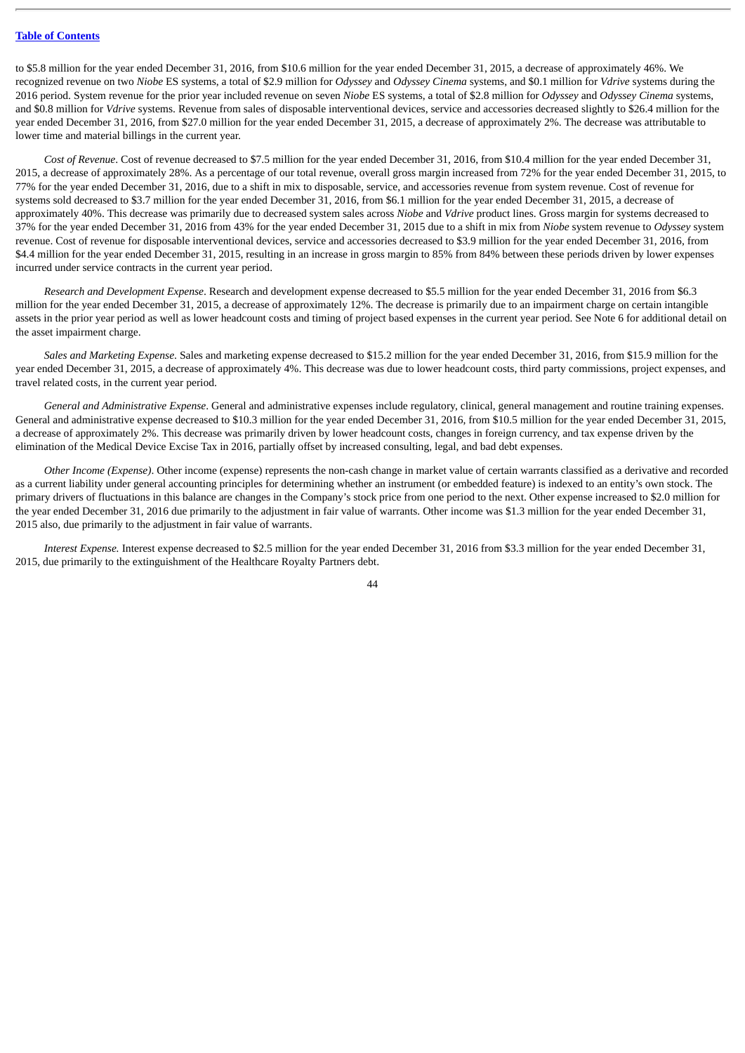to \$5.8 million for the year ended December 31, 2016, from \$10.6 million for the year ended December 31, 2015, a decrease of approximately 46%. We recognized revenue on two *Niobe* ES systems, a total of \$2.9 million for *Odyssey* and *Odyssey Cinema* systems, and \$0.1 million for *Vdrive* systems during the 2016 period. System revenue for the prior year included revenue on seven *Niobe* ES systems, a total of \$2.8 million for *Odyssey* and *Odyssey Cinema* systems, and \$0.8 million for *Vdrive* systems. Revenue from sales of disposable interventional devices, service and accessories decreased slightly to \$26.4 million for the year ended December 31, 2016, from \$27.0 million for the year ended December 31, 2015, a decrease of approximately 2%. The decrease was attributable to lower time and material billings in the current year.

*Cost of Revenue*. Cost of revenue decreased to \$7.5 million for the year ended December 31, 2016, from \$10.4 million for the year ended December 31, 2015, a decrease of approximately 28%. As a percentage of our total revenue, overall gross margin increased from 72% for the year ended December 31, 2015, to 77% for the year ended December 31, 2016, due to a shift in mix to disposable, service, and accessories revenue from system revenue. Cost of revenue for systems sold decreased to \$3.7 million for the year ended December 31, 2016, from \$6.1 million for the year ended December 31, 2015, a decrease of approximately 40%. This decrease was primarily due to decreased system sales across *Niobe* and *Vdrive* product lines. Gross margin for systems decreased to 37% for the year ended December 31, 2016 from 43% for the year ended December 31, 2015 due to a shift in mix from *Niobe* system revenue to *Odyssey* system revenue. Cost of revenue for disposable interventional devices, service and accessories decreased to \$3.9 million for the year ended December 31, 2016, from \$4.4 million for the year ended December 31, 2015, resulting in an increase in gross margin to 85% from 84% between these periods driven by lower expenses incurred under service contracts in the current year period.

*Research and Development Expense*. Research and development expense decreased to \$5.5 million for the year ended December 31, 2016 from \$6.3 million for the year ended December 31, 2015, a decrease of approximately 12%. The decrease is primarily due to an impairment charge on certain intangible assets in the prior year period as well as lower headcount costs and timing of project based expenses in the current year period. See Note 6 for additional detail on the asset impairment charge.

*Sales and Marketing Expense*. Sales and marketing expense decreased to \$15.2 million for the year ended December 31, 2016, from \$15.9 million for the year ended December 31, 2015, a decrease of approximately 4%. This decrease was due to lower headcount costs, third party commissions, project expenses, and travel related costs, in the current year period.

*General and Administrative Expense*. General and administrative expenses include regulatory, clinical, general management and routine training expenses. General and administrative expense decreased to \$10.3 million for the year ended December 31, 2016, from \$10.5 million for the year ended December 31, 2015, a decrease of approximately 2%. This decrease was primarily driven by lower headcount costs, changes in foreign currency, and tax expense driven by the elimination of the Medical Device Excise Tax in 2016, partially offset by increased consulting, legal, and bad debt expenses.

*Other Income (Expense)*. Other income (expense) represents the non-cash change in market value of certain warrants classified as a derivative and recorded as a current liability under general accounting principles for determining whether an instrument (or embedded feature) is indexed to an entity's own stock. The primary drivers of fluctuations in this balance are changes in the Company's stock price from one period to the next. Other expense increased to \$2.0 million for the year ended December 31, 2016 due primarily to the adjustment in fair value of warrants. Other income was \$1.3 million for the year ended December 31, 2015 also, due primarily to the adjustment in fair value of warrants.

*Interest Expense.* Interest expense decreased to \$2.5 million for the year ended December 31, 2016 from \$3.3 million for the year ended December 31, 2015, due primarily to the extinguishment of the Healthcare Royalty Partners debt.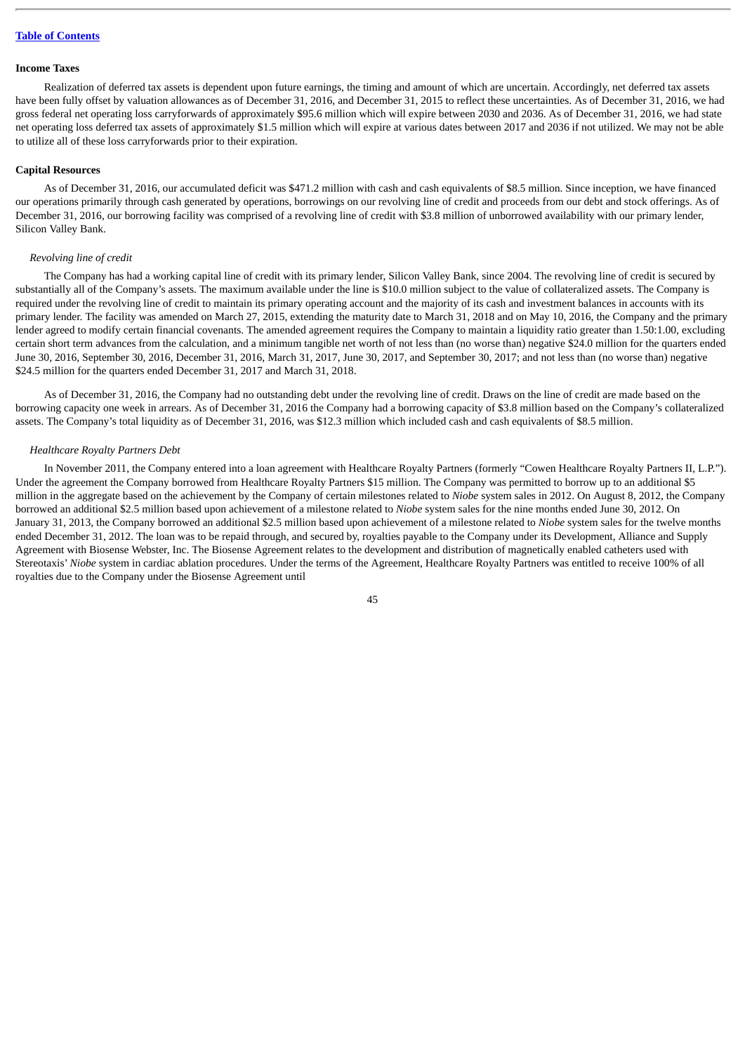### **Income Taxes**

Realization of deferred tax assets is dependent upon future earnings, the timing and amount of which are uncertain. Accordingly, net deferred tax assets have been fully offset by valuation allowances as of December 31, 2016, and December 31, 2015 to reflect these uncertainties. As of December 31, 2016, we had gross federal net operating loss carryforwards of approximately \$95.6 million which will expire between 2030 and 2036. As of December 31, 2016, we had state net operating loss deferred tax assets of approximately \$1.5 million which will expire at various dates between 2017 and 2036 if not utilized. We may not be able to utilize all of these loss carryforwards prior to their expiration.

### **Capital Resources**

As of December 31, 2016, our accumulated deficit was \$471.2 million with cash and cash equivalents of \$8.5 million. Since inception, we have financed our operations primarily through cash generated by operations, borrowings on our revolving line of credit and proceeds from our debt and stock offerings. As of December 31, 2016, our borrowing facility was comprised of a revolving line of credit with \$3.8 million of unborrowed availability with our primary lender, Silicon Valley Bank.

### *Revolving line of credit*

The Company has had a working capital line of credit with its primary lender, Silicon Valley Bank, since 2004. The revolving line of credit is secured by substantially all of the Company's assets. The maximum available under the line is \$10.0 million subject to the value of collateralized assets. The Company is required under the revolving line of credit to maintain its primary operating account and the majority of its cash and investment balances in accounts with its primary lender. The facility was amended on March 27, 2015, extending the maturity date to March 31, 2018 and on May 10, 2016, the Company and the primary lender agreed to modify certain financial covenants. The amended agreement requires the Company to maintain a liquidity ratio greater than 1.50:1.00, excluding certain short term advances from the calculation, and a minimum tangible net worth of not less than (no worse than) negative \$24.0 million for the quarters ended June 30, 2016, September 30, 2016, December 31, 2016, March 31, 2017, June 30, 2017, and September 30, 2017; and not less than (no worse than) negative \$24.5 million for the quarters ended December 31, 2017 and March 31, 2018.

As of December 31, 2016, the Company had no outstanding debt under the revolving line of credit. Draws on the line of credit are made based on the borrowing capacity one week in arrears. As of December 31, 2016 the Company had a borrowing capacity of \$3.8 million based on the Company's collateralized assets. The Company's total liquidity as of December 31, 2016, was \$12.3 million which included cash and cash equivalents of \$8.5 million.

#### *Healthcare Royalty Partners Debt*

In November 2011, the Company entered into a loan agreement with Healthcare Royalty Partners (formerly "Cowen Healthcare Royalty Partners II, L.P."). Under the agreement the Company borrowed from Healthcare Royalty Partners \$15 million. The Company was permitted to borrow up to an additional \$5 million in the aggregate based on the achievement by the Company of certain milestones related to *Niobe* system sales in 2012. On August 8, 2012, the Company borrowed an additional \$2.5 million based upon achievement of a milestone related to *Niobe* system sales for the nine months ended June 30, 2012. On January 31, 2013, the Company borrowed an additional \$2.5 million based upon achievement of a milestone related to *Niobe* system sales for the twelve months ended December 31, 2012. The loan was to be repaid through, and secured by, royalties payable to the Company under its Development, Alliance and Supply Agreement with Biosense Webster, Inc. The Biosense Agreement relates to the development and distribution of magnetically enabled catheters used with Stereotaxis' *Niobe* system in cardiac ablation procedures. Under the terms of the Agreement, Healthcare Royalty Partners was entitled to receive 100% of all royalties due to the Company under the Biosense Agreement until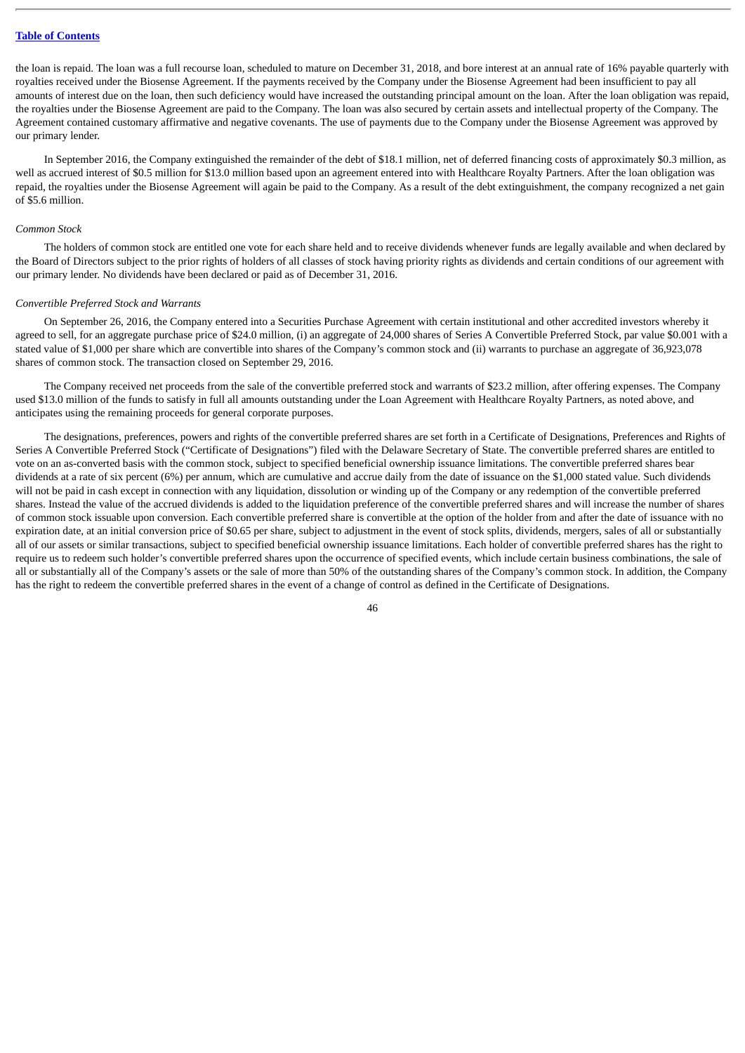the loan is repaid. The loan was a full recourse loan, scheduled to mature on December 31, 2018, and bore interest at an annual rate of 16% payable quarterly with royalties received under the Biosense Agreement. If the payments received by the Company under the Biosense Agreement had been insufficient to pay all amounts of interest due on the loan, then such deficiency would have increased the outstanding principal amount on the loan. After the loan obligation was repaid, the royalties under the Biosense Agreement are paid to the Company. The loan was also secured by certain assets and intellectual property of the Company. The Agreement contained customary affirmative and negative covenants. The use of payments due to the Company under the Biosense Agreement was approved by our primary lender.

In September 2016, the Company extinguished the remainder of the debt of \$18.1 million, net of deferred financing costs of approximately \$0.3 million, as well as accrued interest of \$0.5 million for \$13.0 million based upon an agreement entered into with Healthcare Royalty Partners. After the loan obligation was repaid, the royalties under the Biosense Agreement will again be paid to the Company. As a result of the debt extinguishment, the company recognized a net gain of \$5.6 million.

### *Common Stock*

The holders of common stock are entitled one vote for each share held and to receive dividends whenever funds are legally available and when declared by the Board of Directors subject to the prior rights of holders of all classes of stock having priority rights as dividends and certain conditions of our agreement with our primary lender. No dividends have been declared or paid as of December 31, 2016.

#### *Convertible Preferred Stock and Warrants*

On September 26, 2016, the Company entered into a Securities Purchase Agreement with certain institutional and other accredited investors whereby it agreed to sell, for an aggregate purchase price of \$24.0 million, (i) an aggregate of 24,000 shares of Series A Convertible Preferred Stock, par value \$0.001 with a stated value of \$1,000 per share which are convertible into shares of the Company's common stock and (ii) warrants to purchase an aggregate of 36,923,078 shares of common stock. The transaction closed on September 29, 2016.

The Company received net proceeds from the sale of the convertible preferred stock and warrants of \$23.2 million, after offering expenses. The Company used \$13.0 million of the funds to satisfy in full all amounts outstanding under the Loan Agreement with Healthcare Royalty Partners, as noted above, and anticipates using the remaining proceeds for general corporate purposes.

The designations, preferences, powers and rights of the convertible preferred shares are set forth in a Certificate of Designations, Preferences and Rights of Series A Convertible Preferred Stock ("Certificate of Designations") filed with the Delaware Secretary of State. The convertible preferred shares are entitled to vote on an as-converted basis with the common stock, subject to specified beneficial ownership issuance limitations. The convertible preferred shares bear dividends at a rate of six percent (6%) per annum, which are cumulative and accrue daily from the date of issuance on the \$1,000 stated value. Such dividends will not be paid in cash except in connection with any liquidation, dissolution or winding up of the Company or any redemption of the convertible preferred shares. Instead the value of the accrued dividends is added to the liquidation preference of the convertible preferred shares and will increase the number of shares of common stock issuable upon conversion. Each convertible preferred share is convertible at the option of the holder from and after the date of issuance with no expiration date, at an initial conversion price of \$0.65 per share, subject to adjustment in the event of stock splits, dividends, mergers, sales of all or substantially all of our assets or similar transactions, subject to specified beneficial ownership issuance limitations. Each holder of convertible preferred shares has the right to require us to redeem such holder's convertible preferred shares upon the occurrence of specified events, which include certain business combinations, the sale of all or substantially all of the Company's assets or the sale of more than 50% of the outstanding shares of the Company's common stock. In addition, the Company has the right to redeem the convertible preferred shares in the event of a change of control as defined in the Certificate of Designations.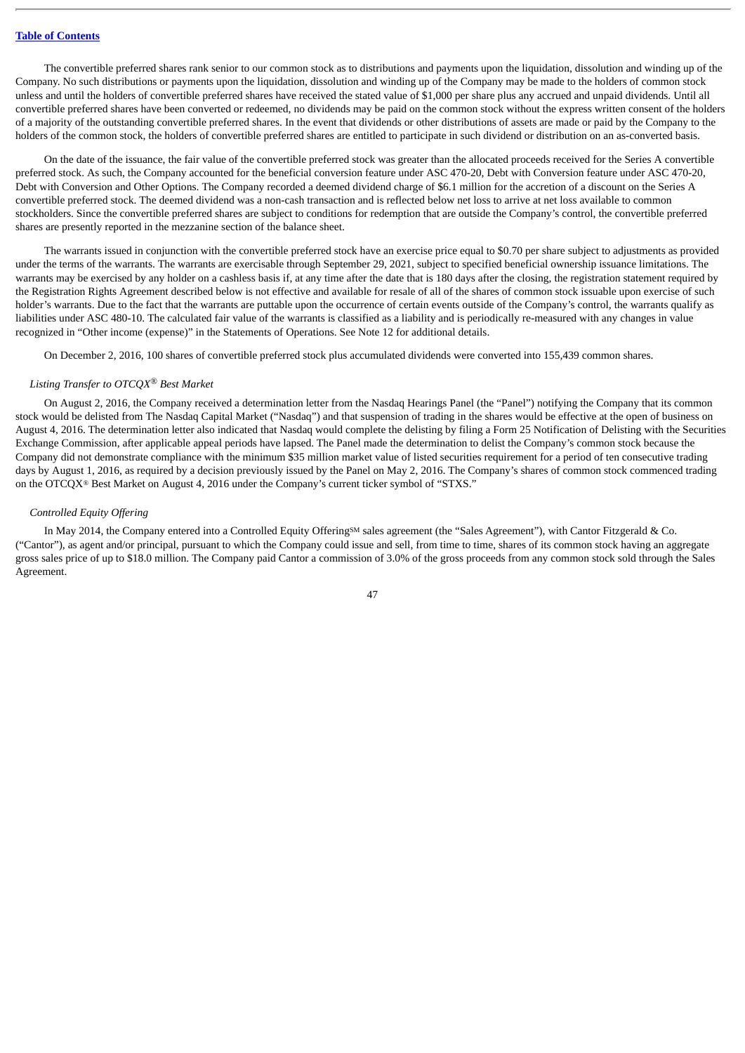The convertible preferred shares rank senior to our common stock as to distributions and payments upon the liquidation, dissolution and winding up of the Company. No such distributions or payments upon the liquidation, dissolution and winding up of the Company may be made to the holders of common stock unless and until the holders of convertible preferred shares have received the stated value of \$1,000 per share plus any accrued and unpaid dividends. Until all convertible preferred shares have been converted or redeemed, no dividends may be paid on the common stock without the express written consent of the holders of a majority of the outstanding convertible preferred shares. In the event that dividends or other distributions of assets are made or paid by the Company to the holders of the common stock, the holders of convertible preferred shares are entitled to participate in such dividend or distribution on an as-converted basis.

On the date of the issuance, the fair value of the convertible preferred stock was greater than the allocated proceeds received for the Series A convertible preferred stock. As such, the Company accounted for the beneficial conversion feature under ASC 470-20, Debt with Conversion feature under ASC 470-20, Debt with Conversion and Other Options. The Company recorded a deemed dividend charge of \$6.1 million for the accretion of a discount on the Series A convertible preferred stock. The deemed dividend was a non-cash transaction and is reflected below net loss to arrive at net loss available to common stockholders. Since the convertible preferred shares are subject to conditions for redemption that are outside the Company's control, the convertible preferred shares are presently reported in the mezzanine section of the balance sheet.

The warrants issued in conjunction with the convertible preferred stock have an exercise price equal to \$0.70 per share subject to adjustments as provided under the terms of the warrants. The warrants are exercisable through September 29, 2021, subject to specified beneficial ownership issuance limitations. The warrants may be exercised by any holder on a cashless basis if, at any time after the date that is 180 days after the closing, the registration statement required by the Registration Rights Agreement described below is not effective and available for resale of all of the shares of common stock issuable upon exercise of such holder's warrants. Due to the fact that the warrants are puttable upon the occurrence of certain events outside of the Company's control, the warrants qualify as liabilities under ASC 480-10. The calculated fair value of the warrants is classified as a liability and is periodically re-measured with any changes in value recognized in "Other income (expense)" in the Statements of Operations. See Note 12 for additional details.

On December 2, 2016, 100 shares of convertible preferred stock plus accumulated dividends were converted into 155,439 common shares.

# *Listing Transfer to OTCQX Best Market ®*

On August 2, 2016, the Company received a determination letter from the Nasdaq Hearings Panel (the "Panel") notifying the Company that its common stock would be delisted from The Nasdaq Capital Market ("Nasdaq") and that suspension of trading in the shares would be effective at the open of business on August 4, 2016. The determination letter also indicated that Nasdaq would complete the delisting by filing a Form 25 Notification of Delisting with the Securities Exchange Commission, after applicable appeal periods have lapsed. The Panel made the determination to delist the Company's common stock because the Company did not demonstrate compliance with the minimum \$35 million market value of listed securities requirement for a period of ten consecutive trading days by August 1, 2016, as required by a decision previously issued by the Panel on May 2, 2016. The Company's shares of common stock commenced trading on the  $\text{OTCQX}^{\otimes}$  Best Market on August 4, 2016 under the Company's current ticker symbol of "STXS."

### *Controlled Equity Offering*

In May 2014, the Company entered into a Controlled Equity Offering<sup>sM</sup> sales agreement (the "Sales Agreement"), with Cantor Fitzgerald & Co. ("Cantor"), as agent and/or principal, pursuant to which the Company could issue and sell, from time to time, shares of its common stock having an aggregate gross sales price of up to \$18.0 million. The Company paid Cantor a commission of 3.0% of the gross proceeds from any common stock sold through the Sales Agreement.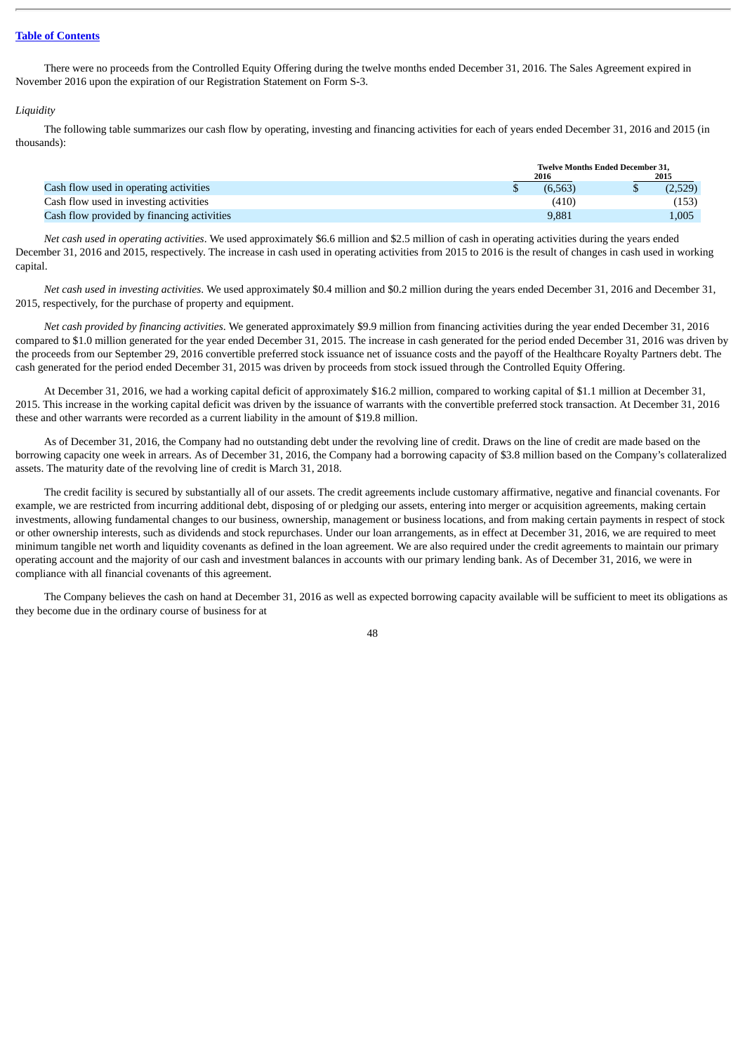There were no proceeds from the Controlled Equity Offering during the twelve months ended December 31, 2016. The Sales Agreement expired in November 2016 upon the expiration of our Registration Statement on Form S-3.

#### *Liquidity*

The following table summarizes our cash flow by operating, investing and financing activities for each of years ended December 31, 2016 and 2015 (in thousands):

|                                            | <b>Twelve Months Ended December 31.</b> |  |         |
|--------------------------------------------|-----------------------------------------|--|---------|
|                                            | 2016                                    |  | 2015    |
| Cash flow used in operating activities     | (6,563)                                 |  | (2,529) |
| Cash flow used in investing activities     | (410)                                   |  | (153)   |
| Cash flow provided by financing activities | 9.881                                   |  | 1,005   |

*Net cash used in operating activities*. We used approximately \$6.6 million and \$2.5 million of cash in operating activities during the years ended December 31, 2016 and 2015, respectively. The increase in cash used in operating activities from 2015 to 2016 is the result of changes in cash used in working capital.

*Net cash used in investing activities*. We used approximately \$0.4 million and \$0.2 million during the years ended December 31, 2016 and December 31, 2015, respectively, for the purchase of property and equipment.

*Net cash provided by financing activities*. We generated approximately \$9.9 million from financing activities during the year ended December 31, 2016 compared to \$1.0 million generated for the year ended December 31, 2015. The increase in cash generated for the period ended December 31, 2016 was driven by the proceeds from our September 29, 2016 convertible preferred stock issuance net of issuance costs and the payoff of the Healthcare Royalty Partners debt. The cash generated for the period ended December 31, 2015 was driven by proceeds from stock issued through the Controlled Equity Offering.

At December 31, 2016, we had a working capital deficit of approximately \$16.2 million, compared to working capital of \$1.1 million at December 31, 2015. This increase in the working capital deficit was driven by the issuance of warrants with the convertible preferred stock transaction. At December 31, 2016 these and other warrants were recorded as a current liability in the amount of \$19.8 million.

As of December 31, 2016, the Company had no outstanding debt under the revolving line of credit. Draws on the line of credit are made based on the borrowing capacity one week in arrears. As of December 31, 2016, the Company had a borrowing capacity of \$3.8 million based on the Company's collateralized assets. The maturity date of the revolving line of credit is March 31, 2018.

The credit facility is secured by substantially all of our assets. The credit agreements include customary affirmative, negative and financial covenants. For example, we are restricted from incurring additional debt, disposing of or pledging our assets, entering into merger or acquisition agreements, making certain investments, allowing fundamental changes to our business, ownership, management or business locations, and from making certain payments in respect of stock or other ownership interests, such as dividends and stock repurchases. Under our loan arrangements, as in effect at December 31, 2016, we are required to meet minimum tangible net worth and liquidity covenants as defined in the loan agreement. We are also required under the credit agreements to maintain our primary operating account and the majority of our cash and investment balances in accounts with our primary lending bank. As of December 31, 2016, we were in compliance with all financial covenants of this agreement.

The Company believes the cash on hand at December 31, 2016 as well as expected borrowing capacity available will be sufficient to meet its obligations as they become due in the ordinary course of business for at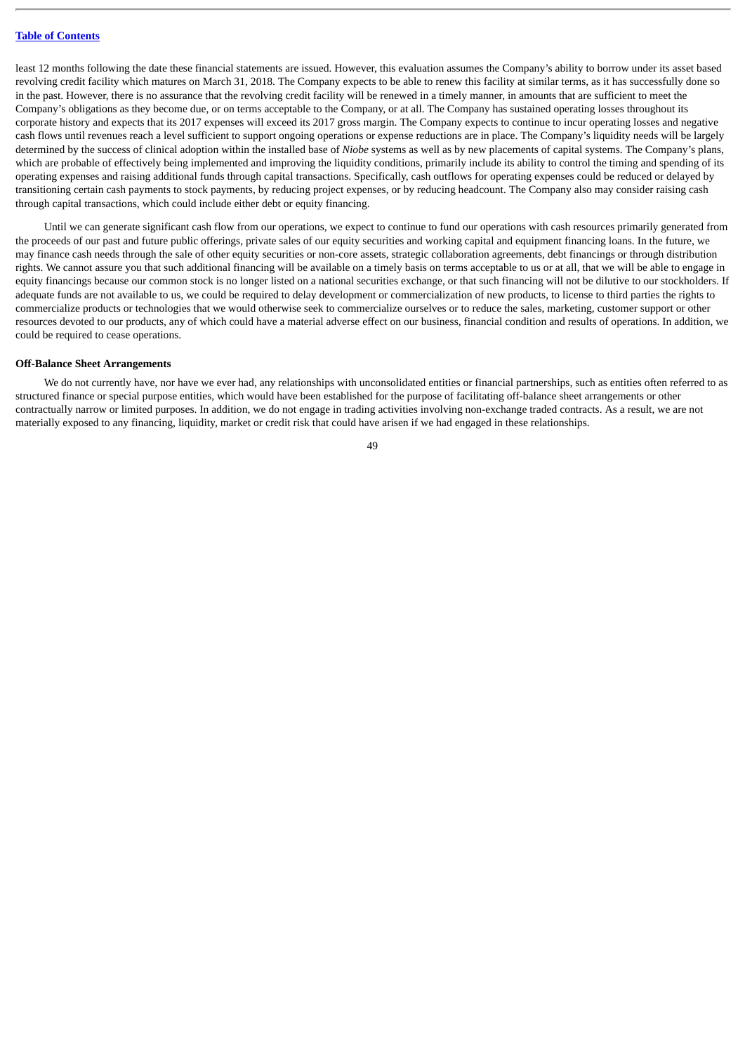least 12 months following the date these financial statements are issued. However, this evaluation assumes the Company's ability to borrow under its asset based revolving credit facility which matures on March 31, 2018. The Company expects to be able to renew this facility at similar terms, as it has successfully done so in the past. However, there is no assurance that the revolving credit facility will be renewed in a timely manner, in amounts that are sufficient to meet the Company's obligations as they become due, or on terms acceptable to the Company, or at all. The Company has sustained operating losses throughout its corporate history and expects that its 2017 expenses will exceed its 2017 gross margin. The Company expects to continue to incur operating losses and negative cash flows until revenues reach a level sufficient to support ongoing operations or expense reductions are in place. The Company's liquidity needs will be largely determined by the success of clinical adoption within the installed base of *Niobe* systems as well as by new placements of capital systems. The Company's plans, which are probable of effectively being implemented and improving the liquidity conditions, primarily include its ability to control the timing and spending of its operating expenses and raising additional funds through capital transactions. Specifically, cash outflows for operating expenses could be reduced or delayed by transitioning certain cash payments to stock payments, by reducing project expenses, or by reducing headcount. The Company also may consider raising cash through capital transactions, which could include either debt or equity financing.

Until we can generate significant cash flow from our operations, we expect to continue to fund our operations with cash resources primarily generated from the proceeds of our past and future public offerings, private sales of our equity securities and working capital and equipment financing loans. In the future, we may finance cash needs through the sale of other equity securities or non-core assets, strategic collaboration agreements, debt financings or through distribution rights. We cannot assure you that such additional financing will be available on a timely basis on terms acceptable to us or at all, that we will be able to engage in equity financings because our common stock is no longer listed on a national securities exchange, or that such financing will not be dilutive to our stockholders. If adequate funds are not available to us, we could be required to delay development or commercialization of new products, to license to third parties the rights to commercialize products or technologies that we would otherwise seek to commercialize ourselves or to reduce the sales, marketing, customer support or other resources devoted to our products, any of which could have a material adverse effect on our business, financial condition and results of operations. In addition, we could be required to cease operations.

### **Off-Balance Sheet Arrangements**

We do not currently have, nor have we ever had, any relationships with unconsolidated entities or financial partnerships, such as entities often referred to as structured finance or special purpose entities, which would have been established for the purpose of facilitating off-balance sheet arrangements or other contractually narrow or limited purposes. In addition, we do not engage in trading activities involving non-exchange traded contracts. As a result, we are not materially exposed to any financing, liquidity, market or credit risk that could have arisen if we had engaged in these relationships.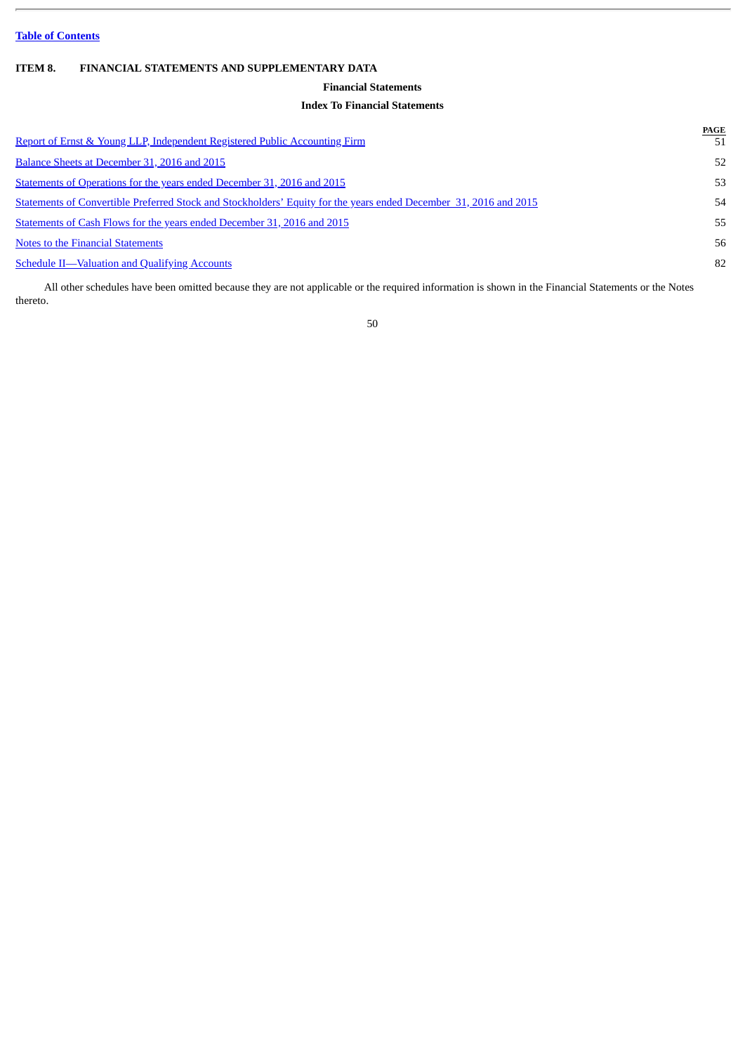# **ITEM 8. FINANCIAL STATEMENTS AND SUPPLEMENTARY DATA**

# **Financial Statements**

# **Index To Financial Statements**

| Report of Ernst & Young LLP, Independent Registered Public Accounting Firm                                        | PAGE<br>51 |
|-------------------------------------------------------------------------------------------------------------------|------------|
| Balance Sheets at December 31, 2016 and 2015                                                                      | 52         |
| Statements of Operations for the years ended December 31, 2016 and 2015                                           | 53         |
| Statements of Convertible Preferred Stock and Stockholders' Equity for the years ended December 31, 2016 and 2015 | 54         |
| Statements of Cash Flows for the years ended December 31, 2016 and 2015                                           | 55         |
| Notes to the Financial Statements                                                                                 | 56         |
| Schedule II—Valuation and Qualifying Accounts                                                                     | 82         |
|                                                                                                                   |            |

All other schedules have been omitted because they are not applicable or the required information is shown in the Financial Statements or the Notes thereto.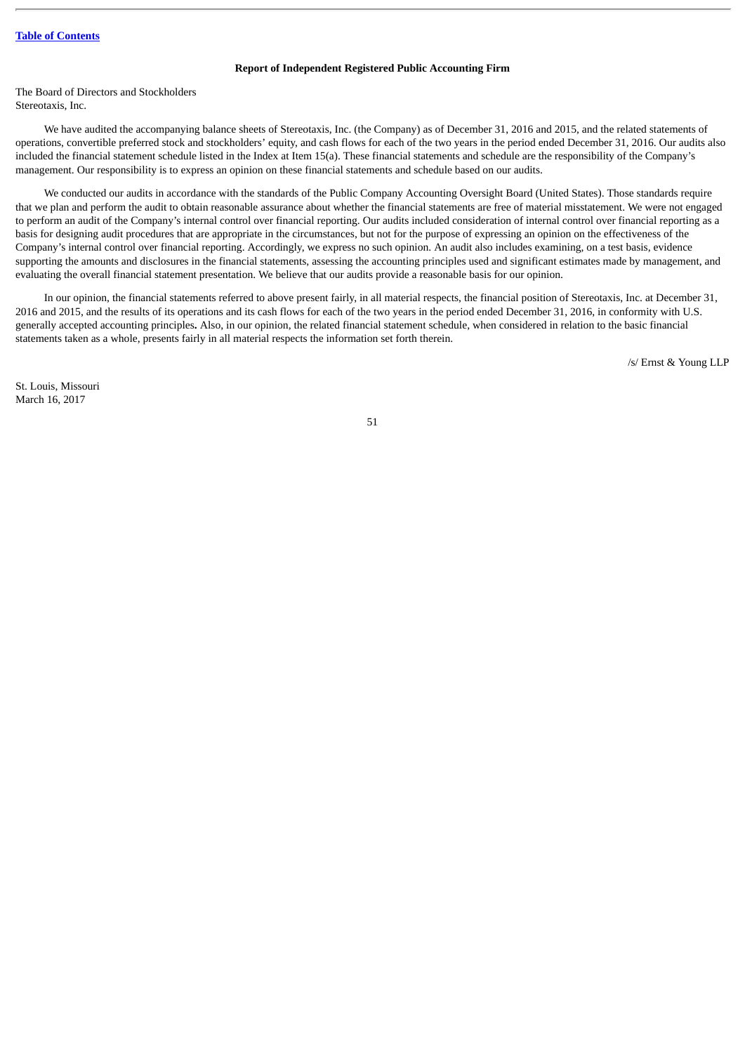### **Report of Independent Registered Public Accounting Firm**

<span id="page-52-0"></span>The Board of Directors and Stockholders Stereotaxis, Inc.

We have audited the accompanying balance sheets of Stereotaxis, Inc. (the Company) as of December 31, 2016 and 2015, and the related statements of operations, convertible preferred stock and stockholders' equity, and cash flows for each of the two years in the period ended December 31, 2016. Our audits also included the financial statement schedule listed in the Index at Item 15(a). These financial statements and schedule are the responsibility of the Company's management. Our responsibility is to express an opinion on these financial statements and schedule based on our audits.

We conducted our audits in accordance with the standards of the Public Company Accounting Oversight Board (United States). Those standards require that we plan and perform the audit to obtain reasonable assurance about whether the financial statements are free of material misstatement. We were not engaged to perform an audit of the Company's internal control over financial reporting. Our audits included consideration of internal control over financial reporting as a basis for designing audit procedures that are appropriate in the circumstances, but not for the purpose of expressing an opinion on the effectiveness of the Company's internal control over financial reporting. Accordingly, we express no such opinion. An audit also includes examining, on a test basis, evidence supporting the amounts and disclosures in the financial statements, assessing the accounting principles used and significant estimates made by management, and evaluating the overall financial statement presentation. We believe that our audits provide a reasonable basis for our opinion.

In our opinion, the financial statements referred to above present fairly, in all material respects, the financial position of Stereotaxis, Inc. at December 31, 2016 and 2015, and the results of its operations and its cash flows for each of the two years in the period ended December 31, 2016, in conformity with U.S. generally accepted accounting principles**.** Also, in our opinion, the related financial statement schedule, when considered in relation to the basic financial statements taken as a whole, presents fairly in all material respects the information set forth therein.

/s/ Ernst & Young LLP

St. Louis, Missouri March 16, 2017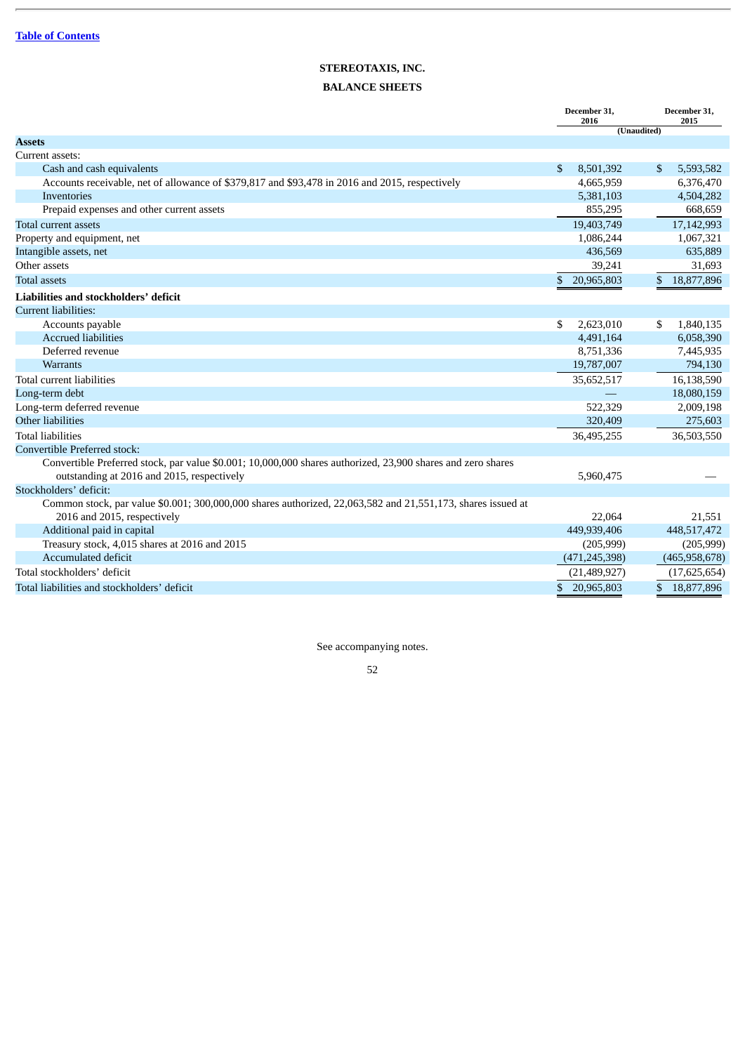# **BALANCE SHEETS**

<span id="page-53-0"></span>

| (Unaudited)<br><b>Assets</b><br>Current assets:<br>Cash and cash equivalents<br>S.<br>8,501,392<br>5,593,582<br>S.<br>Accounts receivable, net of allowance of \$379,817 and \$93,478 in 2016 and 2015, respectively<br>6,376,470<br>4,665,959<br>4,504,282<br><b>Inventories</b><br>5,381,103<br>Prepaid expenses and other current assets<br>855,295<br>668,659 |
|-------------------------------------------------------------------------------------------------------------------------------------------------------------------------------------------------------------------------------------------------------------------------------------------------------------------------------------------------------------------|
|                                                                                                                                                                                                                                                                                                                                                                   |
|                                                                                                                                                                                                                                                                                                                                                                   |
|                                                                                                                                                                                                                                                                                                                                                                   |
|                                                                                                                                                                                                                                                                                                                                                                   |
|                                                                                                                                                                                                                                                                                                                                                                   |
|                                                                                                                                                                                                                                                                                                                                                                   |
| 19,403,749<br>17,142,993<br>Total current assets                                                                                                                                                                                                                                                                                                                  |
| Property and equipment, net<br>1,086,244<br>1,067,321                                                                                                                                                                                                                                                                                                             |
| Intangible assets, net<br>635,889<br>436,569                                                                                                                                                                                                                                                                                                                      |
| Other assets<br>39,241<br>31,693                                                                                                                                                                                                                                                                                                                                  |
| <b>Total assets</b><br>\$<br>18,877,896<br>\$<br>20,965,803                                                                                                                                                                                                                                                                                                       |
| Liabilities and stockholders' deficit                                                                                                                                                                                                                                                                                                                             |
| Current liabilities:                                                                                                                                                                                                                                                                                                                                              |
| \$<br>2,623,010<br>1,840,135<br>Accounts payable<br>\$                                                                                                                                                                                                                                                                                                            |
| <b>Accrued liabilities</b><br>4,491,164<br>6,058,390                                                                                                                                                                                                                                                                                                              |
| Deferred revenue<br>8,751,336<br>7,445,935                                                                                                                                                                                                                                                                                                                        |
| <b>Warrants</b><br>19,787,007<br>794,130                                                                                                                                                                                                                                                                                                                          |
| Total current liabilities<br>35,652,517<br>16,138,590                                                                                                                                                                                                                                                                                                             |
| Long-term debt<br>18,080,159                                                                                                                                                                                                                                                                                                                                      |
| Long-term deferred revenue<br>522,329<br>2,009,198                                                                                                                                                                                                                                                                                                                |
| Other liabilities<br>320,409<br>275,603                                                                                                                                                                                                                                                                                                                           |
| <b>Total liabilities</b><br>36,495,255<br>36,503,550                                                                                                                                                                                                                                                                                                              |
| Convertible Preferred stock:                                                                                                                                                                                                                                                                                                                                      |
| Convertible Preferred stock, par value \$0.001; 10,000,000 shares authorized, 23,900 shares and zero shares                                                                                                                                                                                                                                                       |
| outstanding at 2016 and 2015, respectively<br>5,960,475                                                                                                                                                                                                                                                                                                           |
| Stockholders' deficit:                                                                                                                                                                                                                                                                                                                                            |
| Common stock, par value \$0.001; 300,000,000 shares authorized, 22,063,582 and 21,551,173, shares issued at                                                                                                                                                                                                                                                       |
| 2016 and 2015, respectively<br>22,064<br>21,551                                                                                                                                                                                                                                                                                                                   |
| Additional paid in capital<br>448,517,472<br>449,939,406                                                                                                                                                                                                                                                                                                          |
| Treasury stock, 4,015 shares at 2016 and 2015<br>(205,999)<br>(205, 999)                                                                                                                                                                                                                                                                                          |
| Accumulated deficit<br>(471, 245, 398)<br>(465, 958, 678)                                                                                                                                                                                                                                                                                                         |
| Total stockholders' deficit<br>(21,489,927)<br>(17, 625, 654)                                                                                                                                                                                                                                                                                                     |
| Total liabilities and stockholders' deficit<br>\$<br>20,965,803<br>\$<br>18,877,896                                                                                                                                                                                                                                                                               |

See accompanying notes.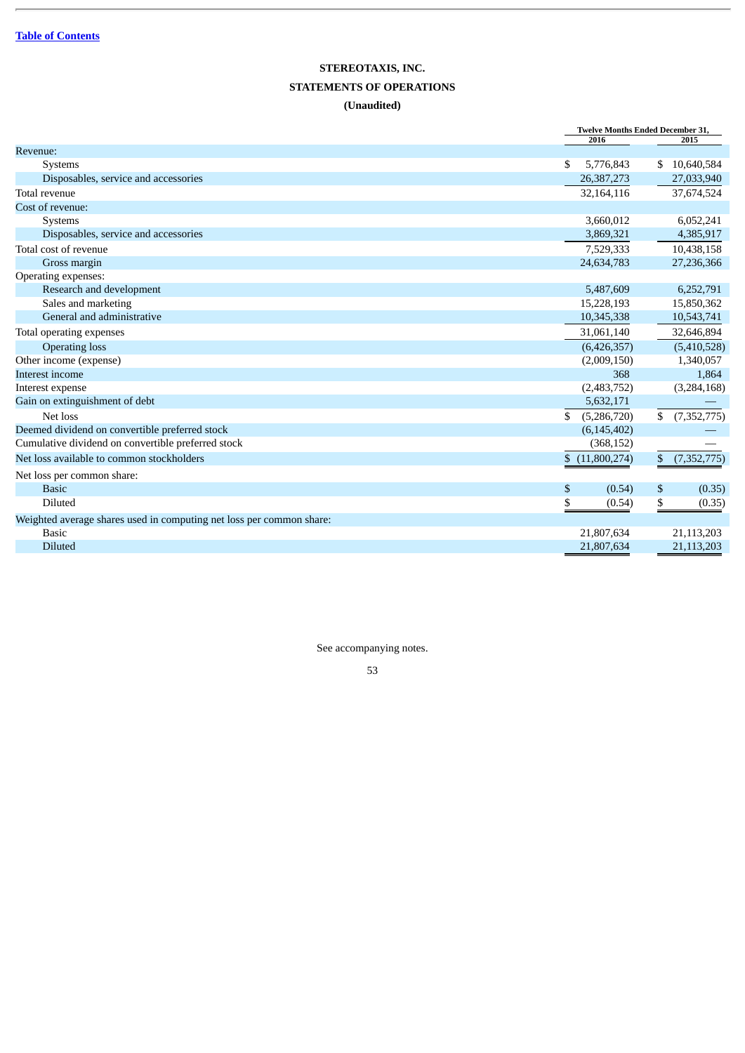# **STEREOTAXIS, INC. STATEMENTS OF OPERATIONS**

# **(Unaudited)**

<span id="page-54-0"></span>

|                                                                      |                   | <b>Twelve Months Ended December 31,</b> |
|----------------------------------------------------------------------|-------------------|-----------------------------------------|
|                                                                      | 2016              | 2015                                    |
| Revenue:                                                             |                   |                                         |
| Systems                                                              | 5,776,843<br>\$   | 10,640,584<br>\$                        |
| Disposables, service and accessories                                 | 26,387,273        | 27,033,940                              |
| Total revenue                                                        | 32,164,116        | 37,674,524                              |
| Cost of revenue:                                                     |                   |                                         |
| Systems                                                              | 3,660,012         | 6,052,241                               |
| Disposables, service and accessories                                 | 3,869,321         | 4,385,917                               |
| Total cost of revenue                                                | 7,529,333         | 10,438,158                              |
| Gross margin                                                         | 24,634,783        | 27,236,366                              |
| Operating expenses:                                                  |                   |                                         |
| Research and development                                             | 5,487,609         | 6,252,791                               |
| Sales and marketing                                                  | 15,228,193        | 15,850,362                              |
| General and administrative                                           | 10,345,338        | 10,543,741                              |
| Total operating expenses                                             | 31,061,140        | 32,646,894                              |
| <b>Operating loss</b>                                                | (6,426,357)       | (5,410,528)                             |
| Other income (expense)                                               | (2,009,150)       | 1,340,057                               |
| Interest income                                                      | 368               | 1,864                                   |
| Interest expense                                                     | (2,483,752)       | (3,284,168)                             |
| Gain on extinguishment of debt                                       | 5,632,171         |                                         |
| Net loss                                                             | \$<br>(5,286,720) | \$<br>(7, 352, 775)                     |
| Deemed dividend on convertible preferred stock                       | (6, 145, 402)     |                                         |
| Cumulative dividend on convertible preferred stock                   | (368, 152)        |                                         |
| Net loss available to common stockholders                            | \$(11,800,274)    | \$<br>(7, 352, 775)                     |
| Net loss per common share:                                           |                   |                                         |
| <b>Basic</b>                                                         | \$<br>(0.54)      | \$<br>(0.35)                            |
| Diluted                                                              | \$<br>(0.54)      | \$<br>(0.35)                            |
| Weighted average shares used in computing net loss per common share: |                   |                                         |
| <b>Basic</b>                                                         | 21,807,634        | 21,113,203                              |
| <b>Diluted</b>                                                       | 21,807,634        | 21,113,203                              |
|                                                                      |                   |                                         |

See accompanying notes.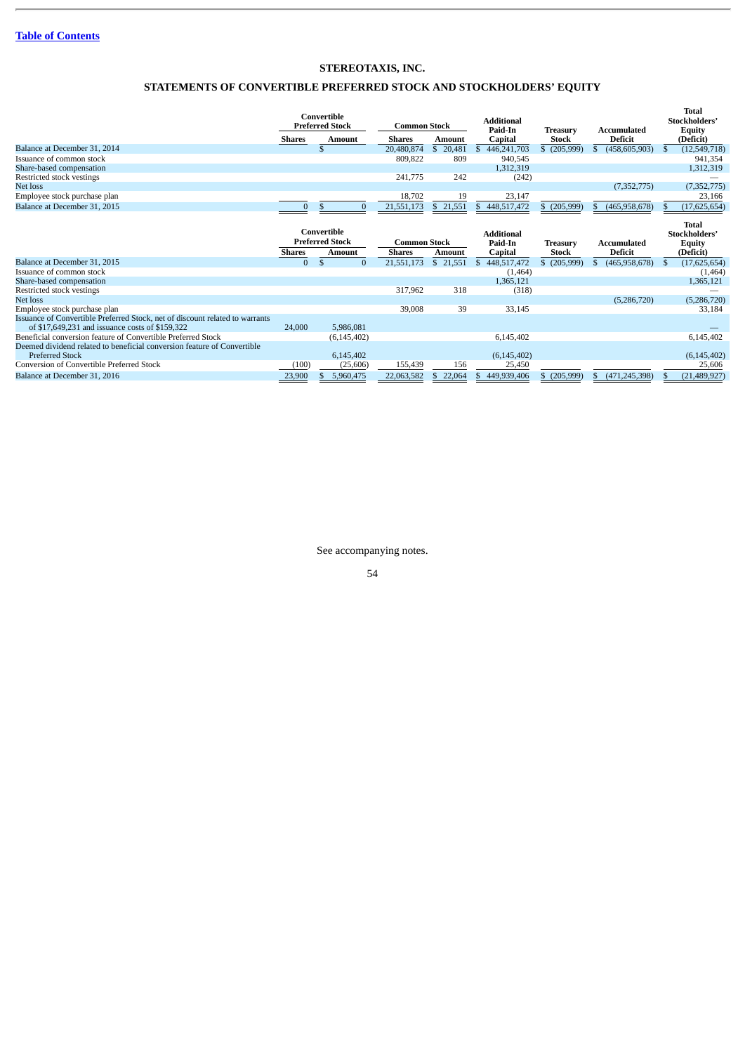# **STATEMENTS OF CONVERTIBLE PREFERRED STOCK AND STOCKHOLDERS' EQUITY**

<span id="page-55-0"></span>

|                                                                                                                                 | Convertible<br><b>Preferred Stock</b> |                                       |                     | <b>Common Stock</b> |                              | <b>Treasury</b> | Accumulated           | <b>Total</b><br>Stockholders'<br>Equity |                |
|---------------------------------------------------------------------------------------------------------------------------------|---------------------------------------|---------------------------------------|---------------------|---------------------|------------------------------|-----------------|-----------------------|-----------------------------------------|----------------|
|                                                                                                                                 | Shares                                | <b>Amount</b>                         | <b>Shares</b>       | <b>Amount</b>       | Paid-In<br>Capital           | Stock           | <b>Deficit</b>        | (Deficit)                               |                |
| Balance at December 31, 2014                                                                                                    |                                       |                                       | 20,480,874          | 20,481<br>\$.       | 446,241,703                  | \$(205,999)     | (458, 605, 903)       |                                         | (12,549,718)   |
| Issuance of common stock                                                                                                        |                                       |                                       | 809,822             | 809                 | 940,545                      |                 |                       |                                         | 941,354        |
| Share-based compensation                                                                                                        |                                       |                                       |                     |                     | 1,312,319                    |                 |                       |                                         | 1,312,319      |
| Restricted stock vestings                                                                                                       |                                       |                                       | 241,775             | 242                 | (242)                        |                 |                       |                                         |                |
| Net loss                                                                                                                        |                                       |                                       |                     |                     |                              |                 | (7, 352, 775)         |                                         | (7, 352, 775)  |
| Employee stock purchase plan                                                                                                    |                                       |                                       | 18,702              | 19                  | 23,147                       |                 |                       |                                         | 23,166         |
| Balance at December 31, 2015                                                                                                    | $\Omega$                              |                                       | 21,551,173          | 21,551<br>S.        | 448,517,472                  | $$^{(205,999)}$ | (465, 958, 678)       |                                         | (17, 625, 654) |
|                                                                                                                                 |                                       | Convertible<br><b>Preferred Stock</b> | <b>Common Stock</b> |                     | <b>Additional</b><br>Paid-In | <b>Treasury</b> | Accumulated           | <b>Total</b><br>Stockholders'<br>Equity |                |
|                                                                                                                                 | <b>Shares</b>                         | Amount                                | <b>Shares</b>       | <b>Amount</b>       | Capital                      | <b>Stock</b>    | <b>Deficit</b>        | (Deficit)                               |                |
| Balance at December 31, 2015                                                                                                    | $\Omega$                              | $\Omega$                              | 21,551,173          | \$<br>21,551        | 448,517,472                  | $$$ (205,999)   | (465, 958, 678)<br>S. | - \$                                    | (17,625,654)   |
| Issuance of common stock                                                                                                        |                                       |                                       |                     |                     | (1,464)                      |                 |                       |                                         | (1,464)        |
| Share-based compensation                                                                                                        |                                       |                                       |                     |                     | 1,365,121                    |                 |                       |                                         | 1,365,121      |
| Restricted stock vestings                                                                                                       |                                       |                                       | 317,962             | 318                 | (318)                        |                 |                       |                                         |                |
| <b>Net loss</b>                                                                                                                 |                                       |                                       |                     |                     |                              |                 | (5,286,720)           |                                         | (5,286,720)    |
| Employee stock purchase plan                                                                                                    |                                       |                                       | 39,008              | 39                  | 33,145                       |                 |                       |                                         | 33,184         |
| Issuance of Convertible Preferred Stock, net of discount related to warrants<br>of \$17,649,231 and issuance costs of \$159,322 | 24,000                                | 5,986,081                             |                     |                     |                              |                 |                       |                                         |                |
| Beneficial conversion feature of Convertible Preferred Stock                                                                    |                                       | (6, 145, 402)                         |                     |                     | 6,145,402                    |                 |                       |                                         | 6,145,402      |
| Deemed dividend related to beneficial conversion feature of Convertible<br><b>Preferred Stock</b>                               |                                       | 6,145,402                             |                     |                     | (6, 145, 402)                |                 |                       |                                         | (6, 145, 402)  |
| <b>Conversion of Convertible Preferred Stock</b>                                                                                | (100)                                 | (25,606)                              | 155,439             | 156                 | 25,450                       |                 |                       |                                         | 25,606         |
| Balance at December 31, 2016                                                                                                    | 23,900                                | 5,960,475                             | 22,063,582          | 22,064              | 449,939,406                  | \$(205,999)     | (471, 245, 398)       |                                         | (21, 489, 927) |

See accompanying notes.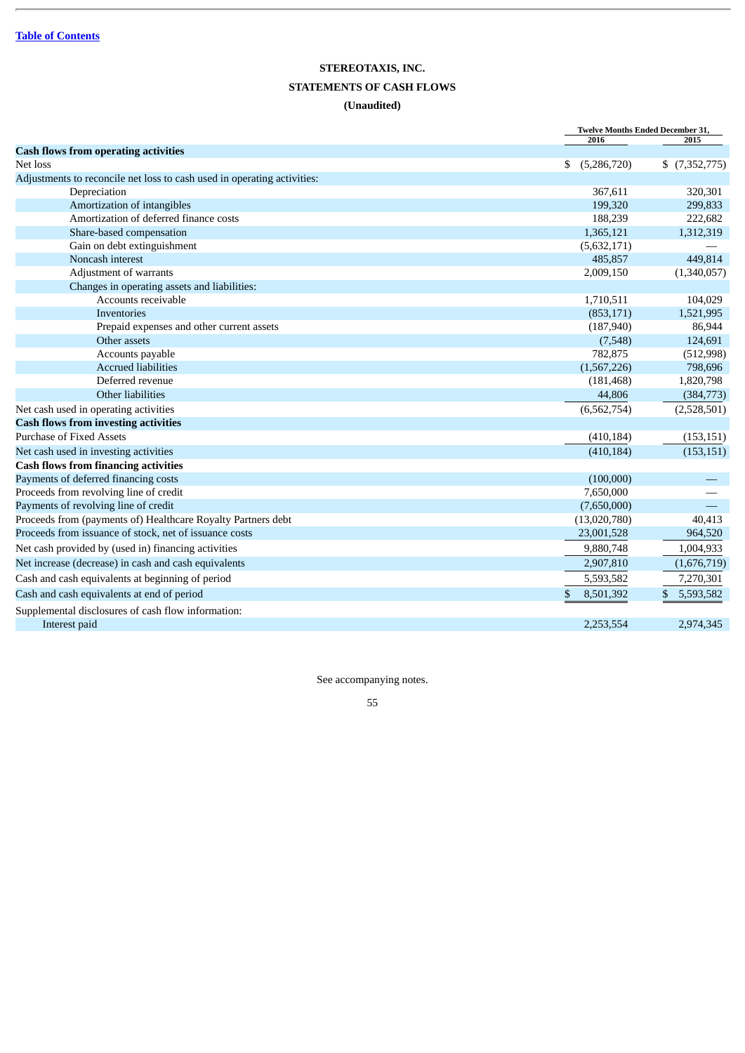# **STATEMENTS OF CASH FLOWS**

# **(Unaudited)**

<span id="page-56-0"></span>

|                                                                         |                   | <b>Twelve Months Ended December 31,</b> |
|-------------------------------------------------------------------------|-------------------|-----------------------------------------|
|                                                                         | 2016              | 2015                                    |
| <b>Cash flows from operating activities</b>                             |                   |                                         |
| Net loss                                                                | (5,286,720)<br>\$ | $$$ $(7,352,775)$                       |
| Adjustments to reconcile net loss to cash used in operating activities: |                   |                                         |
| Depreciation                                                            | 367,611           | 320,301                                 |
| Amortization of intangibles                                             | 199,320           | 299,833                                 |
| Amortization of deferred finance costs                                  | 188,239           | 222,682                                 |
| Share-based compensation                                                | 1,365,121         | 1,312,319                               |
| Gain on debt extinguishment                                             | (5,632,171)       |                                         |
| Noncash interest                                                        | 485,857           | 449,814                                 |
| Adjustment of warrants                                                  | 2,009,150         | (1,340,057)                             |
| Changes in operating assets and liabilities:                            |                   |                                         |
| Accounts receivable                                                     | 1,710,511         | 104,029                                 |
| Inventories                                                             | (853, 171)        | 1,521,995                               |
| Prepaid expenses and other current assets                               | (187, 940)        | 86,944                                  |
| Other assets                                                            | (7,548)           | 124,691                                 |
| Accounts payable                                                        | 782,875           | (512,998)                               |
| <b>Accrued liabilities</b>                                              | (1,567,226)       | 798,696                                 |
| Deferred revenue                                                        | (181, 468)        | 1,820,798                               |
| Other liabilities                                                       | 44,806            | (384, 773)                              |
| Net cash used in operating activities                                   | (6, 562, 754)     | (2,528,501)                             |
| <b>Cash flows from investing activities</b>                             |                   |                                         |
| Purchase of Fixed Assets                                                | (410, 184)        | (153, 151)                              |
| Net cash used in investing activities                                   | (410, 184)        | (153, 151)                              |
| <b>Cash flows from financing activities</b>                             |                   |                                         |
| Payments of deferred financing costs                                    | (100,000)         |                                         |
| Proceeds from revolving line of credit                                  | 7,650,000         |                                         |
| Payments of revolving line of credit                                    | (7,650,000)       |                                         |
| Proceeds from (payments of) Healthcare Royalty Partners debt            | (13,020,780)      | 40,413                                  |
| Proceeds from issuance of stock, net of issuance costs                  | 23,001,528        | 964,520                                 |
| Net cash provided by (used in) financing activities                     | 9,880,748         | 1,004,933                               |
| Net increase (decrease) in cash and cash equivalents                    | 2,907,810         | (1,676,719)                             |
| Cash and cash equivalents at beginning of period                        | 5,593,582         | 7,270,301                               |
| Cash and cash equivalents at end of period                              | \$<br>8,501,392   | \$<br>5,593,582                         |
| Supplemental disclosures of cash flow information:                      |                   |                                         |
| Interest paid                                                           | 2,253,554         | 2,974,345                               |

See accompanying notes.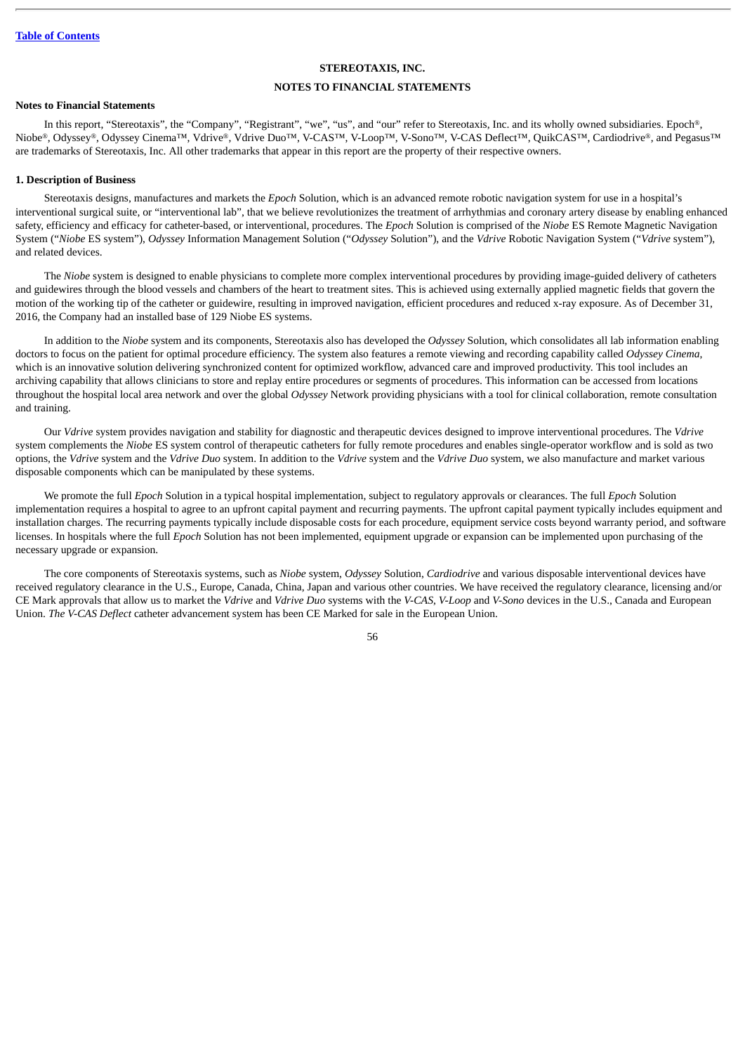### **NOTES TO FINANCIAL STATEMENTS**

# <span id="page-57-0"></span>**Notes to Financial Statements**

In this report, "Stereotaxis", the "Company", "Registrant", "we", "us", and "our" refer to Stereotaxis, Inc. and its wholly owned subsidiaries. Epoch<sup>®</sup>, Niobe®, Odyssey®, Odyssey Cinema™, Vdrive®, Vdrive Duo™, V-CAS™, V-Loop™, V-Sono™, V-CAS Deflect™, QuikCAS™, Cardiodrive®, and Pegasus™ are trademarks of Stereotaxis, Inc. All other trademarks that appear in this report are the property of their respective owners.

### **1. Description of Business**

Stereotaxis designs, manufactures and markets the *Epoch* Solution, which is an advanced remote robotic navigation system for use in a hospital's interventional surgical suite, or "interventional lab", that we believe revolutionizes the treatment of arrhythmias and coronary artery disease by enabling enhanced safety, efficiency and efficacy for catheter-based, or interventional, procedures. The *Epoch* Solution is comprised of the *Niobe* ES Remote Magnetic Navigation System ("*Niobe* ES system"), *Odyssey* Information Management Solution ("*Odyssey* Solution"), and the *Vdrive* Robotic Navigation System ("*Vdrive* system"), and related devices.

The *Niobe* system is designed to enable physicians to complete more complex interventional procedures by providing image-guided delivery of catheters and guidewires through the blood vessels and chambers of the heart to treatment sites. This is achieved using externally applied magnetic fields that govern the motion of the working tip of the catheter or guidewire, resulting in improved navigation, efficient procedures and reduced x-ray exposure. As of December 31, 2016, the Company had an installed base of 129 Niobe ES systems.

In addition to the *Niobe* system and its components, Stereotaxis also has developed the *Odyssey* Solution, which consolidates all lab information enabling doctors to focus on the patient for optimal procedure efficiency. The system also features a remote viewing and recording capability called *Odyssey Cinema*, which is an innovative solution delivering synchronized content for optimized workflow, advanced care and improved productivity. This tool includes an archiving capability that allows clinicians to store and replay entire procedures or segments of procedures. This information can be accessed from locations throughout the hospital local area network and over the global *Odyssey* Network providing physicians with a tool for clinical collaboration, remote consultation and training.

Our *Vdrive* system provides navigation and stability for diagnostic and therapeutic devices designed to improve interventional procedures. The *Vdrive* system complements the *Niobe* ES system control of therapeutic catheters for fully remote procedures and enables single-operator workflow and is sold as two options, the *Vdrive* system and the *Vdrive Duo* system. In addition to the *Vdrive* system and the *Vdrive Duo* system, we also manufacture and market various disposable components which can be manipulated by these systems.

We promote the full *Epoch* Solution in a typical hospital implementation, subject to regulatory approvals or clearances. The full *Epoch* Solution implementation requires a hospital to agree to an upfront capital payment and recurring payments. The upfront capital payment typically includes equipment and installation charges. The recurring payments typically include disposable costs for each procedure, equipment service costs beyond warranty period, and software licenses. In hospitals where the full *Epoch* Solution has not been implemented, equipment upgrade or expansion can be implemented upon purchasing of the necessary upgrade or expansion.

The core components of Stereotaxis systems, such as *Niobe* system, *Odyssey* Solution, *Cardiodrive* and various disposable interventional devices have received regulatory clearance in the U.S., Europe, Canada, China, Japan and various other countries. We have received the regulatory clearance, licensing and/or CE Mark approvals that allow us to market the *Vdrive* and *Vdrive Duo* systems with the *V-CAS*, *V-Loop* and *V-Sono* devices in the U.S., Canada and European Union. *The V-CAS Deflect* catheter advancement system has been CE Marked for sale in the European Union.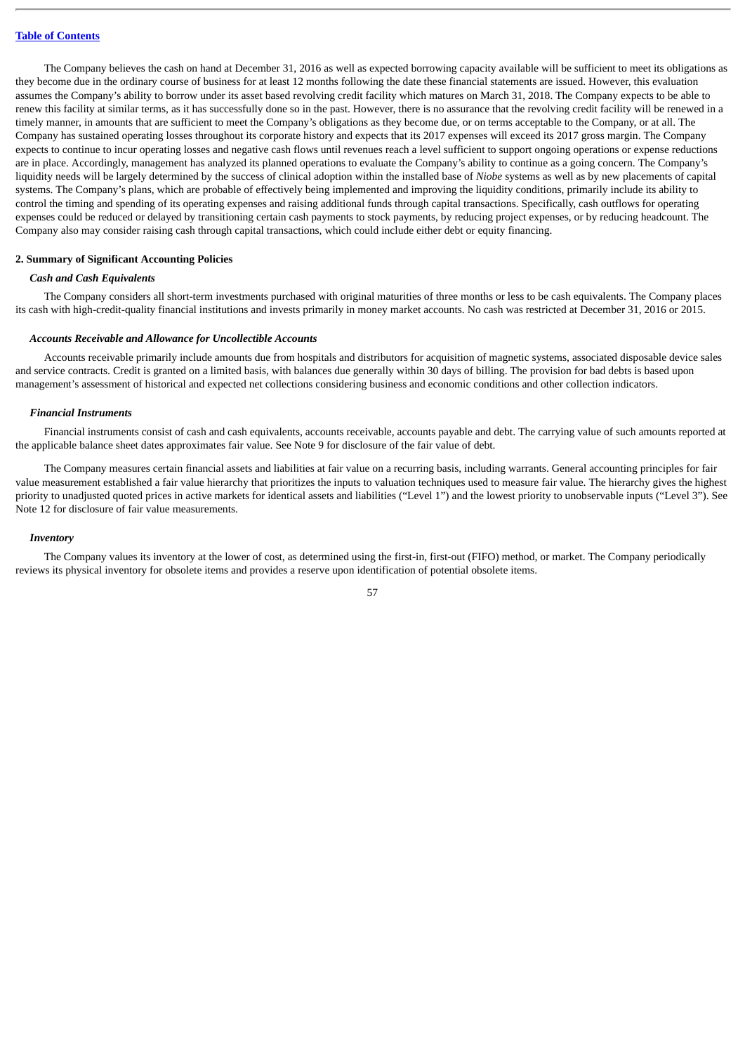The Company believes the cash on hand at December 31, 2016 as well as expected borrowing capacity available will be sufficient to meet its obligations as they become due in the ordinary course of business for at least 12 months following the date these financial statements are issued. However, this evaluation assumes the Company's ability to borrow under its asset based revolving credit facility which matures on March 31, 2018. The Company expects to be able to renew this facility at similar terms, as it has successfully done so in the past. However, there is no assurance that the revolving credit facility will be renewed in a timely manner, in amounts that are sufficient to meet the Company's obligations as they become due, or on terms acceptable to the Company, or at all. The Company has sustained operating losses throughout its corporate history and expects that its 2017 expenses will exceed its 2017 gross margin. The Company expects to continue to incur operating losses and negative cash flows until revenues reach a level sufficient to support ongoing operations or expense reductions are in place. Accordingly, management has analyzed its planned operations to evaluate the Company's ability to continue as a going concern. The Company's liquidity needs will be largely determined by the success of clinical adoption within the installed base of *Niobe* systems as well as by new placements of capital systems. The Company's plans, which are probable of effectively being implemented and improving the liquidity conditions, primarily include its ability to control the timing and spending of its operating expenses and raising additional funds through capital transactions. Specifically, cash outflows for operating expenses could be reduced or delayed by transitioning certain cash payments to stock payments, by reducing project expenses, or by reducing headcount. The Company also may consider raising cash through capital transactions, which could include either debt or equity financing.

### **2. Summary of Significant Accounting Policies**

### *Cash and Cash Equivalents*

The Company considers all short-term investments purchased with original maturities of three months or less to be cash equivalents. The Company places its cash with high-credit-quality financial institutions and invests primarily in money market accounts. No cash was restricted at December 31, 2016 or 2015.

### *Accounts Receivable and Allowance for Uncollectible Accounts*

Accounts receivable primarily include amounts due from hospitals and distributors for acquisition of magnetic systems, associated disposable device sales and service contracts. Credit is granted on a limited basis, with balances due generally within 30 days of billing. The provision for bad debts is based upon management's assessment of historical and expected net collections considering business and economic conditions and other collection indicators.

#### *Financial Instruments*

Financial instruments consist of cash and cash equivalents, accounts receivable, accounts payable and debt. The carrying value of such amounts reported at the applicable balance sheet dates approximates fair value. See Note 9 for disclosure of the fair value of debt.

The Company measures certain financial assets and liabilities at fair value on a recurring basis, including warrants. General accounting principles for fair value measurement established a fair value hierarchy that prioritizes the inputs to valuation techniques used to measure fair value. The hierarchy gives the highest priority to unadjusted quoted prices in active markets for identical assets and liabilities ("Level 1") and the lowest priority to unobservable inputs ("Level 3"). See Note 12 for disclosure of fair value measurements.

### *Inventory*

The Company values its inventory at the lower of cost, as determined using the first-in, first-out (FIFO) method, or market. The Company periodically reviews its physical inventory for obsolete items and provides a reserve upon identification of potential obsolete items.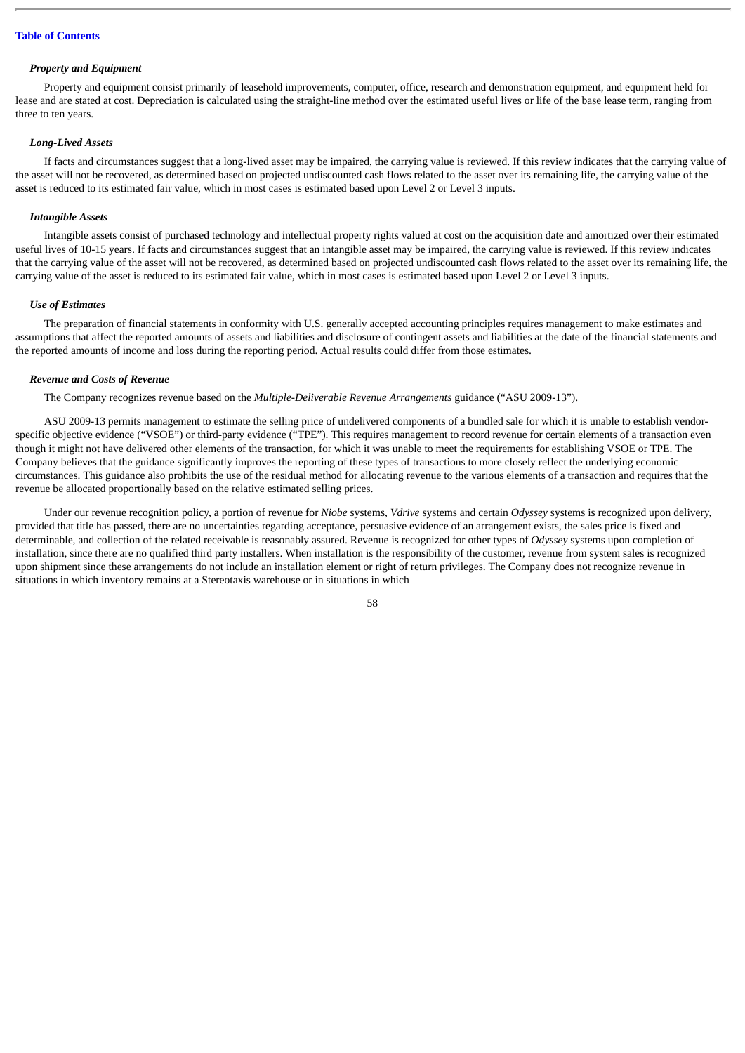### *Property and Equipment*

Property and equipment consist primarily of leasehold improvements, computer, office, research and demonstration equipment, and equipment held for lease and are stated at cost. Depreciation is calculated using the straight-line method over the estimated useful lives or life of the base lease term, ranging from three to ten years.

# *Long-Lived Assets*

If facts and circumstances suggest that a long-lived asset may be impaired, the carrying value is reviewed. If this review indicates that the carrying value of the asset will not be recovered, as determined based on projected undiscounted cash flows related to the asset over its remaining life, the carrying value of the asset is reduced to its estimated fair value, which in most cases is estimated based upon Level 2 or Level 3 inputs.

### *Intangible Assets*

Intangible assets consist of purchased technology and intellectual property rights valued at cost on the acquisition date and amortized over their estimated useful lives of 10-15 years. If facts and circumstances suggest that an intangible asset may be impaired, the carrying value is reviewed. If this review indicates that the carrying value of the asset will not be recovered, as determined based on projected undiscounted cash flows related to the asset over its remaining life, the carrying value of the asset is reduced to its estimated fair value, which in most cases is estimated based upon Level 2 or Level 3 inputs.

### *Use of Estimates*

The preparation of financial statements in conformity with U.S. generally accepted accounting principles requires management to make estimates and assumptions that affect the reported amounts of assets and liabilities and disclosure of contingent assets and liabilities at the date of the financial statements and the reported amounts of income and loss during the reporting period. Actual results could differ from those estimates.

# *Revenue and Costs of Revenue*

The Company recognizes revenue based on the *Multiple-Deliverable Revenue Arrangements* guidance ("ASU 2009-13").

ASU 2009-13 permits management to estimate the selling price of undelivered components of a bundled sale for which it is unable to establish vendorspecific objective evidence ("VSOE") or third-party evidence ("TPE"). This requires management to record revenue for certain elements of a transaction even though it might not have delivered other elements of the transaction, for which it was unable to meet the requirements for establishing VSOE or TPE. The Company believes that the guidance significantly improves the reporting of these types of transactions to more closely reflect the underlying economic circumstances. This guidance also prohibits the use of the residual method for allocating revenue to the various elements of a transaction and requires that the revenue be allocated proportionally based on the relative estimated selling prices.

Under our revenue recognition policy, a portion of revenue for *Niobe* systems, *Vdrive* systems and certain *Odyssey* systems is recognized upon delivery, provided that title has passed, there are no uncertainties regarding acceptance, persuasive evidence of an arrangement exists, the sales price is fixed and determinable, and collection of the related receivable is reasonably assured. Revenue is recognized for other types of *Odyssey* systems upon completion of installation, since there are no qualified third party installers. When installation is the responsibility of the customer, revenue from system sales is recognized upon shipment since these arrangements do not include an installation element or right of return privileges. The Company does not recognize revenue in situations in which inventory remains at a Stereotaxis warehouse or in situations in which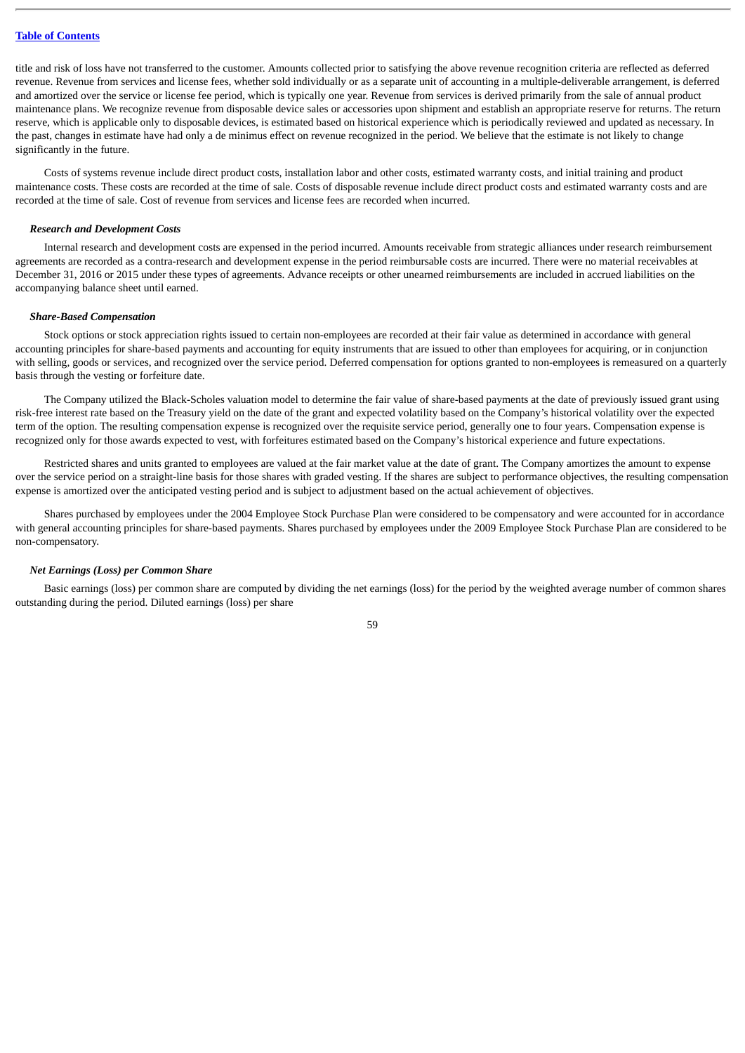title and risk of loss have not transferred to the customer. Amounts collected prior to satisfying the above revenue recognition criteria are reflected as deferred revenue. Revenue from services and license fees, whether sold individually or as a separate unit of accounting in a multiple-deliverable arrangement, is deferred and amortized over the service or license fee period, which is typically one year. Revenue from services is derived primarily from the sale of annual product maintenance plans. We recognize revenue from disposable device sales or accessories upon shipment and establish an appropriate reserve for returns. The return reserve, which is applicable only to disposable devices, is estimated based on historical experience which is periodically reviewed and updated as necessary. In the past, changes in estimate have had only a de minimus effect on revenue recognized in the period. We believe that the estimate is not likely to change significantly in the future.

Costs of systems revenue include direct product costs, installation labor and other costs, estimated warranty costs, and initial training and product maintenance costs. These costs are recorded at the time of sale. Costs of disposable revenue include direct product costs and estimated warranty costs and are recorded at the time of sale. Cost of revenue from services and license fees are recorded when incurred.

### *Research and Development Costs*

Internal research and development costs are expensed in the period incurred. Amounts receivable from strategic alliances under research reimbursement agreements are recorded as a contra-research and development expense in the period reimbursable costs are incurred. There were no material receivables at December 31, 2016 or 2015 under these types of agreements. Advance receipts or other unearned reimbursements are included in accrued liabilities on the accompanying balance sheet until earned.

### *Share-Based Compensation*

Stock options or stock appreciation rights issued to certain non-employees are recorded at their fair value as determined in accordance with general accounting principles for share-based payments and accounting for equity instruments that are issued to other than employees for acquiring, or in conjunction with selling, goods or services, and recognized over the service period. Deferred compensation for options granted to non-employees is remeasured on a quarterly basis through the vesting or forfeiture date.

The Company utilized the Black-Scholes valuation model to determine the fair value of share-based payments at the date of previously issued grant using risk-free interest rate based on the Treasury yield on the date of the grant and expected volatility based on the Company's historical volatility over the expected term of the option. The resulting compensation expense is recognized over the requisite service period, generally one to four years. Compensation expense is recognized only for those awards expected to vest, with forfeitures estimated based on the Company's historical experience and future expectations.

Restricted shares and units granted to employees are valued at the fair market value at the date of grant. The Company amortizes the amount to expense over the service period on a straight-line basis for those shares with graded vesting. If the shares are subject to performance objectives, the resulting compensation expense is amortized over the anticipated vesting period and is subject to adjustment based on the actual achievement of objectives.

Shares purchased by employees under the 2004 Employee Stock Purchase Plan were considered to be compensatory and were accounted for in accordance with general accounting principles for share-based payments. Shares purchased by employees under the 2009 Employee Stock Purchase Plan are considered to be non-compensatory.

### *Net Earnings (Loss) per Common Share*

Basic earnings (loss) per common share are computed by dividing the net earnings (loss) for the period by the weighted average number of common shares outstanding during the period. Diluted earnings (loss) per share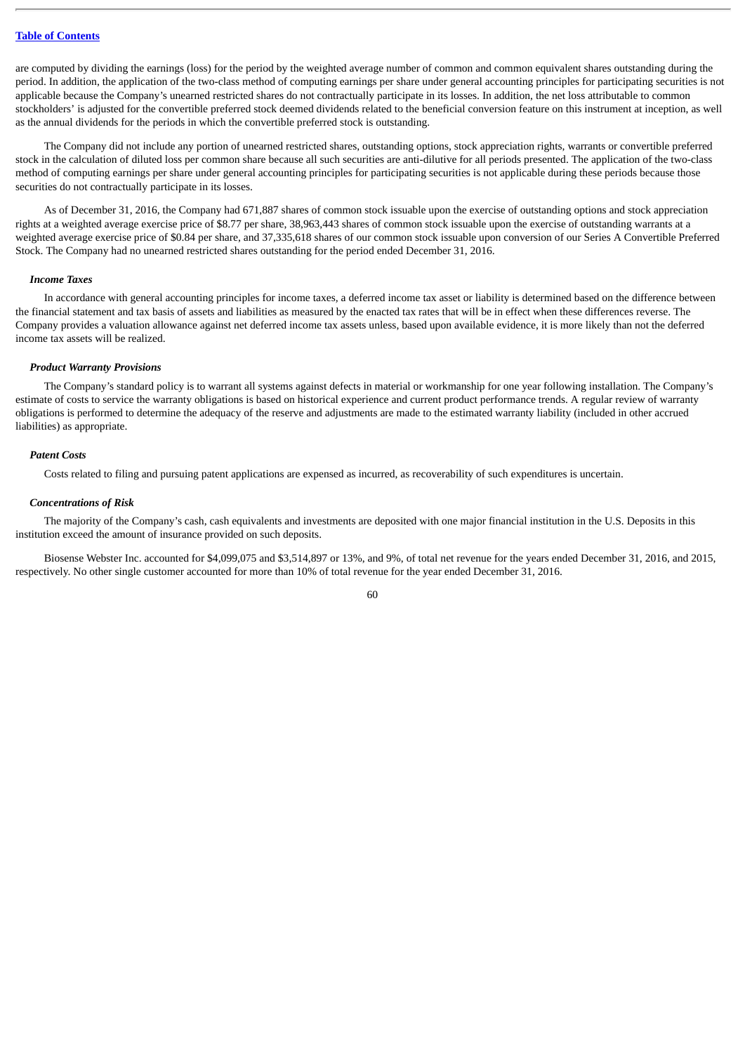are computed by dividing the earnings (loss) for the period by the weighted average number of common and common equivalent shares outstanding during the period. In addition, the application of the two-class method of computing earnings per share under general accounting principles for participating securities is not applicable because the Company's unearned restricted shares do not contractually participate in its losses. In addition, the net loss attributable to common stockholders' is adjusted for the convertible preferred stock deemed dividends related to the beneficial conversion feature on this instrument at inception, as well as the annual dividends for the periods in which the convertible preferred stock is outstanding.

The Company did not include any portion of unearned restricted shares, outstanding options, stock appreciation rights, warrants or convertible preferred stock in the calculation of diluted loss per common share because all such securities are anti-dilutive for all periods presented. The application of the two-class method of computing earnings per share under general accounting principles for participating securities is not applicable during these periods because those securities do not contractually participate in its losses.

As of December 31, 2016, the Company had 671,887 shares of common stock issuable upon the exercise of outstanding options and stock appreciation rights at a weighted average exercise price of \$8.77 per share, 38,963,443 shares of common stock issuable upon the exercise of outstanding warrants at a weighted average exercise price of \$0.84 per share, and 37,335,618 shares of our common stock issuable upon conversion of our Series A Convertible Preferred Stock. The Company had no unearned restricted shares outstanding for the period ended December 31, 2016.

#### *Income Taxes*

In accordance with general accounting principles for income taxes*,* a deferred income tax asset or liability is determined based on the difference between the financial statement and tax basis of assets and liabilities as measured by the enacted tax rates that will be in effect when these differences reverse. The Company provides a valuation allowance against net deferred income tax assets unless, based upon available evidence, it is more likely than not the deferred income tax assets will be realized.

#### *Product Warranty Provisions*

The Company's standard policy is to warrant all systems against defects in material or workmanship for one year following installation. The Company's estimate of costs to service the warranty obligations is based on historical experience and current product performance trends. A regular review of warranty obligations is performed to determine the adequacy of the reserve and adjustments are made to the estimated warranty liability (included in other accrued liabilities) as appropriate.

#### *Patent Costs*

Costs related to filing and pursuing patent applications are expensed as incurred, as recoverability of such expenditures is uncertain.

#### *Concentrations of Risk*

The majority of the Company's cash, cash equivalents and investments are deposited with one major financial institution in the U.S. Deposits in this institution exceed the amount of insurance provided on such deposits.

Biosense Webster Inc. accounted for \$4,099,075 and \$3,514,897 or 13%, and 9%, of total net revenue for the years ended December 31, 2016, and 2015, respectively. No other single customer accounted for more than 10% of total revenue for the year ended December 31, 2016.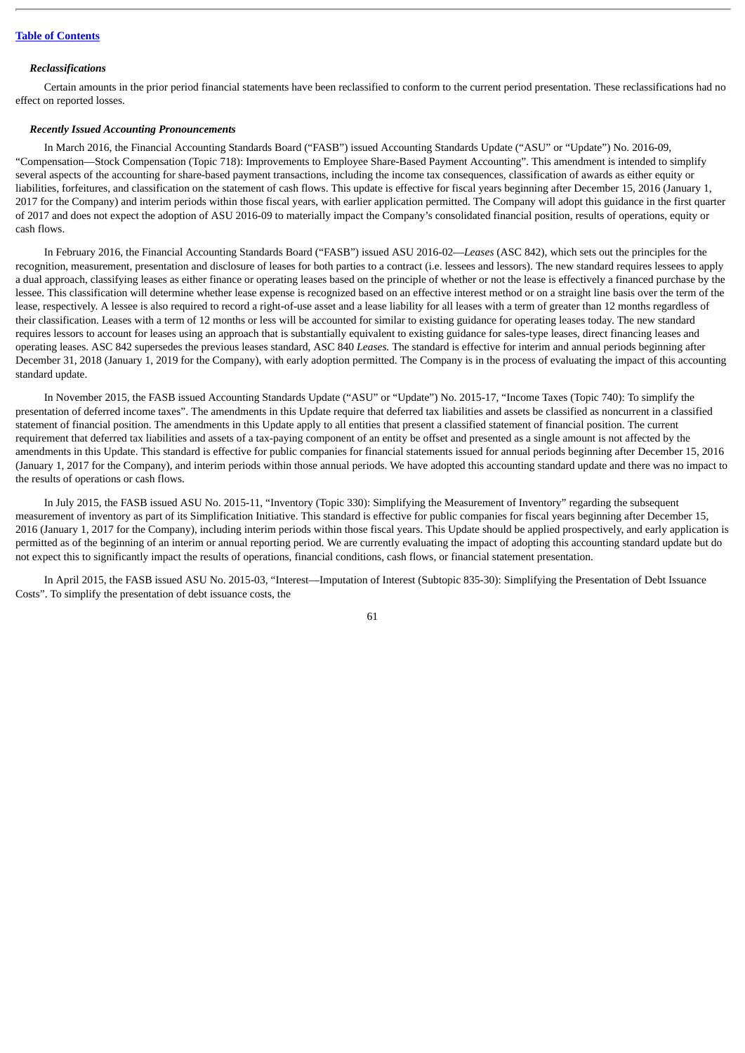### *Reclassifications*

Certain amounts in the prior period financial statements have been reclassified to conform to the current period presentation. These reclassifications had no effect on reported losses.

### *Recently Issued Accounting Pronouncements*

In March 2016, the Financial Accounting Standards Board ("FASB") issued Accounting Standards Update ("ASU" or "Update") No. 2016-09, "Compensation—Stock Compensation (Topic 718): Improvements to Employee Share-Based Payment Accounting". This amendment is intended to simplify several aspects of the accounting for share-based payment transactions, including the income tax consequences, classification of awards as either equity or liabilities, forfeitures, and classification on the statement of cash flows. This update is effective for fiscal years beginning after December 15, 2016 (January 1, 2017 for the Company) and interim periods within those fiscal years, with earlier application permitted. The Company will adopt this guidance in the first quarter of 2017 and does not expect the adoption of ASU 2016-09 to materially impact the Company's consolidated financial position, results of operations, equity or cash flows.

In February 2016, the Financial Accounting Standards Board ("FASB") issued ASU 2016-02—*Leases* (ASC 842), which sets out the principles for the recognition, measurement, presentation and disclosure of leases for both parties to a contract (i.e. lessees and lessors). The new standard requires lessees to apply a dual approach, classifying leases as either finance or operating leases based on the principle of whether or not the lease is effectively a financed purchase by the lessee. This classification will determine whether lease expense is recognized based on an effective interest method or on a straight line basis over the term of the lease, respectively. A lessee is also required to record a right-of-use asset and a lease liability for all leases with a term of greater than 12 months regardless of their classification. Leases with a term of 12 months or less will be accounted for similar to existing guidance for operating leases today. The new standard requires lessors to account for leases using an approach that is substantially equivalent to existing guidance for sales-type leases, direct financing leases and operating leases. ASC 842 supersedes the previous leases standard, ASC 840 *Leases.* The standard is effective for interim and annual periods beginning after December 31, 2018 (January 1, 2019 for the Company), with early adoption permitted. The Company is in the process of evaluating the impact of this accounting standard update.

In November 2015, the FASB issued Accounting Standards Update ("ASU" or "Update") No. 2015-17, "Income Taxes (Topic 740): To simplify the presentation of deferred income taxes". The amendments in this Update require that deferred tax liabilities and assets be classified as noncurrent in a classified statement of financial position. The amendments in this Update apply to all entities that present a classified statement of financial position. The current requirement that deferred tax liabilities and assets of a tax-paying component of an entity be offset and presented as a single amount is not affected by the amendments in this Update. This standard is effective for public companies for financial statements issued for annual periods beginning after December 15, 2016 (January 1, 2017 for the Company), and interim periods within those annual periods. We have adopted this accounting standard update and there was no impact to the results of operations or cash flows.

In July 2015, the FASB issued ASU No. 2015-11, "Inventory (Topic 330): Simplifying the Measurement of Inventory" regarding the subsequent measurement of inventory as part of its Simplification Initiative. This standard is effective for public companies for fiscal years beginning after December 15, 2016 (January 1, 2017 for the Company), including interim periods within those fiscal years. This Update should be applied prospectively, and early application is permitted as of the beginning of an interim or annual reporting period. We are currently evaluating the impact of adopting this accounting standard update but do not expect this to significantly impact the results of operations, financial conditions, cash flows, or financial statement presentation.

In April 2015, the FASB issued ASU No. 2015-03, "Interest—Imputation of Interest (Subtopic 835-30): Simplifying the Presentation of Debt Issuance Costs". To simplify the presentation of debt issuance costs, the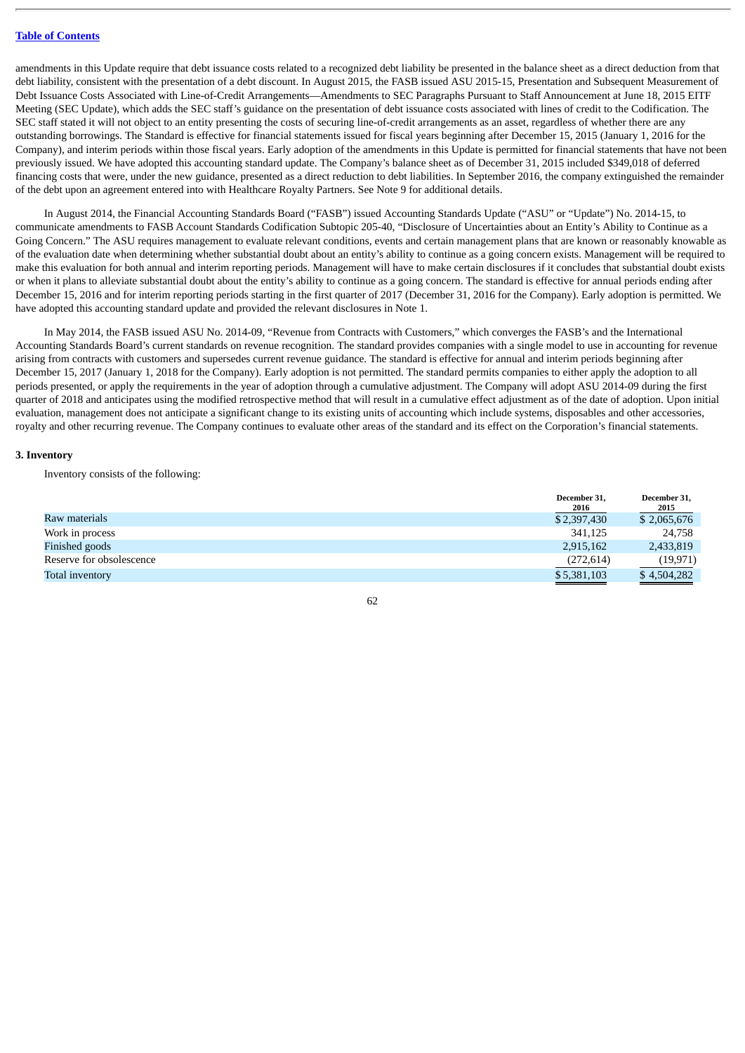amendments in this Update require that debt issuance costs related to a recognized debt liability be presented in the balance sheet as a direct deduction from that debt liability, consistent with the presentation of a debt discount. In August 2015, the FASB issued ASU 2015-15, Presentation and Subsequent Measurement of Debt Issuance Costs Associated with Line-of-Credit Arrangements—Amendments to SEC Paragraphs Pursuant to Staff Announcement at June 18, 2015 EITF Meeting (SEC Update), which adds the SEC staff's guidance on the presentation of debt issuance costs associated with lines of credit to the Codification. The SEC staff stated it will not object to an entity presenting the costs of securing line-of-credit arrangements as an asset, regardless of whether there are any outstanding borrowings. The Standard is effective for financial statements issued for fiscal years beginning after December 15, 2015 (January 1, 2016 for the Company), and interim periods within those fiscal years. Early adoption of the amendments in this Update is permitted for financial statements that have not been previously issued. We have adopted this accounting standard update. The Company's balance sheet as of December 31, 2015 included \$349,018 of deferred financing costs that were, under the new guidance, presented as a direct reduction to debt liabilities. In September 2016, the company extinguished the remainder of the debt upon an agreement entered into with Healthcare Royalty Partners. See Note 9 for additional details.

In August 2014, the Financial Accounting Standards Board ("FASB") issued Accounting Standards Update ("ASU" or "Update") No. 2014-15, to communicate amendments to FASB Account Standards Codification Subtopic 205-40, "Disclosure of Uncertainties about an Entity's Ability to Continue as a Going Concern." The ASU requires management to evaluate relevant conditions, events and certain management plans that are known or reasonably knowable as of the evaluation date when determining whether substantial doubt about an entity's ability to continue as a going concern exists. Management will be required to make this evaluation for both annual and interim reporting periods. Management will have to make certain disclosures if it concludes that substantial doubt exists or when it plans to alleviate substantial doubt about the entity's ability to continue as a going concern. The standard is effective for annual periods ending after December 15, 2016 and for interim reporting periods starting in the first quarter of 2017 (December 31, 2016 for the Company). Early adoption is permitted. We have adopted this accounting standard update and provided the relevant disclosures in Note 1.

In May 2014, the FASB issued ASU No. 2014-09, "Revenue from Contracts with Customers," which converges the FASB's and the International Accounting Standards Board's current standards on revenue recognition. The standard provides companies with a single model to use in accounting for revenue arising from contracts with customers and supersedes current revenue guidance. The standard is effective for annual and interim periods beginning after December 15, 2017 (January 1, 2018 for the Company). Early adoption is not permitted. The standard permits companies to either apply the adoption to all periods presented, or apply the requirements in the year of adoption through a cumulative adjustment. The Company will adopt ASU 2014-09 during the first quarter of 2018 and anticipates using the modified retrospective method that will result in a cumulative effect adjustment as of the date of adoption. Upon initial evaluation, management does not anticipate a significant change to its existing units of accounting which include systems, disposables and other accessories, royalty and other recurring revenue. The Company continues to evaluate other areas of the standard and its effect on the Corporation's financial statements.

#### **3. Inventory**

Inventory consists of the following:

|                          | December 31,<br>2016 | December 31,<br>2015 |
|--------------------------|----------------------|----------------------|
| Raw materials            | \$2,397,430          | \$2,065,676          |
| Work in process          | 341,125              | 24.758               |
| Finished goods           | 2,915,162            | 2,433,819            |
| Reserve for obsolescence | (272, 614)           | (19,971)             |
| Total inventory          | \$5,381,103          | \$4,504,282          |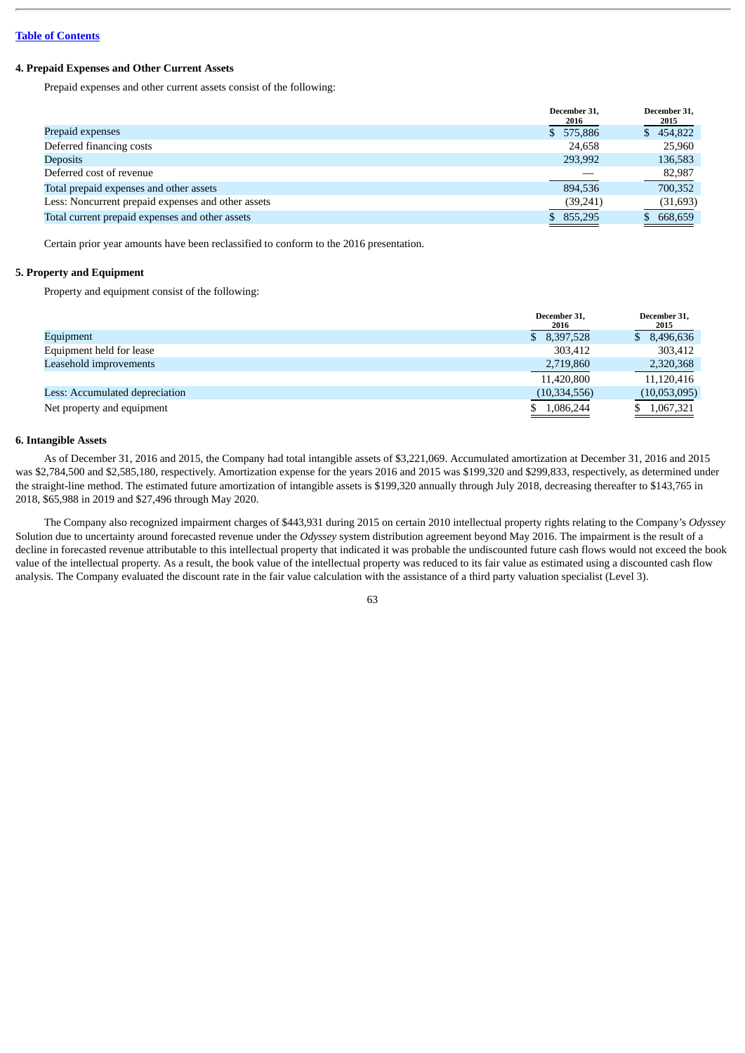# **4. Prepaid Expenses and Other Current Assets**

Prepaid expenses and other current assets consist of the following:

|                                                    | December 31,<br>2016 | December 31,<br>2015 |
|----------------------------------------------------|----------------------|----------------------|
| Prepaid expenses                                   | \$575,886            | \$454,822            |
| Deferred financing costs                           | 24.658               | 25,960               |
| <b>Deposits</b>                                    | 293.992              | 136,583              |
| Deferred cost of revenue                           |                      | 82,987               |
| Total prepaid expenses and other assets            | 894.536              | 700,352              |
| Less: Noncurrent prepaid expenses and other assets | (39,241)             | (31,693)             |
| Total current prepaid expenses and other assets    | \$855,295            | 668,659              |

Certain prior year amounts have been reclassified to conform to the 2016 presentation.

# **5. Property and Equipment**

Property and equipment consist of the following:

|                                | December 31.<br>2016 | December 31,<br>2015 |
|--------------------------------|----------------------|----------------------|
| Equipment                      | \$8,397,528          | 8,496,636            |
| Equipment held for lease       | 303,412              | 303,412              |
| Leasehold improvements         | 2,719,860            | 2,320,368            |
|                                | 11,420,800           | 11,120,416           |
| Less: Accumulated depreciation | (10, 334, 556)       | (10,053,095)         |
| Net property and equipment     | \$1,086,244          | 1,067,321            |

# **6. Intangible Assets**

As of December 31, 2016 and 2015, the Company had total intangible assets of \$3,221,069. Accumulated amortization at December 31, 2016 and 2015 was \$2,784,500 and \$2,585,180, respectively. Amortization expense for the years 2016 and 2015 was \$199,320 and \$299,833, respectively, as determined under the straight-line method. The estimated future amortization of intangible assets is \$199,320 annually through July 2018, decreasing thereafter to \$143,765 in 2018, \$65,988 in 2019 and \$27,496 through May 2020.

The Company also recognized impairment charges of \$443,931 during 2015 on certain 2010 intellectual property rights relating to the Company's *Odyssey* Solution due to uncertainty around forecasted revenue under the *Odyssey* system distribution agreement beyond May 2016. The impairment is the result of a decline in forecasted revenue attributable to this intellectual property that indicated it was probable the undiscounted future cash flows would not exceed the book value of the intellectual property. As a result, the book value of the intellectual property was reduced to its fair value as estimated using a discounted cash flow analysis. The Company evaluated the discount rate in the fair value calculation with the assistance of a third party valuation specialist (Level 3).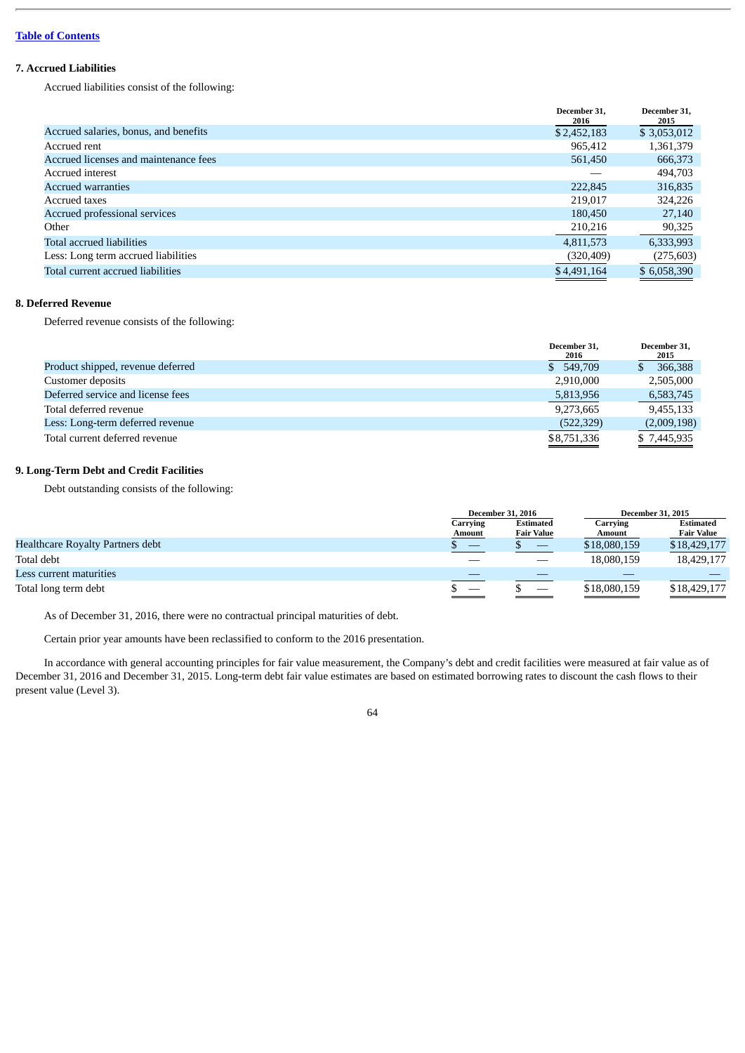# **7. Accrued Liabilities**

Accrued liabilities consist of the following:

|                                       | December 31.<br>2016 | December 31.<br>2015 |
|---------------------------------------|----------------------|----------------------|
| Accrued salaries, bonus, and benefits | \$2,452,183          | \$3,053,012          |
| Accrued rent                          | 965,412              | 1,361,379            |
| Accrued licenses and maintenance fees | 561,450              | 666,373              |
| Accrued interest                      |                      | 494,703              |
| Accrued warranties                    | 222,845              | 316,835              |
| Accrued taxes                         | 219,017              | 324,226              |
| Accrued professional services         | 180,450              | 27,140               |
| Other                                 | 210,216              | 90,325               |
| Total accrued liabilities             | 4,811,573            | 6,333,993            |
| Less: Long term accrued liabilities   | (320, 409)           | (275, 603)           |
| Total current accrued liabilities     | \$4,491,164          | \$6,058,390          |
|                                       |                      |                      |

# **8. Deferred Revenue**

Deferred revenue consists of the following:

|                                   | December 31,<br>2016 | December 31,<br>2015 |
|-----------------------------------|----------------------|----------------------|
| Product shipped, revenue deferred | \$ 549,709           | 366,388              |
| Customer deposits                 | 2,910,000            | 2,505,000            |
| Deferred service and license fees | 5,813,956            | 6,583,745            |
| Total deferred revenue            | 9,273,665            | 9,455,133            |
| Less: Long-term deferred revenue  | (522, 329)           | (2,009,198)          |
| Total current deferred revenue    | \$8,751,336          | \$7,445,935          |

# **9. Long-Term Debt and Credit Facilities**

Debt outstanding consists of the following:

|                                  |                             | <b>December 31, 2016</b>              |                    | <b>December 31, 2015</b>       |  |  |
|----------------------------------|-----------------------------|---------------------------------------|--------------------|--------------------------------|--|--|
|                                  | Carrying<br><b>Amount</b>   | <b>Estimated</b><br><b>Fair Value</b> | Carrying<br>Amount | Estimated<br><b>Fair Value</b> |  |  |
| Healthcare Royalty Partners debt |                             |                                       | \$18,080,159       | \$18,429,177                   |  |  |
| Total debt                       |                             |                                       | 18,080,159         | 18,429,177                     |  |  |
| Less current maturities          |                             |                                       |                    |                                |  |  |
| Total long term debt             | $\overbrace{\hspace{15em}}$ | $\hspace{0.05cm}$                     | \$18,080,159       | \$18,429,177                   |  |  |

As of December 31, 2016, there were no contractual principal maturities of debt.

Certain prior year amounts have been reclassified to conform to the 2016 presentation.

In accordance with general accounting principles for fair value measurement, the Company's debt and credit facilities were measured at fair value as of December 31, 2016 and December 31, 2015. Long-term debt fair value estimates are based on estimated borrowing rates to discount the cash flows to their present value (Level 3).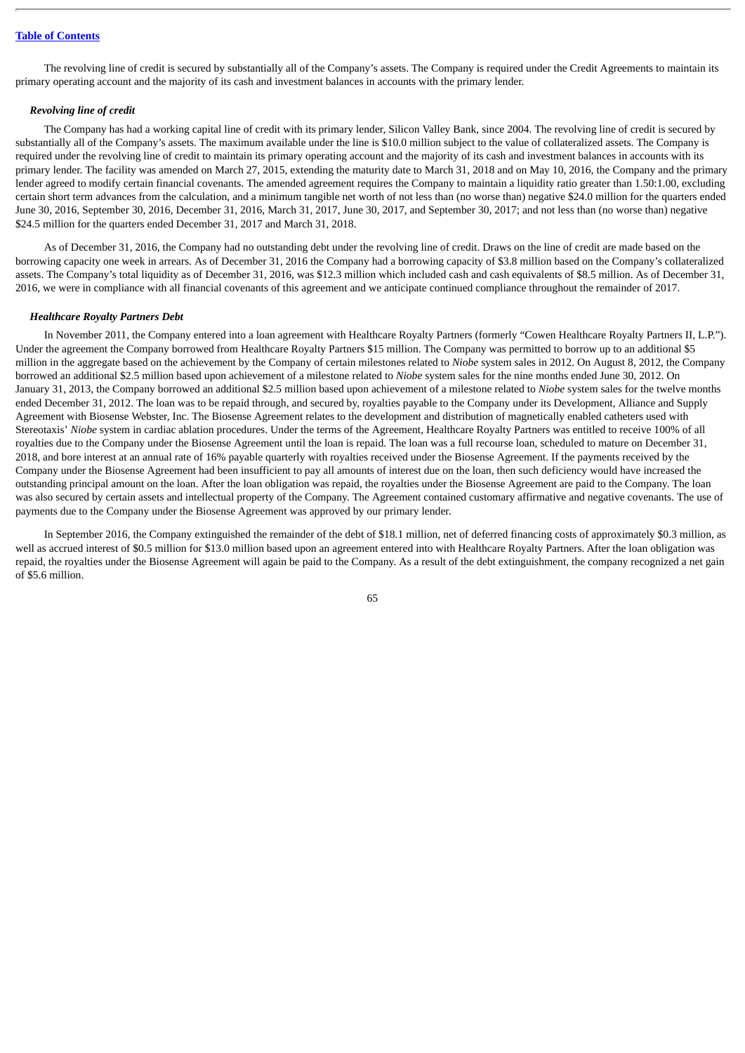The revolving line of credit is secured by substantially all of the Company's assets. The Company is required under the Credit Agreements to maintain its primary operating account and the majority of its cash and investment balances in accounts with the primary lender.

#### *Revolving line of credit*

The Company has had a working capital line of credit with its primary lender, Silicon Valley Bank, since 2004. The revolving line of credit is secured by substantially all of the Company's assets. The maximum available under the line is \$10.0 million subject to the value of collateralized assets. The Company is required under the revolving line of credit to maintain its primary operating account and the majority of its cash and investment balances in accounts with its primary lender. The facility was amended on March 27, 2015, extending the maturity date to March 31, 2018 and on May 10, 2016, the Company and the primary lender agreed to modify certain financial covenants. The amended agreement requires the Company to maintain a liquidity ratio greater than 1.50:1.00, excluding certain short term advances from the calculation, and a minimum tangible net worth of not less than (no worse than) negative \$24.0 million for the quarters ended June 30, 2016, September 30, 2016, December 31, 2016, March 31, 2017, June 30, 2017, and September 30, 2017; and not less than (no worse than) negative \$24.5 million for the quarters ended December 31, 2017 and March 31, 2018.

As of December 31, 2016, the Company had no outstanding debt under the revolving line of credit. Draws on the line of credit are made based on the borrowing capacity one week in arrears. As of December 31, 2016 the Company had a borrowing capacity of \$3.8 million based on the Company's collateralized assets. The Company's total liquidity as of December 31, 2016, was \$12.3 million which included cash and cash equivalents of \$8.5 million. As of December 31, 2016, we were in compliance with all financial covenants of this agreement and we anticipate continued compliance throughout the remainder of 2017.

#### *Healthcare Royalty Partners Debt*

In November 2011, the Company entered into a loan agreement with Healthcare Royalty Partners (formerly "Cowen Healthcare Royalty Partners II, L.P."). Under the agreement the Company borrowed from Healthcare Royalty Partners \$15 million. The Company was permitted to borrow up to an additional \$5 million in the aggregate based on the achievement by the Company of certain milestones related to *Niobe* system sales in 2012. On August 8, 2012, the Company borrowed an additional \$2.5 million based upon achievement of a milestone related to *Niobe* system sales for the nine months ended June 30, 2012. On January 31, 2013, the Company borrowed an additional \$2.5 million based upon achievement of a milestone related to *Niobe* system sales for the twelve months ended December 31, 2012. The loan was to be repaid through, and secured by, royalties payable to the Company under its Development, Alliance and Supply Agreement with Biosense Webster, Inc. The Biosense Agreement relates to the development and distribution of magnetically enabled catheters used with Stereotaxis' *Niobe* system in cardiac ablation procedures. Under the terms of the Agreement, Healthcare Royalty Partners was entitled to receive 100% of all royalties due to the Company under the Biosense Agreement until the loan is repaid. The loan was a full recourse loan, scheduled to mature on December 31, 2018, and bore interest at an annual rate of 16% payable quarterly with royalties received under the Biosense Agreement. If the payments received by the Company under the Biosense Agreement had been insufficient to pay all amounts of interest due on the loan, then such deficiency would have increased the outstanding principal amount on the loan. After the loan obligation was repaid, the royalties under the Biosense Agreement are paid to the Company. The loan was also secured by certain assets and intellectual property of the Company. The Agreement contained customary affirmative and negative covenants. The use of payments due to the Company under the Biosense Agreement was approved by our primary lender.

In September 2016, the Company extinguished the remainder of the debt of \$18.1 million, net of deferred financing costs of approximately \$0.3 million, as well as accrued interest of \$0.5 million for \$13.0 million based upon an agreement entered into with Healthcare Royalty Partners. After the loan obligation was repaid, the royalties under the Biosense Agreement will again be paid to the Company. As a result of the debt extinguishment, the company recognized a net gain of \$5.6 million.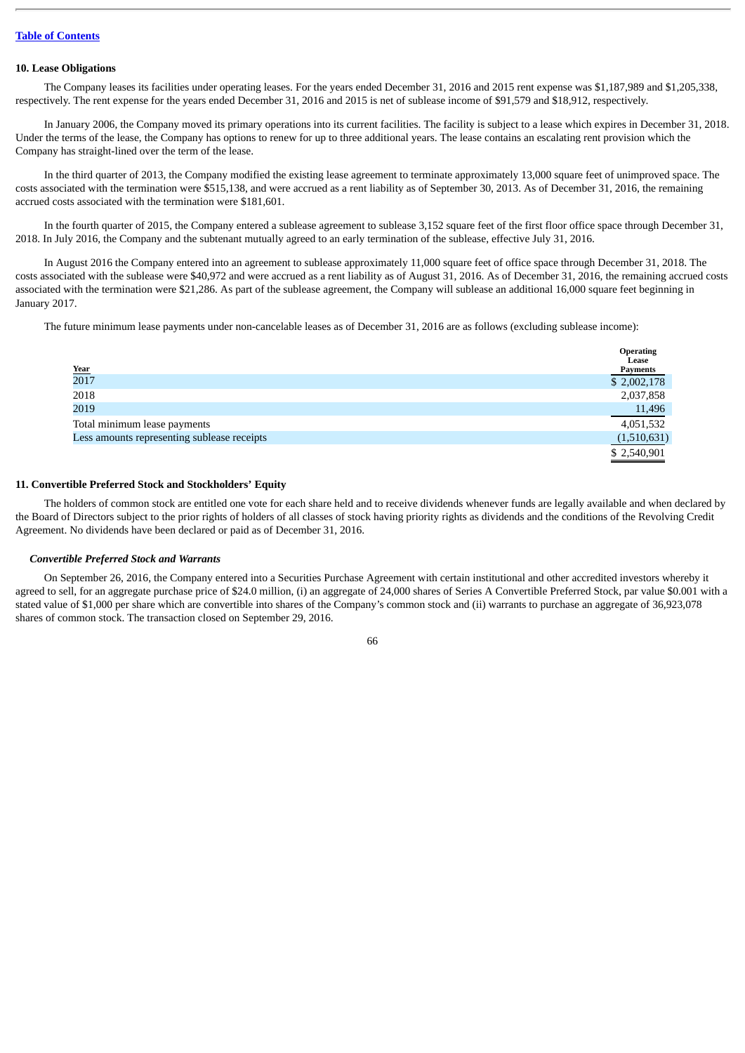### **10. Lease Obligations**

The Company leases its facilities under operating leases. For the years ended December 31, 2016 and 2015 rent expense was \$1,187,989 and \$1,205,338, respectively. The rent expense for the years ended December 31, 2016 and 2015 is net of sublease income of \$91,579 and \$18,912, respectively.

In January 2006, the Company moved its primary operations into its current facilities. The facility is subject to a lease which expires in December 31, 2018. Under the terms of the lease, the Company has options to renew for up to three additional years. The lease contains an escalating rent provision which the Company has straight-lined over the term of the lease.

In the third quarter of 2013, the Company modified the existing lease agreement to terminate approximately 13,000 square feet of unimproved space. The costs associated with the termination were \$515,138, and were accrued as a rent liability as of September 30, 2013. As of December 31, 2016, the remaining accrued costs associated with the termination were \$181,601.

In the fourth quarter of 2015, the Company entered a sublease agreement to sublease 3,152 square feet of the first floor office space through December 31, 2018. In July 2016, the Company and the subtenant mutually agreed to an early termination of the sublease, effective July 31, 2016.

In August 2016 the Company entered into an agreement to sublease approximately 11,000 square feet of office space through December 31, 2018. The costs associated with the sublease were \$40,972 and were accrued as a rent liability as of August 31, 2016. As of December 31, 2016, the remaining accrued costs associated with the termination were \$21,286. As part of the sublease agreement, the Company will sublease an additional 16,000 square feet beginning in January 2017.

The future minimum lease payments under non-cancelable leases as of December 31, 2016 are as follows (excluding sublease income):

|                                             | <b>Operating</b> |
|---------------------------------------------|------------------|
|                                             | Lease            |
|                                             | <b>Payments</b>  |
| $\frac{\text{Year}}{2017}$                  | \$2,002,178      |
| 2018                                        | 2,037,858        |
| 2019                                        | 11,496           |
| Total minimum lease payments                | 4,051,532        |
| Less amounts representing sublease receipts | (1,510,631)      |
|                                             | \$2,540,901      |

# **11. Convertible Preferred Stock and Stockholders' Equity**

The holders of common stock are entitled one vote for each share held and to receive dividends whenever funds are legally available and when declared by the Board of Directors subject to the prior rights of holders of all classes of stock having priority rights as dividends and the conditions of the Revolving Credit Agreement. No dividends have been declared or paid as of December 31, 2016.

## *Convertible Preferred Stock and Warrants*

On September 26, 2016, the Company entered into a Securities Purchase Agreement with certain institutional and other accredited investors whereby it agreed to sell, for an aggregate purchase price of \$24.0 million, (i) an aggregate of 24,000 shares of Series A Convertible Preferred Stock, par value \$0.001 with a stated value of \$1,000 per share which are convertible into shares of the Company's common stock and (ii) warrants to purchase an aggregate of 36,923,078 shares of common stock. The transaction closed on September 29, 2016.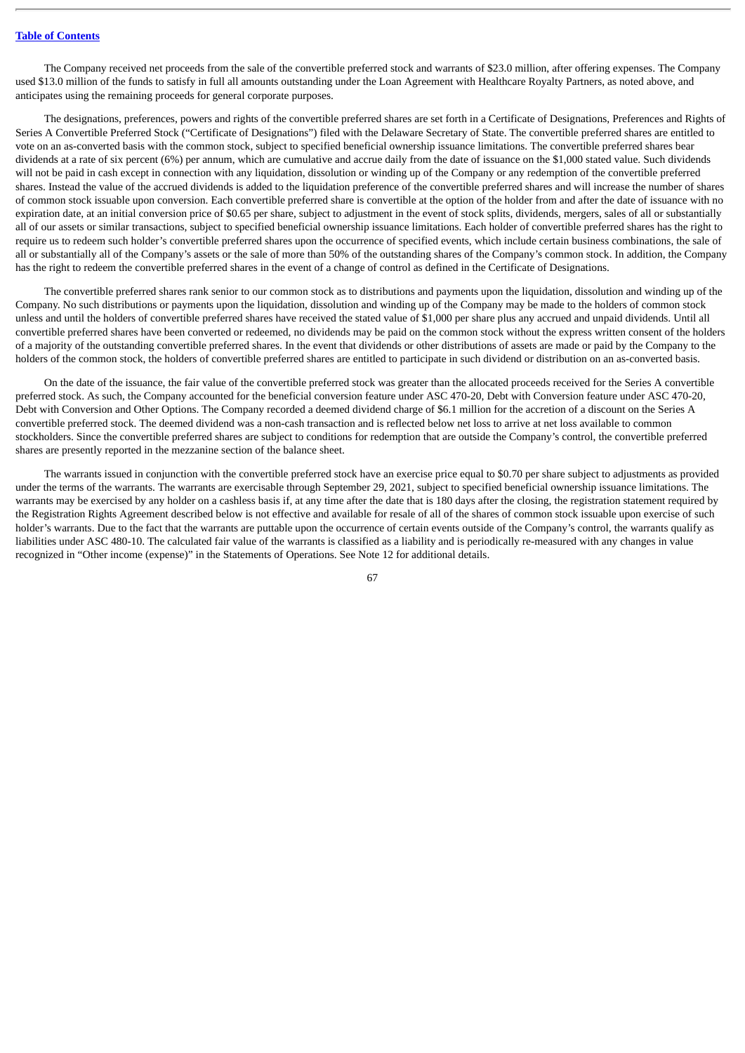The Company received net proceeds from the sale of the convertible preferred stock and warrants of \$23.0 million, after offering expenses. The Company used \$13.0 million of the funds to satisfy in full all amounts outstanding under the Loan Agreement with Healthcare Royalty Partners, as noted above, and anticipates using the remaining proceeds for general corporate purposes.

The designations, preferences, powers and rights of the convertible preferred shares are set forth in a Certificate of Designations, Preferences and Rights of Series A Convertible Preferred Stock ("Certificate of Designations") filed with the Delaware Secretary of State. The convertible preferred shares are entitled to vote on an as-converted basis with the common stock, subject to specified beneficial ownership issuance limitations. The convertible preferred shares bear dividends at a rate of six percent (6%) per annum, which are cumulative and accrue daily from the date of issuance on the \$1,000 stated value. Such dividends will not be paid in cash except in connection with any liquidation, dissolution or winding up of the Company or any redemption of the convertible preferred shares. Instead the value of the accrued dividends is added to the liquidation preference of the convertible preferred shares and will increase the number of shares of common stock issuable upon conversion. Each convertible preferred share is convertible at the option of the holder from and after the date of issuance with no expiration date, at an initial conversion price of \$0.65 per share, subject to adjustment in the event of stock splits, dividends, mergers, sales of all or substantially all of our assets or similar transactions, subject to specified beneficial ownership issuance limitations. Each holder of convertible preferred shares has the right to require us to redeem such holder's convertible preferred shares upon the occurrence of specified events, which include certain business combinations, the sale of all or substantially all of the Company's assets or the sale of more than 50% of the outstanding shares of the Company's common stock. In addition, the Company has the right to redeem the convertible preferred shares in the event of a change of control as defined in the Certificate of Designations.

The convertible preferred shares rank senior to our common stock as to distributions and payments upon the liquidation, dissolution and winding up of the Company. No such distributions or payments upon the liquidation, dissolution and winding up of the Company may be made to the holders of common stock unless and until the holders of convertible preferred shares have received the stated value of \$1,000 per share plus any accrued and unpaid dividends. Until all convertible preferred shares have been converted or redeemed, no dividends may be paid on the common stock without the express written consent of the holders of a majority of the outstanding convertible preferred shares. In the event that dividends or other distributions of assets are made or paid by the Company to the holders of the common stock, the holders of convertible preferred shares are entitled to participate in such dividend or distribution on an as-converted basis.

On the date of the issuance, the fair value of the convertible preferred stock was greater than the allocated proceeds received for the Series A convertible preferred stock. As such, the Company accounted for the beneficial conversion feature under ASC 470-20, Debt with Conversion feature under ASC 470-20, Debt with Conversion and Other Options. The Company recorded a deemed dividend charge of \$6.1 million for the accretion of a discount on the Series A convertible preferred stock. The deemed dividend was a non-cash transaction and is reflected below net loss to arrive at net loss available to common stockholders. Since the convertible preferred shares are subject to conditions for redemption that are outside the Company's control, the convertible preferred shares are presently reported in the mezzanine section of the balance sheet.

The warrants issued in conjunction with the convertible preferred stock have an exercise price equal to \$0.70 per share subject to adjustments as provided under the terms of the warrants. The warrants are exercisable through September 29, 2021, subject to specified beneficial ownership issuance limitations. The warrants may be exercised by any holder on a cashless basis if, at any time after the date that is 180 days after the closing, the registration statement required by the Registration Rights Agreement described below is not effective and available for resale of all of the shares of common stock issuable upon exercise of such holder's warrants. Due to the fact that the warrants are puttable upon the occurrence of certain events outside of the Company's control, the warrants qualify as liabilities under ASC 480-10. The calculated fair value of the warrants is classified as a liability and is periodically re-measured with any changes in value recognized in "Other income (expense)" in the Statements of Operations. See Note 12 for additional details.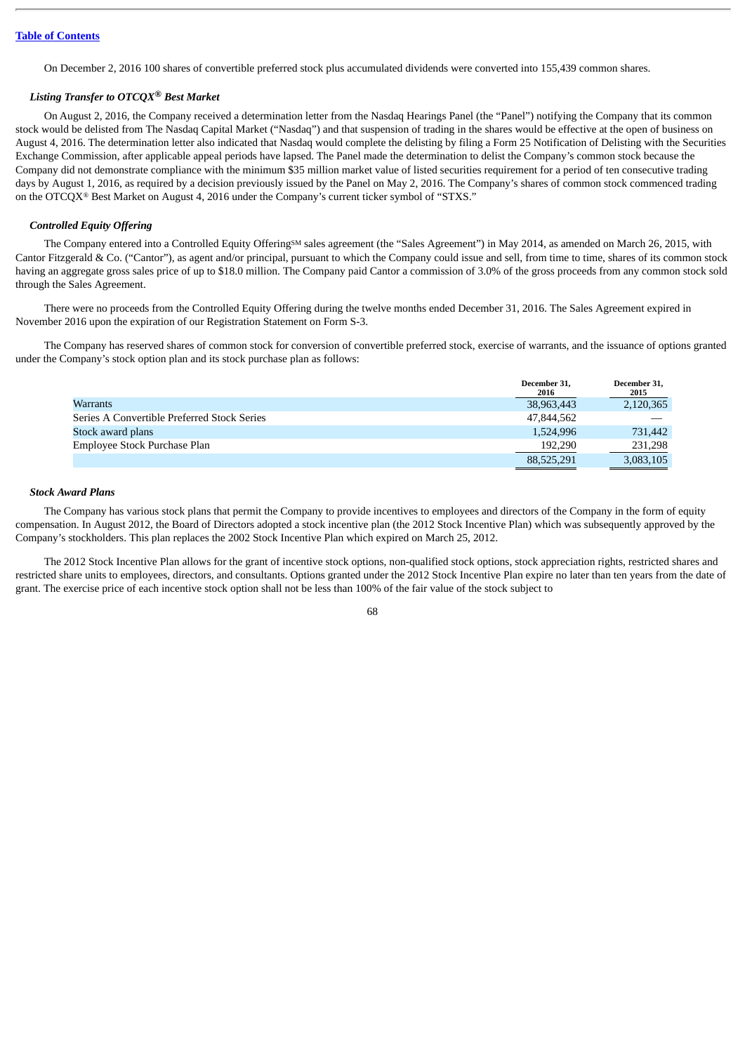On December 2, 2016 100 shares of convertible preferred stock plus accumulated dividends were converted into 155,439 common shares.

# *Listing Transfer to OTCQX Best Market ®*

On August 2, 2016, the Company received a determination letter from the Nasdaq Hearings Panel (the "Panel") notifying the Company that its common stock would be delisted from The Nasdaq Capital Market ("Nasdaq") and that suspension of trading in the shares would be effective at the open of business on August 4, 2016. The determination letter also indicated that Nasdaq would complete the delisting by filing a Form 25 Notification of Delisting with the Securities Exchange Commission, after applicable appeal periods have lapsed. The Panel made the determination to delist the Company's common stock because the Company did not demonstrate compliance with the minimum \$35 million market value of listed securities requirement for a period of ten consecutive trading days by August 1, 2016, as required by a decision previously issued by the Panel on May 2, 2016. The Company's shares of common stock commenced trading on the  $\text{OTCQX}^*$  Best Market on August 4, 2016 under the Company's current ticker symbol of "STXS."

# *Controlled Equity Offering*

The Company entered into a Controlled Equity Offering<sup>SM</sup> sales agreement (the "Sales Agreement") in May 2014, as amended on March 26, 2015, with Cantor Fitzgerald & Co. ("Cantor"), as agent and/or principal, pursuant to which the Company could issue and sell, from time to time, shares of its common stock having an aggregate gross sales price of up to \$18.0 million. The Company paid Cantor a commission of 3.0% of the gross proceeds from any common stock sold through the Sales Agreement.

There were no proceeds from the Controlled Equity Offering during the twelve months ended December 31, 2016. The Sales Agreement expired in November 2016 upon the expiration of our Registration Statement on Form S-3.

The Company has reserved shares of common stock for conversion of convertible preferred stock, exercise of warrants, and the issuance of options granted under the Company's stock option plan and its stock purchase plan as follows:

|                                             | December 31,<br>2016 | December 31,<br>2015 |
|---------------------------------------------|----------------------|----------------------|
| <b>Warrants</b>                             | 38,963,443           | 2,120,365            |
| Series A Convertible Preferred Stock Series | 47,844,562           |                      |
| Stock award plans                           | 1,524,996            | 731,442              |
| Employee Stock Purchase Plan                | 192.290              | 231.298              |
|                                             | 88,525,291           | 3,083,105            |

## *Stock Award Plans*

The Company has various stock plans that permit the Company to provide incentives to employees and directors of the Company in the form of equity compensation. In August 2012, the Board of Directors adopted a stock incentive plan (the 2012 Stock Incentive Plan) which was subsequently approved by the Company's stockholders. This plan replaces the 2002 Stock Incentive Plan which expired on March 25, 2012.

The 2012 Stock Incentive Plan allows for the grant of incentive stock options, non-qualified stock options, stock appreciation rights, restricted shares and restricted share units to employees, directors, and consultants. Options granted under the 2012 Stock Incentive Plan expire no later than ten years from the date of grant. The exercise price of each incentive stock option shall not be less than 100% of the fair value of the stock subject to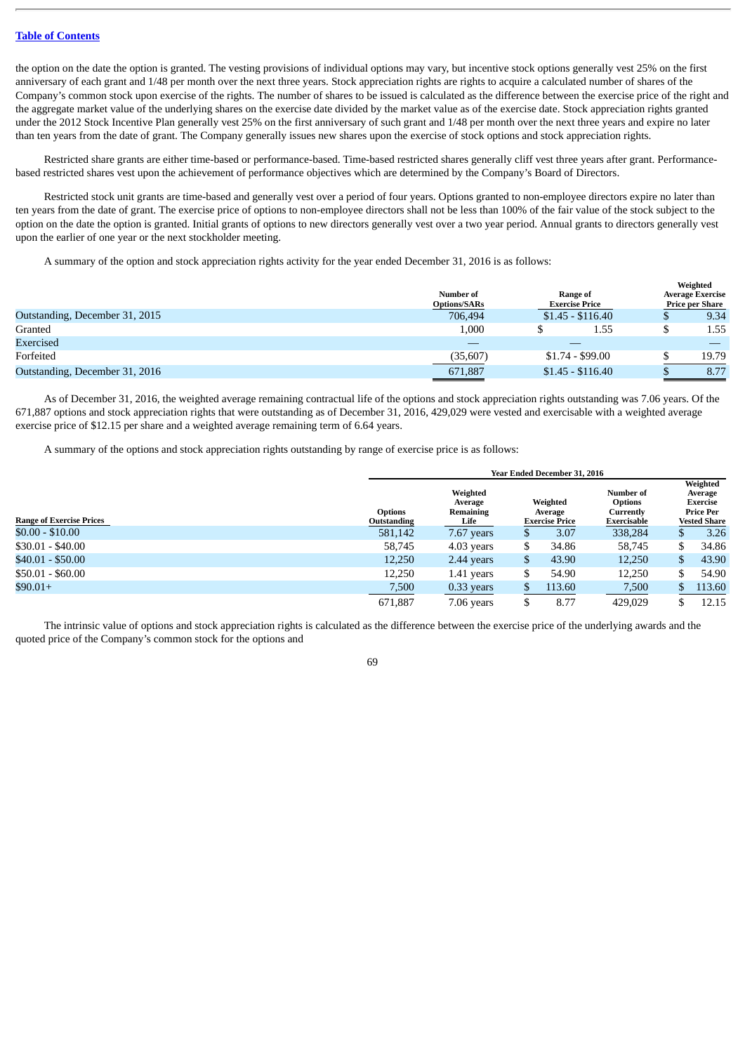the option on the date the option is granted. The vesting provisions of individual options may vary, but incentive stock options generally vest 25% on the first anniversary of each grant and 1/48 per month over the next three years. Stock appreciation rights are rights to acquire a calculated number of shares of the Company's common stock upon exercise of the rights. The number of shares to be issued is calculated as the difference between the exercise price of the right and the aggregate market value of the underlying shares on the exercise date divided by the market value as of the exercise date. Stock appreciation rights granted under the 2012 Stock Incentive Plan generally vest 25% on the first anniversary of such grant and 1/48 per month over the next three years and expire no later than ten years from the date of grant. The Company generally issues new shares upon the exercise of stock options and stock appreciation rights.

Restricted share grants are either time-based or performance-based. Time-based restricted shares generally cliff vest three years after grant. Performancebased restricted shares vest upon the achievement of performance objectives which are determined by the Company's Board of Directors.

Restricted stock unit grants are time-based and generally vest over a period of four years. Options granted to non-employee directors expire no later than ten years from the date of grant. The exercise price of options to non-employee directors shall not be less than 100% of the fair value of the stock subject to the option on the date the option is granted. Initial grants of options to new directors generally vest over a two year period. Annual grants to directors generally vest upon the earlier of one year or the next stockholder meeting.

A summary of the option and stock appreciation rights activity for the year ended December 31, 2016 is as follows:

|                                | Number of<br><b>Options/SARs</b> | Range of<br><b>Exercise Price</b> | Weighted<br><b>Average Exercise</b><br>Price per Share |  |  |
|--------------------------------|----------------------------------|-----------------------------------|--------------------------------------------------------|--|--|
| Outstanding, December 31, 2015 | 706.494                          | $$1.45 - $116.40$                 | 9.34                                                   |  |  |
| Granted                        | 1,000                            | 1.55                              | 1.55                                                   |  |  |
| Exercised                      |                                  |                                   |                                                        |  |  |
| Forfeited                      | (35,607)                         | $$1.74 - $99.00$                  | 19.79                                                  |  |  |
| Outstanding, December 31, 2016 | 671.887                          | $$1.45 - $116.40$                 | 8.77                                                   |  |  |

As of December 31, 2016, the weighted average remaining contractual life of the options and stock appreciation rights outstanding was 7.06 years. Of the 671,887 options and stock appreciation rights that were outstanding as of December 31, 2016, 429,029 were vested and exercisable with a weighted average exercise price of \$12.15 per share and a weighted average remaining term of 6.64 years.

A summary of the options and stock appreciation rights outstanding by range of exercise price is as follows:

|                                 |                               | Year Ended December 31, 2016             |   |                                              |                                                         |    |                                                                                   |  |
|---------------------------------|-------------------------------|------------------------------------------|---|----------------------------------------------|---------------------------------------------------------|----|-----------------------------------------------------------------------------------|--|
| <b>Range of Exercise Prices</b> | <b>Options</b><br>Outstanding | Weighted<br>Average<br>Remaining<br>Life |   | Weighted<br>Average<br><b>Exercise Price</b> | Number of<br><b>Options</b><br>Currentlv<br>Exercisable |    | Weighted<br>Average<br><b>Exercise</b><br><b>Price Per</b><br><b>Vested Share</b> |  |
| $$0.00 - $10.00$                | 581,142                       | 7.67 years                               | Φ | 3.07                                         | 338,284                                                 | J. | 3.26                                                                              |  |
| $$30.01 - $40.00$               | 58,745                        | 4.03 years                               | S | 34.86                                        | 58,745                                                  | \$ | 34.86                                                                             |  |
| \$40.01 - \$50.00               | 12,250                        | 2.44 years                               | S | 43.90                                        | 12,250                                                  | S  | 43.90                                                                             |  |
| $$50.01 - $60.00$               | 12,250                        | 1.41 years                               |   | 54.90                                        | 12,250                                                  | S  | 54.90                                                                             |  |
| $$90.01+$                       | 7,500                         | $0.33$ years                             |   | 113.60                                       | 7,500                                                   |    | 113.60                                                                            |  |
|                                 | 671,887                       | 7.06 years                               |   | 8.77                                         | 429,029                                                 |    | 12.15                                                                             |  |

The intrinsic value of options and stock appreciation rights is calculated as the difference between the exercise price of the underlying awards and the quoted price of the Company's common stock for the options and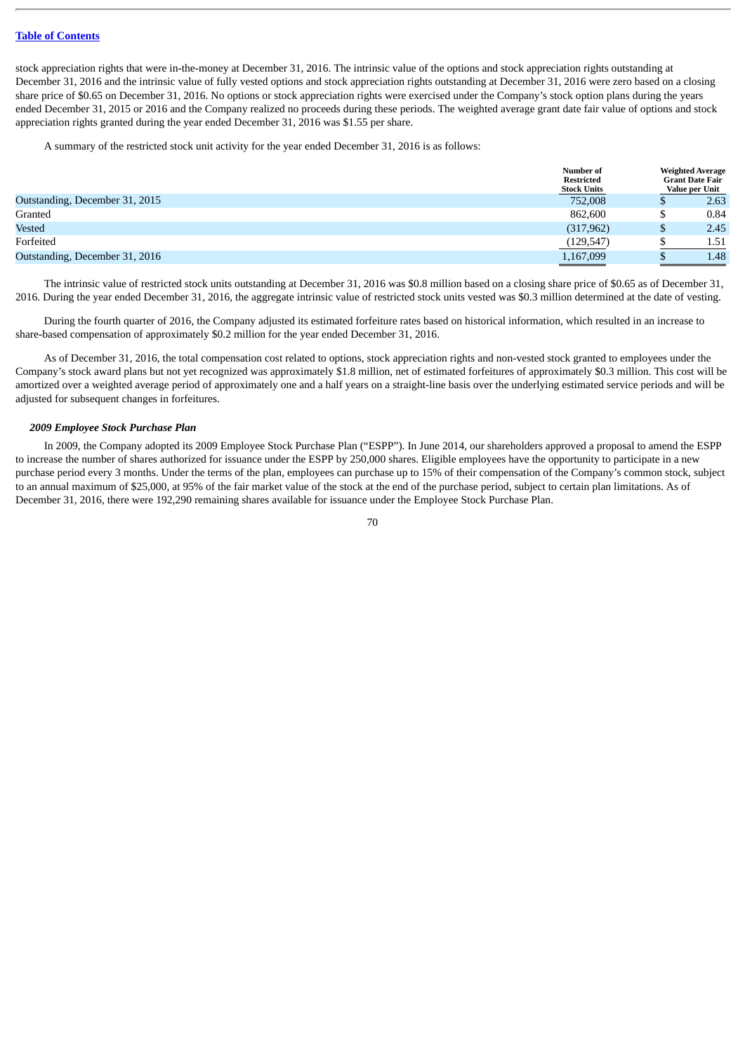stock appreciation rights that were in-the-money at December 31, 2016. The intrinsic value of the options and stock appreciation rights outstanding at December 31, 2016 and the intrinsic value of fully vested options and stock appreciation rights outstanding at December 31, 2016 were zero based on a closing share price of \$0.65 on December 31, 2016. No options or stock appreciation rights were exercised under the Company's stock option plans during the years ended December 31, 2015 or 2016 and the Company realized no proceeds during these periods. The weighted average grant date fair value of options and stock appreciation rights granted during the year ended December 31, 2016 was \$1.55 per share.

A summary of the restricted stock unit activity for the year ended December 31, 2016 is as follows:

|                                | Number of<br>Restricted<br><b>Stock Units</b> | <b>Weighted Average</b><br><b>Grant Date Fair</b><br>Value per Unit |      |
|--------------------------------|-----------------------------------------------|---------------------------------------------------------------------|------|
| Outstanding, December 31, 2015 | 752,008                                       | J                                                                   | 2.63 |
| Granted                        | 862,600                                       | J                                                                   | 0.84 |
| <b>Vested</b>                  | (317,962)                                     | Φ                                                                   | 2.45 |
| Forfeited                      | (129, 547)                                    |                                                                     | 1.51 |
| Outstanding, December 31, 2016 | 1,167,099                                     |                                                                     | 1.48 |

The intrinsic value of restricted stock units outstanding at December 31, 2016 was \$0.8 million based on a closing share price of \$0.65 as of December 31, 2016. During the year ended December 31, 2016, the aggregate intrinsic value of restricted stock units vested was \$0.3 million determined at the date of vesting.

During the fourth quarter of 2016, the Company adjusted its estimated forfeiture rates based on historical information, which resulted in an increase to share-based compensation of approximately \$0.2 million for the year ended December 31, 2016.

As of December 31, 2016, the total compensation cost related to options, stock appreciation rights and non-vested stock granted to employees under the Company's stock award plans but not yet recognized was approximately \$1.8 million, net of estimated forfeitures of approximately \$0.3 million. This cost will be amortized over a weighted average period of approximately one and a half years on a straight-line basis over the underlying estimated service periods and will be adjusted for subsequent changes in forfeitures.

### *2009 Employee Stock Purchase Plan*

In 2009, the Company adopted its 2009 Employee Stock Purchase Plan ("ESPP"). In June 2014, our shareholders approved a proposal to amend the ESPP to increase the number of shares authorized for issuance under the ESPP by 250,000 shares. Eligible employees have the opportunity to participate in a new purchase period every 3 months. Under the terms of the plan, employees can purchase up to 15% of their compensation of the Company's common stock, subject to an annual maximum of \$25,000, at 95% of the fair market value of the stock at the end of the purchase period, subject to certain plan limitations. As of December 31, 2016, there were 192,290 remaining shares available for issuance under the Employee Stock Purchase Plan.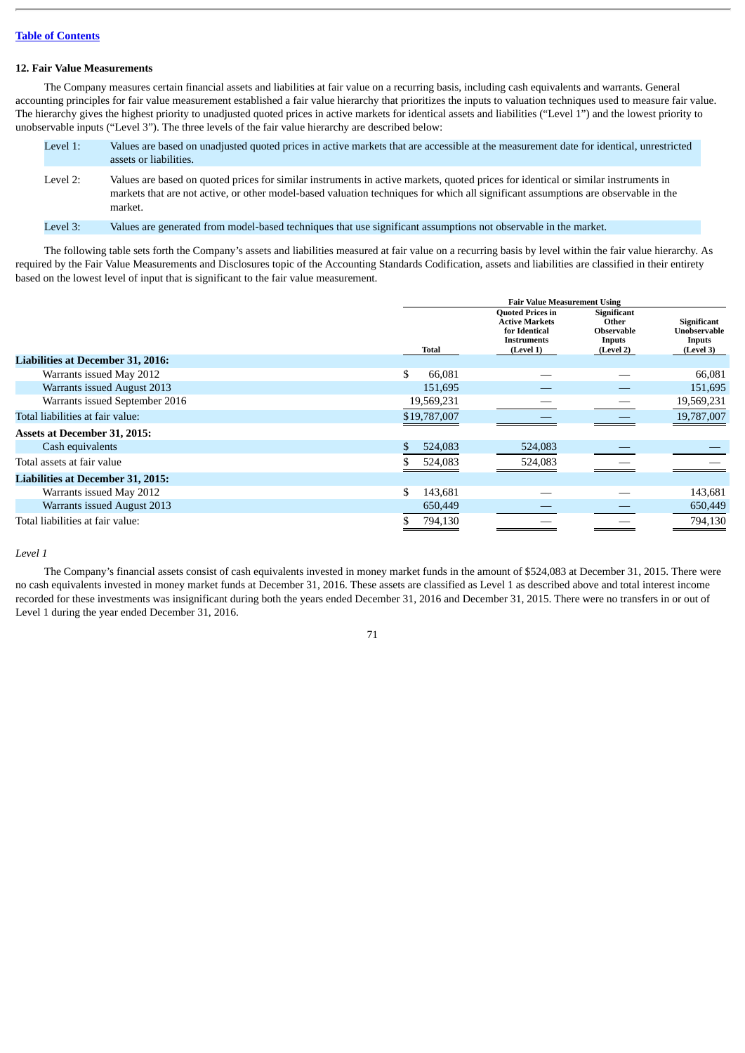### **12. Fair Value Measurements**

The Company measures certain financial assets and liabilities at fair value on a recurring basis, including cash equivalents and warrants. General accounting principles for fair value measurement established a fair value hierarchy that prioritizes the inputs to valuation techniques used to measure fair value. The hierarchy gives the highest priority to unadjusted quoted prices in active markets for identical assets and liabilities ("Level 1") and the lowest priority to unobservable inputs ("Level 3"). The three levels of the fair value hierarchy are described below:

| Level 1: | Values are based on unadjusted quoted prices in active markets that are accessible at the measurement date for identical, unrestricted<br>assets or liabilities.                                                                                                                    |
|----------|-------------------------------------------------------------------------------------------------------------------------------------------------------------------------------------------------------------------------------------------------------------------------------------|
| Level 2: | Values are based on quoted prices for similar instruments in active markets, quoted prices for identical or similar instruments in<br>markets that are not active, or other model-based valuation techniques for which all significant assumptions are observable in the<br>market. |
| Level 3: | Values are generated from model-based techniques that use significant assumptions not observable in the market.                                                                                                                                                                     |

The following table sets forth the Company's assets and liabilities measured at fair value on a recurring basis by level within the fair value hierarchy. As required by the Fair Value Measurements and Disclosures topic of the Accounting Standards Codification, assets and liabilities are classified in their entirety based on the lowest level of input that is significant to the fair value measurement.

|                                          | <b>Fair Value Measurement Using</b> |                                                                                                      |                                                                  |                                                    |
|------------------------------------------|-------------------------------------|------------------------------------------------------------------------------------------------------|------------------------------------------------------------------|----------------------------------------------------|
|                                          | Total                               | <b>Quoted Prices in</b><br><b>Active Markets</b><br>for Identical<br><b>Instruments</b><br>(Level 1) | Significant<br>Other<br><b>Observable</b><br>Inputs<br>(Level 2) | Significant<br>Unobservable<br>Inputs<br>(Level 3) |
| <b>Liabilities at December 31, 2016:</b> |                                     |                                                                                                      |                                                                  |                                                    |
| Warrants issued May 2012                 | \$<br>66,081                        |                                                                                                      |                                                                  | 66,081                                             |
| Warrants issued August 2013              | 151,695                             |                                                                                                      |                                                                  | 151,695                                            |
| Warrants issued September 2016           | 19,569,231                          |                                                                                                      |                                                                  | 19,569,231                                         |
| Total liabilities at fair value:         | \$19,787,007                        |                                                                                                      |                                                                  | 19,787,007                                         |
| Assets at December 31, 2015:             |                                     |                                                                                                      |                                                                  |                                                    |
| Cash equivalents                         | 524,083                             | 524,083                                                                                              |                                                                  |                                                    |
| Total assets at fair value               | 524,083                             | 524,083                                                                                              |                                                                  |                                                    |
| <b>Liabilities at December 31, 2015:</b> |                                     |                                                                                                      |                                                                  |                                                    |
| Warrants issued May 2012                 | 143,681<br>\$                       |                                                                                                      |                                                                  | 143,681                                            |
| Warrants issued August 2013              | 650,449                             |                                                                                                      |                                                                  | 650,449                                            |
| Total liabilities at fair value:         | 794,130                             |                                                                                                      |                                                                  | 794,130                                            |

#### *Level 1*

The Company's financial assets consist of cash equivalents invested in money market funds in the amount of \$524,083 at December 31, 2015. There were no cash equivalents invested in money market funds at December 31, 2016. These assets are classified as Level 1 as described above and total interest income recorded for these investments was insignificant during both the years ended December 31, 2016 and December 31, 2015. There were no transfers in or out of Level 1 during the year ended December 31, 2016.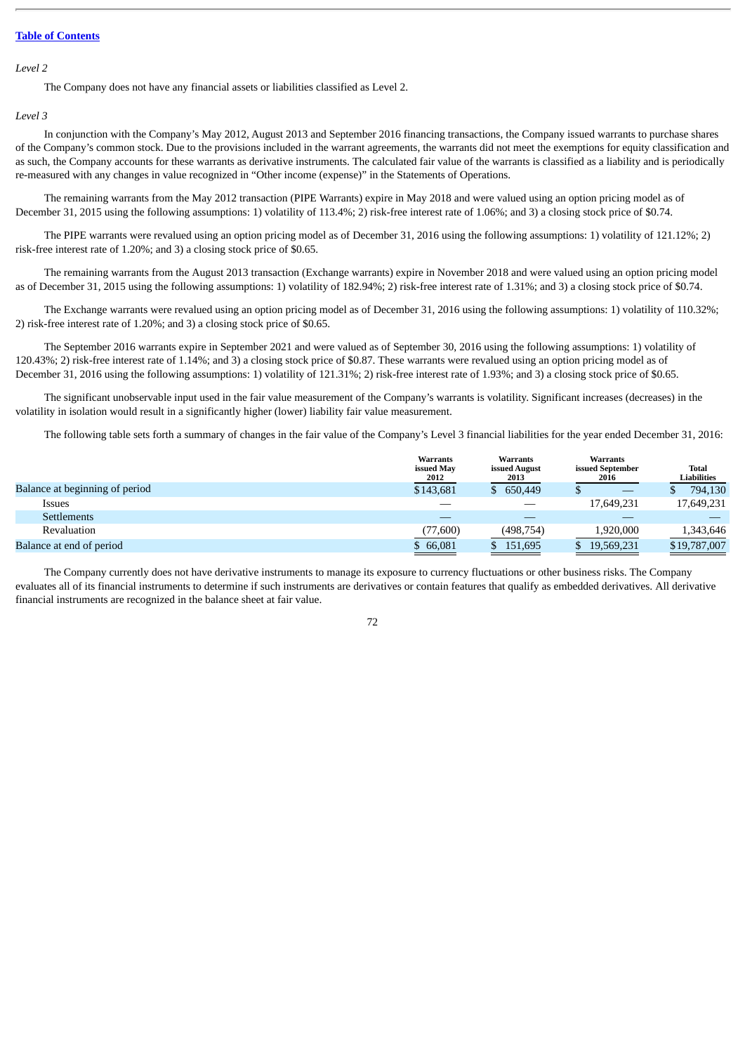#### *Level 2*

The Company does not have any financial assets or liabilities classified as Level 2.

#### *Level 3*

In conjunction with the Company's May 2012, August 2013 and September 2016 financing transactions, the Company issued warrants to purchase shares of the Company's common stock. Due to the provisions included in the warrant agreements, the warrants did not meet the exemptions for equity classification and as such, the Company accounts for these warrants as derivative instruments. The calculated fair value of the warrants is classified as a liability and is periodically re-measured with any changes in value recognized in "Other income (expense)" in the Statements of Operations.

The remaining warrants from the May 2012 transaction (PIPE Warrants) expire in May 2018 and were valued using an option pricing model as of December 31, 2015 using the following assumptions: 1) volatility of 113.4%; 2) risk-free interest rate of 1.06%; and 3) a closing stock price of \$0.74.

The PIPE warrants were revalued using an option pricing model as of December 31, 2016 using the following assumptions: 1) volatility of 121.12%; 2) risk-free interest rate of 1.20%; and 3) a closing stock price of \$0.65.

The remaining warrants from the August 2013 transaction (Exchange warrants) expire in November 2018 and were valued using an option pricing model as of December 31, 2015 using the following assumptions: 1) volatility of 182.94%; 2) risk-free interest rate of 1.31%; and 3) a closing stock price of \$0.74.

The Exchange warrants were revalued using an option pricing model as of December 31, 2016 using the following assumptions: 1) volatility of 110.32%; 2) risk-free interest rate of 1.20%; and 3) a closing stock price of \$0.65.

The September 2016 warrants expire in September 2021 and were valued as of September 30, 2016 using the following assumptions: 1) volatility of 120.43%; 2) risk-free interest rate of 1.14%; and 3) a closing stock price of \$0.87. These warrants were revalued using an option pricing model as of December 31, 2016 using the following assumptions: 1) volatility of 121.31%; 2) risk-free interest rate of 1.93%; and 3) a closing stock price of \$0.65.

The significant unobservable input used in the fair value measurement of the Company's warrants is volatility. Significant increases (decreases) in the volatility in isolation would result in a significantly higher (lower) liability fair value measurement.

The following table sets forth a summary of changes in the fair value of the Company's Level 3 financial liabilities for the year ended December 31, 2016:

|                                | <b>Warrants</b><br>issued May<br>2012 | <b>Warrants</b><br>issued August<br>2013 | <b>Warrants</b><br>issued September<br>2016 | <b>Total</b><br>Liabilities |
|--------------------------------|---------------------------------------|------------------------------------------|---------------------------------------------|-----------------------------|
| Balance at beginning of period | \$143.681                             | \$650,449                                |                                             | 794,130                     |
| Issues                         |                                       |                                          | 17,649,231                                  | 17,649,231                  |
| <b>Settlements</b>             |                                       |                                          |                                             |                             |
| Revaluation                    | (77,600)                              | (498, 754)                               | 1.920.000                                   | 1,343,646                   |
| Balance at end of period       | \$66,081                              | \$151,695                                | 19,569,231                                  | \$19,787,007                |

The Company currently does not have derivative instruments to manage its exposure to currency fluctuations or other business risks. The Company evaluates all of its financial instruments to determine if such instruments are derivatives or contain features that qualify as embedded derivatives. All derivative financial instruments are recognized in the balance sheet at fair value.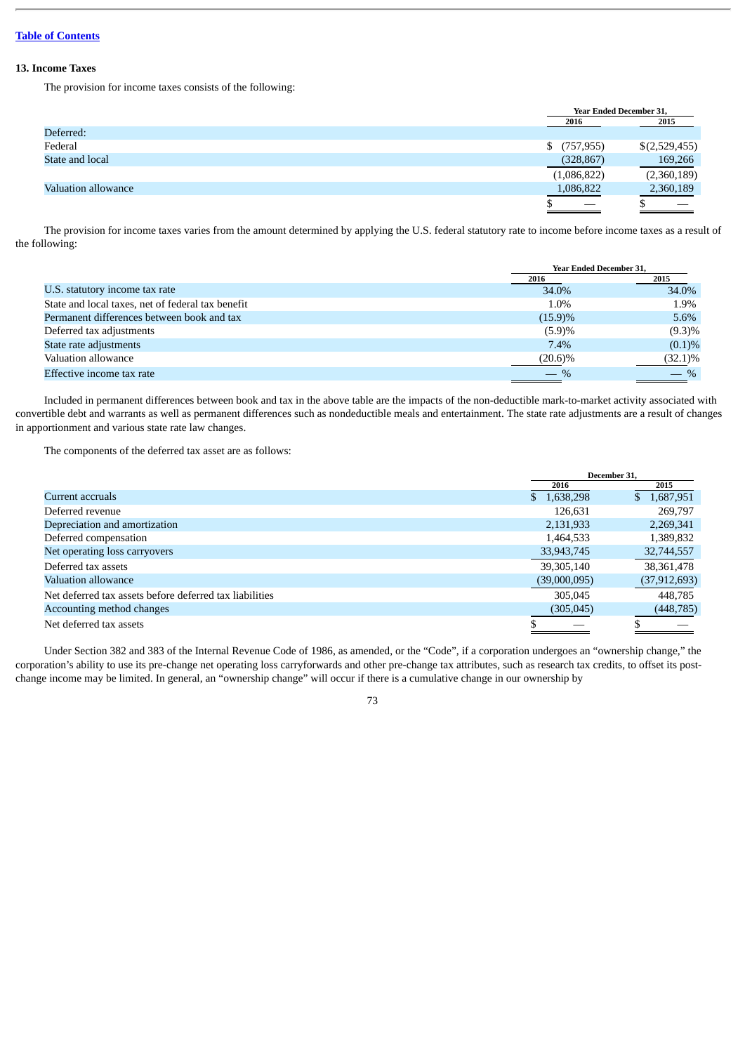### **13. Income Taxes**

The provision for income taxes consists of the following:

|                     |                   | <b>Year Ended December 31,</b> |  |
|---------------------|-------------------|--------------------------------|--|
|                     | 2016              | 2015                           |  |
| Deferred:           |                   |                                |  |
| Federal             | (757, 955)<br>\$  | \$(2,529,455)                  |  |
| State and local     | (328, 867)        | 169,266                        |  |
|                     | (1,086,822)       | (2,360,189)                    |  |
| Valuation allowance | 1,086,822         | 2,360,189                      |  |
|                     | $\hspace{0.05cm}$ |                                |  |

The provision for income taxes varies from the amount determined by applying the U.S. federal statutory rate to income before income taxes as a result of the following:

|                                                   |            | <b>Year Ended December 31,</b> |  |
|---------------------------------------------------|------------|--------------------------------|--|
|                                                   | 2016       | 2015                           |  |
| U.S. statutory income tax rate                    | 34.0%      | 34.0%                          |  |
| State and local taxes, net of federal tax benefit | 1.0%       | 1.9%                           |  |
| Permanent differences between book and tax        | $(15.9)\%$ | 5.6%                           |  |
| Deferred tax adjustments                          | (5.9)%     | $(9.3)\%$                      |  |
| State rate adjustments                            | 7.4%       | (0.1)%                         |  |
| Valuation allowance                               | $(20.6)\%$ | $(32.1)\%$                     |  |
| Effective income tax rate                         | $-$ %      | $-$ %                          |  |

Included in permanent differences between book and tax in the above table are the impacts of the non-deductible mark-to-market activity associated with convertible debt and warrants as well as permanent differences such as nondeductible meals and entertainment. The state rate adjustments are a result of changes in apportionment and various state rate law changes.

The components of the deferred tax asset are as follows:

|                                                         | December 31. |                 |
|---------------------------------------------------------|--------------|-----------------|
|                                                         | 2016         | 2015            |
| Current accruals                                        | \$1,638,298  | 1,687,951<br>\$ |
| Deferred revenue                                        | 126,631      | 269,797         |
| Depreciation and amortization                           | 2,131,933    | 2,269,341       |
| Deferred compensation                                   | 1,464,533    | 1,389,832       |
| Net operating loss carryovers                           | 33,943,745   | 32,744,557      |
| Deferred tax assets                                     | 39,305,140   | 38, 361, 478    |
| Valuation allowance                                     | (39,000,095) | (37, 912, 693)  |
| Net deferred tax assets before deferred tax liabilities | 305.045      | 448,785         |
| Accounting method changes                               | (305, 045)   | (448, 785)      |
| Net deferred tax assets                                 |              |                 |

Under Section 382 and 383 of the Internal Revenue Code of 1986, as amended, or the "Code", if a corporation undergoes an "ownership change," the corporation's ability to use its pre-change net operating loss carryforwards and other pre-change tax attributes, such as research tax credits, to offset its postchange income may be limited. In general, an "ownership change" will occur if there is a cumulative change in our ownership by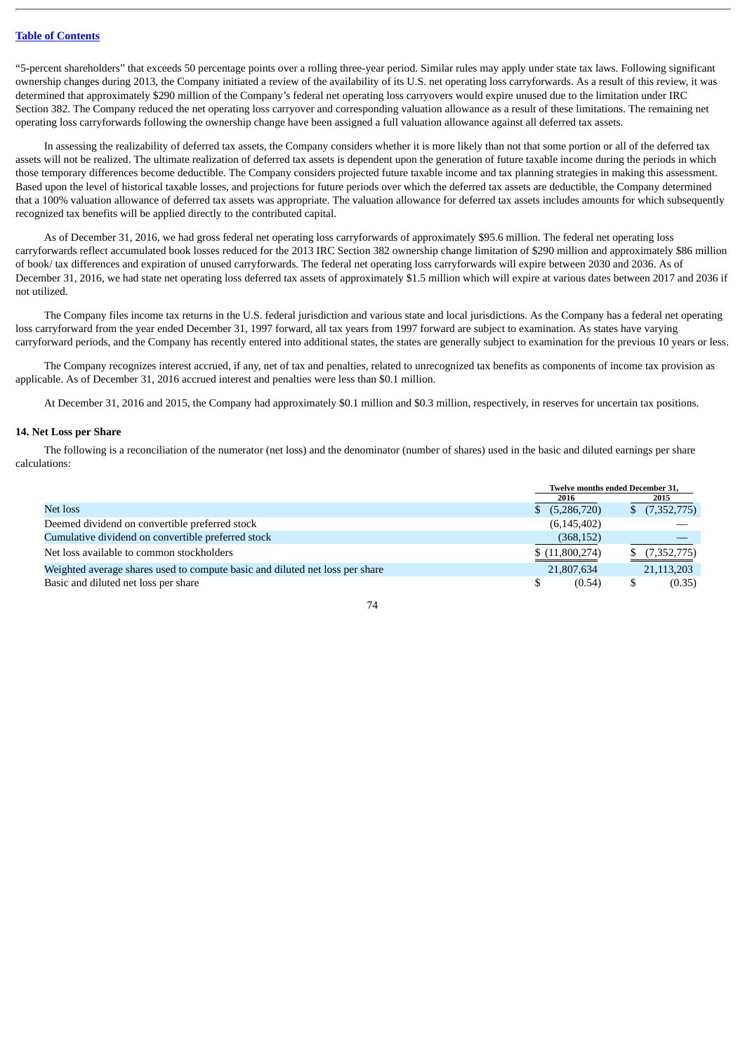"5-percent shareholders" that exceeds 50 percentage points over a rolling three-year period. Similar rules may apply under state tax laws. Following significant ownership changes during 2013, the Company initiated a review of the availability of its U.S. net operating loss carryforwards. As a result of this review, it was determined that approximately \$290 million of the Company's federal net operating loss carryovers would expire unused due to the limitation under IRC Section 382. The Company reduced the net operating loss carryover and corresponding valuation allowance as a result of these limitations. The remaining net operating loss carryforwards following the ownership change have been assigned a full valuation allowance against all deferred tax assets.

In assessing the realizability of deferred tax assets, the Company considers whether it is more likely than not that some portion or all of the deferred tax assets will not be realized. The ultimate realization of deferred tax assets is dependent upon the generation of future taxable income during the periods in which those temporary differences become deductible. The Company considers projected future taxable income and tax planning strategies in making this assessment. Based upon the level of historical taxable losses, and projections for future periods over which the deferred tax assets are deductible, the Company determined that a 100% valuation allowance of deferred tax assets was appropriate. The valuation allowance for deferred tax assets includes amounts for which subsequently recognized tax benefits will be applied directly to the contributed capital.

As of December 31, 2016, we had gross federal net operating loss carryforwards of approximately \$95.6 million. The federal net operating loss carryforwards reflect accumulated book losses reduced for the 2013 IRC Section 382 ownership change limitation of \$290 million and approximately \$86 million of book/ tax differences and expiration of unused carryforwards. The federal net operating loss carryforwards will expire between 2030 and 2036. As of December 31, 2016, we had state net operating loss deferred tax assets of approximately \$1.5 million which will expire at various dates between 2017 and 2036 if not utilized.

The Company files income tax returns in the U.S. federal jurisdiction and various state and local jurisdictions. As the Company has a federal net operating loss carryforward from the year ended December 31, 1997 forward, all tax years from 1997 forward are subject to examination. As states have varying carryforward periods, and the Company has recently entered into additional states, the states are generally subject to examination for the previous 10 years or less.

The Company recognizes interest accrued, if any, net of tax and penalties, related to unrecognized tax benefits as components of income tax provision as applicable. As of December 31, 2016 accrued interest and penalties were less than \$0.1 million.

At December 31, 2016 and 2015, the Company had approximately \$0.1 million and \$0.3 million, respectively, in reserves for uncertain tax positions.

#### **14. Net Loss per Share**

The following is a reconciliation of the numerator (net loss) and the denominator (number of shares) used in the basic and diluted earnings per share calculations:

|                                                                              | Twelve months ended December 31, |               |                   |
|------------------------------------------------------------------------------|----------------------------------|---------------|-------------------|
|                                                                              | 2016                             |               | 2015              |
| Net loss                                                                     | \$ (5,286,720)                   |               | (7,352,775)<br>S. |
| Deemed dividend on convertible preferred stock                               |                                  | (6, 145, 402) |                   |
| Cumulative dividend on convertible preferred stock                           |                                  | (368, 152)    |                   |
| Net loss available to common stockholders                                    | \$(11,800,274)                   |               | (7,352,775)       |
| Weighted average shares used to compute basic and diluted net loss per share | 21,807,634                       |               | 21,113,203        |
| Basic and diluted net loss per share                                         |                                  | (0.54)        | (0.35)            |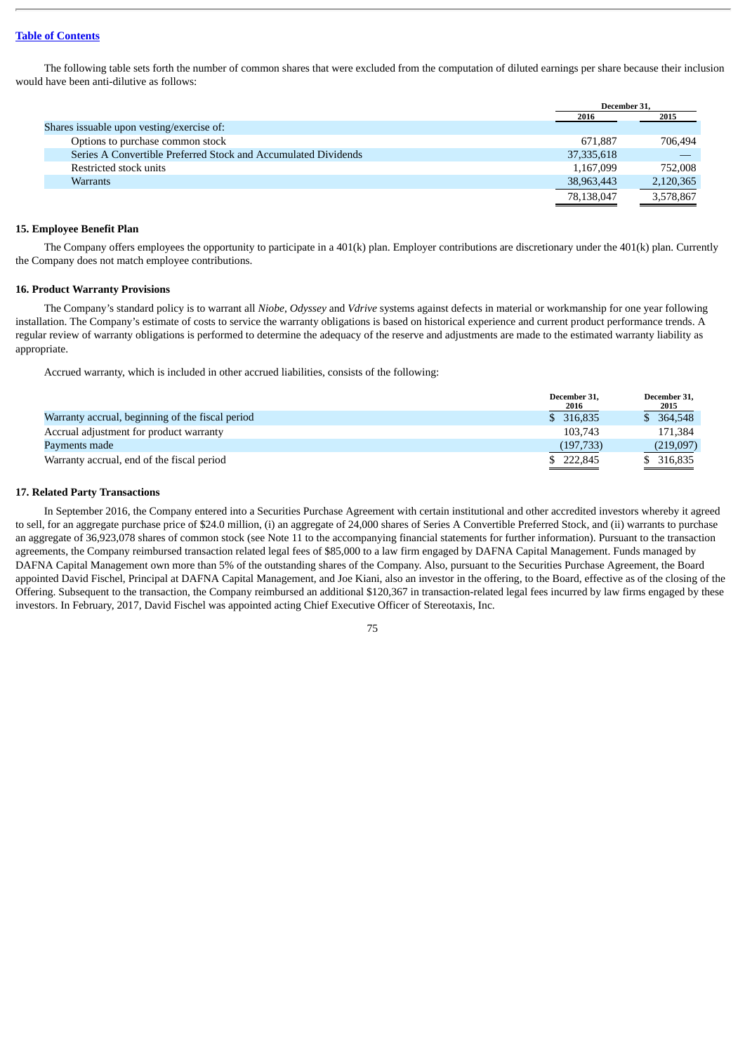The following table sets forth the number of common shares that were excluded from the computation of diluted earnings per share because their inclusion would have been anti-dilutive as follows:

|                                                                | December 31, |           |
|----------------------------------------------------------------|--------------|-----------|
|                                                                | 2016         | 2015      |
| Shares issuable upon vesting/exercise of:                      |              |           |
| Options to purchase common stock                               | 671.887      | 706.494   |
| Series A Convertible Preferred Stock and Accumulated Dividends | 37,335,618   |           |
| Restricted stock units                                         | 1,167,099    | 752,008   |
| <b>Warrants</b>                                                | 38,963,443   | 2,120,365 |
|                                                                | 78,138,047   | 3,578,867 |

#### **15. Employee Benefit Plan**

The Company offers employees the opportunity to participate in a 401(k) plan. Employer contributions are discretionary under the 401(k) plan. Currently the Company does not match employee contributions.

#### **16. Product Warranty Provisions**

The Company's standard policy is to warrant all *Niobe*, *Odyssey* and *Vdrive* systems against defects in material or workmanship for one year following installation. The Company's estimate of costs to service the warranty obligations is based on historical experience and current product performance trends. A regular review of warranty obligations is performed to determine the adequacy of the reserve and adjustments are made to the estimated warranty liability as appropriate.

Accrued warranty, which is included in other accrued liabilities, consists of the following:

|                                                  | December 31,<br>2016 | December 31,<br>2015 |
|--------------------------------------------------|----------------------|----------------------|
| Warranty accrual, beginning of the fiscal period | \$316,835            | 364.548              |
| Accrual adjustment for product warranty          | 103.743              | 171.384              |
| Payments made                                    | (197, 733)           | (219,097)            |
| Warranty accrual, end of the fiscal period       | \$ 222,845           | 316.835              |

#### **17. Related Party Transactions**

In September 2016, the Company entered into a Securities Purchase Agreement with certain institutional and other accredited investors whereby it agreed to sell, for an aggregate purchase price of \$24.0 million, (i) an aggregate of 24,000 shares of Series A Convertible Preferred Stock, and (ii) warrants to purchase an aggregate of 36,923,078 shares of common stock (see Note 11 to the accompanying financial statements for further information). Pursuant to the transaction agreements, the Company reimbursed transaction related legal fees of \$85,000 to a law firm engaged by DAFNA Capital Management. Funds managed by DAFNA Capital Management own more than 5% of the outstanding shares of the Company. Also, pursuant to the Securities Purchase Agreement, the Board appointed David Fischel, Principal at DAFNA Capital Management, and Joe Kiani, also an investor in the offering, to the Board, effective as of the closing of the Offering. Subsequent to the transaction, the Company reimbursed an additional \$120,367 in transaction-related legal fees incurred by law firms engaged by these investors. In February, 2017, David Fischel was appointed acting Chief Executive Officer of Stereotaxis, Inc.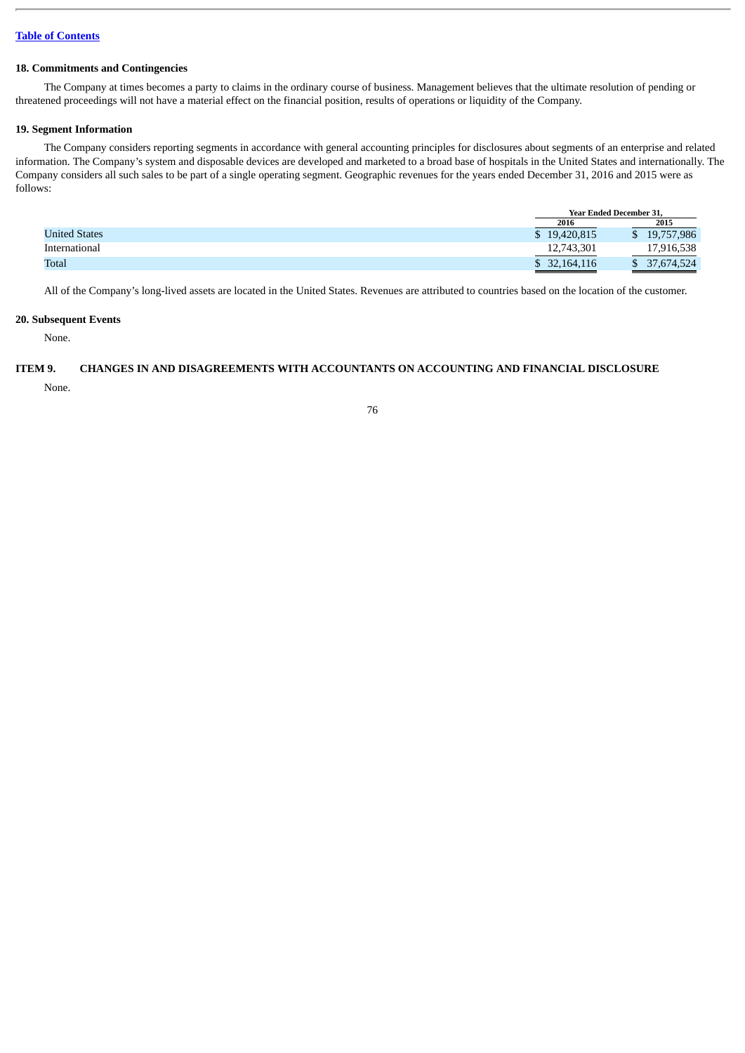### **18. Commitments and Contingencies**

The Company at times becomes a party to claims in the ordinary course of business. Management believes that the ultimate resolution of pending or threatened proceedings will not have a material effect on the financial position, results of operations or liquidity of the Company.

### **19. Segment Information**

The Company considers reporting segments in accordance with general accounting principles for disclosures about segments of an enterprise and related information. The Company's system and disposable devices are developed and marketed to a broad base of hospitals in the United States and internationally. The Company considers all such sales to be part of a single operating segment. Geographic revenues for the years ended December 31, 2016 and 2015 were as follows:

|                      |              | <b>Year Ended December 31.</b> |  |
|----------------------|--------------|--------------------------------|--|
|                      | 2016         | 2015                           |  |
| <b>United States</b> | 19.420.815   | 19,757,986<br>S.               |  |
| International        | 12,743,301   | 17,916,538                     |  |
| <b>Total</b>         | 32, 164, 116 | 37,674,524                     |  |
|                      |              |                                |  |

All of the Company's long-lived assets are located in the United States. Revenues are attributed to countries based on the location of the customer.

76

### **20. Subsequent Events**

None.

# **ITEM 9. CHANGES IN AND DISAGREEMENTS WITH ACCOUNTANTS ON ACCOUNTING AND FINANCIAL DISCLOSURE**

None.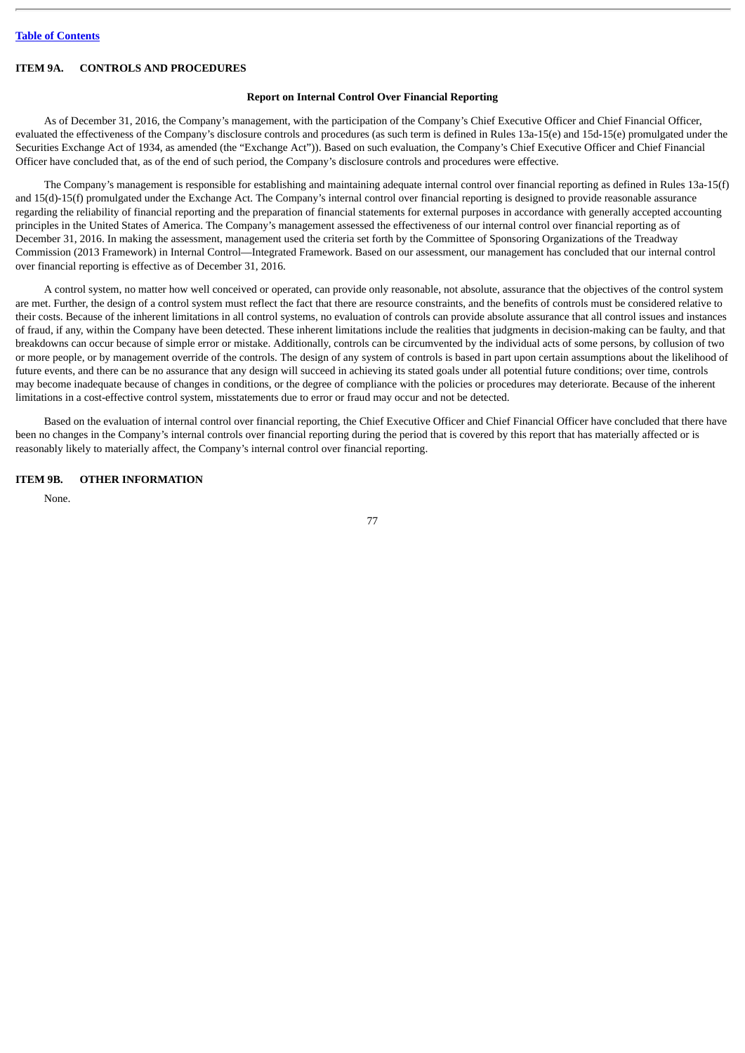#### **ITEM 9A. CONTROLS AND PROCEDURES**

#### **Report on Internal Control Over Financial Reporting**

As of December 31, 2016, the Company's management, with the participation of the Company's Chief Executive Officer and Chief Financial Officer, evaluated the effectiveness of the Company's disclosure controls and procedures (as such term is defined in Rules 13a-15(e) and 15d-15(e) promulgated under the Securities Exchange Act of 1934, as amended (the "Exchange Act")). Based on such evaluation, the Company's Chief Executive Officer and Chief Financial Officer have concluded that, as of the end of such period, the Company's disclosure controls and procedures were effective.

The Company's management is responsible for establishing and maintaining adequate internal control over financial reporting as defined in Rules 13a-15(f) and 15(d)-15(f) promulgated under the Exchange Act. The Company's internal control over financial reporting is designed to provide reasonable assurance regarding the reliability of financial reporting and the preparation of financial statements for external purposes in accordance with generally accepted accounting principles in the United States of America. The Company's management assessed the effectiveness of our internal control over financial reporting as of December 31, 2016. In making the assessment, management used the criteria set forth by the Committee of Sponsoring Organizations of the Treadway Commission (2013 Framework) in Internal Control—Integrated Framework. Based on our assessment, our management has concluded that our internal control over financial reporting is effective as of December 31, 2016.

A control system, no matter how well conceived or operated, can provide only reasonable, not absolute, assurance that the objectives of the control system are met. Further, the design of a control system must reflect the fact that there are resource constraints, and the benefits of controls must be considered relative to their costs. Because of the inherent limitations in all control systems, no evaluation of controls can provide absolute assurance that all control issues and instances of fraud, if any, within the Company have been detected. These inherent limitations include the realities that judgments in decision-making can be faulty, and that breakdowns can occur because of simple error or mistake. Additionally, controls can be circumvented by the individual acts of some persons, by collusion of two or more people, or by management override of the controls. The design of any system of controls is based in part upon certain assumptions about the likelihood of future events, and there can be no assurance that any design will succeed in achieving its stated goals under all potential future conditions; over time, controls may become inadequate because of changes in conditions, or the degree of compliance with the policies or procedures may deteriorate. Because of the inherent limitations in a cost-effective control system, misstatements due to error or fraud may occur and not be detected.

Based on the evaluation of internal control over financial reporting, the Chief Executive Officer and Chief Financial Officer have concluded that there have been no changes in the Company's internal controls over financial reporting during the period that is covered by this report that has materially affected or is reasonably likely to materially affect, the Company's internal control over financial reporting.

### **ITEM 9B. OTHER INFORMATION**

None.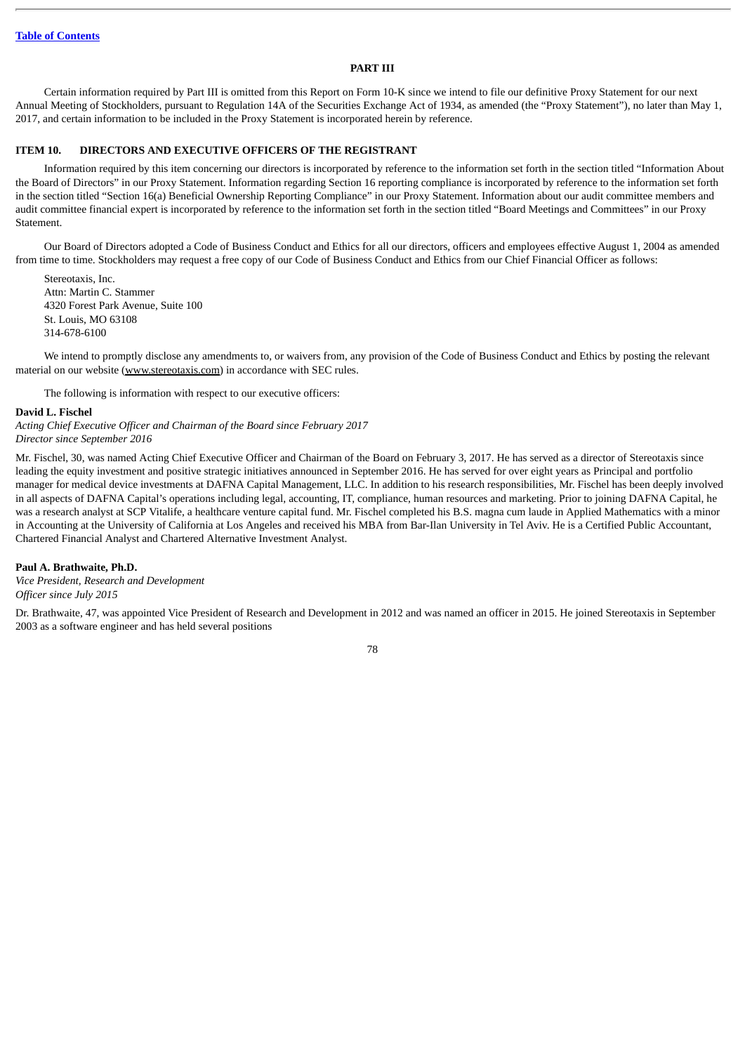#### **PART III**

Certain information required by Part III is omitted from this Report on Form 10-K since we intend to file our definitive Proxy Statement for our next Annual Meeting of Stockholders, pursuant to Regulation 14A of the Securities Exchange Act of 1934, as amended (the "Proxy Statement"), no later than May 1, 2017, and certain information to be included in the Proxy Statement is incorporated herein by reference.

#### **ITEM 10. DIRECTORS AND EXECUTIVE OFFICERS OF THE REGISTRANT**

Information required by this item concerning our directors is incorporated by reference to the information set forth in the section titled "Information About the Board of Directors" in our Proxy Statement. Information regarding Section 16 reporting compliance is incorporated by reference to the information set forth in the section titled "Section 16(a) Beneficial Ownership Reporting Compliance" in our Proxy Statement. Information about our audit committee members and audit committee financial expert is incorporated by reference to the information set forth in the section titled "Board Meetings and Committees" in our Proxy Statement.

Our Board of Directors adopted a Code of Business Conduct and Ethics for all our directors, officers and employees effective August 1, 2004 as amended from time to time. Stockholders may request a free copy of our Code of Business Conduct and Ethics from our Chief Financial Officer as follows:

Stereotaxis, Inc. Attn: Martin C. Stammer 4320 Forest Park Avenue, Suite 100 St. Louis, MO 63108 314-678-6100

We intend to promptly disclose any amendments to, or waivers from, any provision of the Code of Business Conduct and Ethics by posting the relevant material on our website (www.stereotaxis.com) in accordance with SEC rules.

The following is information with respect to our executive officers:

**David L. Fischel**

*Acting Chief Executive Officer and Chairman of the Board since February 2017 Director since September 2016*

Mr. Fischel, 30, was named Acting Chief Executive Officer and Chairman of the Board on February 3, 2017. He has served as a director of Stereotaxis since leading the equity investment and positive strategic initiatives announced in September 2016. He has served for over eight years as Principal and portfolio manager for medical device investments at DAFNA Capital Management, LLC. In addition to his research responsibilities, Mr. Fischel has been deeply involved in all aspects of DAFNA Capital's operations including legal, accounting, IT, compliance, human resources and marketing. Prior to joining DAFNA Capital, he was a research analyst at SCP Vitalife, a healthcare venture capital fund. Mr. Fischel completed his B.S. magna cum laude in Applied Mathematics with a minor in Accounting at the University of California at Los Angeles and received his MBA from Bar-Ilan University in Tel Aviv. He is a Certified Public Accountant, Chartered Financial Analyst and Chartered Alternative Investment Analyst.

#### **Paul A. Brathwaite, Ph.D.**

*Vice President, Research and Development Officer since July 2015*

Dr. Brathwaite, 47, was appointed Vice President of Research and Development in 2012 and was named an officer in 2015. He joined Stereotaxis in September 2003 as a software engineer and has held several positions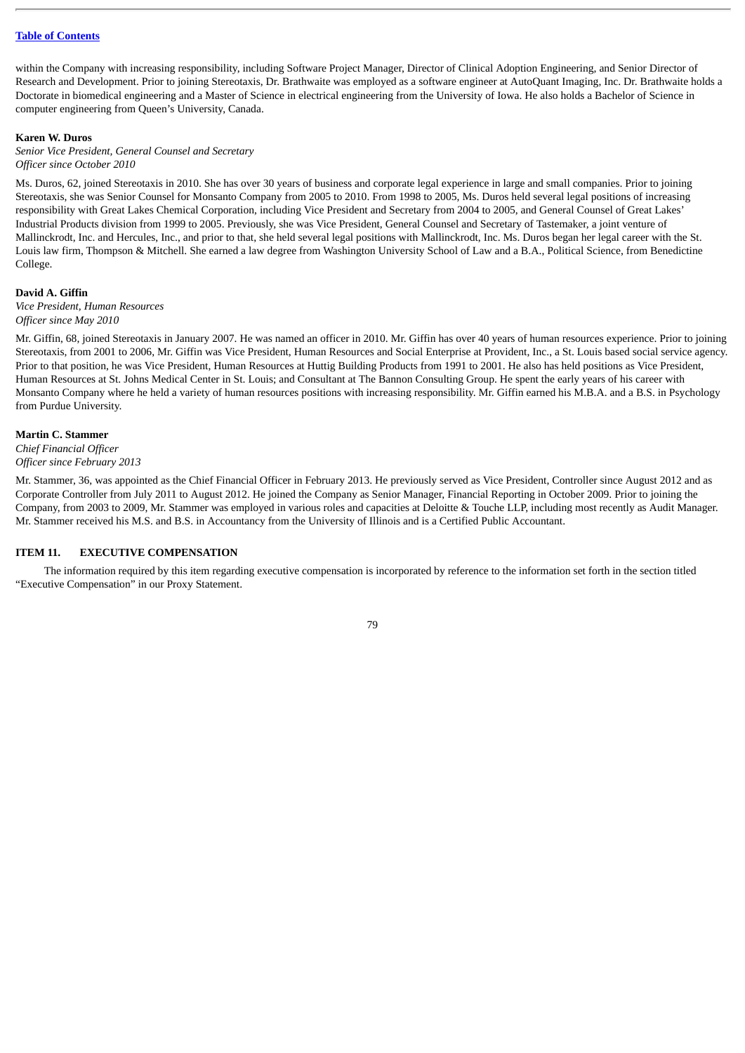within the Company with increasing responsibility, including Software Project Manager, Director of Clinical Adoption Engineering, and Senior Director of Research and Development. Prior to joining Stereotaxis, Dr. Brathwaite was employed as a software engineer at AutoQuant Imaging, Inc. Dr. Brathwaite holds a Doctorate in biomedical engineering and a Master of Science in electrical engineering from the University of Iowa. He also holds a Bachelor of Science in computer engineering from Queen's University, Canada.

#### **Karen W. Duros**

*Senior Vice President, General Counsel and Secretary Officer since October 2010*

Ms. Duros, 62, joined Stereotaxis in 2010. She has over 30 years of business and corporate legal experience in large and small companies. Prior to joining Stereotaxis, she was Senior Counsel for Monsanto Company from 2005 to 2010. From 1998 to 2005, Ms. Duros held several legal positions of increasing responsibility with Great Lakes Chemical Corporation, including Vice President and Secretary from 2004 to 2005, and General Counsel of Great Lakes' Industrial Products division from 1999 to 2005. Previously, she was Vice President, General Counsel and Secretary of Tastemaker, a joint venture of Mallinckrodt, Inc. and Hercules, Inc., and prior to that, she held several legal positions with Mallinckrodt, Inc. Ms. Duros began her legal career with the St. Louis law firm, Thompson & Mitchell. She earned a law degree from Washington University School of Law and a B.A., Political Science, from Benedictine College.

### **David A. Giffin**

*Vice President, Human Resources Officer since May 2010*

Mr. Giffin, 68, joined Stereotaxis in January 2007. He was named an officer in 2010. Mr. Giffin has over 40 years of human resources experience. Prior to joining Stereotaxis, from 2001 to 2006, Mr. Giffin was Vice President, Human Resources and Social Enterprise at Provident, Inc., a St. Louis based social service agency. Prior to that position, he was Vice President, Human Resources at Huttig Building Products from 1991 to 2001. He also has held positions as Vice President, Human Resources at St. Johns Medical Center in St. Louis; and Consultant at The Bannon Consulting Group. He spent the early years of his career with Monsanto Company where he held a variety of human resources positions with increasing responsibility. Mr. Giffin earned his M.B.A. and a B.S. in Psychology from Purdue University.

### **Martin C. Stammer**

*Chief Financial Officer Officer since February 2013*

Mr. Stammer, 36, was appointed as the Chief Financial Officer in February 2013. He previously served as Vice President, Controller since August 2012 and as Corporate Controller from July 2011 to August 2012. He joined the Company as Senior Manager, Financial Reporting in October 2009. Prior to joining the Company, from 2003 to 2009, Mr. Stammer was employed in various roles and capacities at Deloitte & Touche LLP, including most recently as Audit Manager. Mr. Stammer received his M.S. and B.S. in Accountancy from the University of Illinois and is a Certified Public Accountant.

### **ITEM 11. EXECUTIVE COMPENSATION**

The information required by this item regarding executive compensation is incorporated by reference to the information set forth in the section titled "Executive Compensation" in our Proxy Statement.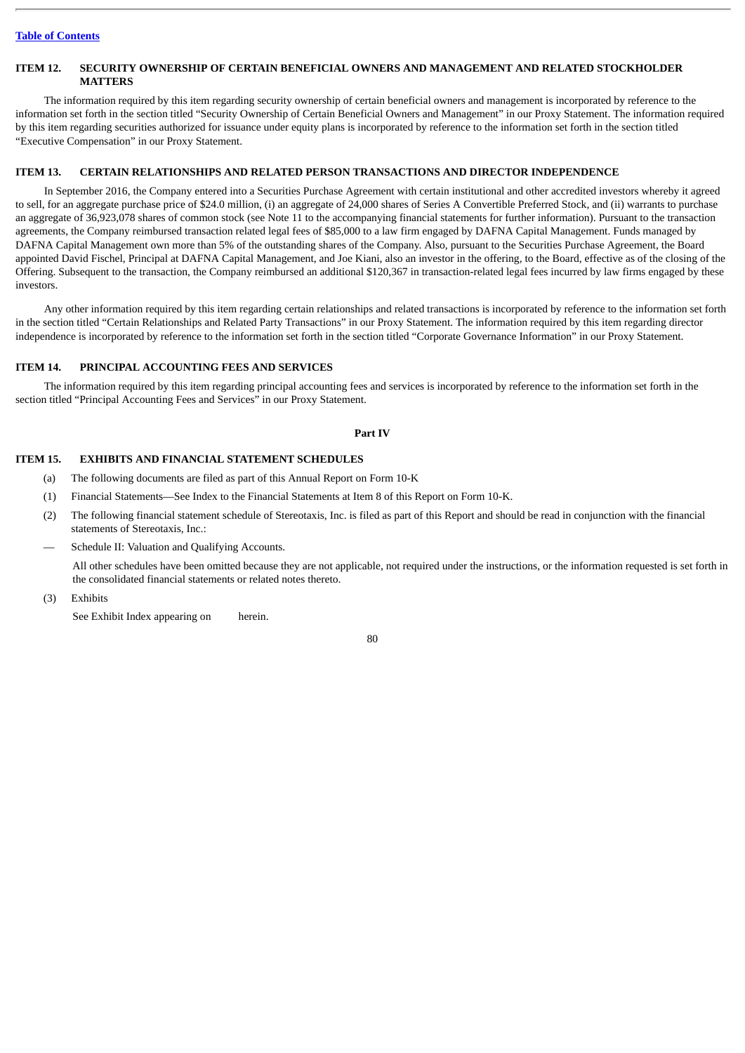### **ITEM 12. SECURITY OWNERSHIP OF CERTAIN BENEFICIAL OWNERS AND MANAGEMENT AND RELATED STOCKHOLDER MATTERS**

The information required by this item regarding security ownership of certain beneficial owners and management is incorporated by reference to the information set forth in the section titled "Security Ownership of Certain Beneficial Owners and Management" in our Proxy Statement. The information required by this item regarding securities authorized for issuance under equity plans is incorporated by reference to the information set forth in the section titled "Executive Compensation" in our Proxy Statement.

### **ITEM 13. CERTAIN RELATIONSHIPS AND RELATED PERSON TRANSACTIONS AND DIRECTOR INDEPENDENCE**

In September 2016, the Company entered into a Securities Purchase Agreement with certain institutional and other accredited investors whereby it agreed to sell, for an aggregate purchase price of \$24.0 million, (i) an aggregate of 24,000 shares of Series A Convertible Preferred Stock, and (ii) warrants to purchase an aggregate of 36,923,078 shares of common stock (see Note 11 to the accompanying financial statements for further information). Pursuant to the transaction agreements, the Company reimbursed transaction related legal fees of \$85,000 to a law firm engaged by DAFNA Capital Management. Funds managed by DAFNA Capital Management own more than 5% of the outstanding shares of the Company. Also, pursuant to the Securities Purchase Agreement, the Board appointed David Fischel, Principal at DAFNA Capital Management, and Joe Kiani, also an investor in the offering, to the Board, effective as of the closing of the Offering. Subsequent to the transaction, the Company reimbursed an additional \$120,367 in transaction-related legal fees incurred by law firms engaged by these investors.

Any other information required by this item regarding certain relationships and related transactions is incorporated by reference to the information set forth in the section titled "Certain Relationships and Related Party Transactions" in our Proxy Statement. The information required by this item regarding director independence is incorporated by reference to the information set forth in the section titled "Corporate Governance Information" in our Proxy Statement.

### **ITEM 14. PRINCIPAL ACCOUNTING FEES AND SERVICES**

The information required by this item regarding principal accounting fees and services is incorporated by reference to the information set forth in the section titled "Principal Accounting Fees and Services" in our Proxy Statement.

### **Part IV**

### **ITEM 15. EXHIBITS AND FINANCIAL STATEMENT SCHEDULES**

- (a) The following documents are filed as part of this Annual Report on Form 10-K
- (1) Financial Statements—See Index to the Financial Statements at Item 8 of this Report on Form 10-K.
- (2) The following financial statement schedule of Stereotaxis, Inc. is filed as part of this Report and should be read in conjunction with the financial statements of Stereotaxis, Inc.:
- Schedule II: Valuation and Qualifying Accounts.

All other schedules have been omitted because they are not applicable, not required under the instructions, or the information requested is set forth in the consolidated financial statements or related notes thereto.

(3) Exhibits

See Exhibit Index appearing on herein.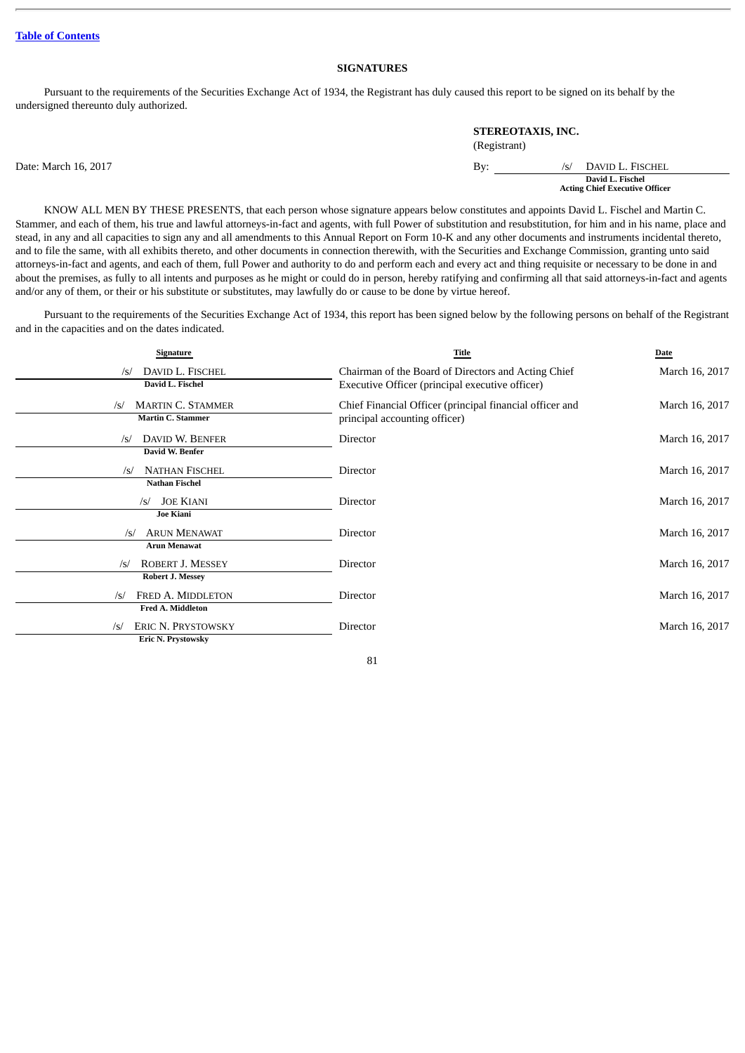### **SIGNATURES**

Pursuant to the requirements of the Securities Exchange Act of 1934, the Registrant has duly caused this report to be signed on its behalf by the undersigned thereunto duly authorized.

|                      | STEREOTAXIS, INC.<br>(Registrant) |                                                           |
|----------------------|-----------------------------------|-----------------------------------------------------------|
| Date: March 16, 2017 | Bv:                               | DAVID L. FISCHEL<br>/s/                                   |
|                      |                                   | David L. Fischel<br><b>Acting Chief Executive Officer</b> |

KNOW ALL MEN BY THESE PRESENTS, that each person whose signature appears below constitutes and appoints David L. Fischel and Martin C. Stammer, and each of them, his true and lawful attorneys-in-fact and agents, with full Power of substitution and resubstitution, for him and in his name, place and stead, in any and all capacities to sign any and all amendments to this Annual Report on Form 10-K and any other documents and instruments incidental thereto, and to file the same, with all exhibits thereto, and other documents in connection therewith, with the Securities and Exchange Commission, granting unto said attorneys-in-fact and agents, and each of them, full Power and authority to do and perform each and every act and thing requisite or necessary to be done in and about the premises, as fully to all intents and purposes as he might or could do in person, hereby ratifying and confirming all that said attorneys-in-fact and agents and/or any of them, or their or his substitute or substitutes, may lawfully do or cause to be done by virtue hereof.

Pursuant to the requirements of the Securities Exchange Act of 1934, this report has been signed below by the following persons on behalf of the Registrant and in the capacities and on the dates indicated.

| Signature                                                   | Title                                                                                                  | Date           |
|-------------------------------------------------------------|--------------------------------------------------------------------------------------------------------|----------------|
| DAVID L. FISCHEL<br>$\sqrt{s}$<br>David L. Fischel          | Chairman of the Board of Directors and Acting Chief<br>Executive Officer (principal executive officer) | March 16, 2017 |
| <b>MARTIN C. STAMMER</b><br>/s/<br><b>Martin C. Stammer</b> | Chief Financial Officer (principal financial officer and<br>principal accounting officer)              | March 16, 2017 |
| DAVID W. BENFER<br>/s/<br>David W. Benfer                   | Director                                                                                               | March 16, 2017 |
| <b>NATHAN FISCHEL</b><br>/s/<br><b>Nathan Fischel</b>       | Director                                                                                               | March 16, 2017 |
| <b>JOE KIANI</b><br>$\sqrt{s}$<br><b>Joe Kiani</b>          | Director                                                                                               | March 16, 2017 |
| <b>ARUN MENAWAT</b><br>$\sqrt{s}$<br><b>Arun Menawat</b>    | Director                                                                                               | March 16, 2017 |
| ROBERT J. MESSEY<br>$\sqrt{s}$<br><b>Robert J. Messey</b>   | Director                                                                                               | March 16, 2017 |
| FRED A. MIDDLETON<br>$\sqrt{s}$<br>Fred A. Middleton        | Director                                                                                               | March 16, 2017 |
| <b>ERIC N. PRYSTOWSKY</b><br>/s/<br>Eric N. Prystowsky      | Director                                                                                               | March 16, 2017 |
|                                                             |                                                                                                        |                |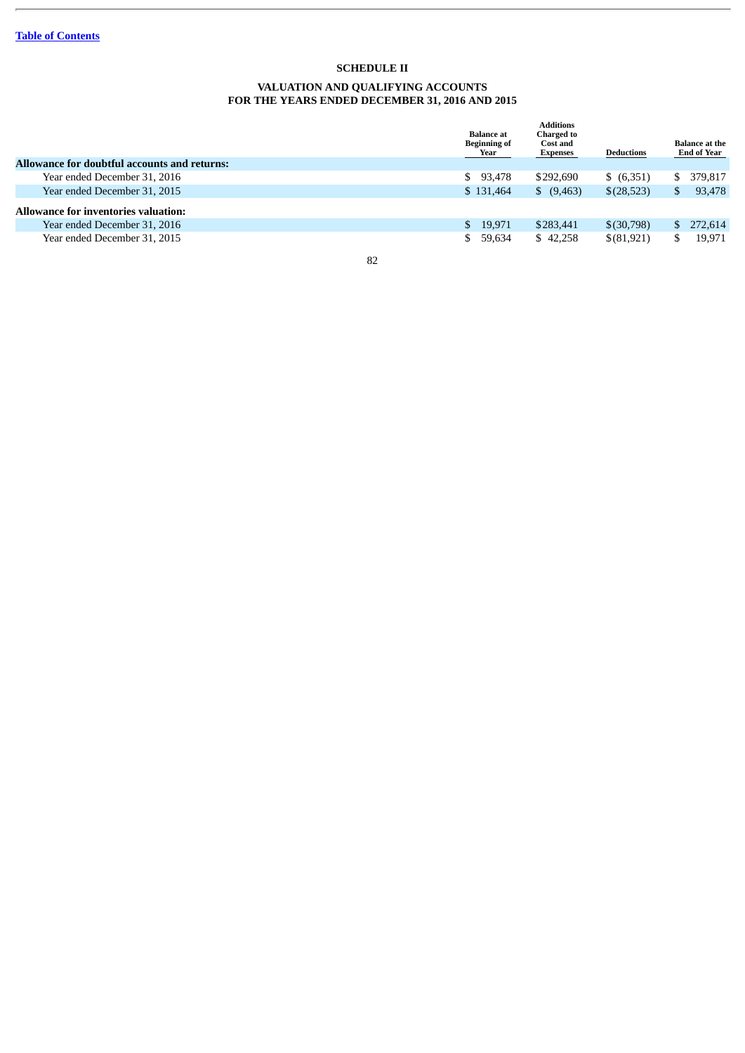## **SCHEDULE II**

#### **VALUATION AND QUALIFYING ACCOUNTS FOR THE YEARS ENDED DECEMBER 31, 2016 AND 2015**

|                                              | <b>Balance</b> at<br><b>Beginning of</b><br>Year | <b>Additions</b><br><b>Charged to</b><br><b>Cost and</b><br>Expenses | <b>Deductions</b> | <b>Balance at the</b><br><b>End of Year</b> |
|----------------------------------------------|--------------------------------------------------|----------------------------------------------------------------------|-------------------|---------------------------------------------|
| Allowance for doubtful accounts and returns: |                                                  |                                                                      |                   |                                             |
| Year ended December 31, 2016                 | \$ 93,478                                        | \$292,690                                                            | \$ (6,351)        | 379,817<br>S                                |
| Year ended December 31, 2015                 | \$131,464                                        | \$ (9,463)                                                           | \$(28,523)        | 93,478<br>\$                                |
| Allowance for inventories valuation:         |                                                  |                                                                      |                   |                                             |
| Year ended December 31, 2016                 | \$19,971                                         | \$283,441                                                            | \$(30,798)        | 272,614<br>S.                               |
| Year ended December 31, 2015                 | \$<br>59,634                                     | \$42.258                                                             | \$ (81, 921)      | 19,971<br>\$                                |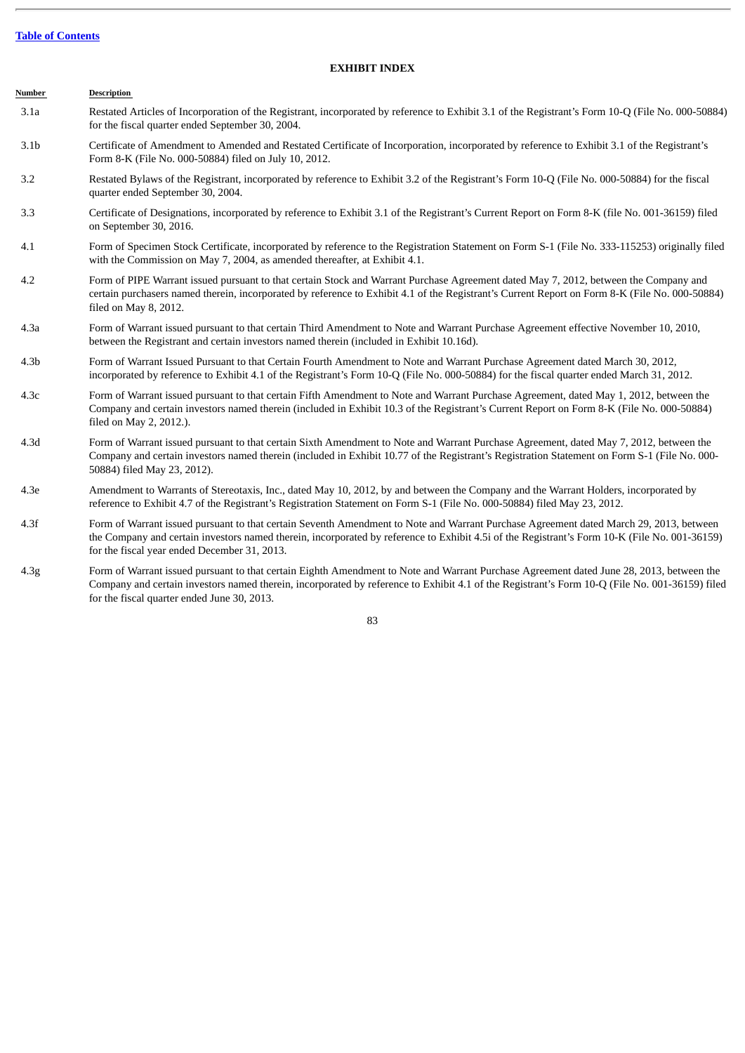**Number Description**

### **EXHIBIT INDEX**

| 3.1a | Restated Articles of Incorporation of the Registrant, incorporated by reference to Exhibit 3.1 of the Registrant's Form 10-Q (File No. 000-50884) |
|------|---------------------------------------------------------------------------------------------------------------------------------------------------|
|      | for the fiscal quarter ended September 30, 2004.                                                                                                  |

- 3.1b Certificate of Amendment to Amended and Restated Certificate of Incorporation, incorporated by reference to Exhibit 3.1 of the Registrant's Form 8-K (File No. 000-50884) filed on July 10, 2012.
- 3.2 Restated Bylaws of the Registrant, incorporated by reference to Exhibit 3.2 of the Registrant's Form 10-Q (File No. 000-50884) for the fiscal quarter ended September 30, 2004.
- 3.3 Certificate of Designations, incorporated by reference to Exhibit 3.1 of the Registrant's Current Report on Form 8-K (file No. 001-36159) filed on September 30, 2016.
- 4.1 Form of Specimen Stock Certificate, incorporated by reference to the Registration Statement on Form S-1 (File No. 333-115253) originally filed with the Commission on May 7, 2004, as amended thereafter, at Exhibit 4.1.
- 4.2 Form of PIPE Warrant issued pursuant to that certain Stock and Warrant Purchase Agreement dated May 7, 2012, between the Company and certain purchasers named therein, incorporated by reference to Exhibit 4.1 of the Registrant's Current Report on Form 8-K (File No. 000-50884) filed on May 8, 2012.
- 4.3a Form of Warrant issued pursuant to that certain Third Amendment to Note and Warrant Purchase Agreement effective November 10, 2010, between the Registrant and certain investors named therein (included in Exhibit 10.16d).
- 4.3b Form of Warrant Issued Pursuant to that Certain Fourth Amendment to Note and Warrant Purchase Agreement dated March 30, 2012, incorporated by reference to Exhibit 4.1 of the Registrant's Form 10-Q (File No. 000-50884) for the fiscal quarter ended March 31, 2012.
- 4.3c Form of Warrant issued pursuant to that certain Fifth Amendment to Note and Warrant Purchase Agreement, dated May 1, 2012, between the Company and certain investors named therein (included in Exhibit 10.3 of the Registrant's Current Report on Form 8-K (File No. 000-50884) filed on May 2, 2012.).
- 4.3d Form of Warrant issued pursuant to that certain Sixth Amendment to Note and Warrant Purchase Agreement, dated May 7, 2012, between the Company and certain investors named therein (included in Exhibit 10.77 of the Registrant's Registration Statement on Form S-1 (File No. 000- 50884) filed May 23, 2012).
- 4.3e Amendment to Warrants of Stereotaxis, Inc., dated May 10, 2012, by and between the Company and the Warrant Holders, incorporated by reference to Exhibit 4.7 of the Registrant's Registration Statement on Form S-1 (File No. 000-50884) filed May 23, 2012.
- 4.3f Form of Warrant issued pursuant to that certain Seventh Amendment to Note and Warrant Purchase Agreement dated March 29, 2013, between the Company and certain investors named therein, incorporated by reference to Exhibit 4.5i of the Registrant's Form 10-K (File No. 001-36159) for the fiscal year ended December 31, 2013.
- 4.3g Form of Warrant issued pursuant to that certain Eighth Amendment to Note and Warrant Purchase Agreement dated June 28, 2013, between the Company and certain investors named therein, incorporated by reference to Exhibit 4.1 of the Registrant's Form 10-Q (File No. 001-36159) filed for the fiscal quarter ended June 30, 2013.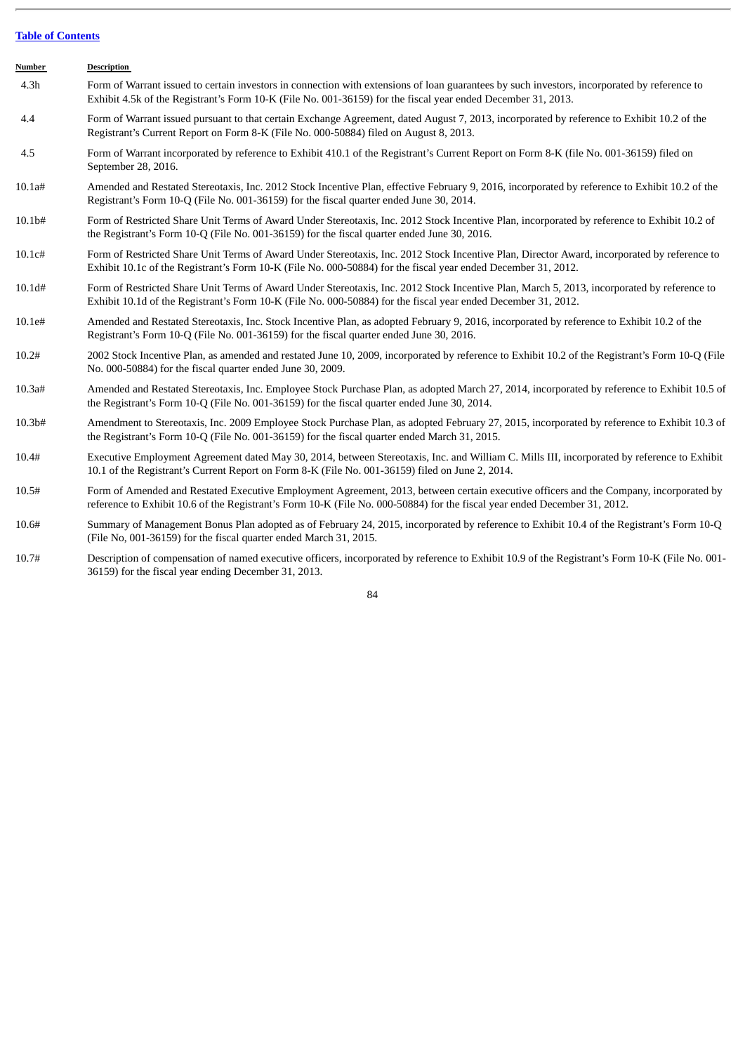| Number             | <b>Description</b>                                                                                                                                                                                                                                                  |
|--------------------|---------------------------------------------------------------------------------------------------------------------------------------------------------------------------------------------------------------------------------------------------------------------|
| 4.3 <sub>h</sub>   | Form of Warrant issued to certain investors in connection with extensions of loan guarantees by such investors, incorporated by reference to<br>Exhibit 4.5k of the Registrant's Form 10-K (File No. 001-36159) for the fiscal year ended December 31, 2013.        |
| 4.4                | Form of Warrant issued pursuant to that certain Exchange Agreement, dated August 7, 2013, incorporated by reference to Exhibit 10.2 of the<br>Registrant's Current Report on Form 8-K (File No. 000-50884) filed on August 8, 2013.                                 |
| 4.5                | Form of Warrant incorporated by reference to Exhibit 410.1 of the Registrant's Current Report on Form 8-K (file No. 001-36159) filed on<br>September 28, 2016.                                                                                                      |
| 10.1a#             | Amended and Restated Stereotaxis, Inc. 2012 Stock Incentive Plan, effective February 9, 2016, incorporated by reference to Exhibit 10.2 of the<br>Registrant's Form 10-Q (File No. 001-36159) for the fiscal quarter ended June 30, 2014.                           |
| 10.1b#             | Form of Restricted Share Unit Terms of Award Under Stereotaxis, Inc. 2012 Stock Incentive Plan, incorporated by reference to Exhibit 10.2 of<br>the Registrant's Form 10-Q (File No. 001-36159) for the fiscal quarter ended June 30, 2016.                         |
| 10.1c#             | Form of Restricted Share Unit Terms of Award Under Stereotaxis, Inc. 2012 Stock Incentive Plan, Director Award, incorporated by reference to<br>Exhibit 10.1c of the Registrant's Form 10-K (File No. 000-50884) for the fiscal year ended December 31, 2012.       |
| 10.1d#             | Form of Restricted Share Unit Terms of Award Under Stereotaxis, Inc. 2012 Stock Incentive Plan, March 5, 2013, incorporated by reference to<br>Exhibit 10.1d of the Registrant's Form 10-K (File No. 000-50884) for the fiscal year ended December 31, 2012.        |
| 10.1e#             | Amended and Restated Stereotaxis, Inc. Stock Incentive Plan, as adopted February 9, 2016, incorporated by reference to Exhibit 10.2 of the<br>Registrant's Form 10-Q (File No. 001-36159) for the fiscal quarter ended June 30, 2016.                               |
| 10.2#              | 2002 Stock Incentive Plan, as amended and restated June 10, 2009, incorporated by reference to Exhibit 10.2 of the Registrant's Form 10-Q (File<br>No. 000-50884) for the fiscal quarter ended June 30, 2009.                                                       |
| 10.3a#             | Amended and Restated Stereotaxis, Inc. Employee Stock Purchase Plan, as adopted March 27, 2014, incorporated by reference to Exhibit 10.5 of<br>the Registrant's Form 10-Q (File No. 001-36159) for the fiscal quarter ended June 30, 2014.                         |
| 10.3 <sub>b#</sub> | Amendment to Stereotaxis, Inc. 2009 Employee Stock Purchase Plan, as adopted February 27, 2015, incorporated by reference to Exhibit 10.3 of<br>the Registrant's Form 10-Q (File No. 001-36159) for the fiscal quarter ended March 31, 2015.                        |
| 10.4#              | Executive Employment Agreement dated May 30, 2014, between Stereotaxis, Inc. and William C. Mills III, incorporated by reference to Exhibit<br>10.1 of the Registrant's Current Report on Form 8-K (File No. 001-36159) filed on June 2, 2014.                      |
| 10.5#              | Form of Amended and Restated Executive Employment Agreement, 2013, between certain executive officers and the Company, incorporated by<br>reference to Exhibit 10.6 of the Registrant's Form 10-K (File No. 000-50884) for the fiscal year ended December 31, 2012. |
| 10.6#              | Summary of Management Bonus Plan adopted as of February 24, 2015, incorporated by reference to Exhibit 10.4 of the Registrant's Form 10-Q<br>(File No, 001-36159) for the fiscal quarter ended March 31, 2015.                                                      |
| 10.7#              | Description of compensation of named executive officers, incorporated by reference to Exhibit 10.9 of the Registrant's Form 10-K (File No. 001-                                                                                                                     |

84

36159) for the fiscal year ending December 31, 2013.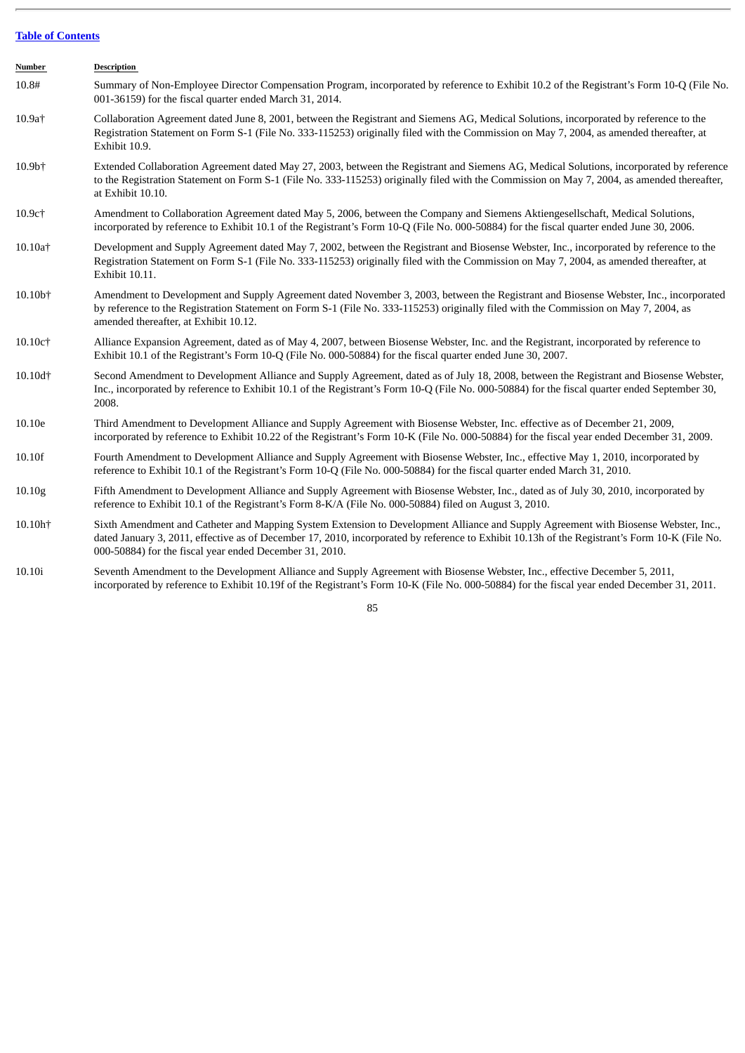| <b>LADIC OF COHIGHTS</b> |                                                                                                                                                                                                                                                                                                                                                 |  |
|--------------------------|-------------------------------------------------------------------------------------------------------------------------------------------------------------------------------------------------------------------------------------------------------------------------------------------------------------------------------------------------|--|
| Number                   | <b>Description</b>                                                                                                                                                                                                                                                                                                                              |  |
| 10.8#                    | Summary of Non-Employee Director Compensation Program, incorporated by reference to Exhibit 10.2 of the Registrant's Form 10-Q (File No.<br>001-36159) for the fiscal quarter ended March 31, 2014.                                                                                                                                             |  |
| 10.9a <sub>†</sub>       | Collaboration Agreement dated June 8, 2001, between the Registrant and Siemens AG, Medical Solutions, incorporated by reference to the<br>Registration Statement on Form S-1 (File No. 333-115253) originally filed with the Commission on May 7, 2004, as amended thereafter, at<br>Exhibit 10.9.                                              |  |
| 10.9b <sup>+</sup>       | Extended Collaboration Agreement dated May 27, 2003, between the Registrant and Siemens AG, Medical Solutions, incorporated by reference<br>to the Registration Statement on Form S-1 (File No. 333-115253) originally filed with the Commission on May 7, 2004, as amended thereafter,<br>at Exhibit 10.10.                                    |  |
| 10.9ct                   | Amendment to Collaboration Agreement dated May 5, 2006, between the Company and Siemens Aktiengesellschaft, Medical Solutions,<br>incorporated by reference to Exhibit 10.1 of the Registrant's Form 10-Q (File No. 000-50884) for the fiscal quarter ended June 30, 2006.                                                                      |  |
| 10.10a <sup>+</sup>      | Development and Supply Agreement dated May 7, 2002, between the Registrant and Biosense Webster, Inc., incorporated by reference to the<br>Registration Statement on Form S-1 (File No. 333-115253) originally filed with the Commission on May 7, 2004, as amended thereafter, at<br>Exhibit 10.11.                                            |  |
| 10.10b <sup>+</sup>      | Amendment to Development and Supply Agreement dated November 3, 2003, between the Registrant and Biosense Webster, Inc., incorporated<br>by reference to the Registration Statement on Form S-1 (File No. 333-115253) originally filed with the Commission on May 7, 2004, as<br>amended thereafter, at Exhibit 10.12.                          |  |
| 10.10ct                  | Alliance Expansion Agreement, dated as of May 4, 2007, between Biosense Webster, Inc. and the Registrant, incorporated by reference to<br>Exhibit 10.1 of the Registrant's Form 10-Q (File No. 000-50884) for the fiscal quarter ended June 30, 2007.                                                                                           |  |
| 10.10d <sup>+</sup>      | Second Amendment to Development Alliance and Supply Agreement, dated as of July 18, 2008, between the Registrant and Biosense Webster,<br>Inc., incorporated by reference to Exhibit 10.1 of the Registrant's Form 10-Q (File No. 000-50884) for the fiscal quarter ended September 30,<br>2008.                                                |  |
| 10.10e                   | Third Amendment to Development Alliance and Supply Agreement with Biosense Webster, Inc. effective as of December 21, 2009,<br>incorporated by reference to Exhibit 10.22 of the Registrant's Form 10-K (File No. 000-50884) for the fiscal year ended December 31, 2009.                                                                       |  |
| 10.10f                   | Fourth Amendment to Development Alliance and Supply Agreement with Biosense Webster, Inc., effective May 1, 2010, incorporated by<br>reference to Exhibit 10.1 of the Registrant's Form 10-Q (File No. 000-50884) for the fiscal quarter ended March 31, 2010.                                                                                  |  |
| 10.10g                   | Fifth Amendment to Development Alliance and Supply Agreement with Biosense Webster, Inc., dated as of July 30, 2010, incorporated by<br>reference to Exhibit 10.1 of the Registrant's Form 8-K/A (File No. 000-50884) filed on August 3, 2010.                                                                                                  |  |
| 10.10h <sup>+</sup>      | Sixth Amendment and Catheter and Mapping System Extension to Development Alliance and Supply Agreement with Biosense Webster, Inc.,<br>dated January 3, 2011, effective as of December 17, 2010, incorporated by reference to Exhibit 10.13h of the Registrant's Form 10-K (File No.<br>000-50884) for the fiscal year ended December 31, 2010. |  |
| 10.10i                   | Seventh Amendment to the Development Alliance and Supply Agreement with Biosense Webster, Inc., effective December 5, 2011,<br>incorporated by reference to Exhibit 10.19f of the Registrant's Form 10-K (File No. 000-50884) for the fiscal year ended December 31, 2011.                                                                      |  |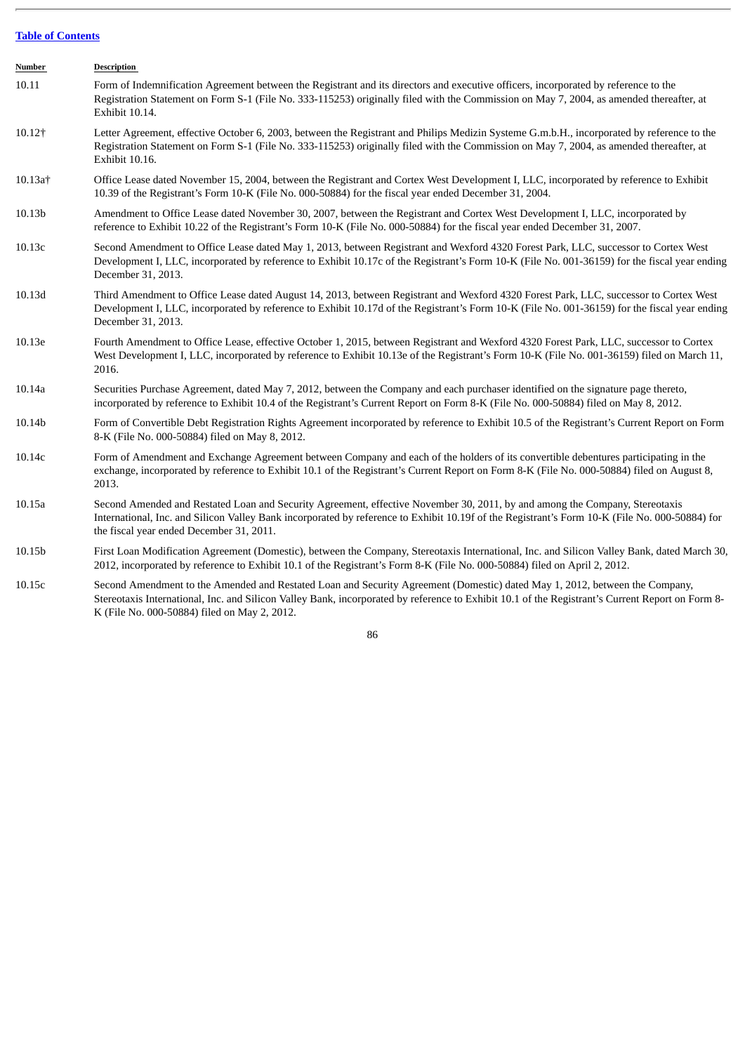| Number  | <b>Description</b>                                                                                                                                                                                                                                                                                                        |
|---------|---------------------------------------------------------------------------------------------------------------------------------------------------------------------------------------------------------------------------------------------------------------------------------------------------------------------------|
| 10.11   | Form of Indemnification Agreement between the Registrant and its directors and executive officers, incorporated by reference to the<br>Registration Statement on Form S-1 (File No. 333-115253) originally filed with the Commission on May 7, 2004, as amended thereafter, at<br>Exhibit 10.14.                          |
| 10.12+  | Letter Agreement, effective October 6, 2003, between the Registrant and Philips Medizin Systeme G.m.b.H., incorporated by reference to the<br>Registration Statement on Form S-1 (File No. 333-115253) originally filed with the Commission on May 7, 2004, as amended thereafter, at<br>Exhibit 10.16.                   |
| 10.13at | Office Lease dated November 15, 2004, between the Registrant and Cortex West Development I, LLC, incorporated by reference to Exhibit<br>10.39 of the Registrant's Form 10-K (File No. 000-50884) for the fiscal year ended December 31, 2004.                                                                            |
| 10.13b  | Amendment to Office Lease dated November 30, 2007, between the Registrant and Cortex West Development I, LLC, incorporated by<br>reference to Exhibit 10.22 of the Registrant's Form 10-K (File No. 000-50884) for the fiscal year ended December 31, 2007.                                                               |
| 10.13c  | Second Amendment to Office Lease dated May 1, 2013, between Registrant and Wexford 4320 Forest Park, LLC, successor to Cortex West<br>Development I, LLC, incorporated by reference to Exhibit 10.17c of the Registrant's Form 10-K (File No. 001-36159) for the fiscal year ending<br>December 31, 2013.                 |
| 10.13d  | Third Amendment to Office Lease dated August 14, 2013, between Registrant and Wexford 4320 Forest Park, LLC, successor to Cortex West<br>Development I, LLC, incorporated by reference to Exhibit 10.17d of the Registrant's Form 10-K (File No. 001-36159) for the fiscal year ending<br>December 31, 2013.              |
| 10.13e  | Fourth Amendment to Office Lease, effective October 1, 2015, between Registrant and Wexford 4320 Forest Park, LLC, successor to Cortex<br>West Development I, LLC, incorporated by reference to Exhibit 10.13e of the Registrant's Form 10-K (File No. 001-36159) filed on March 11,<br>2016.                             |
| 10.14a  | Securities Purchase Agreement, dated May 7, 2012, between the Company and each purchaser identified on the signature page thereto,<br>incorporated by reference to Exhibit 10.4 of the Registrant's Current Report on Form 8-K (File No. 000-50884) filed on May 8, 2012.                                                 |
| 10.14b  | Form of Convertible Debt Registration Rights Agreement incorporated by reference to Exhibit 10.5 of the Registrant's Current Report on Form<br>8-K (File No. 000-50884) filed on May 8, 2012.                                                                                                                             |
| 10.14c  | Form of Amendment and Exchange Agreement between Company and each of the holders of its convertible debentures participating in the<br>exchange, incorporated by reference to Exhibit 10.1 of the Registrant's Current Report on Form 8-K (File No. 000-50884) filed on August 8,<br>2013.                                |
| 10.15a  | Second Amended and Restated Loan and Security Agreement, effective November 30, 2011, by and among the Company, Stereotaxis<br>International, Inc. and Silicon Valley Bank incorporated by reference to Exhibit 10.19f of the Registrant's Form 10-K (File No. 000-50884) for<br>the fiscal year ended December 31, 2011. |
| 10.15b  | First Loan Modification Agreement (Domestic), between the Company, Stereotaxis International, Inc. and Silicon Valley Bank, dated March 30,<br>2012, incorporated by reference to Exhibit 10.1 of the Registrant's Form 8-K (File No. 000-50884) filed on April 2, 2012.                                                  |
| 10.15c  | Second Amendment to the Amended and Restated Loan and Security Agreement (Domestic) dated May 1, 2012, between the Company,<br>Stereotaxis International, Inc. and Silicon Valley Bank, incorporated by reference to Exhibit 10.1 of the Registrant's Current Report on Form 8-                                           |

86

K (File No. 000-50884) filed on May 2, 2012.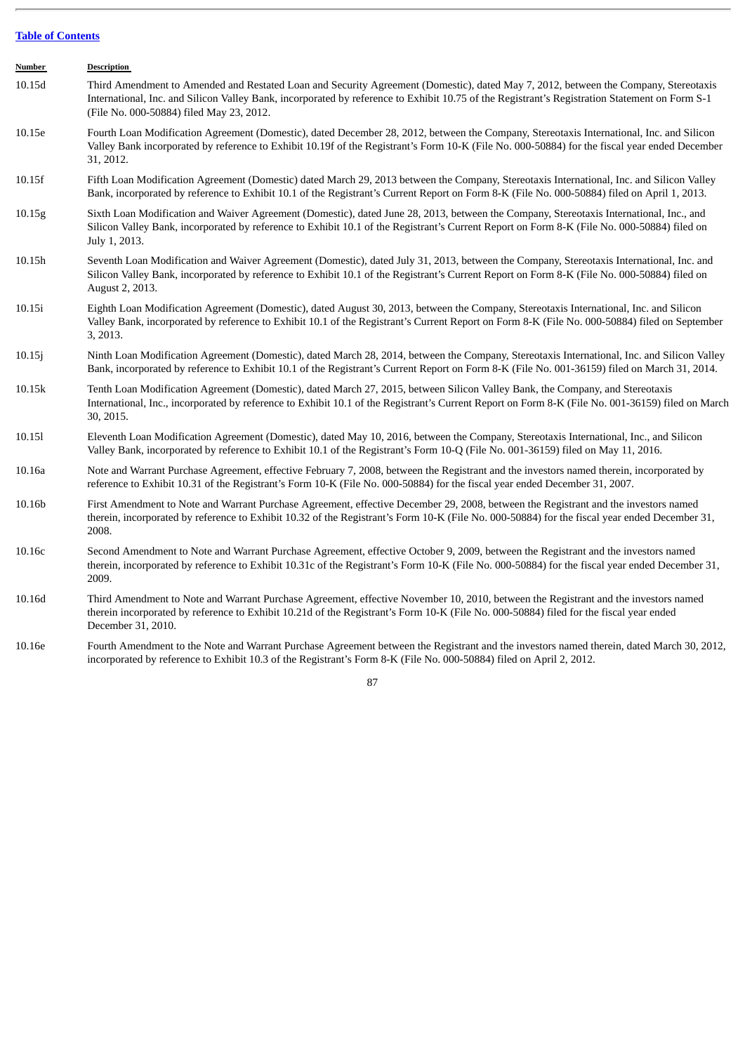| Number | <b>Description</b>                                                                                                                                                                                                                                                                                                                |
|--------|-----------------------------------------------------------------------------------------------------------------------------------------------------------------------------------------------------------------------------------------------------------------------------------------------------------------------------------|
| 10.15d | Third Amendment to Amended and Restated Loan and Security Agreement (Domestic), dated May 7, 2012, between the Company, Stereotaxis<br>International, Inc. and Silicon Valley Bank, incorporated by reference to Exhibit 10.75 of the Registrant's Registration Statement on Form S-1<br>(File No. 000-50884) filed May 23, 2012. |
| 10.15e | Fourth Loan Modification Agreement (Domestic), dated December 28, 2012, between the Company, Stereotaxis International, Inc. and Silicon<br>Valley Bank incorporated by reference to Exhibit 10.19f of the Registrant's Form 10-K (File No. 000-50884) for the fiscal year ended December<br>31, 2012.                            |
| 10.15f | Fifth Loan Modification Agreement (Domestic) dated March 29, 2013 between the Company, Stereotaxis International, Inc. and Silicon Valley<br>Bank, incorporated by reference to Exhibit 10.1 of the Registrant's Current Report on Form 8-K (File No. 000-50884) filed on April 1, 2013.                                          |
| 10.15g | Sixth Loan Modification and Waiver Agreement (Domestic), dated June 28, 2013, between the Company, Stereotaxis International, Inc., and<br>Silicon Valley Bank, incorporated by reference to Exhibit 10.1 of the Registrant's Current Report on Form 8-K (File No. 000-50884) filed on<br>July 1, 2013.                           |
| 10.15h | Seventh Loan Modification and Waiver Agreement (Domestic), dated July 31, 2013, between the Company, Stereotaxis International, Inc. and<br>Silicon Valley Bank, incorporated by reference to Exhibit 10.1 of the Registrant's Current Report on Form 8-K (File No. 000-50884) filed on<br>August 2, 2013.                        |
| 10.15i | Eighth Loan Modification Agreement (Domestic), dated August 30, 2013, between the Company, Stereotaxis International, Inc. and Silicon<br>Valley Bank, incorporated by reference to Exhibit 10.1 of the Registrant's Current Report on Form 8-K (File No. 000-50884) filed on September<br>3, 2013.                               |
| 10.15j | Ninth Loan Modification Agreement (Domestic), dated March 28, 2014, between the Company, Stereotaxis International, Inc. and Silicon Valley<br>Bank, incorporated by reference to Exhibit 10.1 of the Registrant's Current Report on Form 8-K (File No. 001-36159) filed on March 31, 2014.                                       |
| 10.15k | Tenth Loan Modification Agreement (Domestic), dated March 27, 2015, between Silicon Valley Bank, the Company, and Stereotaxis<br>International, Inc., incorporated by reference to Exhibit 10.1 of the Registrant's Current Report on Form 8-K (File No. 001-36159) filed on March<br>30, 2015.                                   |
| 10.15l | Eleventh Loan Modification Agreement (Domestic), dated May 10, 2016, between the Company, Stereotaxis International, Inc., and Silicon<br>Valley Bank, incorporated by reference to Exhibit 10.1 of the Registrant's Form 10-Q (File No. 001-36159) filed on May 11, 2016.                                                        |
| 10.16a | Note and Warrant Purchase Agreement, effective February 7, 2008, between the Registrant and the investors named therein, incorporated by<br>reference to Exhibit 10.31 of the Registrant's Form 10-K (File No. 000-50884) for the fiscal year ended December 31, 2007.                                                            |
| 10.16b | First Amendment to Note and Warrant Purchase Agreement, effective December 29, 2008, between the Registrant and the investors named<br>therein, incorporated by reference to Exhibit 10.32 of the Registrant's Form 10-K (File No. 000-50884) for the fiscal year ended December 31,<br>2008.                                     |
| 10.16c | Second Amendment to Note and Warrant Purchase Agreement, effective October 9, 2009, between the Registrant and the investors named<br>therein, incorporated by reference to Exhibit 10.31c of the Registrant's Form 10-K (File No. 000-50884) for the fiscal year ended December 31,<br>2009.                                     |
| 10.16d | Third Amendment to Note and Warrant Purchase Agreement, effective November 10, 2010, between the Registrant and the investors named<br>therein incorporated by reference to Exhibit 10.21d of the Registrant's Form 10-K (File No. 000-50884) filed for the fiscal year ended<br>December 31, 2010.                               |

10.16e Fourth Amendment to the Note and Warrant Purchase Agreement between the Registrant and the investors named therein, dated March 30, 2012, incorporated by reference to Exhibit 10.3 of the Registrant's Form 8-K (File No. 000-50884) filed on April 2, 2012.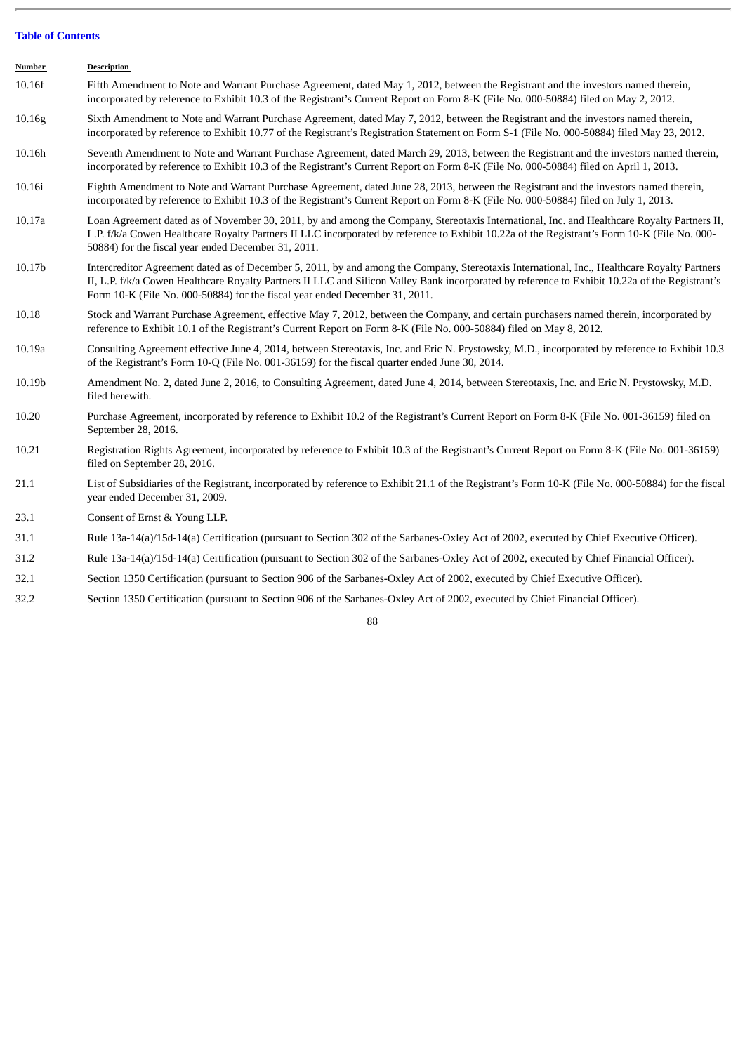| Number             | Description                                                                                                                                                                                                                                                                                                                                                                    |
|--------------------|--------------------------------------------------------------------------------------------------------------------------------------------------------------------------------------------------------------------------------------------------------------------------------------------------------------------------------------------------------------------------------|
| 10.16f             | Fifth Amendment to Note and Warrant Purchase Agreement, dated May 1, 2012, between the Registrant and the investors named therein,<br>incorporated by reference to Exhibit 10.3 of the Registrant's Current Report on Form 8-K (File No. 000-50884) filed on May 2, 2012.                                                                                                      |
| 10.16 <sub>g</sub> | Sixth Amendment to Note and Warrant Purchase Agreement, dated May 7, 2012, between the Registrant and the investors named therein,<br>incorporated by reference to Exhibit 10.77 of the Registrant's Registration Statement on Form S-1 (File No. 000-50884) filed May 23, 2012.                                                                                               |
| 10.16h             | Seventh Amendment to Note and Warrant Purchase Agreement, dated March 29, 2013, between the Registrant and the investors named therein,<br>incorporated by reference to Exhibit 10.3 of the Registrant's Current Report on Form 8-K (File No. 000-50884) filed on April 1, 2013.                                                                                               |
| 10.16i             | Eighth Amendment to Note and Warrant Purchase Agreement, dated June 28, 2013, between the Registrant and the investors named therein,<br>incorporated by reference to Exhibit 10.3 of the Registrant's Current Report on Form 8-K (File No. 000-50884) filed on July 1, 2013.                                                                                                  |
| 10.17a             | Loan Agreement dated as of November 30, 2011, by and among the Company, Stereotaxis International, Inc. and Healthcare Royalty Partners II,<br>L.P. f/k/a Cowen Healthcare Royalty Partners II LLC incorporated by reference to Exhibit 10.22a of the Registrant's Form 10-K (File No. 000-<br>50884) for the fiscal year ended December 31, 2011.                             |
| 10.17b             | Intercreditor Agreement dated as of December 5, 2011, by and among the Company, Stereotaxis International, Inc., Healthcare Royalty Partners<br>II, L.P. f/k/a Cowen Healthcare Royalty Partners II LLC and Silicon Valley Bank incorporated by reference to Exhibit 10.22a of the Registrant's<br>Form 10-K (File No. 000-50884) for the fiscal year ended December 31, 2011. |
| 10.18              | Stock and Warrant Purchase Agreement, effective May 7, 2012, between the Company, and certain purchasers named therein, incorporated by<br>reference to Exhibit 10.1 of the Registrant's Current Report on Form 8-K (File No. 000-50884) filed on May 8, 2012.                                                                                                                 |
| 10.19a             | Consulting Agreement effective June 4, 2014, between Stereotaxis, Inc. and Eric N. Prystowsky, M.D., incorporated by reference to Exhibit 10.3<br>of the Registrant's Form 10-Q (File No. 001-36159) for the fiscal quarter ended June 30, 2014.                                                                                                                               |

- 10.19b Amendment No. 2, dated June 2, 2016, to Consulting Agreement, dated June 4, 2014, between Stereotaxis, Inc. and Eric N. Prystowsky, M.D. filed herewith.
- 10.20 Purchase Agreement, incorporated by reference to Exhibit 10.2 of the Registrant's Current Report on Form 8-K (File No. 001-36159) filed on September 28, 2016.
- 10.21 Registration Rights Agreement, incorporated by reference to Exhibit 10.3 of the Registrant's Current Report on Form 8-K (File No. 001-36159) filed on September 28, 2016.
- 21.1 List of Subsidiaries of the Registrant, incorporated by reference to Exhibit 21.1 of the Registrant's Form 10-K (File No. 000-50884) for the fiscal year ended December 31, 2009.
- 23.1 Consent of Ernst & Young LLP.
- 31.1 Rule 13a-14(a)/15d-14(a) Certification (pursuant to Section 302 of the Sarbanes-Oxley Act of 2002, executed by Chief Executive Officer).
- 31.2 Rule 13a-14(a)/15d-14(a) Certification (pursuant to Section 302 of the Sarbanes-Oxley Act of 2002, executed by Chief Financial Officer).
- 32.1 Section 1350 Certification (pursuant to Section 906 of the Sarbanes-Oxley Act of 2002, executed by Chief Executive Officer).
- 32.2 Section 1350 Certification (pursuant to Section 906 of the Sarbanes-Oxley Act of 2002, executed by Chief Financial Officer).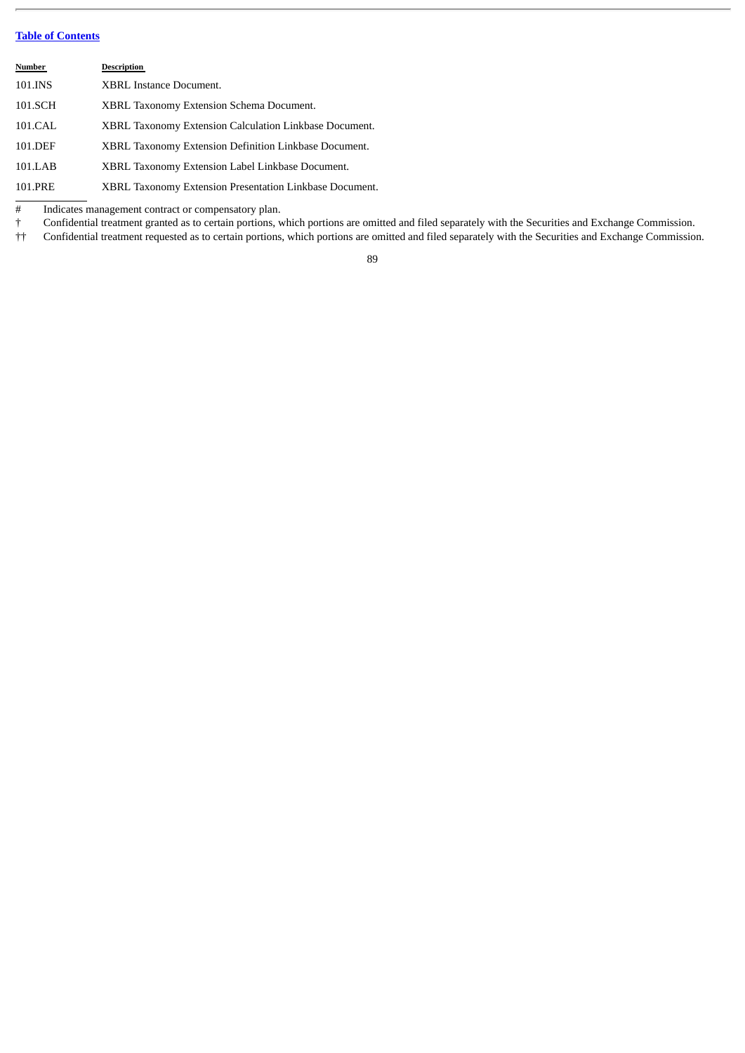| Number  | <b>Description</b>                                      |
|---------|---------------------------------------------------------|
| 101.INS | XBRL Instance Document.                                 |
| 101.SCH | XBRL Taxonomy Extension Schema Document.                |
| 101.CAL | XBRL Taxonomy Extension Calculation Linkbase Document.  |
| 101.DEF | XBRL Taxonomy Extension Definition Linkbase Document.   |
| 101.LAB | XBRL Taxonomy Extension Label Linkbase Document.        |
| 101.PRE | XBRL Taxonomy Extension Presentation Linkbase Document. |

<sup>#</sup> Indicates management contract or compensatory plan.

- † Confidential treatment granted as to certain portions, which portions are omitted and filed separately with the Securities and Exchange Commission.
- †† Confidential treatment requested as to certain portions, which portions are omitted and filed separately with the Securities and Exchange Commission.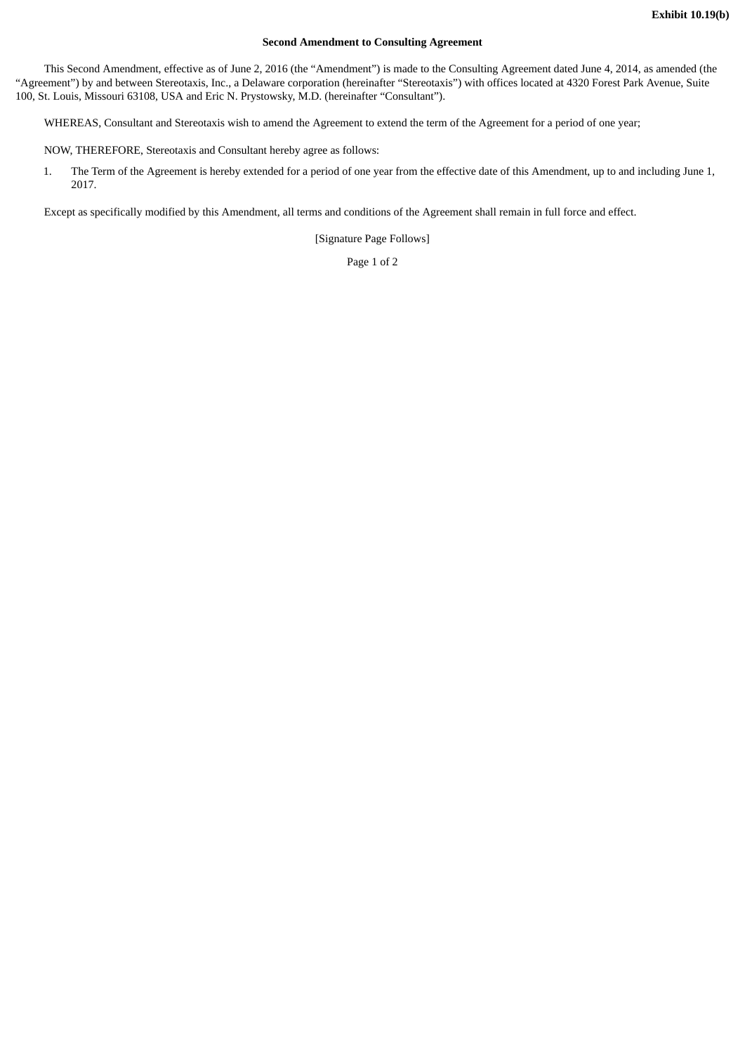### **Second Amendment to Consulting Agreement**

This Second Amendment, effective as of June 2, 2016 (the "Amendment") is made to the Consulting Agreement dated June 4, 2014, as amended (the "Agreement") by and between Stereotaxis, Inc., a Delaware corporation (hereinafter "Stereotaxis") with offices located at 4320 Forest Park Avenue, Suite 100, St. Louis, Missouri 63108, USA and Eric N. Prystowsky, M.D. (hereinafter "Consultant").

WHEREAS, Consultant and Stereotaxis wish to amend the Agreement to extend the term of the Agreement for a period of one year;

NOW, THEREFORE, Stereotaxis and Consultant hereby agree as follows:

1. The Term of the Agreement is hereby extended for a period of one year from the effective date of this Amendment, up to and including June 1, 2017.

Except as specifically modified by this Amendment, all terms and conditions of the Agreement shall remain in full force and effect.

[Signature Page Follows]

Page 1 of 2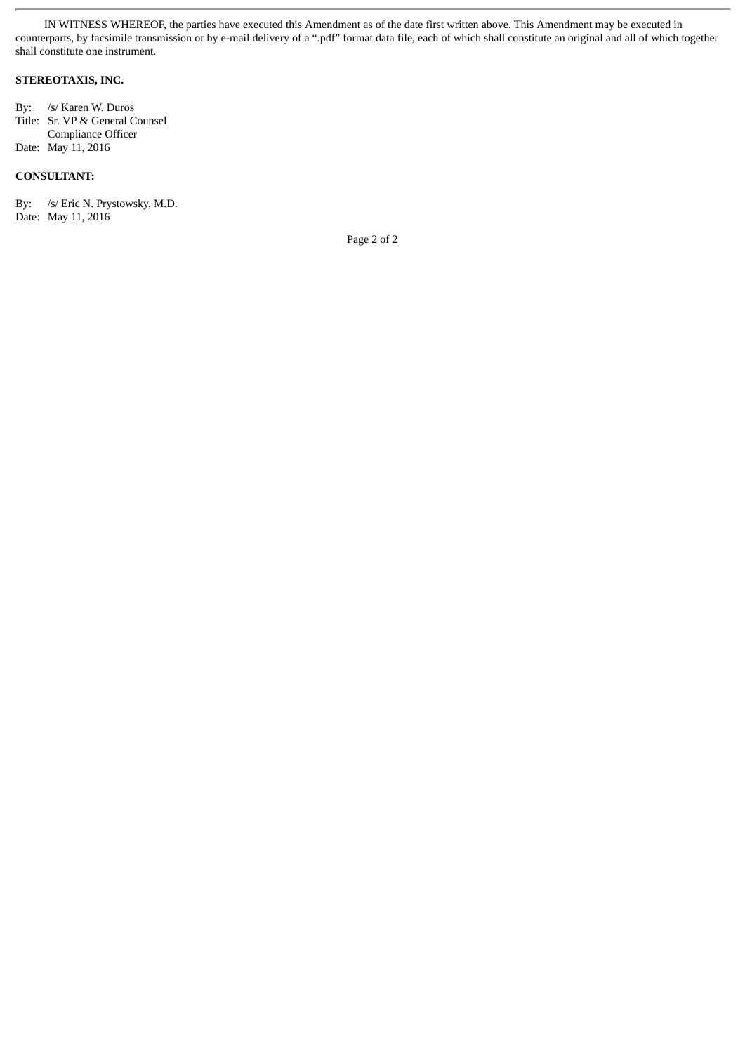IN WITNESS WHEREOF, the parties have executed this Amendment as of the date first written above. This Amendment may be executed in counterparts, by facsimile transmission or by e-mail delivery of a ".pdf" format data file, each of which shall constitute an original and all of which together shall constitute one instrument.

## **STEREOTAXIS, INC.**

By: /s/ Karen W. Duros Title: Sr. VP & General Counsel Compliance Officer Date: May 11, 2016

### **CONSULTANT:**

By: /s/ Eric N. Prystowsky, M.D. Date: May 11, 2016

Page 2 of 2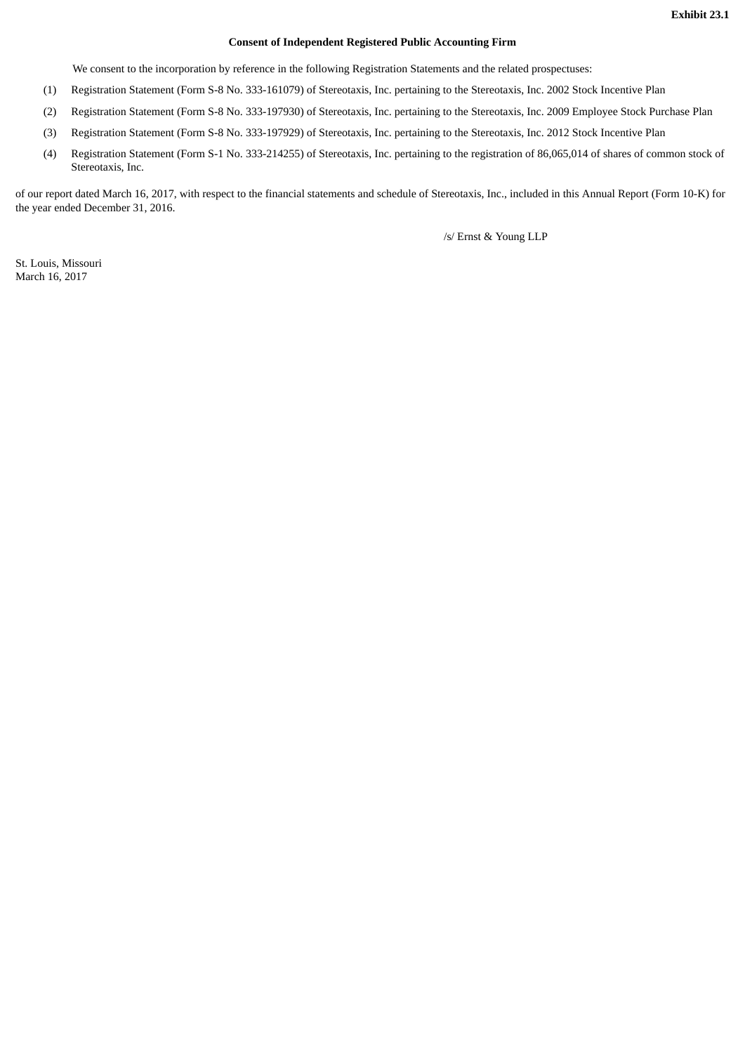### **Consent of Independent Registered Public Accounting Firm**

We consent to the incorporation by reference in the following Registration Statements and the related prospectuses:

- (1) Registration Statement (Form S-8 No. 333-161079) of Stereotaxis, Inc. pertaining to the Stereotaxis, Inc. 2002 Stock Incentive Plan
- (2) Registration Statement (Form S-8 No. 333-197930) of Stereotaxis, Inc. pertaining to the Stereotaxis, Inc. 2009 Employee Stock Purchase Plan
- (3) Registration Statement (Form S-8 No. 333-197929) of Stereotaxis, Inc. pertaining to the Stereotaxis, Inc. 2012 Stock Incentive Plan
- (4) Registration Statement (Form S-1 No. 333-214255) of Stereotaxis, Inc. pertaining to the registration of 86,065,014 of shares of common stock of Stereotaxis, Inc.

of our report dated March 16, 2017, with respect to the financial statements and schedule of Stereotaxis, Inc., included in this Annual Report (Form 10-K) for the year ended December 31, 2016.

/s/ Ernst & Young LLP

St. Louis, Missouri March 16, 2017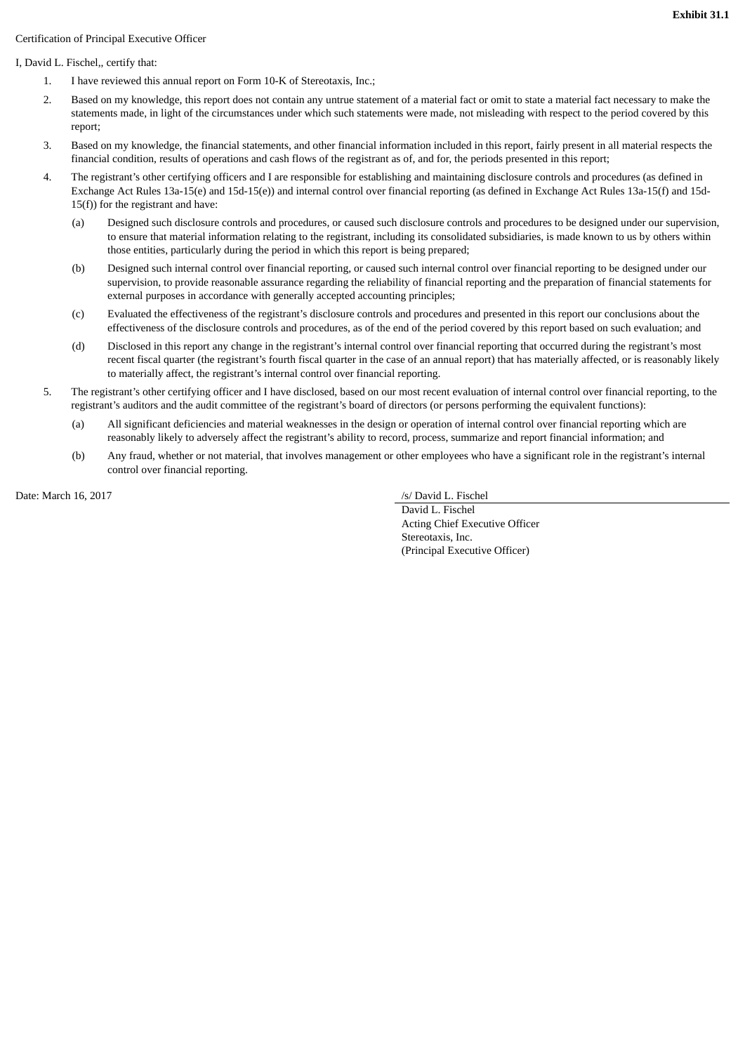## Certification of Principal Executive Officer

### I, David L. Fischel,, certify that:

- 1. I have reviewed this annual report on Form 10-K of Stereotaxis, Inc.;
- 2. Based on my knowledge, this report does not contain any untrue statement of a material fact or omit to state a material fact necessary to make the statements made, in light of the circumstances under which such statements were made, not misleading with respect to the period covered by this report;
- 3. Based on my knowledge, the financial statements, and other financial information included in this report, fairly present in all material respects the financial condition, results of operations and cash flows of the registrant as of, and for, the periods presented in this report;
- 4. The registrant's other certifying officers and I are responsible for establishing and maintaining disclosure controls and procedures (as defined in Exchange Act Rules 13a-15(e) and 15d-15(e)) and internal control over financial reporting (as defined in Exchange Act Rules 13a-15(f) and 15d-15(f)) for the registrant and have:
	- (a) Designed such disclosure controls and procedures, or caused such disclosure controls and procedures to be designed under our supervision, to ensure that material information relating to the registrant, including its consolidated subsidiaries, is made known to us by others within those entities, particularly during the period in which this report is being prepared;
	- (b) Designed such internal control over financial reporting, or caused such internal control over financial reporting to be designed under our supervision, to provide reasonable assurance regarding the reliability of financial reporting and the preparation of financial statements for external purposes in accordance with generally accepted accounting principles;
	- (c) Evaluated the effectiveness of the registrant's disclosure controls and procedures and presented in this report our conclusions about the effectiveness of the disclosure controls and procedures, as of the end of the period covered by this report based on such evaluation; and
	- (d) Disclosed in this report any change in the registrant's internal control over financial reporting that occurred during the registrant's most recent fiscal quarter (the registrant's fourth fiscal quarter in the case of an annual report) that has materially affected, or is reasonably likely to materially affect, the registrant's internal control over financial reporting.
- 5. The registrant's other certifying officer and I have disclosed, based on our most recent evaluation of internal control over financial reporting, to the registrant's auditors and the audit committee of the registrant's board of directors (or persons performing the equivalent functions):
	- (a) All significant deficiencies and material weaknesses in the design or operation of internal control over financial reporting which are reasonably likely to adversely affect the registrant's ability to record, process, summarize and report financial information; and
	- (b) Any fraud, whether or not material, that involves management or other employees who have a significant role in the registrant's internal control over financial reporting.

Date: March 16, 2017 /s/ David L. Fischel

David L. Fischel Acting Chief Executive Officer Stereotaxis, Inc. (Principal Executive Officer)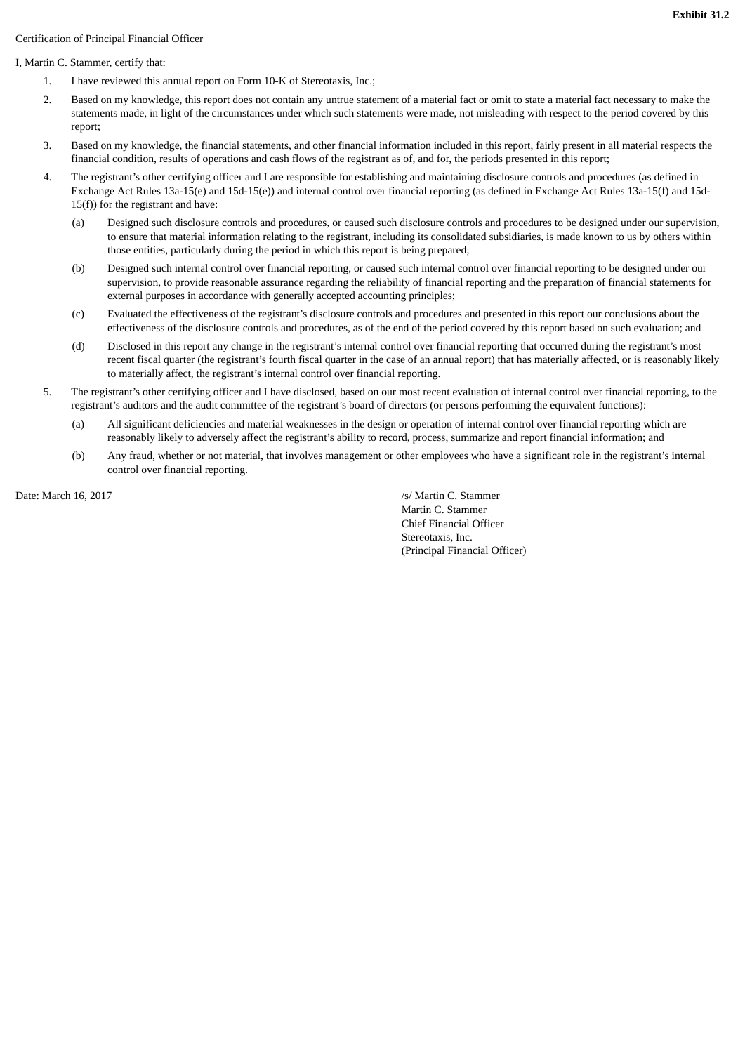## Certification of Principal Financial Officer

### I, Martin C. Stammer, certify that:

- 1. I have reviewed this annual report on Form 10-K of Stereotaxis, Inc.;
- 2. Based on my knowledge, this report does not contain any untrue statement of a material fact or omit to state a material fact necessary to make the statements made, in light of the circumstances under which such statements were made, not misleading with respect to the period covered by this report;
- 3. Based on my knowledge, the financial statements, and other financial information included in this report, fairly present in all material respects the financial condition, results of operations and cash flows of the registrant as of, and for, the periods presented in this report;
- 4. The registrant's other certifying officer and I are responsible for establishing and maintaining disclosure controls and procedures (as defined in Exchange Act Rules 13a-15(e) and 15d-15(e)) and internal control over financial reporting (as defined in Exchange Act Rules 13a-15(f) and 15d-15(f)) for the registrant and have:
	- (a) Designed such disclosure controls and procedures, or caused such disclosure controls and procedures to be designed under our supervision, to ensure that material information relating to the registrant, including its consolidated subsidiaries, is made known to us by others within those entities, particularly during the period in which this report is being prepared;
	- (b) Designed such internal control over financial reporting, or caused such internal control over financial reporting to be designed under our supervision, to provide reasonable assurance regarding the reliability of financial reporting and the preparation of financial statements for external purposes in accordance with generally accepted accounting principles;
	- (c) Evaluated the effectiveness of the registrant's disclosure controls and procedures and presented in this report our conclusions about the effectiveness of the disclosure controls and procedures, as of the end of the period covered by this report based on such evaluation; and
	- (d) Disclosed in this report any change in the registrant's internal control over financial reporting that occurred during the registrant's most recent fiscal quarter (the registrant's fourth fiscal quarter in the case of an annual report) that has materially affected, or is reasonably likely to materially affect, the registrant's internal control over financial reporting.
- 5. The registrant's other certifying officer and I have disclosed, based on our most recent evaluation of internal control over financial reporting, to the registrant's auditors and the audit committee of the registrant's board of directors (or persons performing the equivalent functions):
	- (a) All significant deficiencies and material weaknesses in the design or operation of internal control over financial reporting which are reasonably likely to adversely affect the registrant's ability to record, process, summarize and report financial information; and
	- (b) Any fraud, whether or not material, that involves management or other employees who have a significant role in the registrant's internal control over financial reporting.

Date: March 16, 2017 /s/ Martin C. Stammer

Martin C. Stammer Chief Financial Officer Stereotaxis, Inc. (Principal Financial Officer)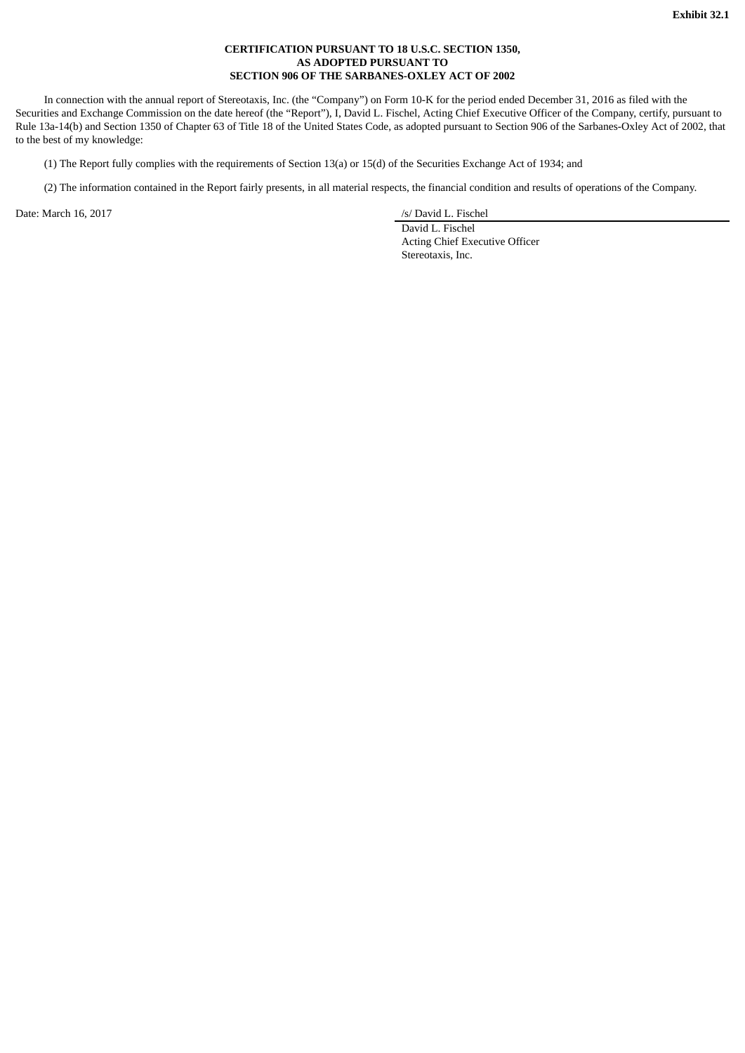### **CERTIFICATION PURSUANT TO 18 U.S.C. SECTION 1350, AS ADOPTED PURSUANT TO SECTION 906 OF THE SARBANES-OXLEY ACT OF 2002**

In connection with the annual report of Stereotaxis, Inc. (the "Company") on Form 10-K for the period ended December 31, 2016 as filed with the Securities and Exchange Commission on the date hereof (the "Report"), I, David L. Fischel, Acting Chief Executive Officer of the Company, certify, pursuant to Rule 13a-14(b) and Section 1350 of Chapter 63 of Title 18 of the United States Code, as adopted pursuant to Section 906 of the Sarbanes-Oxley Act of 2002, that to the best of my knowledge:

(1) The Report fully complies with the requirements of Section 13(a) or 15(d) of the Securities Exchange Act of 1934; and

(2) The information contained in the Report fairly presents, in all material respects, the financial condition and results of operations of the Company.

Date: March 16, 2017 */s/ David L. Fischel* 

David L. Fischel Acting Chief Executive Officer Stereotaxis, Inc.